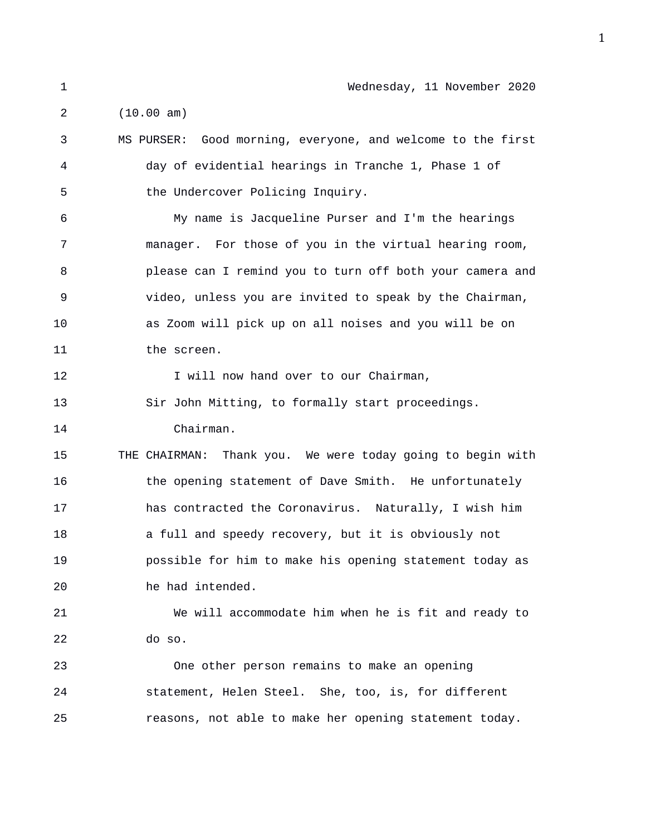2 (10.00 am)

3 MS PURSER: Good morning, everyone, and welcome to the first 4 day of evidential hearings in Tranche 1, Phase 1 of 5 the Undercover Policing Inquiry. 6 My name is Jacqueline Purser and I'm the hearings 7 manager. For those of you in the virtual hearing room, 8 please can I remind you to turn off both your camera and 9 video, unless you are invited to speak by the Chairman, 10 as Zoom will pick up on all noises and you will be on 11 the screen. 12 I will now hand over to our Chairman, 13 Sir John Mitting, to formally start proceedings. 14 Chairman. 15 THE CHAIRMAN: Thank you. We were today going to begin with 16 the opening statement of Dave Smith. He unfortunately 17 has contracted the Coronavirus. Naturally, I wish him 18 a full and speedy recovery, but it is obviously not 19 possible for him to make his opening statement today as 20 he had intended. 21 We will accommodate him when he is fit and ready to 22 do so. 23 One other person remains to make an opening 24 statement, Helen Steel. She, too, is, for different 25 reasons, not able to make her opening statement today.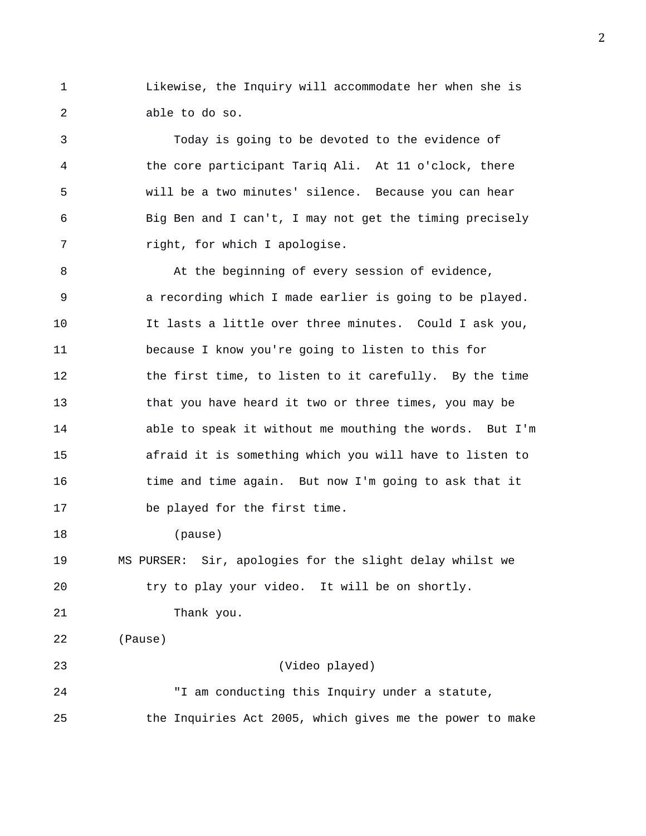1 Likewise, the Inquiry will accommodate her when she is 2 able to do so.

3 Today is going to be devoted to the evidence of 4 the core participant Tariq Ali. At 11 o'clock, there 5 will be a two minutes' silence. Because you can hear 6 Big Ben and I can't, I may not get the timing precisely 7 right, for which I apologise.

8 At the beginning of every session of evidence, 9 a recording which I made earlier is going to be played. 10 It lasts a little over three minutes. Could I ask you, 11 because I know you're going to listen to this for 12 the first time, to listen to it carefully. By the time 13 that you have heard it two or three times, you may be 14 able to speak it without me mouthing the words. But I'm 15 afraid it is something which you will have to listen to 16 time and time again. But now I'm going to ask that it 17 be played for the first time.

18 (pause)

19 MS PURSER: Sir, apologies for the slight delay whilst we 20 try to play your video. It will be on shortly.

21 Thank you.

22 (Pause)

23 (Video played)

24 "I am conducting this Inquiry under a statute, 25 the Inquiries Act 2005, which gives me the power to make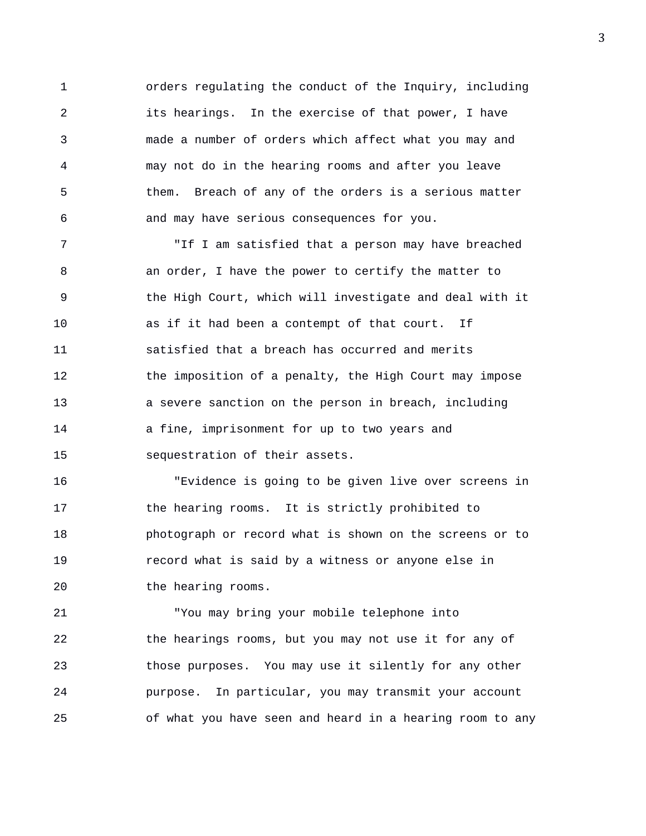1 orders regulating the conduct of the Inquiry, including 2 its hearings. In the exercise of that power, I have 3 made a number of orders which affect what you may and 4 may not do in the hearing rooms and after you leave 5 them. Breach of any of the orders is a serious matter 6 and may have serious consequences for you.

7 "If I am satisfied that a person may have breached 8 an order, I have the power to certify the matter to 9 the High Court, which will investigate and deal with it 10 as if it had been a contempt of that court. If 11 satisfied that a breach has occurred and merits 12 the imposition of a penalty, the High Court may impose 13 a severe sanction on the person in breach, including 14 a fine, imprisonment for up to two years and 15 sequestration of their assets.

16 "Evidence is going to be given live over screens in 17 the hearing rooms. It is strictly prohibited to 18 photograph or record what is shown on the screens or to 19 record what is said by a witness or anyone else in 20 the hearing rooms.

21 "You may bring your mobile telephone into 22 the hearings rooms, but you may not use it for any of 23 those purposes. You may use it silently for any other 24 purpose. In particular, you may transmit your account 25 of what you have seen and heard in a hearing room to any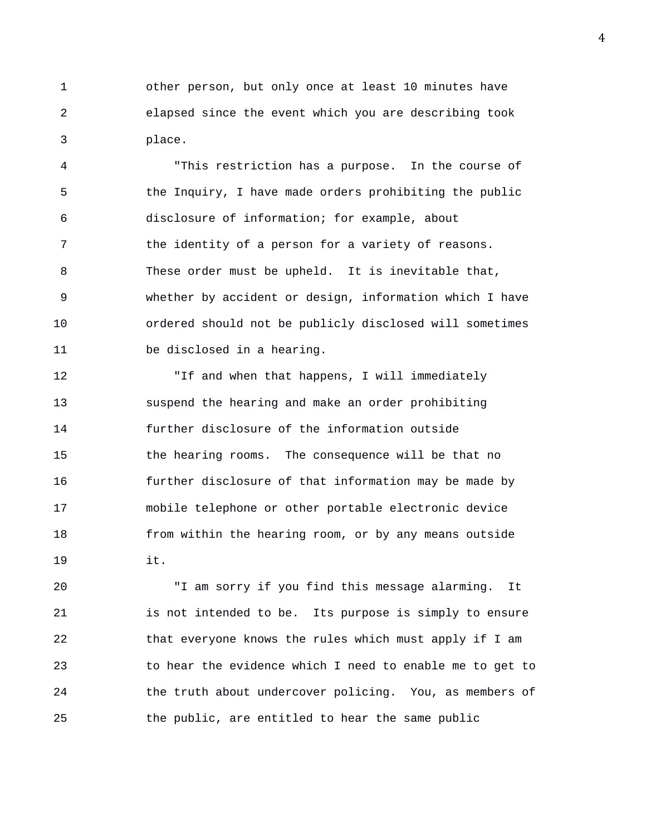1 other person, but only once at least 10 minutes have 2 elapsed since the event which you are describing took 3 place.

4 "This restriction has a purpose. In the course of 5 the Inquiry, I have made orders prohibiting the public 6 disclosure of information; for example, about 7 the identity of a person for a variety of reasons. 8 These order must be upheld. It is inevitable that, 9 whether by accident or design, information which I have 10 ordered should not be publicly disclosed will sometimes 11 be disclosed in a hearing.

12 "If and when that happens, I will immediately 13 suspend the hearing and make an order prohibiting 14 further disclosure of the information outside 15 the hearing rooms. The consequence will be that no 16 further disclosure of that information may be made by 17 mobile telephone or other portable electronic device 18 from within the hearing room, or by any means outside 19 it.

20 "I am sorry if you find this message alarming. It 21 is not intended to be. Its purpose is simply to ensure 22 that everyone knows the rules which must apply if I am 23 to hear the evidence which I need to enable me to get to 24 the truth about undercover policing. You, as members of 25 the public, are entitled to hear the same public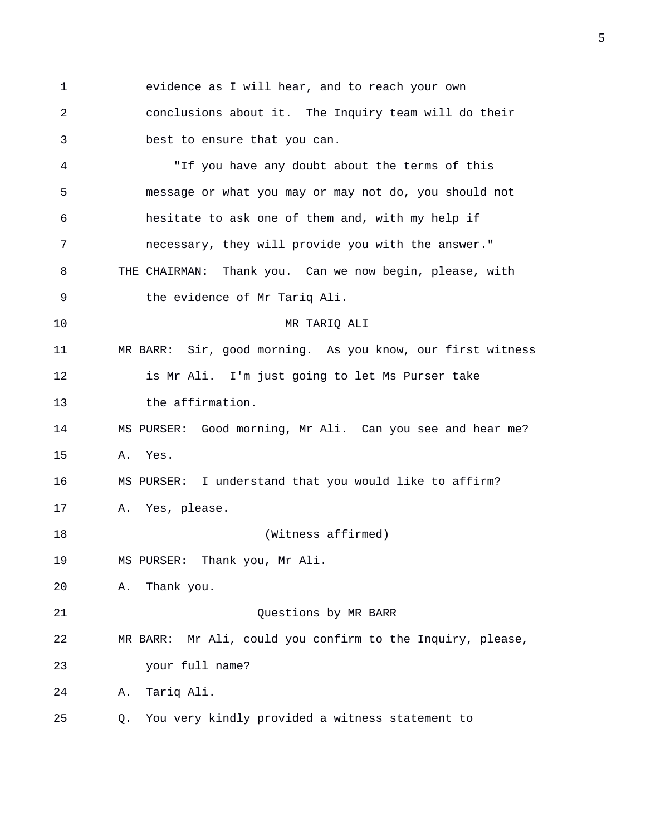1 evidence as I will hear, and to reach your own 2 conclusions about it. The Inquiry team will do their 3 best to ensure that you can. 4 "If you have any doubt about the terms of this 5 message or what you may or may not do, you should not 6 hesitate to ask one of them and, with my help if 7 necessary, they will provide you with the answer." 8 THE CHAIRMAN: Thank you. Can we now begin, please, with 9 the evidence of Mr Tariq Ali. 10 MR TARIQ ALI 11 MR BARR: Sir, good morning. As you know, our first witness 12 is Mr Ali. I'm just going to let Ms Purser take 13 the affirmation. 14 MS PURSER: Good morning, Mr Ali. Can you see and hear me? 15 A. Yes. 16 MS PURSER: I understand that you would like to affirm? 17 A. Yes, please. 18 (Witness affirmed) 19 MS PURSER: Thank you, Mr Ali. 20 A. Thank you. 21 Questions by MR BARR 22 MR BARR: Mr Ali, could you confirm to the Inquiry, please, 23 your full name? 24 A. Tariq Ali. 25 Q. You very kindly provided a witness statement to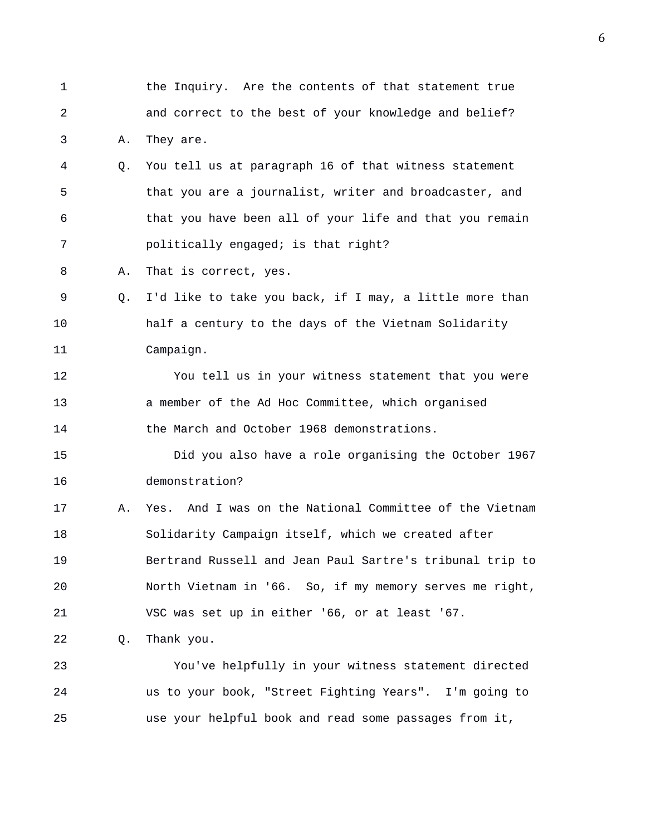1 the Inquiry. Are the contents of that statement true 2 and correct to the best of your knowledge and belief? 3 A. They are. 4 Q. You tell us at paragraph 16 of that witness statement 5 that you are a journalist, writer and broadcaster, and 6 that you have been all of your life and that you remain 7 politically engaged; is that right? 8 A. That is correct, yes. 9 Q. I'd like to take you back, if I may, a little more than 10 half a century to the days of the Vietnam Solidarity 11 Campaign. 12 You tell us in your witness statement that you were 13 a member of the Ad Hoc Committee, which organised 14 the March and October 1968 demonstrations. 15 Did you also have a role organising the October 1967 16 demonstration? 17 A. Yes. And I was on the National Committee of the Vietnam 18 Solidarity Campaign itself, which we created after 19 Bertrand Russell and Jean Paul Sartre's tribunal trip to 20 North Vietnam in '66. So, if my memory serves me right, 21 VSC was set up in either '66, or at least '67. 22 Q. Thank you. 23 You've helpfully in your witness statement directed 24 us to your book, "Street Fighting Years". I'm going to 25 use your helpful book and read some passages from it,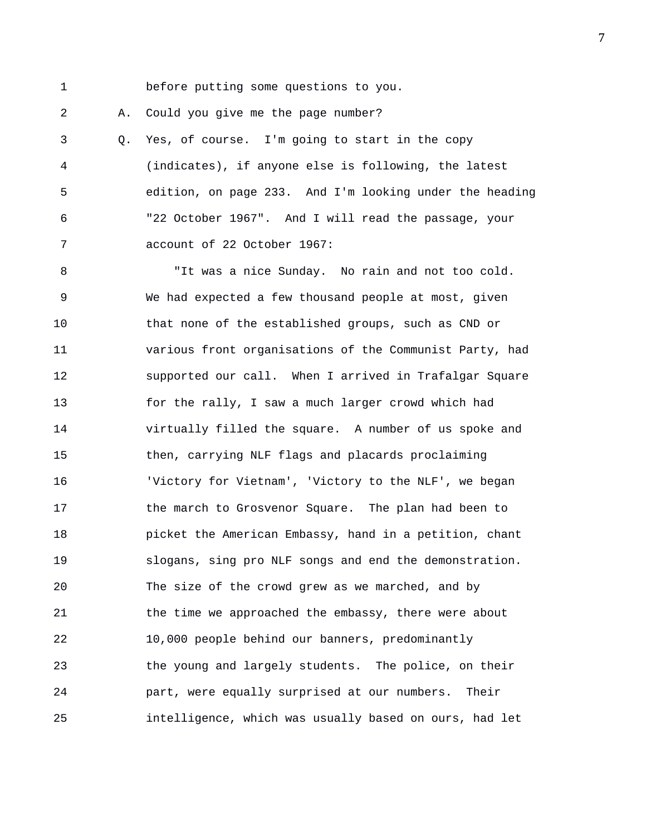1 before putting some questions to you.

2 A. Could you give me the page number?

3 Q. Yes, of course. I'm going to start in the copy 4 (indicates), if anyone else is following, the latest 5 edition, on page 233. And I'm looking under the heading 6 "22 October 1967". And I will read the passage, your 7 account of 22 October 1967:

8 "It was a nice Sunday. No rain and not too cold. 9 We had expected a few thousand people at most, given 10 that none of the established groups, such as CND or 11 various front organisations of the Communist Party, had 12 supported our call. When I arrived in Trafalgar Square 13 for the rally, I saw a much larger crowd which had 14 virtually filled the square. A number of us spoke and 15 then, carrying NLF flags and placards proclaiming 16 'Victory for Vietnam', 'Victory to the NLF', we began 17 the march to Grosvenor Square. The plan had been to 18 picket the American Embassy, hand in a petition, chant 19 slogans, sing pro NLF songs and end the demonstration. 20 The size of the crowd grew as we marched, and by 21 the time we approached the embassy, there were about 22 10,000 people behind our banners, predominantly 23 the young and largely students. The police, on their 24 part, were equally surprised at our numbers. Their 25 intelligence, which was usually based on ours, had let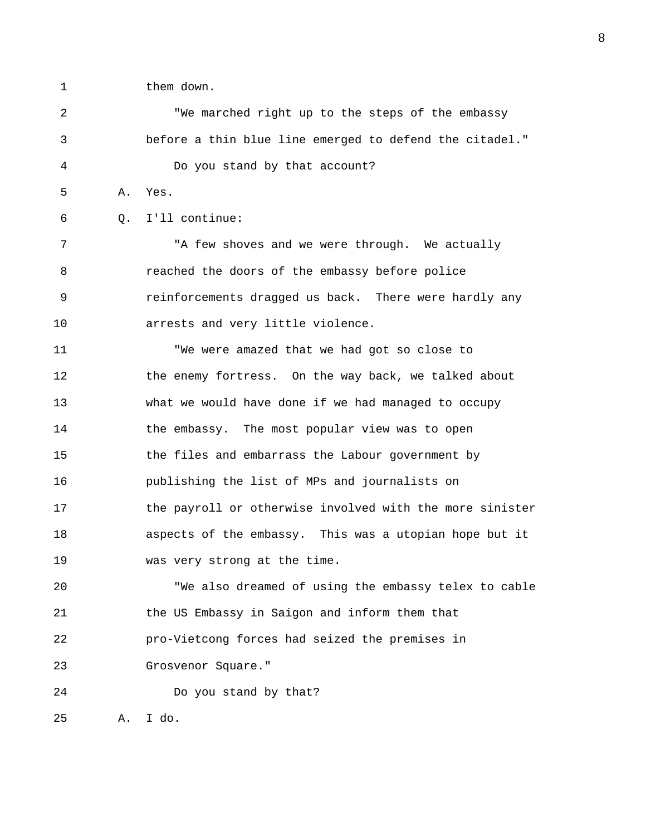1 them down.

2 "We marched right up to the steps of the embassy 3 before a thin blue line emerged to defend the citadel." 4 Do you stand by that account? 5 A. Yes. 6 Q. I'll continue: 7 The State were through. We actually varies we were through. We actually 8 reached the doors of the embassy before police 9 reinforcements dragged us back. There were hardly any 10 arrests and very little violence. 11 "We were amazed that we had got so close to 12 the enemy fortress. On the way back, we talked about 13 what we would have done if we had managed to occupy 14 the embassy. The most popular view was to open 15 the files and embarrass the Labour government by 16 publishing the list of MPs and journalists on 17 the payroll or otherwise involved with the more sinister 18 aspects of the embassy. This was a utopian hope but it 19 was very strong at the time. 20 "We also dreamed of using the embassy telex to cable 21 the US Embassy in Saigon and inform them that 22 pro-Vietcong forces had seized the premises in 23 Grosvenor Square." 24 Do you stand by that? 25 A. I do.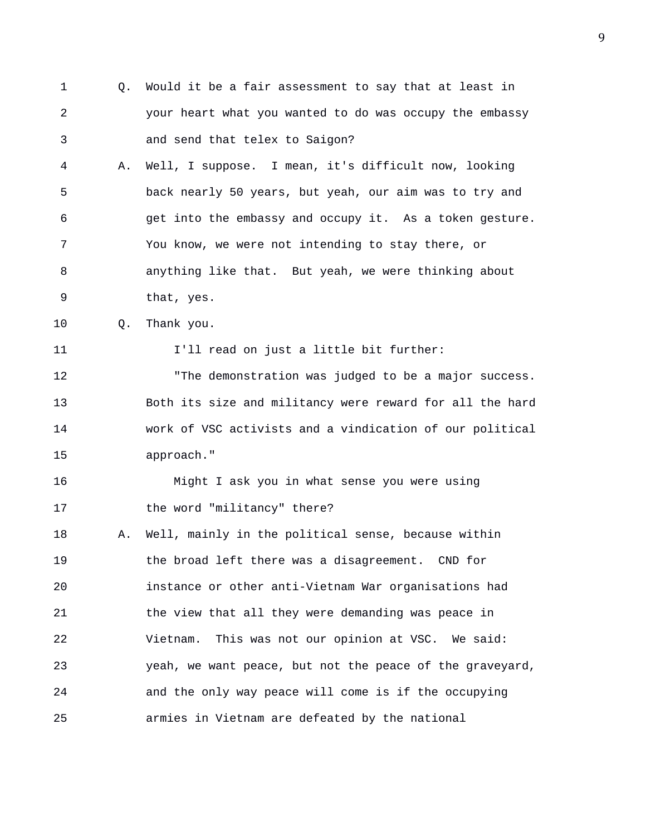- 1 Q. Would it be a fair assessment to say that at least in 2 your heart what you wanted to do was occupy the embassy 3 and send that telex to Saigon? 4 A. Well, I suppose. I mean, it's difficult now, looking 5 back nearly 50 years, but yeah, our aim was to try and 6 get into the embassy and occupy it. As a token gesture. 7 You know, we were not intending to stay there, or 8 anything like that. But yeah, we were thinking about 9 that, yes. 10 Q. Thank you. 11 I'll read on just a little bit further: 12 "The demonstration was judged to be a major success.
- 13 Both its size and militancy were reward for all the hard 14 work of VSC activists and a vindication of our political 15 approach."

16 Might I ask you in what sense you were using 17 the word "militancy" there?

18 A. Well, mainly in the political sense, because within 19 the broad left there was a disagreement. CND for 20 instance or other anti-Vietnam War organisations had 21 the view that all they were demanding was peace in 22 Vietnam. This was not our opinion at VSC. We said: 23 yeah, we want peace, but not the peace of the graveyard, 24 and the only way peace will come is if the occupying 25 armies in Vietnam are defeated by the national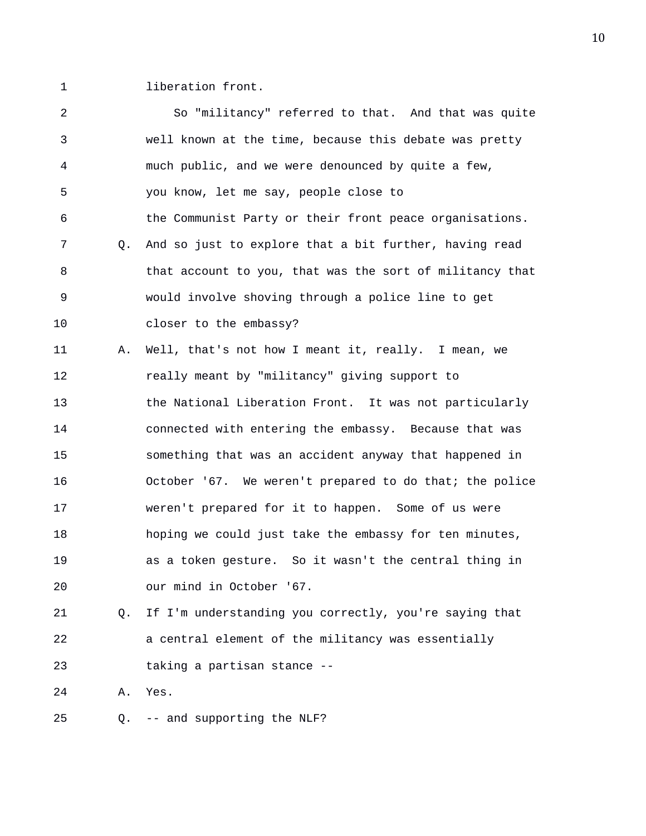1 liberation front.

| 2              |    | So "militancy" referred to that. And that was quite      |
|----------------|----|----------------------------------------------------------|
| 3              |    | well known at the time, because this debate was pretty   |
| $\overline{4}$ |    | much public, and we were denounced by quite a few,       |
| 5              |    | you know, let me say, people close to                    |
| 6              |    | the Communist Party or their front peace organisations.  |
| 7              | О. | And so just to explore that a bit further, having read   |
| 8              |    | that account to you, that was the sort of militancy that |
| 9              |    | would involve shoving through a police line to get       |
| 10             |    | closer to the embassy?                                   |
| 11             | Α. | Well, that's not how I meant it, really. I mean, we      |
| 12             |    | really meant by "militancy" giving support to            |
| 13             |    | the National Liberation Front. It was not particularly   |
| 14             |    | connected with entering the embassy. Because that was    |
| 15             |    | something that was an accident anyway that happened in   |
| 16             |    | October '67. We weren't prepared to do that; the police  |
| 17             |    | weren't prepared for it to happen. Some of us were       |
| 18             |    | hoping we could just take the embassy for ten minutes,   |
| 19             |    | as a token gesture. So it wasn't the central thing in    |
| 20             |    | our mind in October '67.                                 |
| 21             | Q. | If I'm understanding you correctly, you're saying that   |
| 22             |    | a central element of the militancy was essentially       |
| 23             |    | taking a partisan stance --                              |
| 24             | Α. | Yes.                                                     |
|                |    |                                                          |

25 Q. -- and supporting the NLF?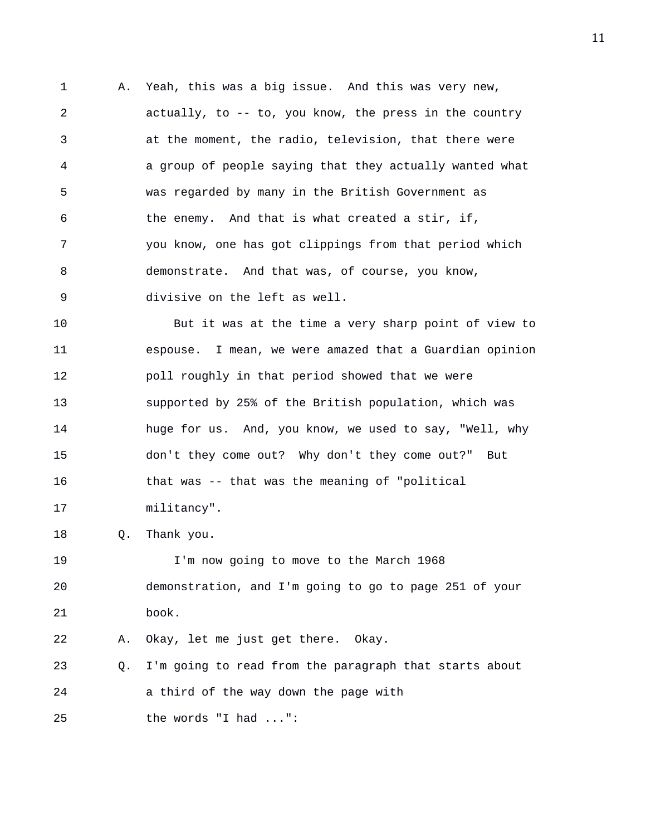1 A. Yeah, this was a big issue. And this was very new, 2 actually, to -- to, you know, the press in the country 3 at the moment, the radio, television, that there were 4 a group of people saying that they actually wanted what 5 was regarded by many in the British Government as 6 the enemy. And that is what created a stir, if, 7 you know, one has got clippings from that period which 8 demonstrate. And that was, of course, you know, 9 divisive on the left as well.

10 But it was at the time a very sharp point of view to 11 espouse. I mean, we were amazed that a Guardian opinion 12 poll roughly in that period showed that we were 13 supported by 25% of the British population, which was 14 huge for us. And, you know, we used to say, "Well, why 15 don't they come out? Why don't they come out?" But 16 that was -- that was the meaning of "political 17 militancy".

18 Q. Thank you.

19 I'm now going to move to the March 1968 20 demonstration, and I'm going to go to page 251 of your 21 book.

22 A. Okay, let me just get there. Okay.

23 Q. I'm going to read from the paragraph that starts about 24 a third of the way down the page with

25 the words "I had ...":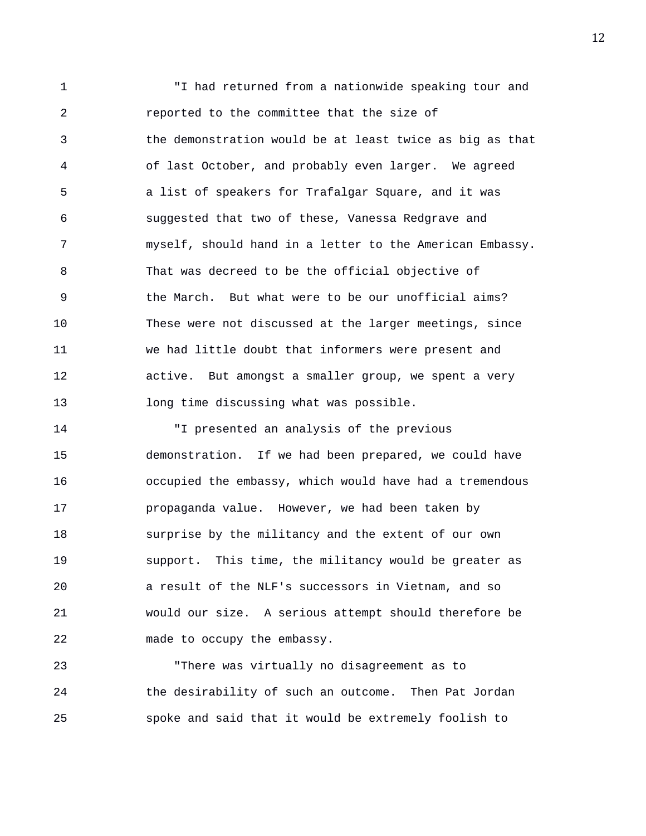1 "I had returned from a nationwide speaking tour and 2 reported to the committee that the size of 3 the demonstration would be at least twice as big as that 4 of last October, and probably even larger. We agreed 5 a list of speakers for Trafalgar Square, and it was 6 suggested that two of these, Vanessa Redgrave and 7 myself, should hand in a letter to the American Embassy. 8 That was decreed to be the official objective of 9 the March. But what were to be our unofficial aims? 10 These were not discussed at the larger meetings, since 11 we had little doubt that informers were present and 12 active. But amongst a smaller group, we spent a very 13 long time discussing what was possible.

14 "I presented an analysis of the previous 15 demonstration. If we had been prepared, we could have 16 occupied the embassy, which would have had a tremendous 17 propaganda value. However, we had been taken by 18 surprise by the militancy and the extent of our own 19 support. This time, the militancy would be greater as 20 a result of the NLF's successors in Vietnam, and so 21 would our size. A serious attempt should therefore be 22 made to occupy the embassy.

23 "There was virtually no disagreement as to 24 the desirability of such an outcome. Then Pat Jordan 25 spoke and said that it would be extremely foolish to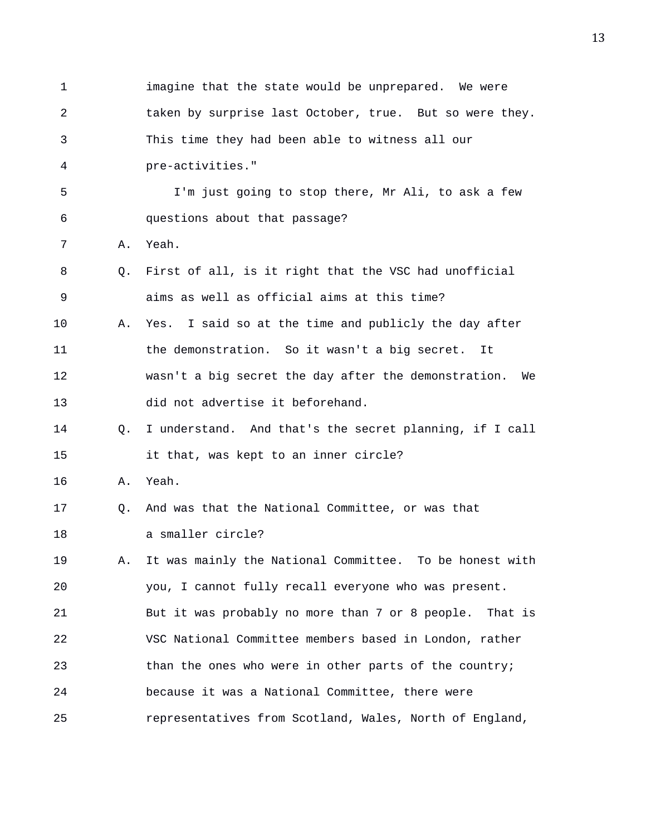1 imagine that the state would be unprepared. We were 2 taken by surprise last October, true. But so were they. 3 This time they had been able to witness all our 4 pre-activities." 5 I'm just going to stop there, Mr Ali, to ask a few 6 questions about that passage? 7 A. Yeah. 8 Q. First of all, is it right that the VSC had unofficial 9 aims as well as official aims at this time? 10 A. Yes. I said so at the time and publicly the day after 11 the demonstration. So it wasn't a big secret. It 12 wasn't a big secret the day after the demonstration. We 13 did not advertise it beforehand. 14 Q. I understand. And that's the secret planning, if I call 15 it that, was kept to an inner circle? 16 A. Yeah. 17 Q. And was that the National Committee, or was that 18 a smaller circle? 19 A. It was mainly the National Committee. To be honest with 20 you, I cannot fully recall everyone who was present. 21 But it was probably no more than 7 or 8 people. That is 22 VSC National Committee members based in London, rather 23 than the ones who were in other parts of the country; 24 because it was a National Committee, there were 25 representatives from Scotland, Wales, North of England,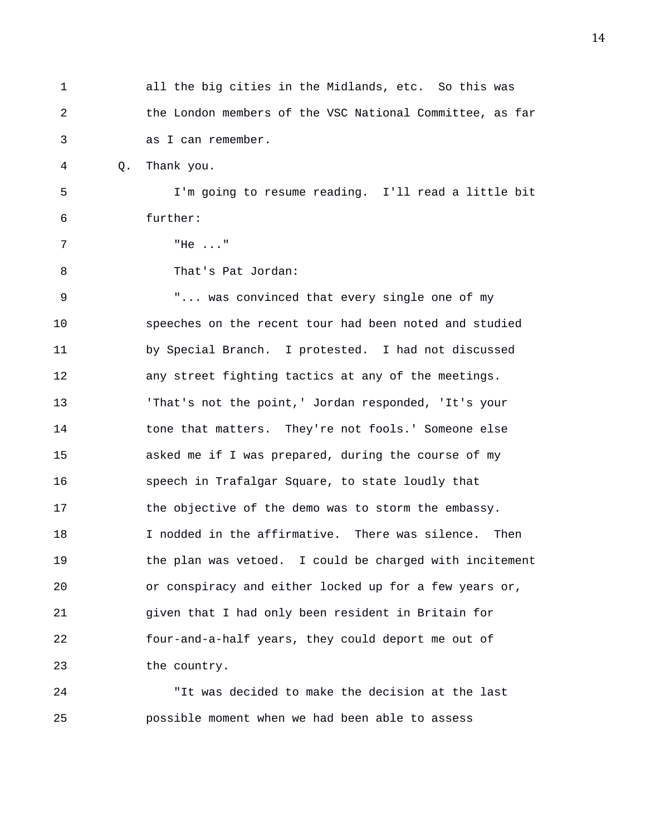| 1              |    | all the big cities in the Midlands, etc. So this was     |
|----------------|----|----------------------------------------------------------|
| $\overline{2}$ |    | the London members of the VSC National Committee, as far |
| 3              |    | as I can remember.                                       |
| 4              | Q. | Thank you.                                               |
| 5              |    | I'm going to resume reading. I'll read a little bit      |
| 6              |    | further:                                                 |
| 7              |    | "He $\ldots$ "                                           |
| 8              |    | That's Pat Jordan:                                       |
| 9              |    | " was convinced that every single one of my              |
| 10             |    | speeches on the recent tour had been noted and studied   |
| 11             |    | by Special Branch. I protested. I had not discussed      |
| 12             |    | any street fighting tactics at any of the meetings.      |
| 13             |    | 'That's not the point,' Jordan responded, 'It's your     |
| 14             |    | tone that matters. They're not fools.' Someone else      |
| 15             |    | asked me if I was prepared, during the course of my      |
| 16             |    | speech in Trafalgar Square, to state loudly that         |
| 17             |    | the objective of the demo was to storm the embassy.      |
| 18             |    | I nodded in the affirmative. There was silence.<br>Then  |
| 19             |    | the plan was vetoed. I could be charged with incitement  |
| 20             |    | or conspiracy and either locked up for a few years or,   |
| 21             |    | given that I had only been resident in Britain for       |
| 22             |    | four-and-a-half years, they could deport me out of       |
| 23             |    | the country.                                             |
|                |    |                                                          |

24 "It was decided to make the decision at the last 25 possible moment when we had been able to assess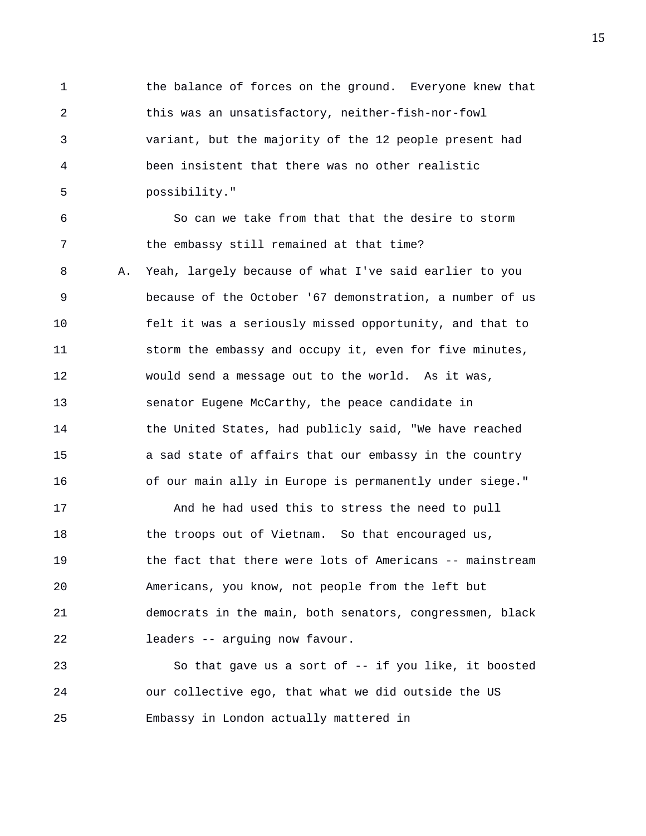1 the balance of forces on the ground. Everyone knew that 2 this was an unsatisfactory, neither-fish-nor-fowl 3 variant, but the majority of the 12 people present had 4 been insistent that there was no other realistic 5 possibility."

6 So can we take from that that the desire to storm 7 the embassy still remained at that time? 8 A. Yeah, largely because of what I've said earlier to you 9 because of the October '67 demonstration, a number of us 10 felt it was a seriously missed opportunity, and that to 11 storm the embassy and occupy it, even for five minutes, 12 would send a message out to the world. As it was, 13 senator Eugene McCarthy, the peace candidate in 14 the United States, had publicly said, "We have reached 15 a sad state of affairs that our embassy in the country 16 of our main ally in Europe is permanently under siege."

17 And he had used this to stress the need to pull 18 the troops out of Vietnam. So that encouraged us, 19 the fact that there were lots of Americans -- mainstream 20 Americans, you know, not people from the left but 21 democrats in the main, both senators, congressmen, black 22 leaders -- arguing now favour.

23 So that gave us a sort of -- if you like, it boosted 24 our collective ego, that what we did outside the US 25 Embassy in London actually mattered in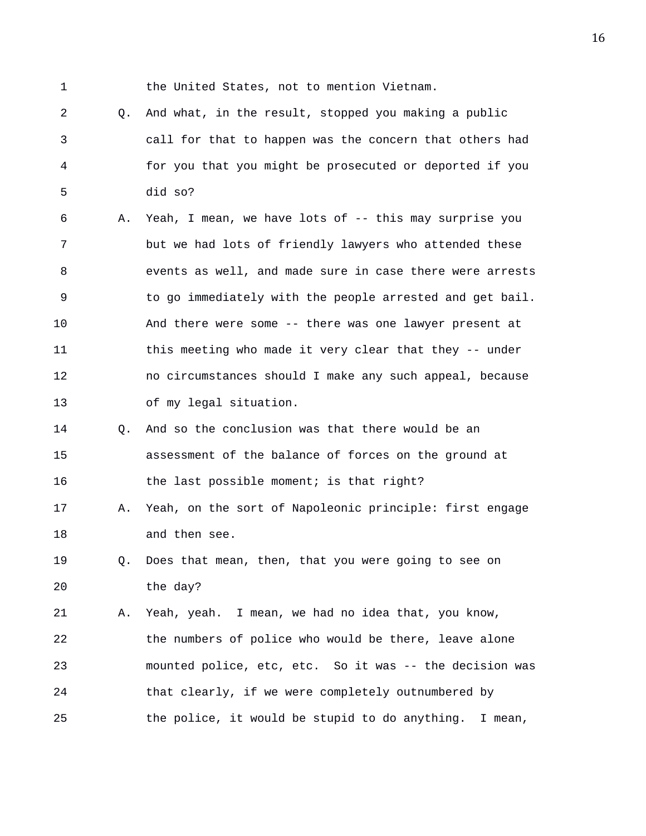1 the United States, not to mention Vietnam.

2 Q. And what, in the result, stopped you making a public 3 call for that to happen was the concern that others had 4 for you that you might be prosecuted or deported if you 5 did so?

6 A. Yeah, I mean, we have lots of -- this may surprise you 7 but we had lots of friendly lawyers who attended these 8 events as well, and made sure in case there were arrests 9 to go immediately with the people arrested and get bail. 10 And there were some -- there was one lawyer present at 11 this meeting who made it very clear that they -- under 12 no circumstances should I make any such appeal, because 13 of my legal situation.

## 14 Q. And so the conclusion was that there would be an 15 assessment of the balance of forces on the ground at 16 the last possible moment; is that right?

17 A. Yeah, on the sort of Napoleonic principle: first engage 18 and then see.

19 Q. Does that mean, then, that you were going to see on 20 the day?

21 A. Yeah, yeah. I mean, we had no idea that, you know, 22 the numbers of police who would be there, leave alone 23 mounted police, etc, etc. So it was -- the decision was 24 that clearly, if we were completely outnumbered by 25 the police, it would be stupid to do anything. I mean,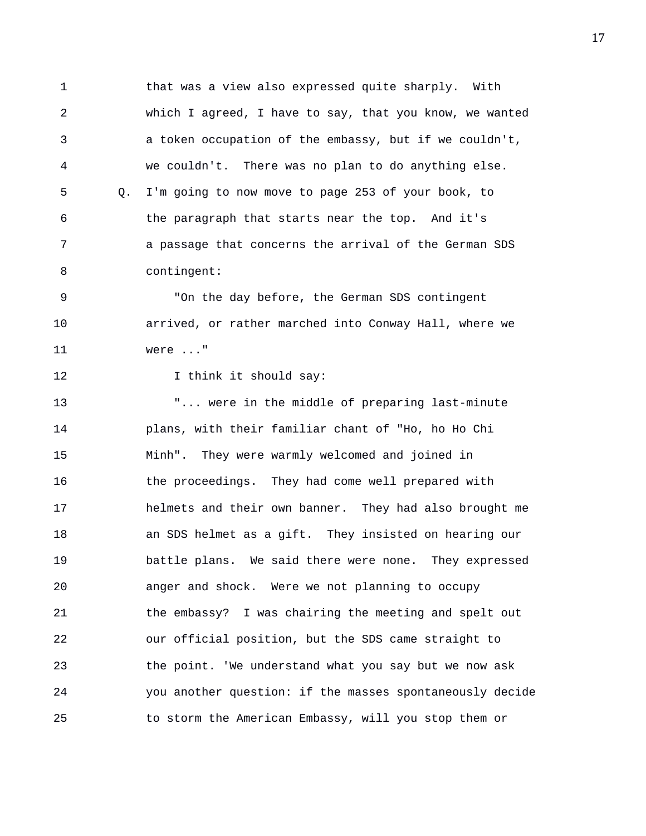1 that was a view also expressed quite sharply. With 2 which I agreed, I have to say, that you know, we wanted 3 a token occupation of the embassy, but if we couldn't, 4 we couldn't. There was no plan to do anything else. 5 Q. I'm going to now move to page 253 of your book, to 6 the paragraph that starts near the top. And it's 7 a passage that concerns the arrival of the German SDS 8 contingent:

9 "On the day before, the German SDS contingent 10 arrived, or rather marched into Conway Hall, where we 11 were ..."

12 I think it should say:

13 T... were in the middle of preparing last-minute 14 plans, with their familiar chant of "Ho, ho Ho Chi 15 Minh". They were warmly welcomed and joined in 16 the proceedings. They had come well prepared with 17 helmets and their own banner. They had also brought me 18 an SDS helmet as a gift. They insisted on hearing our 19 battle plans. We said there were none. They expressed 20 anger and shock. Were we not planning to occupy 21 the embassy? I was chairing the meeting and spelt out 22 our official position, but the SDS came straight to 23 the point. 'We understand what you say but we now ask 24 you another question: if the masses spontaneously decide 25 to storm the American Embassy, will you stop them or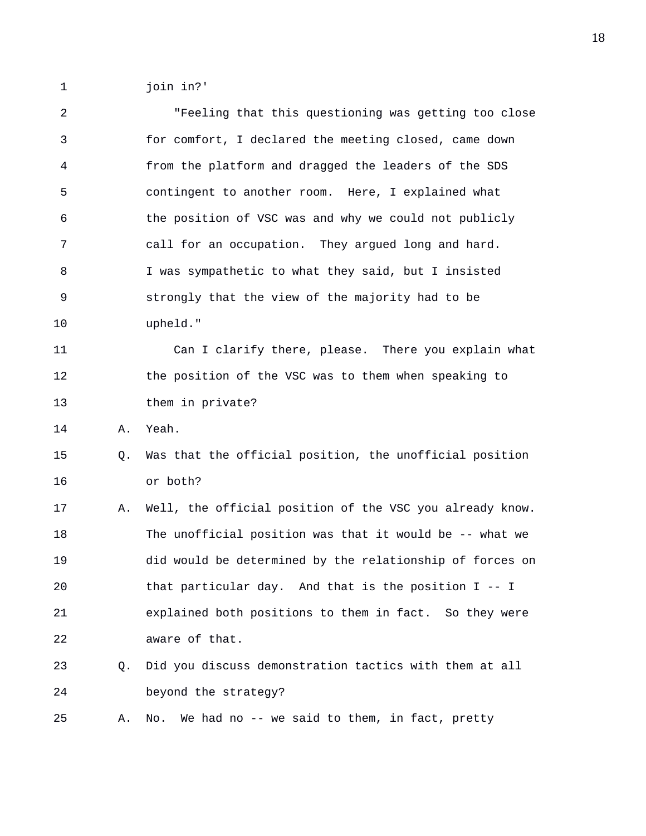1 join in?'

2 "Feeling that this questioning was getting too close 3 for comfort, I declared the meeting closed, came down 4 from the platform and dragged the leaders of the SDS 5 contingent to another room. Here, I explained what 6 the position of VSC was and why we could not publicly 7 call for an occupation. They argued long and hard. 8 I was sympathetic to what they said, but I insisted 9 strongly that the view of the majority had to be 10 upheld." 11 Can I clarify there, please. There you explain what 12 the position of the VSC was to them when speaking to 13 them in private? 14 A. Yeah. 15 Q. Was that the official position, the unofficial position 16 or both? 17 A. Well, the official position of the VSC you already know. 18 The unofficial position was that it would be -- what we 19 did would be determined by the relationship of forces on 20 that particular day. And that is the position I -- I 21 explained both positions to them in fact. So they were 22 aware of that. 23 Q. Did you discuss demonstration tactics with them at all 24 beyond the strategy? 25 A. No. We had no -- we said to them, in fact, pretty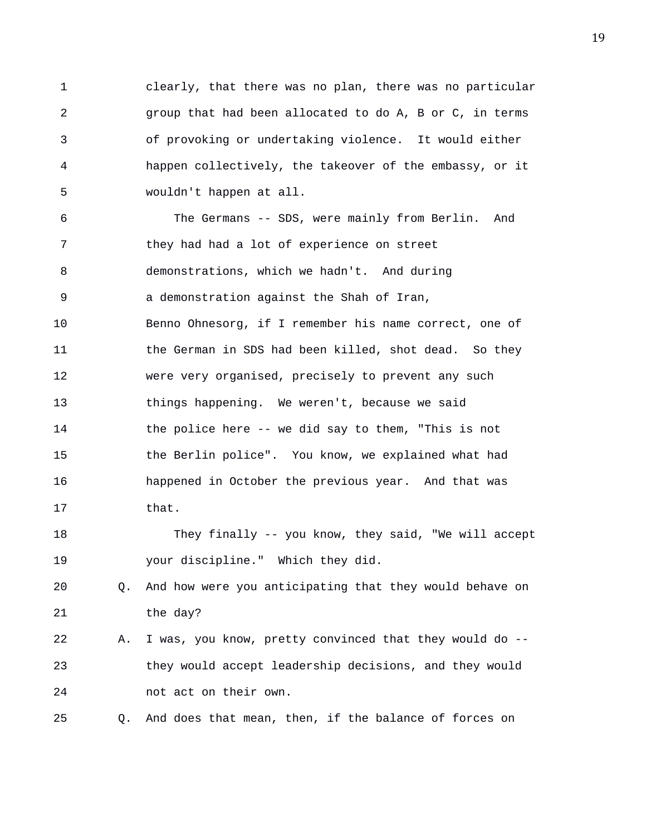1 clearly, that there was no plan, there was no particular 2 group that had been allocated to do A, B or C, in terms 3 of provoking or undertaking violence. It would either 4 happen collectively, the takeover of the embassy, or it 5 wouldn't happen at all.

6 The Germans -- SDS, were mainly from Berlin. And 7 they had had a lot of experience on street 8 demonstrations, which we hadn't. And during 9 a demonstration against the Shah of Iran, 10 Benno Ohnesorg, if I remember his name correct, one of 11 the German in SDS had been killed, shot dead. So they 12 were very organised, precisely to prevent any such 13 things happening. We weren't, because we said 14 the police here -- we did say to them, "This is not 15 the Berlin police". You know, we explained what had 16 happened in October the previous year. And that was 17 that. 18 They finally -- you know, they said, "We will accept 19 your discipline." Which they did. 20 Q. And how were you anticipating that they would behave on 21 the day? 22 A. I was, you know, pretty convinced that they would do -- 23 they would accept leadership decisions, and they would

24 not act on their own.

25 Q. And does that mean, then, if the balance of forces on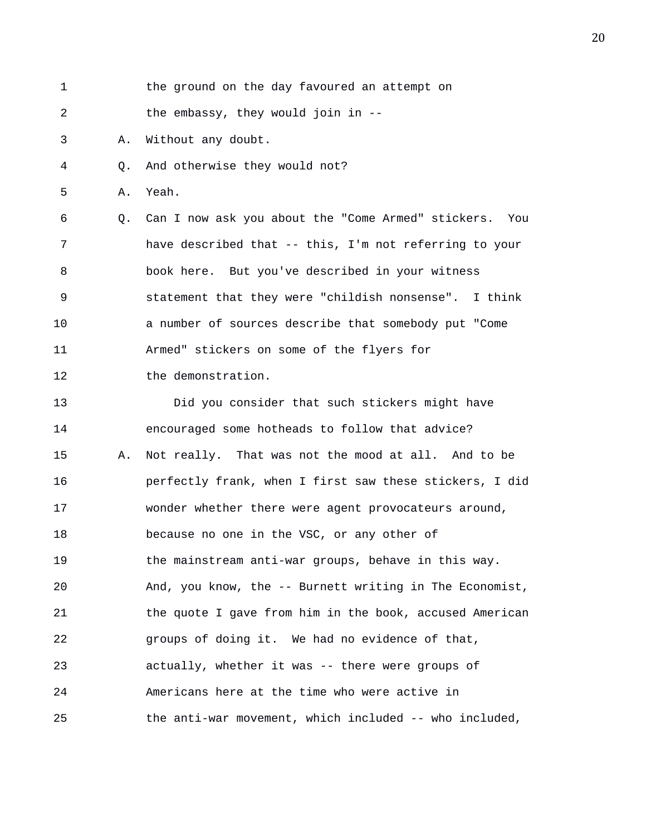1 the ground on the day favoured an attempt on 2 the embassy, they would join in --3 A. Without any doubt. 4 Q. And otherwise they would not? 5 A. Yeah. 6 Q. Can I now ask you about the "Come Armed" stickers. You 7 have described that -- this, I'm not referring to your 8 book here. But you've described in your witness 9 statement that they were "childish nonsense". I think 10 a number of sources describe that somebody put "Come 11 Armed" stickers on some of the flyers for 12 the demonstration. 13 Did you consider that such stickers might have 14 encouraged some hotheads to follow that advice? 15 A. Not really. That was not the mood at all. And to be 16 perfectly frank, when I first saw these stickers, I did 17 wonder whether there were agent provocateurs around, 18 because no one in the VSC, or any other of 19 the mainstream anti-war groups, behave in this way. 20 And, you know, the -- Burnett writing in The Economist,

21 the quote I gave from him in the book, accused American 22 groups of doing it. We had no evidence of that, 23 actually, whether it was -- there were groups of 24 Americans here at the time who were active in 25 the anti-war movement, which included -- who included,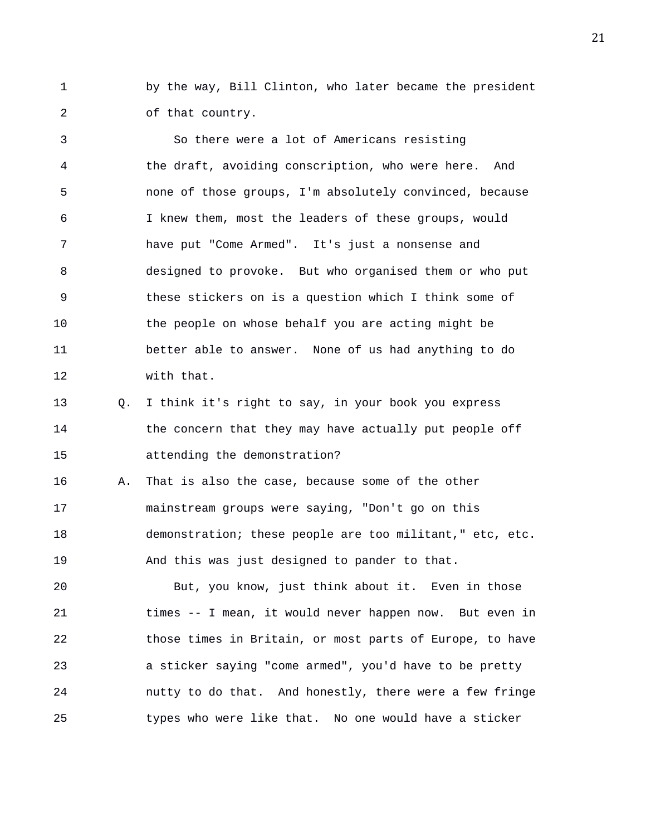1 by the way, Bill Clinton, who later became the president 2 of that country.

3 So there were a lot of Americans resisting 4 the draft, avoiding conscription, who were here. And 5 none of those groups, I'm absolutely convinced, because 6 I knew them, most the leaders of these groups, would 7 have put "Come Armed". It's just a nonsense and 8 designed to provoke. But who organised them or who put 9 these stickers on is a question which I think some of 10 the people on whose behalf you are acting might be 11 better able to answer. None of us had anything to do 12 with that.

13 Q. I think it's right to say, in your book you express 14 the concern that they may have actually put people off 15 attending the demonstration?

16 A. That is also the case, because some of the other 17 mainstream groups were saying, "Don't go on this 18 demonstration; these people are too militant," etc, etc. 19 And this was just designed to pander to that.

20 But, you know, just think about it. Even in those 21 times -- I mean, it would never happen now. But even in 22 those times in Britain, or most parts of Europe, to have 23 a sticker saying "come armed", you'd have to be pretty 24 nutty to do that. And honestly, there were a few fringe 25 types who were like that. No one would have a sticker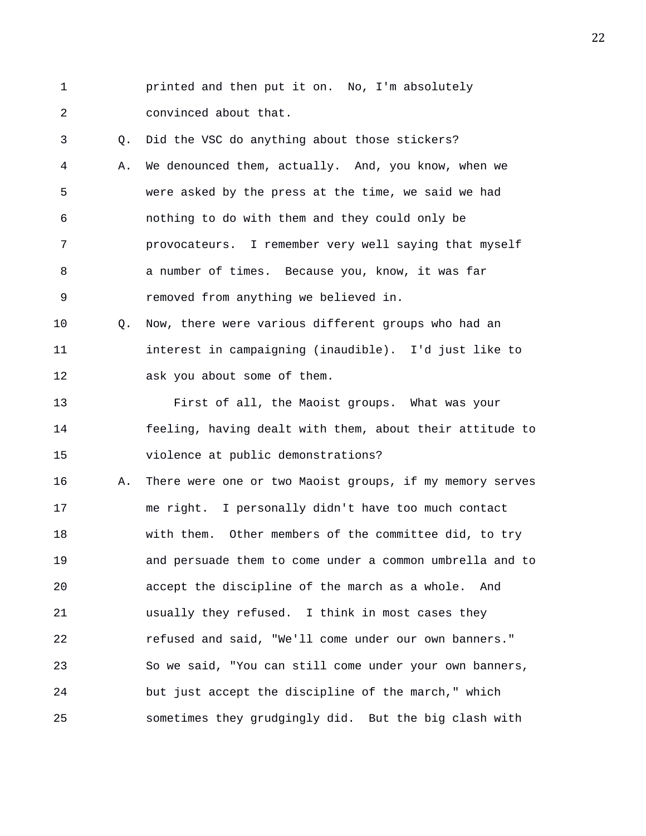1 printed and then put it on. No, I'm absolutely 2 convinced about that. 3 Q. Did the VSC do anything about those stickers? 4 A. We denounced them, actually. And, you know, when we 5 were asked by the press at the time, we said we had 6 nothing to do with them and they could only be 7 provocateurs. I remember very well saying that myself 8 a number of times. Because you, know, it was far 9 removed from anything we believed in. 10 Q. Now, there were various different groups who had an 11 interest in campaigning (inaudible). I'd just like to 12 ask you about some of them. 13 First of all, the Maoist groups. What was your 14 feeling, having dealt with them, about their attitude to 15 violence at public demonstrations? 16 A. There were one or two Maoist groups, if my memory serves 17 me right. I personally didn't have too much contact 18 with them. Other members of the committee did, to try 19 and persuade them to come under a common umbrella and to 20 accept the discipline of the march as a whole. And 21 usually they refused. I think in most cases they 22 refused and said, "We'll come under our own banners." 23 So we said, "You can still come under your own banners, 24 but just accept the discipline of the march," which 25 sometimes they grudgingly did. But the big clash with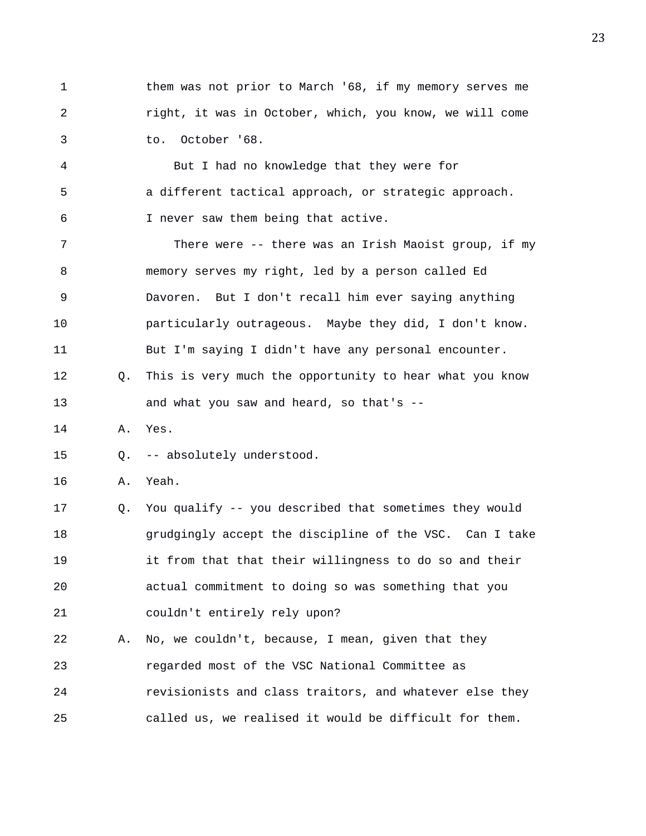1 them was not prior to March '68, if my memory serves me 2 right, it was in October, which, you know, we will come 3 to. October '68.

4 But I had no knowledge that they were for 5 a different tactical approach, or strategic approach. 6 I never saw them being that active.

7 There were -- there was an Irish Maoist group, if my 8 memory serves my right, led by a person called Ed 9 Davoren. But I don't recall him ever saying anything 10 particularly outrageous. Maybe they did, I don't know. 11 But I'm saying I didn't have any personal encounter. 12 Q. This is very much the opportunity to hear what you know

- 13 and what you saw and heard, so that's --
- 14 A. Yes.
- 15 Q. -- absolutely understood.
- 16 A. Yeah.

17 Q. You qualify -- you described that sometimes they would 18 grudgingly accept the discipline of the VSC. Can I take 19 it from that that their willingness to do so and their 20 actual commitment to doing so was something that you 21 couldn't entirely rely upon?

22 A. No, we couldn't, because, I mean, given that they 23 regarded most of the VSC National Committee as 24 revisionists and class traitors, and whatever else they 25 called us, we realised it would be difficult for them.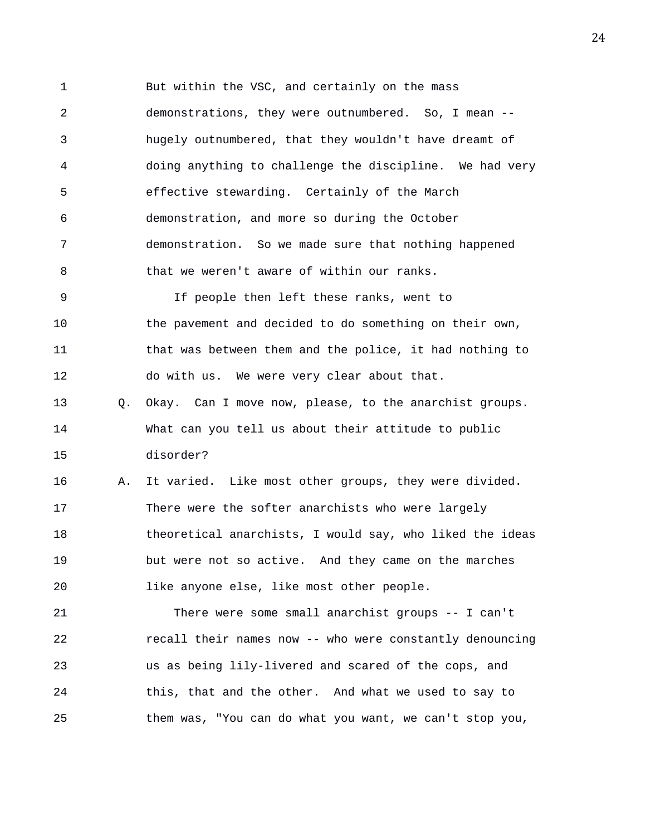1 But within the VSC, and certainly on the mass 2 demonstrations, they were outnumbered. So, I mean -- 3 hugely outnumbered, that they wouldn't have dreamt of 4 doing anything to challenge the discipline. We had very 5 effective stewarding. Certainly of the March 6 demonstration, and more so during the October 7 demonstration. So we made sure that nothing happened 8 that we weren't aware of within our ranks. 9 If people then left these ranks, went to 10 the pavement and decided to do something on their own, 11 that was between them and the police, it had nothing to 12 do with us. We were very clear about that. 13 Q. Okay. Can I move now, please, to the anarchist groups. 14 What can you tell us about their attitude to public 15 disorder? 16 A. It varied. Like most other groups, they were divided. 17 There were the softer anarchists who were largely 18 theoretical anarchists, I would say, who liked the ideas 19 but were not so active. And they came on the marches 20 like anyone else, like most other people.

21 There were some small anarchist groups -- I can't 22 recall their names now -- who were constantly denouncing 23 us as being lily-livered and scared of the cops, and 24 this, that and the other. And what we used to say to 25 them was, "You can do what you want, we can't stop you,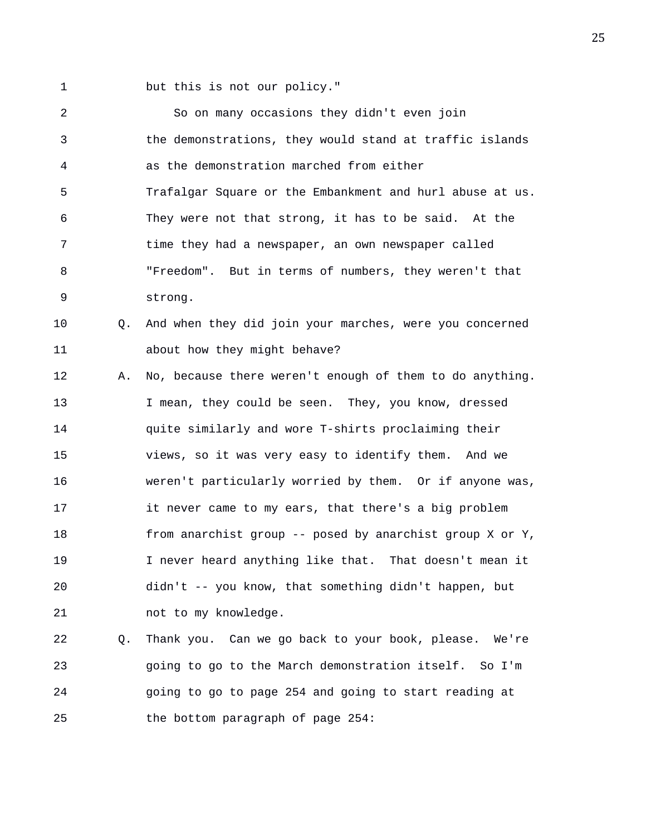1 but this is not our policy."

2 So on many occasions they didn't even join 3 the demonstrations, they would stand at traffic islands 4 as the demonstration marched from either 5 Trafalgar Square or the Embankment and hurl abuse at us. 6 They were not that strong, it has to be said. At the 7 time they had a newspaper, an own newspaper called 8 "Freedom". But in terms of numbers, they weren't that 9 strong. 10 Q. And when they did join your marches, were you concerned 11 about how they might behave? 12 A. No, because there weren't enough of them to do anything. 13 I mean, they could be seen. They, you know, dressed 14 quite similarly and wore T-shirts proclaiming their 15 views, so it was very easy to identify them. And we 16 weren't particularly worried by them. Or if anyone was, 17 it never came to my ears, that there's a big problem 18 from anarchist group -- posed by anarchist group X or Y, 19 I never heard anything like that. That doesn't mean it 20 didn't -- you know, that something didn't happen, but 21 not to my knowledge. 22 Q. Thank you. Can we go back to your book, please. We're

23 going to go to the March demonstration itself. So I'm 24 going to go to page 254 and going to start reading at 25 the bottom paragraph of page 254: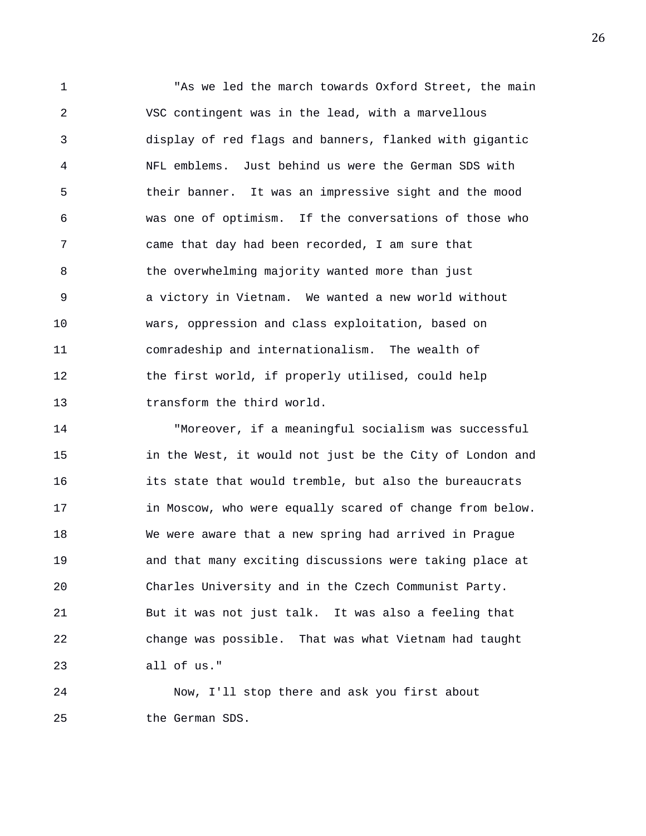1 "As we led the march towards Oxford Street, the main 2 VSC contingent was in the lead, with a marvellous 3 display of red flags and banners, flanked with gigantic 4 NFL emblems. Just behind us were the German SDS with 5 their banner. It was an impressive sight and the mood 6 was one of optimism. If the conversations of those who 7 came that day had been recorded, I am sure that 8 the overwhelming majority wanted more than just 9 a victory in Vietnam. We wanted a new world without 10 wars, oppression and class exploitation, based on 11 comradeship and internationalism. The wealth of 12 the first world, if properly utilised, could help 13 transform the third world.

14 "Moreover, if a meaningful socialism was successful 15 in the West, it would not just be the City of London and 16 its state that would tremble, but also the bureaucrats 17 in Moscow, who were equally scared of change from below. 18 We were aware that a new spring had arrived in Prague 19 and that many exciting discussions were taking place at 20 Charles University and in the Czech Communist Party. 21 But it was not just talk. It was also a feeling that 22 change was possible. That was what Vietnam had taught 23 all of us."

24 Now, I'll stop there and ask you first about 25 the German SDS.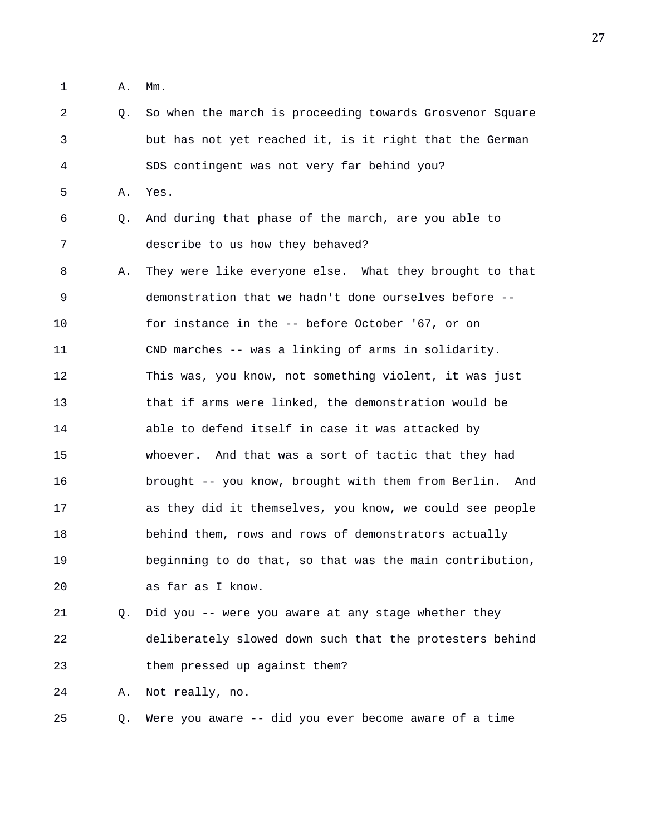1 A. Mm.

2 Q. So when the march is proceeding towards Grosvenor Square 3 but has not yet reached it, is it right that the German 4 SDS contingent was not very far behind you? 5 A. Yes. 6 Q. And during that phase of the march, are you able to 7 describe to us how they behaved? 8 A. They were like everyone else. What they brought to that 9 demonstration that we hadn't done ourselves before -- 10 for instance in the -- before October '67, or on 11 CND marches -- was a linking of arms in solidarity. 12 This was, you know, not something violent, it was just 13 that if arms were linked, the demonstration would be 14 able to defend itself in case it was attacked by 15 whoever. And that was a sort of tactic that they had 16 brought -- you know, brought with them from Berlin. And 17 as they did it themselves, you know, we could see people 18 behind them, rows and rows of demonstrators actually 19 beginning to do that, so that was the main contribution, 20 as far as I know. 21 Q. Did you -- were you aware at any stage whether they 22 deliberately slowed down such that the protesters behind 23 them pressed up against them?

24 A. Not really, no.

25 Q. Were you aware -- did you ever become aware of a time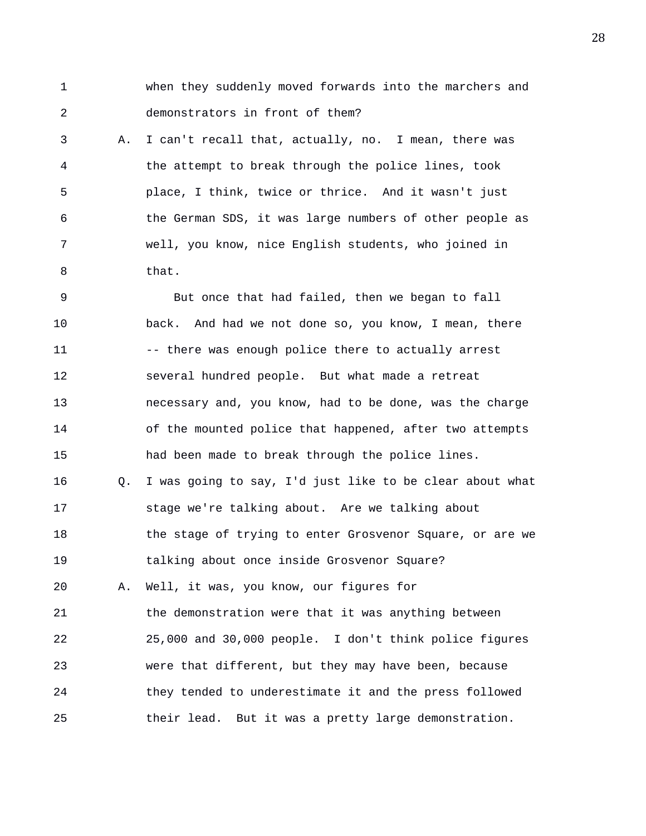1 when they suddenly moved forwards into the marchers and 2 demonstrators in front of them?

3 A. I can't recall that, actually, no. I mean, there was 4 the attempt to break through the police lines, took 5 place, I think, twice or thrice. And it wasn't just 6 the German SDS, it was large numbers of other people as 7 well, you know, nice English students, who joined in 8 that.

9 But once that had failed, then we began to fall 10 back. And had we not done so, you know, I mean, there 11 -- there was enough police there to actually arrest 12 several hundred people. But what made a retreat 13 necessary and, you know, had to be done, was the charge 14 of the mounted police that happened, after two attempts 15 had been made to break through the police lines. 16 Q. I was going to say, I'd just like to be clear about what 17 stage we're talking about. Are we talking about 18 the stage of trying to enter Grosvenor Square, or are we 19 talking about once inside Grosvenor Square? 20 A. Well, it was, you know, our figures for 21 the demonstration were that it was anything between 22 25,000 and 30,000 people. I don't think police figures 23 were that different, but they may have been, because 24 they tended to underestimate it and the press followed 25 their lead. But it was a pretty large demonstration.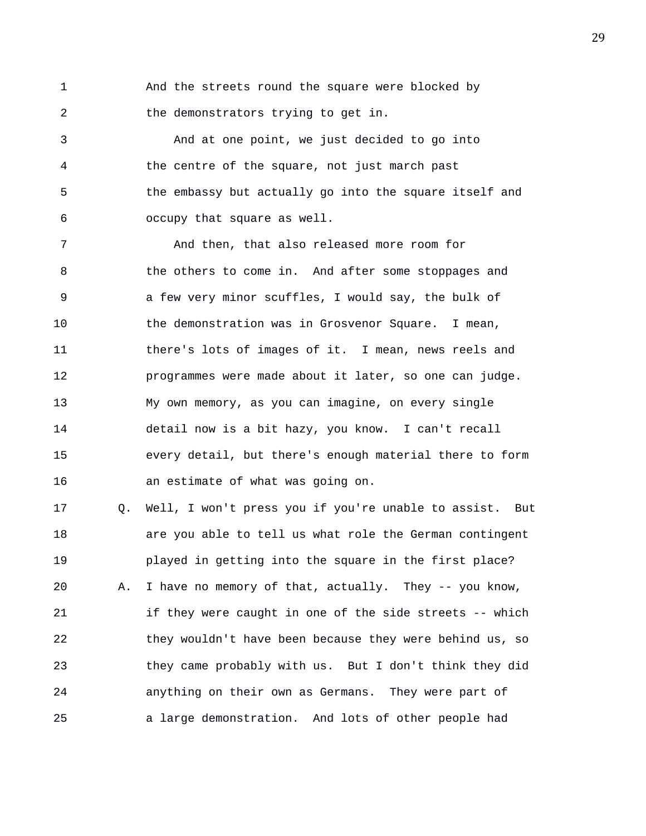1 And the streets round the square were blocked by 2 the demonstrators trying to get in.

3 And at one point, we just decided to go into 4 the centre of the square, not just march past 5 the embassy but actually go into the square itself and 6 occupy that square as well.

7 And then, that also released more room for 8 the others to come in. And after some stoppages and 9 a few very minor scuffles, I would say, the bulk of 10 the demonstration was in Grosvenor Square. I mean, 11 there's lots of images of it. I mean, news reels and 12 programmes were made about it later, so one can judge. 13 My own memory, as you can imagine, on every single 14 detail now is a bit hazy, you know. I can't recall 15 every detail, but there's enough material there to form 16 an estimate of what was going on.

17 Q. Well, I won't press you if you're unable to assist. But 18 are you able to tell us what role the German contingent 19 played in getting into the square in the first place? 20 A. I have no memory of that, actually. They -- you know, 21 if they were caught in one of the side streets -- which 22 they wouldn't have been because they were behind us, so 23 they came probably with us. But I don't think they did 24 anything on their own as Germans. They were part of 25 a large demonstration. And lots of other people had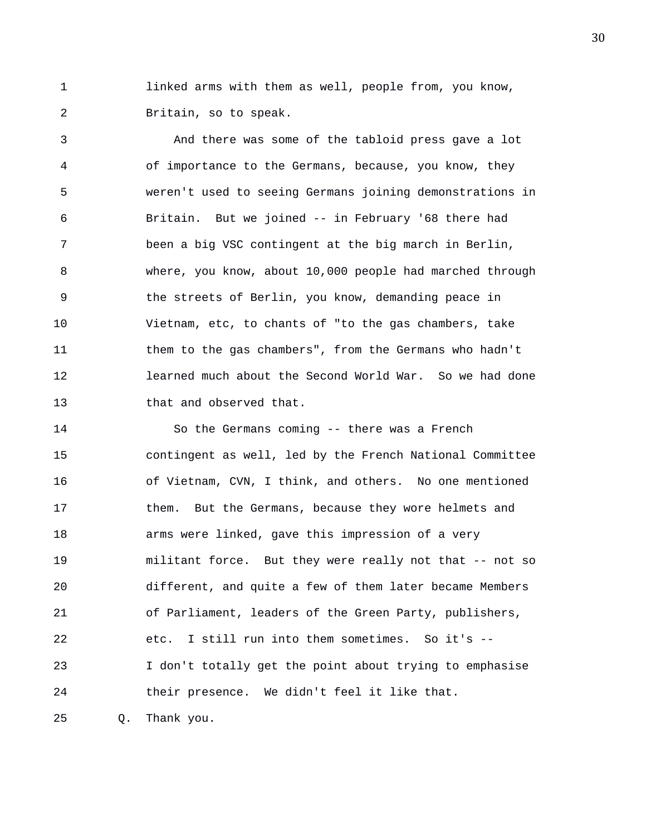1 linked arms with them as well, people from, you know, 2 Britain, so to speak.

3 And there was some of the tabloid press gave a lot 4 of importance to the Germans, because, you know, they 5 weren't used to seeing Germans joining demonstrations in 6 Britain. But we joined -- in February '68 there had 7 been a big VSC contingent at the big march in Berlin, 8 where, you know, about 10,000 people had marched through 9 the streets of Berlin, you know, demanding peace in 10 Vietnam, etc, to chants of "to the gas chambers, take 11 them to the gas chambers", from the Germans who hadn't 12 learned much about the Second World War. So we had done 13 that and observed that.

14 So the Germans coming -- there was a French 15 contingent as well, led by the French National Committee 16 of Vietnam, CVN, I think, and others. No one mentioned 17 them. But the Germans, because they wore helmets and 18 arms were linked, gave this impression of a very 19 militant force. But they were really not that -- not so 20 different, and quite a few of them later became Members 21 of Parliament, leaders of the Green Party, publishers, 22 etc. I still run into them sometimes. So it's -- 23 I don't totally get the point about trying to emphasise 24 their presence. We didn't feel it like that.

25 Q. Thank you.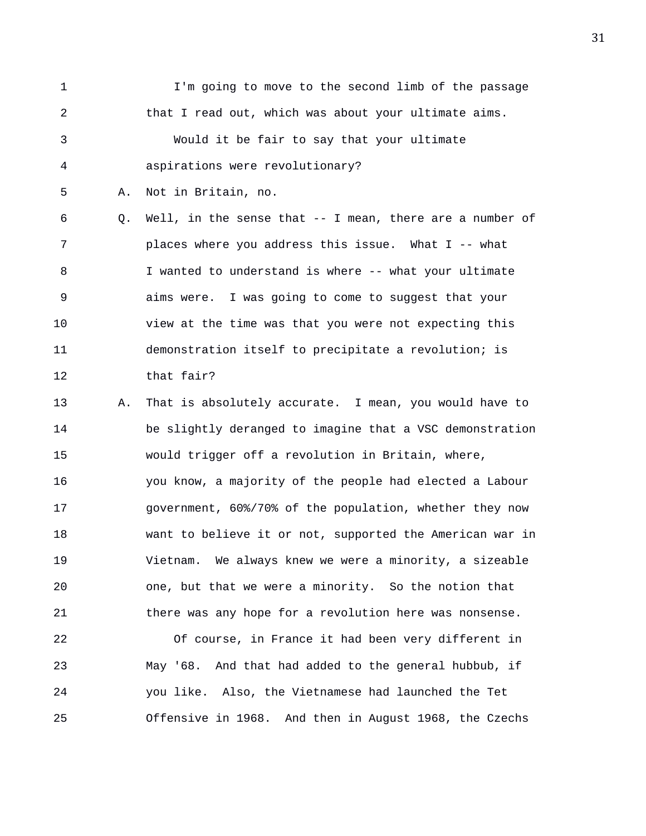1 I'm going to move to the second limb of the passage 2 that I read out, which was about your ultimate aims. 3 Would it be fair to say that your ultimate 4 aspirations were revolutionary? 5 A. Not in Britain, no.

6 Q. Well, in the sense that -- I mean, there are a number of 7 places where you address this issue. What I -- what 8 I wanted to understand is where -- what your ultimate 9 aims were. I was going to come to suggest that your 10 view at the time was that you were not expecting this 11 demonstration itself to precipitate a revolution; is 12 that fair?

13 A. That is absolutely accurate. I mean, you would have to 14 be slightly deranged to imagine that a VSC demonstration 15 would trigger off a revolution in Britain, where, 16 you know, a majority of the people had elected a Labour 17 government, 60%/70% of the population, whether they now 18 want to believe it or not, supported the American war in 19 Vietnam. We always knew we were a minority, a sizeable 20 one, but that we were a minority. So the notion that 21 there was any hope for a revolution here was nonsense.

22 Of course, in France it had been very different in 23 May '68. And that had added to the general hubbub, if 24 you like. Also, the Vietnamese had launched the Tet 25 Offensive in 1968. And then in August 1968, the Czechs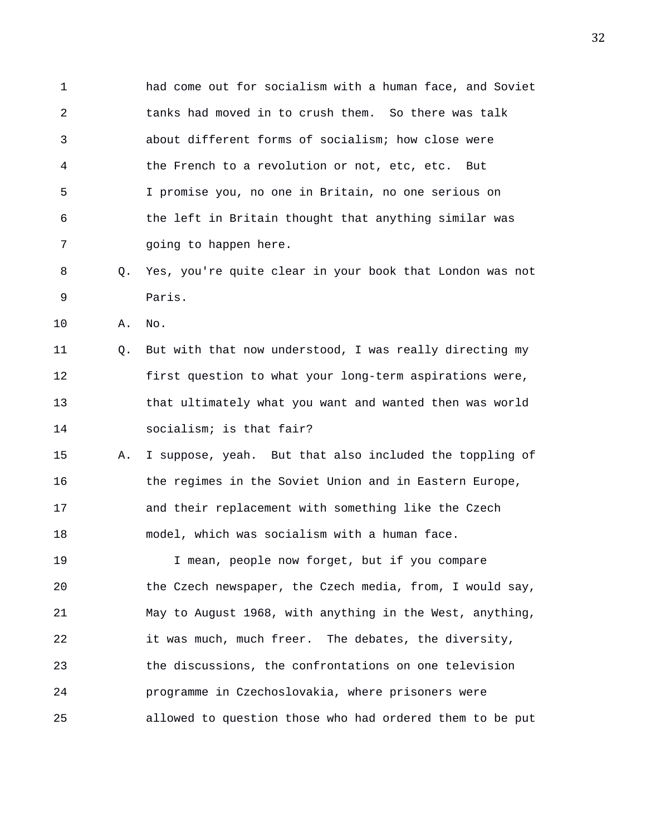1 had come out for socialism with a human face, and Soviet 2 tanks had moved in to crush them. So there was talk 3 about different forms of socialism; how close were 4 the French to a revolution or not, etc, etc. But 5 I promise you, no one in Britain, no one serious on 6 the left in Britain thought that anything similar was 7 and going to happen here.

- 8 Q. Yes, you're quite clear in your book that London was not 9 Paris.
- 10 A. No.

11 Q. But with that now understood, I was really directing my 12 first question to what your long-term aspirations were, 13 that ultimately what you want and wanted then was world 14 socialism; is that fair?

15 A. I suppose, yeah. But that also included the toppling of 16 the regimes in the Soviet Union and in Eastern Europe, 17 and their replacement with something like the Czech 18 model, which was socialism with a human face.

19 I mean, people now forget, but if you compare 20 the Czech newspaper, the Czech media, from, I would say, 21 May to August 1968, with anything in the West, anything, 22 it was much, much freer. The debates, the diversity, 23 the discussions, the confrontations on one television 24 programme in Czechoslovakia, where prisoners were 25 allowed to question those who had ordered them to be put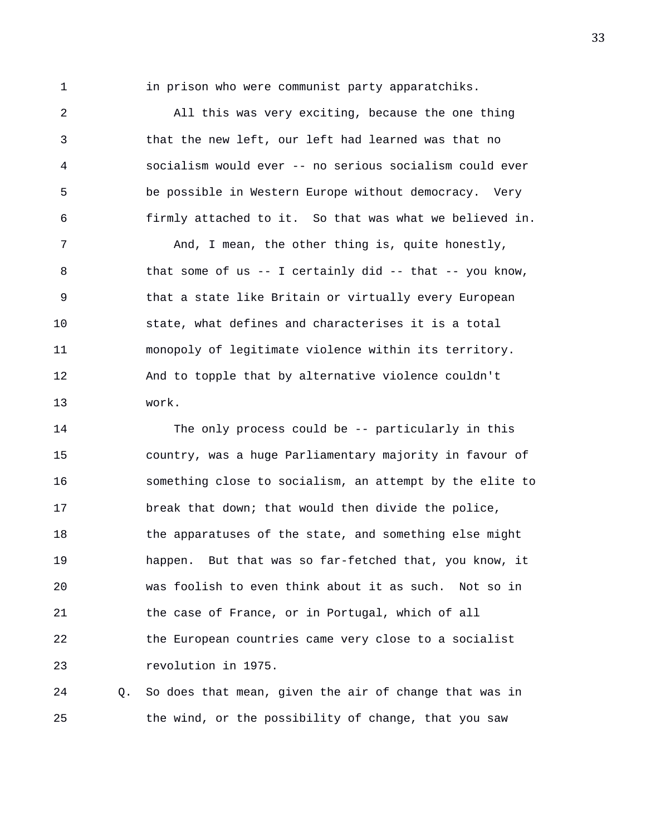1 in prison who were communist party apparatchiks.

2 All this was very exciting, because the one thing 3 that the new left, our left had learned was that no 4 socialism would ever -- no serious socialism could ever 5 be possible in Western Europe without democracy. Very 6 firmly attached to it. So that was what we believed in.

7 And, I mean, the other thing is, quite honestly, 8 that some of us -- I certainly did -- that -- you know, 9 that a state like Britain or virtually every European 10 state, what defines and characterises it is a total 11 monopoly of legitimate violence within its territory. 12 And to topple that by alternative violence couldn't 13 work.

14 The only process could be -- particularly in this 15 country, was a huge Parliamentary majority in favour of 16 something close to socialism, an attempt by the elite to 17 break that down; that would then divide the police, 18 the apparatuses of the state, and something else might 19 happen. But that was so far-fetched that, you know, it 20 was foolish to even think about it as such. Not so in 21 the case of France, or in Portugal, which of all 22 the European countries came very close to a socialist 23 revolution in 1975.

24 Q. So does that mean, given the air of change that was in 25 the wind, or the possibility of change, that you saw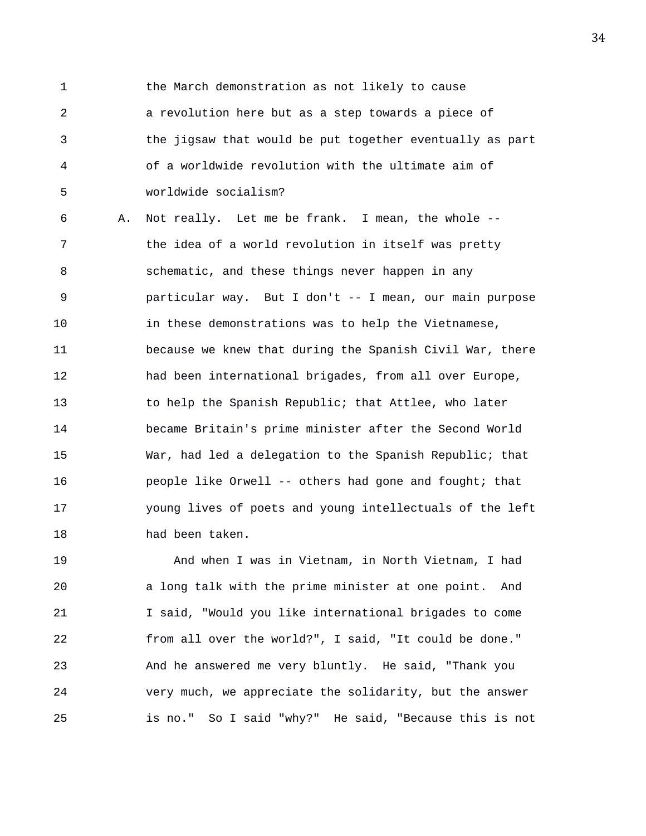1 the March demonstration as not likely to cause 2 a revolution here but as a step towards a piece of 3 the jigsaw that would be put together eventually as part 4 of a worldwide revolution with the ultimate aim of 5 worldwide socialism?

6 A. Not really. Let me be frank. I mean, the whole -- 7 the idea of a world revolution in itself was pretty 8 schematic, and these things never happen in any 9 particular way. But I don't -- I mean, our main purpose 10 in these demonstrations was to help the Vietnamese, 11 because we knew that during the Spanish Civil War, there 12 had been international brigades, from all over Europe, 13 to help the Spanish Republic; that Attlee, who later 14 became Britain's prime minister after the Second World 15 War, had led a delegation to the Spanish Republic; that 16 people like Orwell -- others had gone and fought; that 17 young lives of poets and young intellectuals of the left 18 had been taken.

19 And when I was in Vietnam, in North Vietnam, I had 20 a long talk with the prime minister at one point. And 21 I said, "Would you like international brigades to come 22 from all over the world?", I said, "It could be done." 23 And he answered me very bluntly. He said, "Thank you 24 very much, we appreciate the solidarity, but the answer 25 is no." So I said "why?" He said, "Because this is not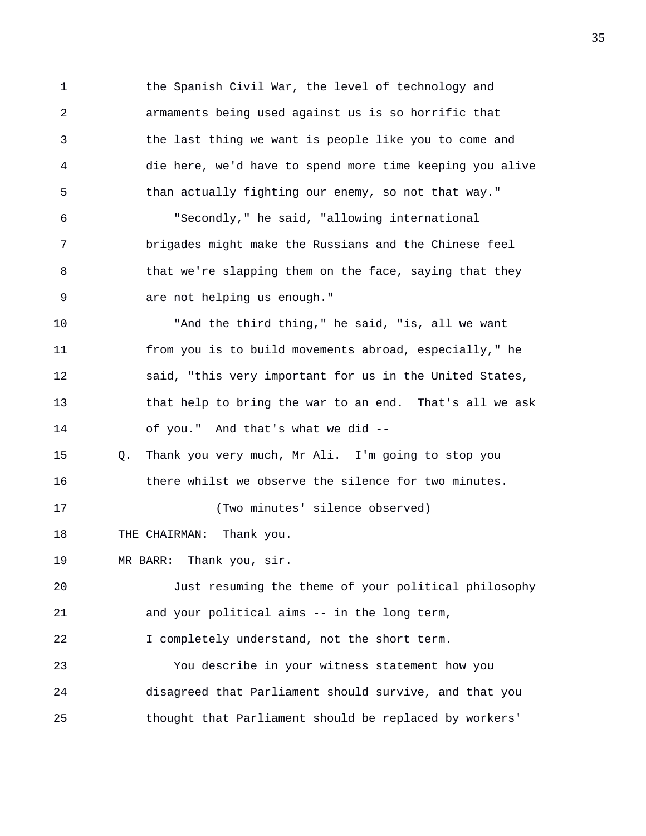1 the Spanish Civil War, the level of technology and 2 armaments being used against us is so horrific that 3 the last thing we want is people like you to come and 4 die here, we'd have to spend more time keeping you alive 5 than actually fighting our enemy, so not that way." 6 "Secondly," he said, "allowing international 7 brigades might make the Russians and the Chinese feel 8 that we're slapping them on the face, saying that they 9 are not helping us enough." 10 "And the third thing," he said, "is, all we want 11 from you is to build movements abroad, especially," he 12 said, "this very important for us in the United States, 13 that help to bring the war to an end. That's all we ask 14 of you." And that's what we did -- 15 Q. Thank you very much, Mr Ali. I'm going to stop you 16 there whilst we observe the silence for two minutes. 17 (Two minutes' silence observed) 18 THE CHAIRMAN: Thank you. 19 MR BARR: Thank you, sir. 20 Just resuming the theme of your political philosophy 21 and your political aims -- in the long term, 22 I completely understand, not the short term. 23 You describe in your witness statement how you 24 disagreed that Parliament should survive, and that you 25 thought that Parliament should be replaced by workers'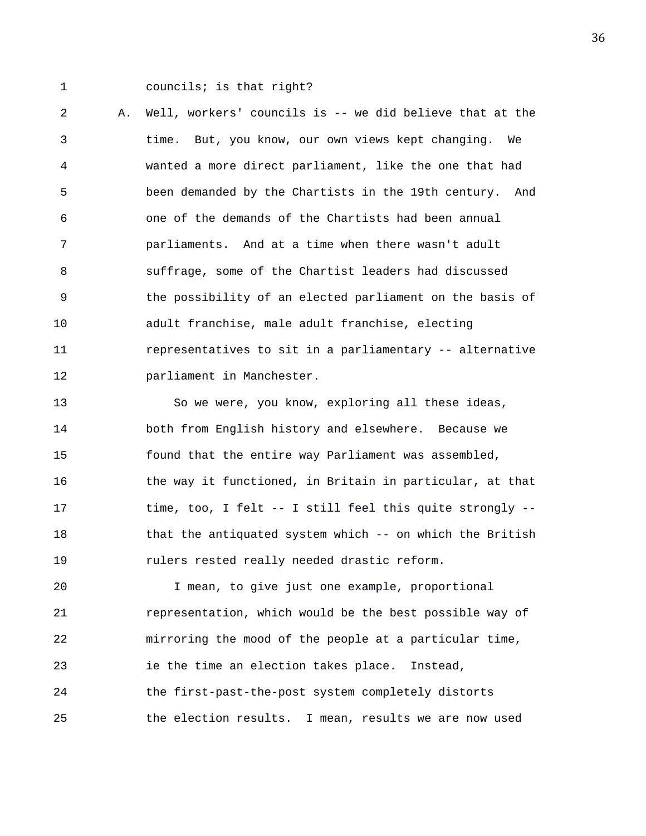1 councils; is that right?

2 A. Well, workers' councils is -- we did believe that at the 3 time. But, you know, our own views kept changing. We 4 wanted a more direct parliament, like the one that had 5 been demanded by the Chartists in the 19th century. And 6 one of the demands of the Chartists had been annual 7 parliaments. And at a time when there wasn't adult 8 suffrage, some of the Chartist leaders had discussed 9 the possibility of an elected parliament on the basis of 10 adult franchise, male adult franchise, electing 11 representatives to sit in a parliamentary -- alternative 12 **parliament** in Manchester.

13 So we were, you know, exploring all these ideas, 14 both from English history and elsewhere. Because we 15 found that the entire way Parliament was assembled, 16 the way it functioned, in Britain in particular, at that 17 time, too, I felt -- I still feel this quite strongly -- 18 that the antiquated system which -- on which the British 19 rulers rested really needed drastic reform.

20 I mean, to give just one example, proportional 21 representation, which would be the best possible way of 22 mirroring the mood of the people at a particular time, 23 ie the time an election takes place. Instead, 24 the first-past-the-post system completely distorts 25 the election results. I mean, results we are now used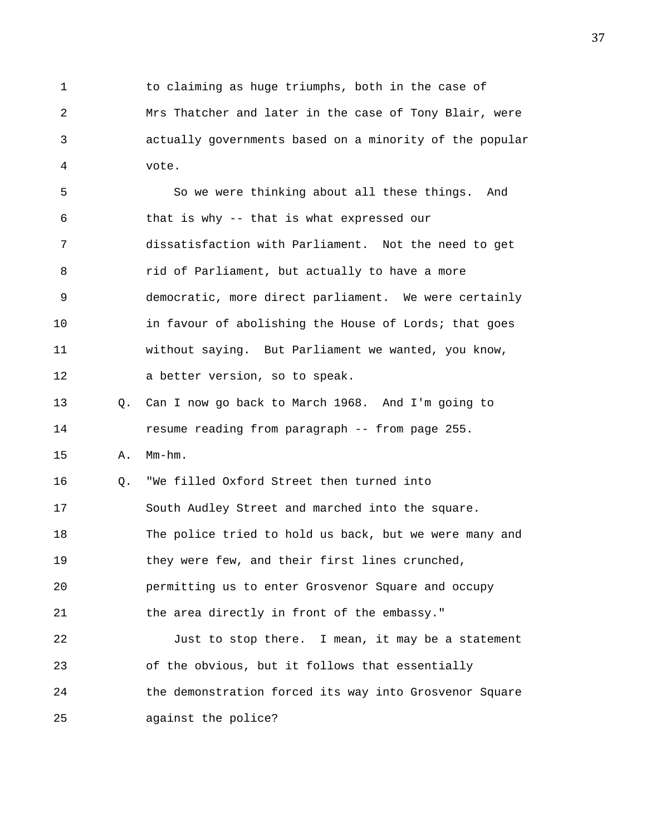1 to claiming as huge triumphs, both in the case of 2 Mrs Thatcher and later in the case of Tony Blair, were 3 actually governments based on a minority of the popular 4 vote.

5 So we were thinking about all these things. And 6 that is why -- that is what expressed our 7 dissatisfaction with Parliament. Not the need to get 8 rid of Parliament, but actually to have a more 9 democratic, more direct parliament. We were certainly 10 in favour of abolishing the House of Lords; that goes 11 without saying. But Parliament we wanted, you know, 12 a better version, so to speak. 13 Q. Can I now go back to March 1968. And I'm going to

14 resume reading from paragraph -- from page 255.

15 A. Mm-hm.

16 Q. "We filled Oxford Street then turned into 17 South Audley Street and marched into the square. 18 The police tried to hold us back, but we were many and 19 they were few, and their first lines crunched, 20 permitting us to enter Grosvenor Square and occupy 21 the area directly in front of the embassy." 22 Just to stop there. I mean, it may be a statement

23 of the obvious, but it follows that essentially 24 the demonstration forced its way into Grosvenor Square 25 against the police?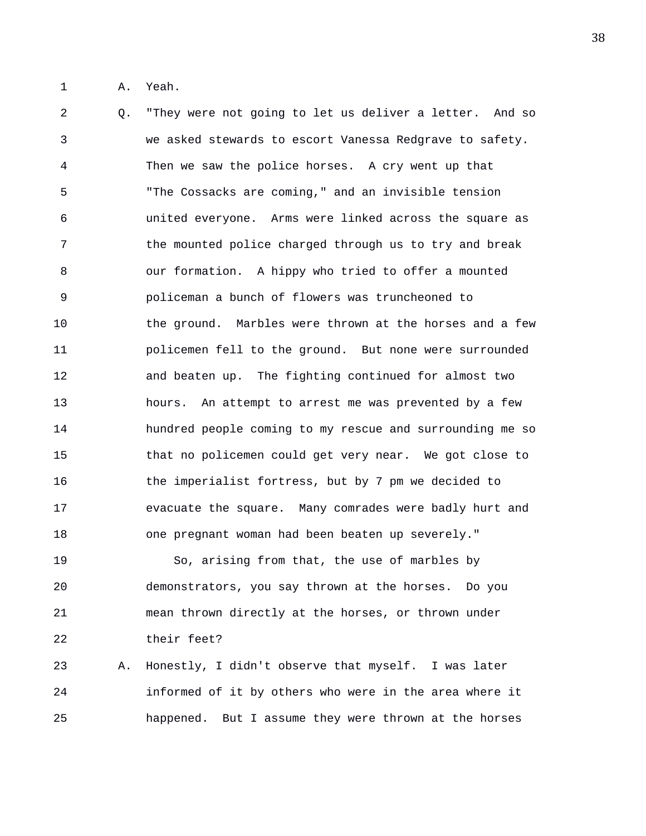1 A. Yeah.

2 Q. "They were not going to let us deliver a letter. And so 3 we asked stewards to escort Vanessa Redgrave to safety. 4 Then we saw the police horses. A cry went up that 5 "The Cossacks are coming," and an invisible tension 6 united everyone. Arms were linked across the square as 7 the mounted police charged through us to try and break 8 our formation. A hippy who tried to offer a mounted 9 policeman a bunch of flowers was truncheoned to 10 the ground. Marbles were thrown at the horses and a few 11 policemen fell to the ground. But none were surrounded 12 and beaten up. The fighting continued for almost two 13 hours. An attempt to arrest me was prevented by a few 14 hundred people coming to my rescue and surrounding me so 15 that no policemen could get very near. We got close to 16 the imperialist fortress, but by 7 pm we decided to 17 evacuate the square. Many comrades were badly hurt and 18 one pregnant woman had been beaten up severely."

19 So, arising from that, the use of marbles by 20 demonstrators, you say thrown at the horses. Do you 21 mean thrown directly at the horses, or thrown under 22 their feet?

23 A. Honestly, I didn't observe that myself. I was later 24 informed of it by others who were in the area where it 25 happened. But I assume they were thrown at the horses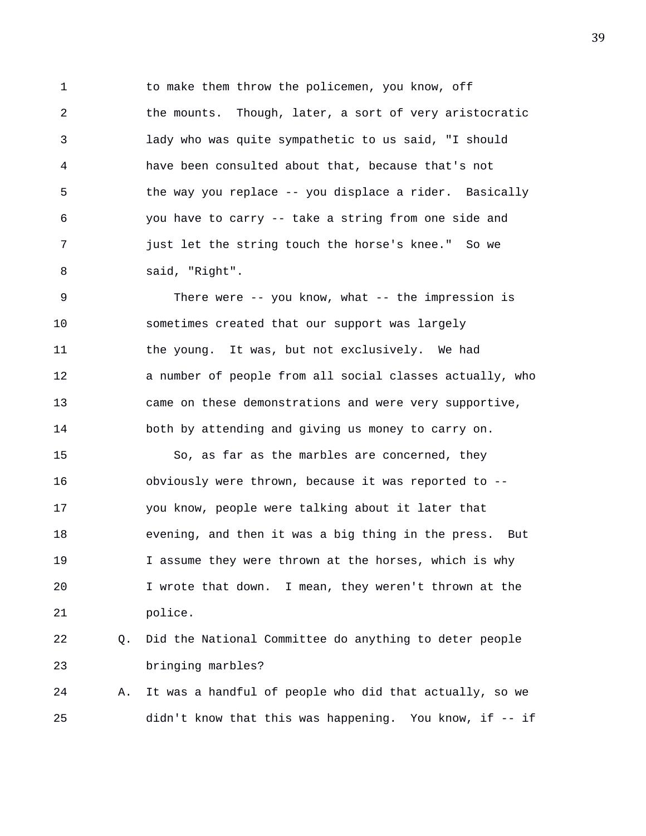1 to make them throw the policemen, you know, off 2 the mounts. Though, later, a sort of very aristocratic 3 lady who was quite sympathetic to us said, "I should 4 have been consulted about that, because that's not 5 the way you replace -- you displace a rider. Basically 6 you have to carry -- take a string from one side and 7 just let the string touch the horse's knee." So we 8 said, "Right".

9 There were -- you know, what -- the impression is 10 sometimes created that our support was largely 11 the young. It was, but not exclusively. We had 12 a number of people from all social classes actually, who 13 came on these demonstrations and were very supportive, 14 both by attending and giving us money to carry on.

15 So, as far as the marbles are concerned, they 16 obviously were thrown, because it was reported to -- 17 you know, people were talking about it later that 18 evening, and then it was a big thing in the press. But 19 I assume they were thrown at the horses, which is why 20 I wrote that down. I mean, they weren't thrown at the 21 police.

## 22 Q. Did the National Committee do anything to deter people 23 bringing marbles?

24 A. It was a handful of people who did that actually, so we 25 didn't know that this was happening. You know, if -- if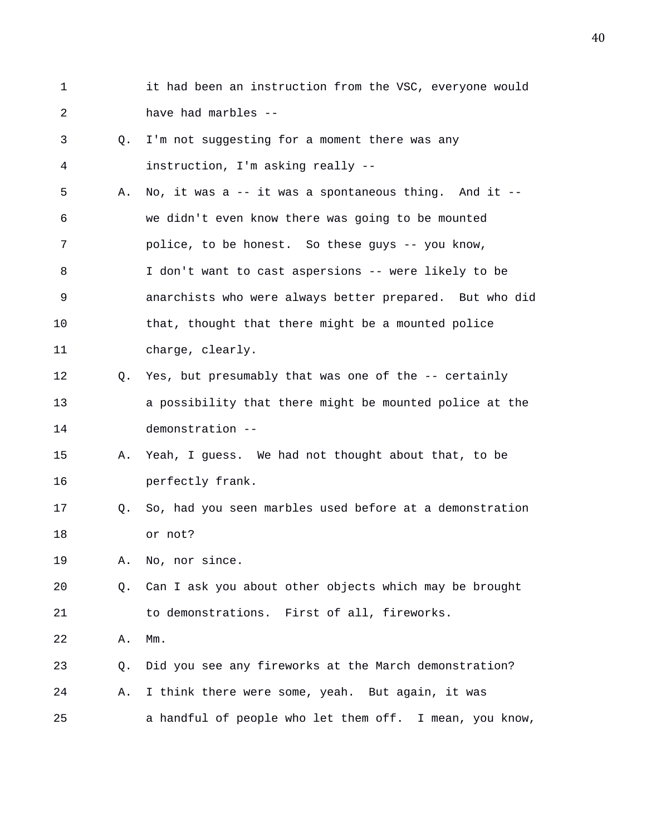- 1 it had been an instruction from the VSC, everyone would 2 have had marbles -- 3 Q. I'm not suggesting for a moment there was any 4 instruction, I'm asking really --
- 5 A. No, it was a -- it was a spontaneous thing. And it -- 6 we didn't even know there was going to be mounted 7 police, to be honest. So these guys -- you know, 8 I don't want to cast aspersions -- were likely to be 9 anarchists who were always better prepared. But who did 10 that, thought that there might be a mounted police 11 charge, clearly.
- 12 Q. Yes, but presumably that was one of the -- certainly 13 a possibility that there might be mounted police at the 14 demonstration --
- 15 A. Yeah, I guess. We had not thought about that, to be 16 perfectly frank.
- 17 Q. So, had you seen marbles used before at a demonstration 18 or not?

19 A. No, nor since.

- 20 Q. Can I ask you about other objects which may be brought 21 to demonstrations. First of all, fireworks.
- 22 A. Mm.
- 23 Q. Did you see any fireworks at the March demonstration?
- 24 A. I think there were some, yeah. But again, it was
- 25 a handful of people who let them off. I mean, you know,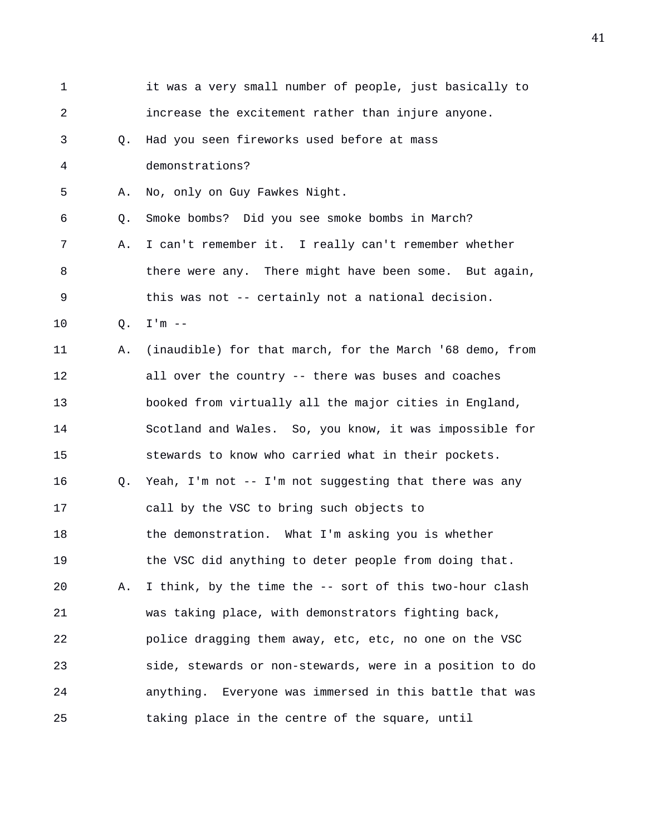| $\mathbf{1}$ |    | it was a very small number of people, just basically to  |
|--------------|----|----------------------------------------------------------|
| 2            |    | increase the excitement rather than injure anyone.       |
| 3            | Q. | Had you seen fireworks used before at mass               |
| 4            |    | demonstrations?                                          |
| 5            | Α. | No, only on Guy Fawkes Night.                            |
| 6            | Q. | Smoke bombs? Did you see smoke bombs in March?           |
| 7            | Α. | I can't remember it. I really can't remember whether     |
| 8            |    | there were any. There might have been some. But again,   |
| 9            |    | this was not -- certainly not a national decision.       |
| 10           | Q. | $I'm$ --                                                 |
| 11           | Α. | (inaudible) for that march, for the March '68 demo, from |
| 12           |    | all over the country -- there was buses and coaches      |
| 13           |    | booked from virtually all the major cities in England,   |
| 14           |    | Scotland and Wales. So, you know, it was impossible for  |
| 15           |    | stewards to know who carried what in their pockets.      |
| 16           | Q. | Yeah, I'm not -- I'm not suggesting that there was any   |
| 17           |    | call by the VSC to bring such objects to                 |
| 18           |    | the demonstration. What I'm asking you is whether        |
| 19           |    | the VSC did anything to deter people from doing that.    |
| 20           | Α. | I think, by the time the -- sort of this two-hour clash  |
| 21           |    | was taking place, with demonstrators fighting back,      |
| 22           |    | police dragging them away, etc, etc, no one on the VSC   |
| 23           |    | side, stewards or non-stewards, were in a position to do |
| 24           |    | anything. Everyone was immersed in this battle that was  |
| 25           |    | taking place in the centre of the square, until          |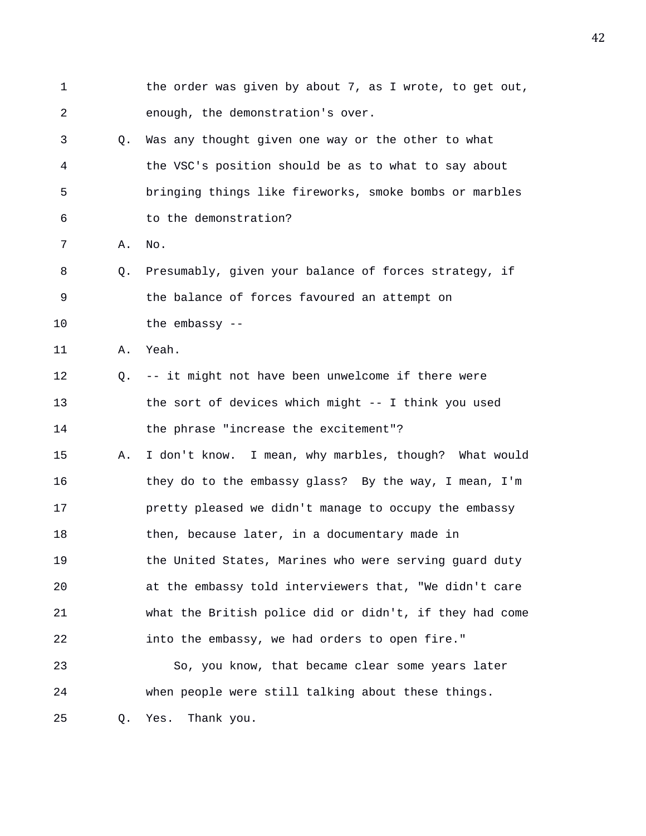1 the order was given by about 7, as I wrote, to get out, 2 enough, the demonstration's over. 3 Q. Was any thought given one way or the other to what 4 the VSC's position should be as to what to say about 5 bringing things like fireworks, smoke bombs or marbles 6 to the demonstration? 7 A. No. 8 Q. Presumably, given your balance of forces strategy, if 9 the balance of forces favoured an attempt on 10 the embassy -- 11 A. Yeah. 12 Q. -- it might not have been unwelcome if there were 13 the sort of devices which might -- I think you used 14 the phrase "increase the excitement"? 15 A. I don't know. I mean, why marbles, though? What would 16 they do to the embassy glass? By the way, I mean, I'm 17 pretty pleased we didn't manage to occupy the embassy 18 then, because later, in a documentary made in 19 the United States, Marines who were serving guard duty 20 at the embassy told interviewers that, "We didn't care 21 what the British police did or didn't, if they had come 22 into the embassy, we had orders to open fire." 23 So, you know, that became clear some years later 24 when people were still talking about these things. 25 Q. Yes. Thank you.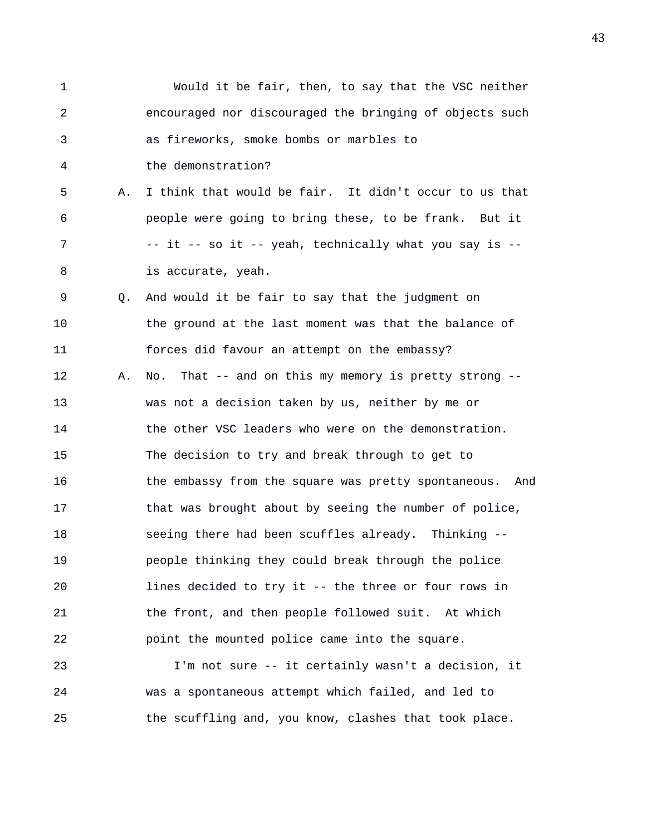1 Would it be fair, then, to say that the VSC neither 2 encouraged nor discouraged the bringing of objects such 3 as fireworks, smoke bombs or marbles to 4 the demonstration? 5 A. I think that would be fair. It didn't occur to us that 6 people were going to bring these, to be frank. But it 7 -- it -- so it -- yeah, technically what you say is -- 8 is accurate, yeah. 9 Q. And would it be fair to say that the judgment on 10 the ground at the last moment was that the balance of 11 forces did favour an attempt on the embassy? 12 A. No. That -- and on this my memory is pretty strong -- 13 was not a decision taken by us, neither by me or 14 the other VSC leaders who were on the demonstration. 15 The decision to try and break through to get to 16 the embassy from the square was pretty spontaneous. And 17 that was brought about by seeing the number of police, 18 seeing there had been scuffles already. Thinking -- 19 people thinking they could break through the police 20 lines decided to try it -- the three or four rows in 21 the front, and then people followed suit. At which 22 point the mounted police came into the square. 23 I'm not sure -- it certainly wasn't a decision, it 24 was a spontaneous attempt which failed, and led to 25 the scuffling and, you know, clashes that took place.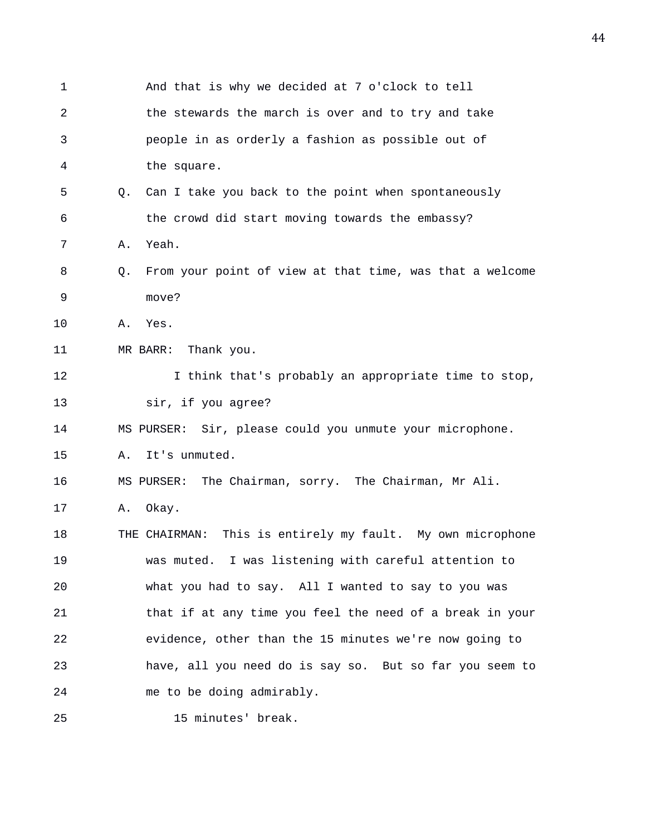| 1  |    | And that is why we decided at 7 o'clock to tell               |
|----|----|---------------------------------------------------------------|
| 2  |    | the stewards the march is over and to try and take            |
| 3  |    | people in as orderly a fashion as possible out of             |
| 4  |    | the square.                                                   |
| 5  | 0. | Can I take you back to the point when spontaneously           |
| 6  |    | the crowd did start moving towards the embassy?               |
| 7  | Α. | Yeah.                                                         |
| 8  | Q. | From your point of view at that time, was that a welcome      |
| 9  |    | move?                                                         |
| 10 | Α. | Yes.                                                          |
| 11 |    | MR BARR: Thank you.                                           |
| 12 |    | I think that's probably an appropriate time to stop,          |
| 13 |    | sir, if you agree?                                            |
| 14 |    | MS PURSER: Sir, please could you unmute your microphone.      |
| 15 | Α. | It's unmuted.                                                 |
| 16 |    | MS PURSER: The Chairman, sorry. The Chairman, Mr Ali.         |
| 17 | Α. | Okay.                                                         |
| 18 |    | This is entirely my fault. My own microphone<br>THE CHAIRMAN: |
| 19 |    | was muted. I was listening with careful attention to          |
| 20 |    | what you had to say. All I wanted to say to you was           |
| 21 |    | that if at any time you feel the need of a break in your      |
| 22 |    | evidence, other than the 15 minutes we're now going to        |
| 23 |    | have, all you need do is say so. But so far you seem to       |
| 24 |    | me to be doing admirably.                                     |
| 25 |    | 15 minutes' break.                                            |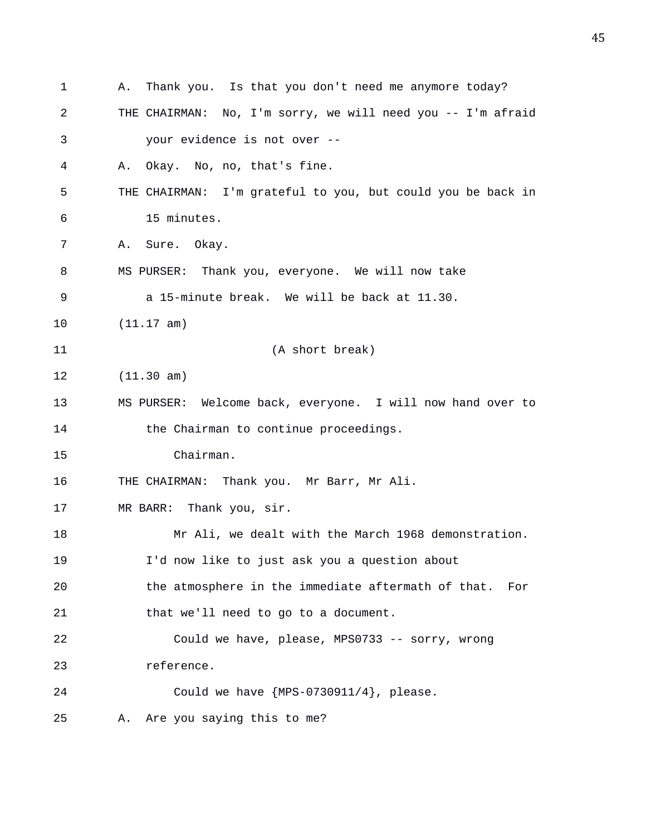1 A. Thank you. Is that you don't need me anymore today? 2 THE CHAIRMAN: No, I'm sorry, we will need you -- I'm afraid 3 your evidence is not over -- 4 A. Okay. No, no, that's fine. 5 THE CHAIRMAN: I'm grateful to you, but could you be back in 6 15 minutes. 7 A. Sure. Okay. 8 MS PURSER: Thank you, everyone. We will now take 9 a 15-minute break. We will be back at 11.30. 10 (11.17 am) 11 (A short break) 12 (11.30 am) 13 MS PURSER: Welcome back, everyone. I will now hand over to 14 the Chairman to continue proceedings. 15 Chairman. 16 THE CHAIRMAN: Thank you. Mr Barr, Mr Ali. 17 MR BARR: Thank you, sir. 18 Mr Ali, we dealt with the March 1968 demonstration. 19 I'd now like to just ask you a question about 20 the atmosphere in the immediate aftermath of that. For 21 that we'll need to go to a document. 22 Could we have, please, MPS0733 -- sorry, wrong 23 reference. 24 Could we have {MPS-0730911/4}, please. 25 A. Are you saying this to me?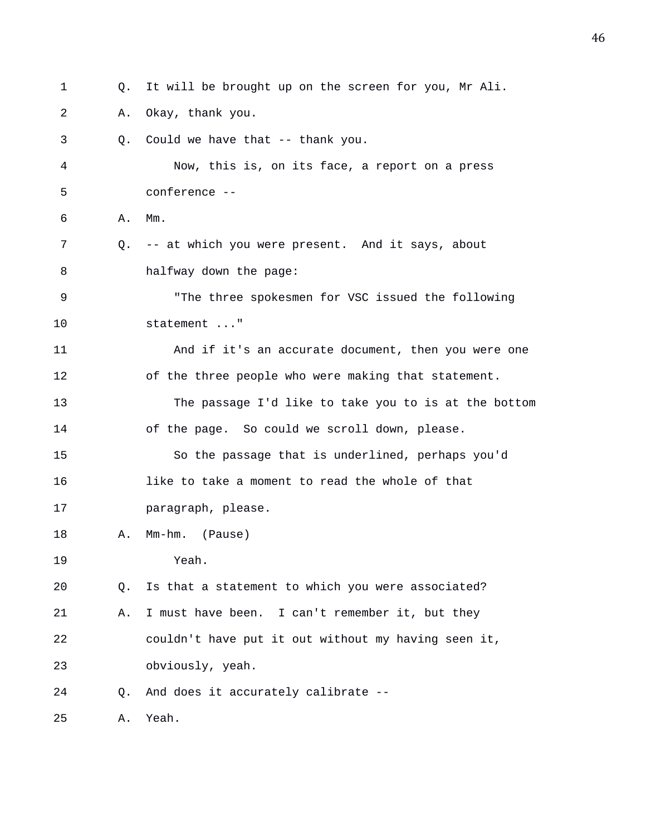1 Q. It will be brought up on the screen for you, Mr Ali. 2 A. Okay, thank you. 3 Q. Could we have that -- thank you. 4 Now, this is, on its face, a report on a press 5 conference -- 6 A. Mm. 7 Q. -- at which you were present. And it says, about 8 halfway down the page: 9 "The three spokesmen for VSC issued the following 10 statement ..." 11 And if it's an accurate document, then you were one 12 of the three people who were making that statement. 13 The passage I'd like to take you to is at the bottom 14 of the page. So could we scroll down, please. 15 So the passage that is underlined, perhaps you'd 16 like to take a moment to read the whole of that 17 paragraph, please. 18 A. Mm-hm. (Pause) 19 Yeah. 20 Q. Is that a statement to which you were associated? 21 A. I must have been. I can't remember it, but they 22 couldn't have put it out without my having seen it, 23 obviously, yeah. 24 Q. And does it accurately calibrate -- 25 A. Yeah.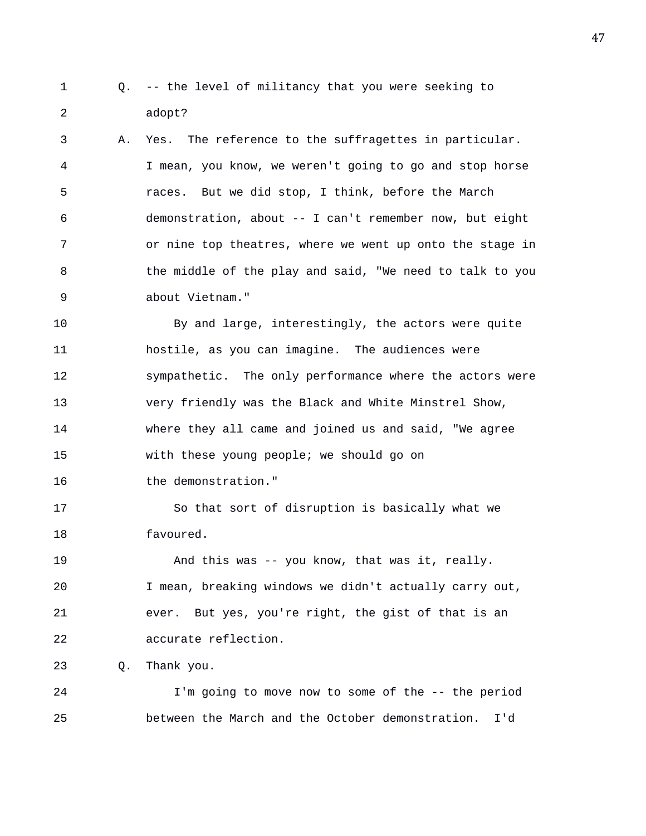1 Q. -- the level of militancy that you were seeking to 2 adopt?

3 A. Yes. The reference to the suffragettes in particular. 4 I mean, you know, we weren't going to go and stop horse 5 races. But we did stop, I think, before the March 6 demonstration, about -- I can't remember now, but eight 7 or nine top theatres, where we went up onto the stage in 8 the middle of the play and said, "We need to talk to you 9 about Vietnam."

10 By and large, interestingly, the actors were quite 11 hostile, as you can imagine. The audiences were 12 sympathetic. The only performance where the actors were 13 very friendly was the Black and White Minstrel Show, 14 where they all came and joined us and said, "We agree 15 with these young people; we should go on 16 the demonstration."

17 So that sort of disruption is basically what we 18 favoured.

19 And this was -- you know, that was it, really. 20 I mean, breaking windows we didn't actually carry out, 21 ever. But yes, you're right, the gist of that is an 22 accurate reflection.

23 Q. Thank you.

24 I'm going to move now to some of the -- the period 25 between the March and the October demonstration. I'd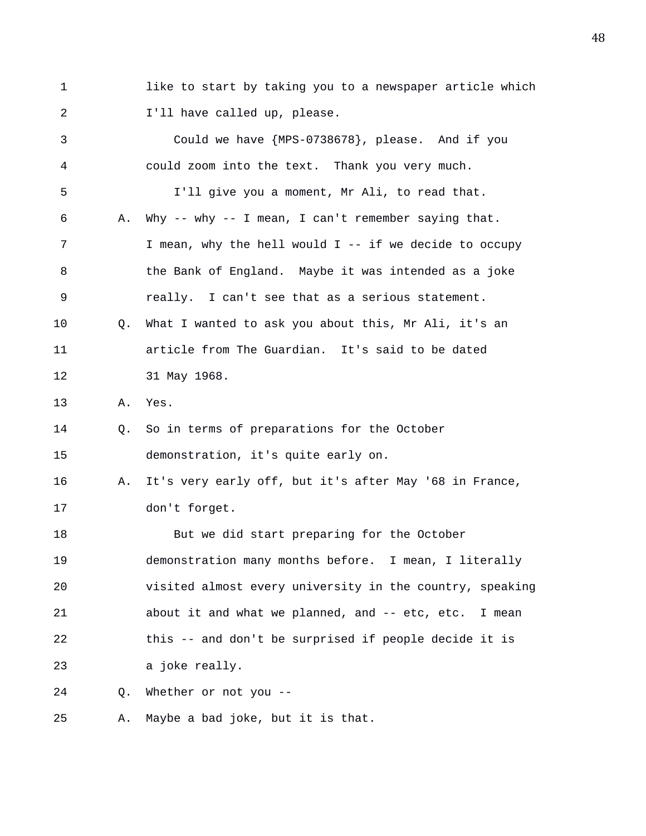1 like to start by taking you to a newspaper article which 2 **I'll have called up, please.** 

3 Could we have {MPS-0738678}, please. And if you 4 could zoom into the text. Thank you very much. 5 I'll give you a moment, Mr Ali, to read that. 6 A. Why -- why -- I mean, I can't remember saying that. 7 I mean, why the hell would I -- if we decide to occupy 8 the Bank of England. Maybe it was intended as a joke 9 really. I can't see that as a serious statement. 10 Q. What I wanted to ask you about this, Mr Ali, it's an 11 article from The Guardian. It's said to be dated 12 31 May 1968. 13 A. Yes. 14 Q. So in terms of preparations for the October 15 demonstration, it's quite early on. 16 A. It's very early off, but it's after May '68 in France, 17 don't forget. 18 But we did start preparing for the October 19 demonstration many months before. I mean, I literally 20 visited almost every university in the country, speaking 21 about it and what we planned, and -- etc, etc. I mean 22 this -- and don't be surprised if people decide it is 23 a joke really. 24 Q. Whether or not you -- 25 A. Maybe a bad joke, but it is that.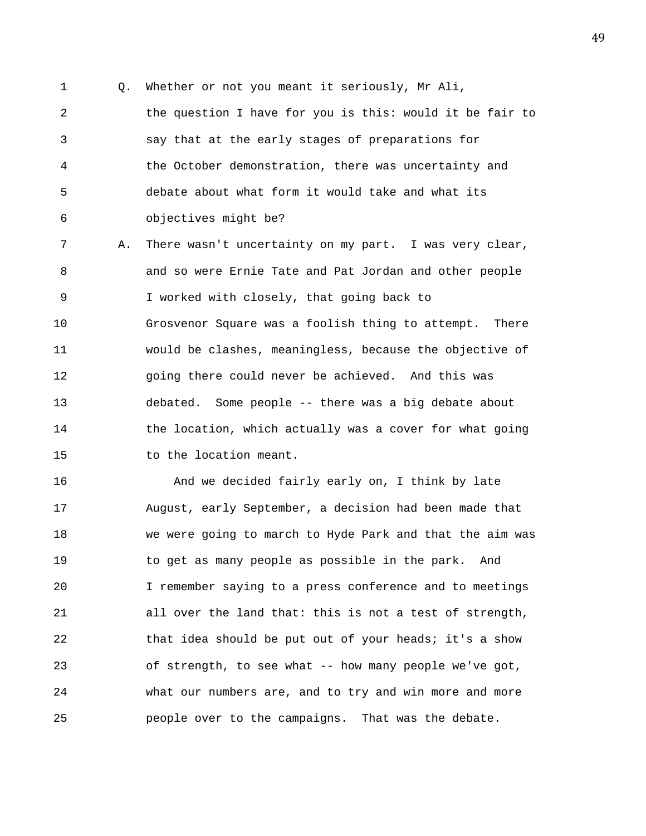1 Q. Whether or not you meant it seriously, Mr Ali,

2 the question I have for you is this: would it be fair to 3 say that at the early stages of preparations for 4 the October demonstration, there was uncertainty and 5 debate about what form it would take and what its 6 objectives might be?

7 A. There wasn't uncertainty on my part. I was very clear, 8 and so were Ernie Tate and Pat Jordan and other people 9 I worked with closely, that going back to 10 Grosvenor Square was a foolish thing to attempt. There 11 would be clashes, meaningless, because the objective of 12 going there could never be achieved. And this was 13 debated. Some people -- there was a big debate about 14 the location, which actually was a cover for what going 15 to the location meant.

16 And we decided fairly early on, I think by late 17 August, early September, a decision had been made that 18 we were going to march to Hyde Park and that the aim was 19 to get as many people as possible in the park. And 20 I remember saying to a press conference and to meetings 21 all over the land that: this is not a test of strength, 22 that idea should be put out of your heads; it's a show 23 of strength, to see what -- how many people we've got, 24 what our numbers are, and to try and win more and more 25 people over to the campaigns. That was the debate.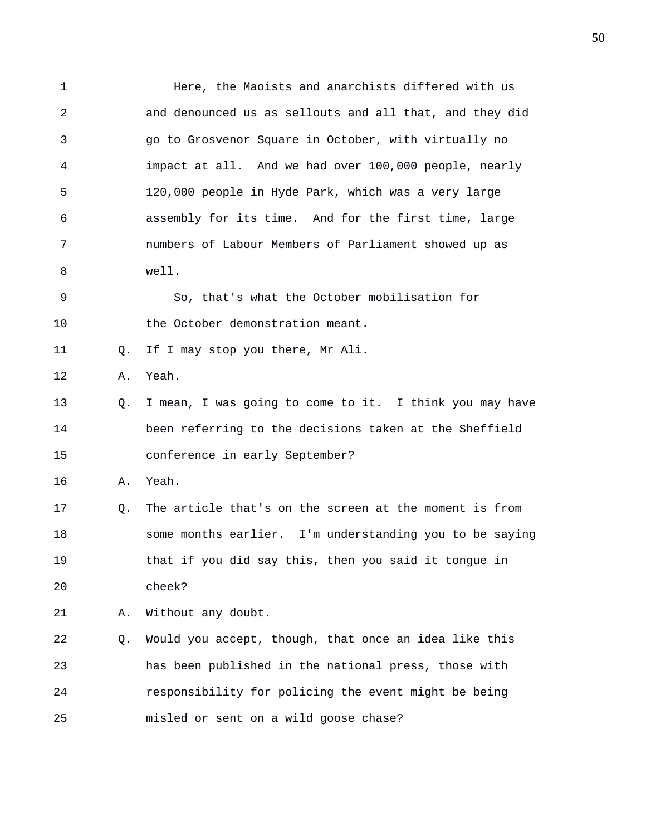1 **Here, the Maoists and anarchists differed with us** 2 and denounced us as sellouts and all that, and they did 3 go to Grosvenor Square in October, with virtually no 4 impact at all. And we had over 100,000 people, nearly 5 120,000 people in Hyde Park, which was a very large 6 assembly for its time. And for the first time, large 7 numbers of Labour Members of Parliament showed up as 8 well. 9 So, that's what the October mobilisation for 10 the October demonstration meant. 11 0. If I may stop you there, Mr Ali. 12 A. Yeah. 13 Q. I mean, I was going to come to it. I think you may have 14 been referring to the decisions taken at the Sheffield 15 conference in early September? 16 A. Yeah. 17 Q. The article that's on the screen at the moment is from 18 some months earlier. I'm understanding you to be saying 19 that if you did say this, then you said it tongue in 20 cheek? 21 A. Without any doubt. 22 Q. Would you accept, though, that once an idea like this 23 has been published in the national press, those with 24 responsibility for policing the event might be being 25 misled or sent on a wild goose chase?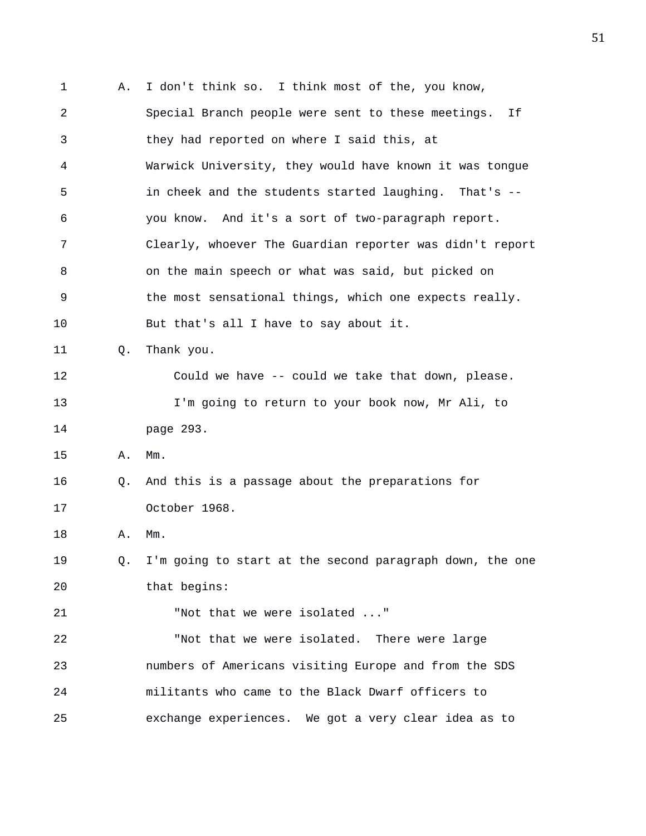1 A. I don't think so. I think most of the, you know, 2 Special Branch people were sent to these meetings. If 3 they had reported on where I said this, at 4 Warwick University, they would have known it was tongue 5 in cheek and the students started laughing. That's -- 6 you know. And it's a sort of two-paragraph report. 7 Clearly, whoever The Guardian reporter was didn't report 8 on the main speech or what was said, but picked on 9 the most sensational things, which one expects really. 10 But that's all I have to say about it. 11 Q. Thank you. 12 Could we have -- could we take that down, please. 13 I'm going to return to your book now, Mr Ali, to 14 page 293. 15 A. Mm. 16 Q. And this is a passage about the preparations for 17 October 1968. 18 A. Mm. 19 Q. I'm going to start at the second paragraph down, the one 20 that begins: 21 "Not that we were isolated ..." 22 "Not that we were isolated. There were large 23 numbers of Americans visiting Europe and from the SDS 24 militants who came to the Black Dwarf officers to 25 exchange experiences. We got a very clear idea as to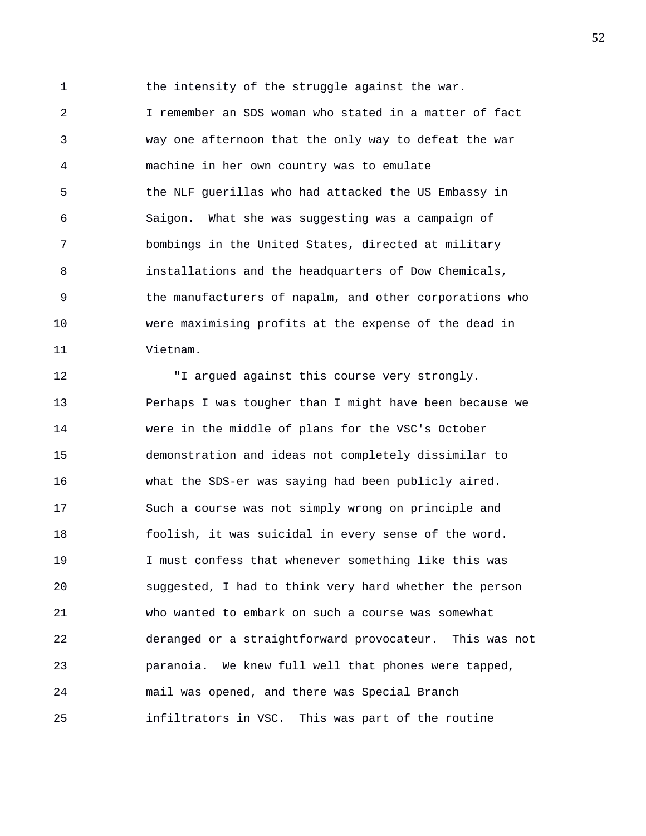1 the intensity of the struggle against the war.

2 I remember an SDS woman who stated in a matter of fact 3 way one afternoon that the only way to defeat the war 4 machine in her own country was to emulate 5 the NLF guerillas who had attacked the US Embassy in 6 Saigon. What she was suggesting was a campaign of 7 bombings in the United States, directed at military 8 installations and the headquarters of Dow Chemicals, 9 the manufacturers of napalm, and other corporations who 10 were maximising profits at the expense of the dead in 11 Vietnam.

12 "I argued against this course very strongly. 13 Perhaps I was tougher than I might have been because we 14 were in the middle of plans for the VSC's October 15 demonstration and ideas not completely dissimilar to 16 what the SDS-er was saying had been publicly aired. 17 Such a course was not simply wrong on principle and 18 foolish, it was suicidal in every sense of the word. 19 I must confess that whenever something like this was 20 suggested, I had to think very hard whether the person 21 who wanted to embark on such a course was somewhat 22 deranged or a straightforward provocateur. This was not 23 paranoia. We knew full well that phones were tapped, 24 mail was opened, and there was Special Branch 25 infiltrators in VSC. This was part of the routine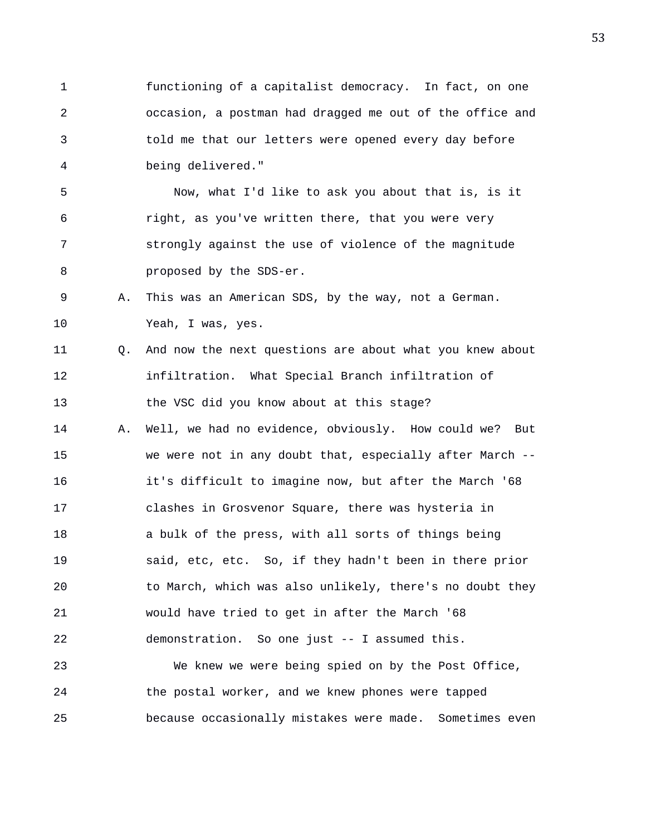1 functioning of a capitalist democracy. In fact, on one 2 occasion, a postman had dragged me out of the office and 3 told me that our letters were opened every day before 4 being delivered."

5 Now, what I'd like to ask you about that is, is it 6 right, as you've written there, that you were very 7 strongly against the use of violence of the magnitude 8 **proposed** by the SDS-er.

9 A. This was an American SDS, by the way, not a German. 10 Yeah, I was, yes.

11 Q. And now the next questions are about what you knew about 12 infiltration. What Special Branch infiltration of 13 the VSC did you know about at this stage?

14 A. Well, we had no evidence, obviously. How could we? But 15 we were not in any doubt that, especially after March -- 16 it's difficult to imagine now, but after the March '68 17 clashes in Grosvenor Square, there was hysteria in 18 a bulk of the press, with all sorts of things being 19 said, etc, etc. So, if they hadn't been in there prior 20 to March, which was also unlikely, there's no doubt they 21 would have tried to get in after the March '68 22 demonstration. So one just -- I assumed this.

23 We knew we were being spied on by the Post Office, 24 the postal worker, and we knew phones were tapped 25 because occasionally mistakes were made. Sometimes even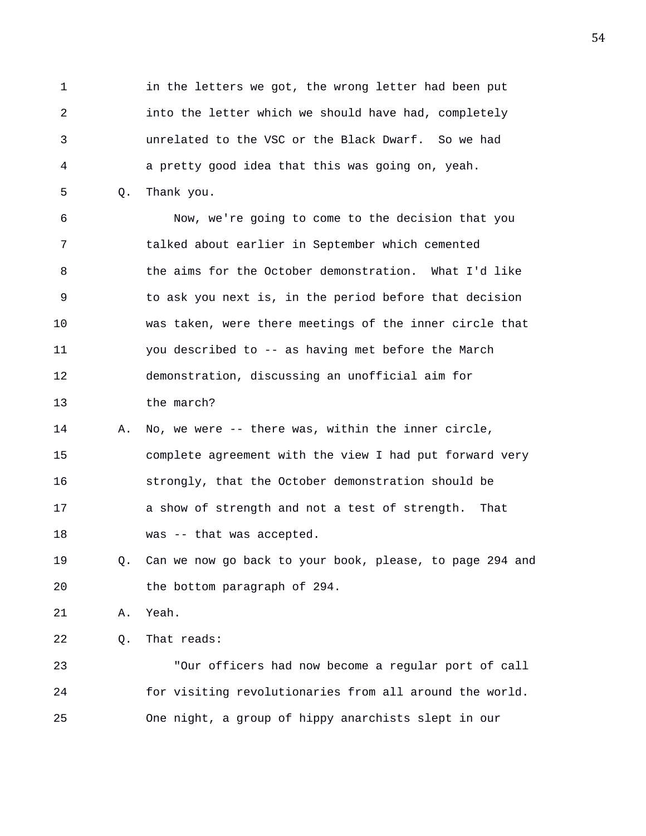1 in the letters we got, the wrong letter had been put 2 into the letter which we should have had, completely 3 unrelated to the VSC or the Black Dwarf. So we had 4 a pretty good idea that this was going on, yeah.

5 Q. Thank you.

6 Now, we're going to come to the decision that you 7 talked about earlier in September which cemented 8 the aims for the October demonstration. What I'd like 9 to ask you next is, in the period before that decision 10 was taken, were there meetings of the inner circle that 11 you described to -- as having met before the March 12 demonstration, discussing an unofficial aim for 13 the march?

14 A. No, we were -- there was, within the inner circle, 15 complete agreement with the view I had put forward very 16 strongly, that the October demonstration should be 17 a show of strength and not a test of strength. That 18 was -- that was accepted.

19 Q. Can we now go back to your book, please, to page 294 and 20 the bottom paragraph of 294.

21 A. Yeah.

22 Q. That reads:

23 "Our officers had now become a regular port of call 24 for visiting revolutionaries from all around the world. 25 One night, a group of hippy anarchists slept in our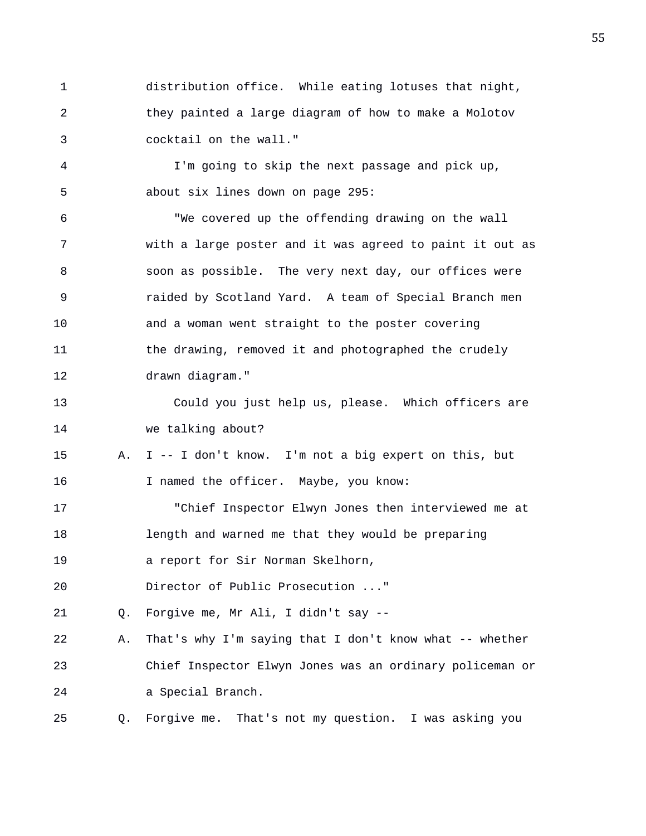1 distribution office. While eating lotuses that night, 2 they painted a large diagram of how to make a Molotov 3 cocktail on the wall."

4 I'm going to skip the next passage and pick up, 5 about six lines down on page 295:

6 "We covered up the offending drawing on the wall 7 with a large poster and it was agreed to paint it out as 8 soon as possible. The very next day, our offices were 9 raided by Scotland Yard. A team of Special Branch men 10 and a woman went straight to the poster covering 11 the drawing, removed it and photographed the crudely 12 drawn diagram."

13 Could you just help us, please. Which officers are 14 we talking about?

15 A. I -- I don't know. I'm not a big expert on this, but 16 I named the officer. Maybe, you know:

17 "Chief Inspector Elwyn Jones then interviewed me at 18 length and warned me that they would be preparing 19 a report for Sir Norman Skelhorn,

20 Director of Public Prosecution ..."

21 Q. Forgive me, Mr Ali, I didn't say --

22 A. That's why I'm saying that I don't know what -- whether 23 Chief Inspector Elwyn Jones was an ordinary policeman or 24 a Special Branch.

25 Q. Forgive me. That's not my question. I was asking you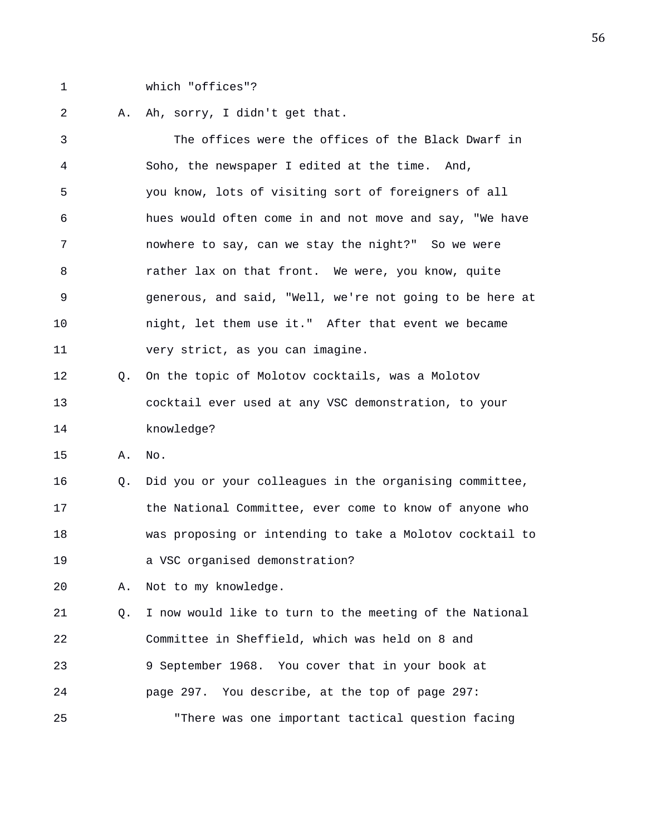1 which "offices"?

2 A. Ah, sorry, I didn't get that.

3 The offices were the offices of the Black Dwarf in 4 Soho, the newspaper I edited at the time. And, 5 you know, lots of visiting sort of foreigners of all 6 hues would often come in and not move and say, "We have 7 nowhere to say, can we stay the night?" So we were 8 rather lax on that front. We were, you know, quite 9 generous, and said, "Well, we're not going to be here at 10 night, let them use it." After that event we became 11 very strict, as you can imagine. 12 Q. On the topic of Molotov cocktails, was a Molotov 13 cocktail ever used at any VSC demonstration, to your 14 knowledge? 15 A. No. 16 Q. Did you or your colleagues in the organising committee, 17 the National Committee, ever come to know of anyone who 18 was proposing or intending to take a Molotov cocktail to 19 a VSC organised demonstration? 20 A. Not to my knowledge. 21 Q. I now would like to turn to the meeting of the National 22 Committee in Sheffield, which was held on 8 and 23 9 September 1968. You cover that in your book at 24 page 297. You describe, at the top of page 297: 25 "There was one important tactical question facing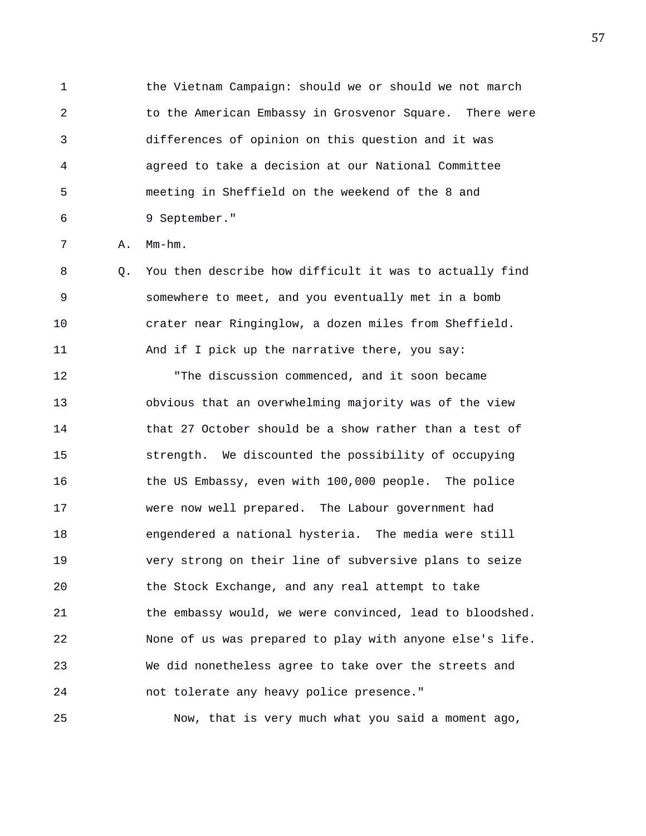1 the Vietnam Campaign: should we or should we not march 2 to the American Embassy in Grosvenor Square. There were 3 differences of opinion on this question and it was 4 agreed to take a decision at our National Committee 5 meeting in Sheffield on the weekend of the 8 and 6 9 September."

7 A. Mm-hm.

8 Q. You then describe how difficult it was to actually find 9 somewhere to meet, and you eventually met in a bomb 10 crater near Ringinglow, a dozen miles from Sheffield. 11 And if I pick up the narrative there, you say:

12 "The discussion commenced, and it soon became 13 obvious that an overwhelming majority was of the view 14 that 27 October should be a show rather than a test of 15 strength. We discounted the possibility of occupying 16 the US Embassy, even with 100,000 people. The police 17 were now well prepared. The Labour government had 18 engendered a national hysteria. The media were still 19 very strong on their line of subversive plans to seize 20 the Stock Exchange, and any real attempt to take 21 the embassy would, we were convinced, lead to bloodshed. 22 None of us was prepared to play with anyone else's life. 23 We did nonetheless agree to take over the streets and 24 not tolerate any heavy police presence."

25 Now, that is very much what you said a moment ago,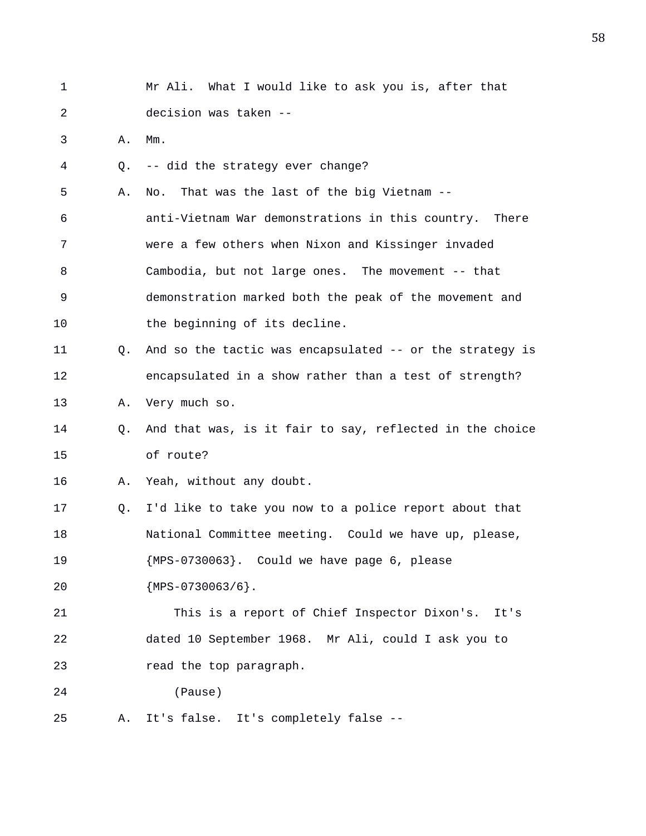| 1  |    | Mr Ali. What I would like to ask you is, after that      |
|----|----|----------------------------------------------------------|
| 2  |    | decision was taken --                                    |
| 3  | Α. | $Mm$ .                                                   |
| 4  | О. | -- did the strategy ever change?                         |
| 5  | Α. | That was the last of the big Vietnam --<br>No.           |
| 6  |    | anti-Vietnam War demonstrations in this country. There   |
| 7  |    | were a few others when Nixon and Kissinger invaded       |
| 8  |    | Cambodia, but not large ones. The movement -- that       |
| 9  |    | demonstration marked both the peak of the movement and   |
| 10 |    | the beginning of its decline.                            |
| 11 | О. | And so the tactic was encapsulated -- or the strategy is |
| 12 |    | encapsulated in a show rather than a test of strength?   |
| 13 | Α. | Very much so.                                            |
| 14 | Q. | And that was, is it fair to say, reflected in the choice |
| 15 |    | of route?                                                |
| 16 | Α. | Yeah, without any doubt.                                 |
| 17 | Q. | I'd like to take you now to a police report about that   |
| 18 |    | National Committee meeting. Could we have up, please,    |
| 19 |    | {MPS-0730063}. Could we have page 6, please              |
| 20 |    | ${MPS-0730063/6}.$                                       |
| 21 |    | This is a report of Chief Inspector Dixon's.<br>It's     |
| 22 |    | dated 10 September 1968. Mr Ali, could I ask you to      |
| 23 |    | read the top paragraph.                                  |
| 24 |    | (Pause)                                                  |
| 25 | Α. | It's false. It's completely false --                     |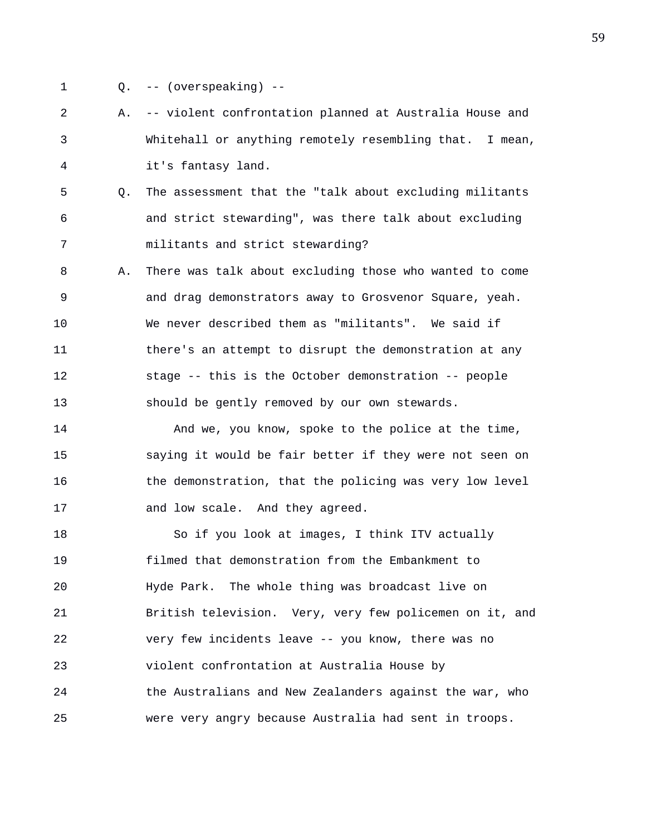- 
- 1 Q. -- (overspeaking) --
- 2 A. -- violent confrontation planned at Australia House and 3 Whitehall or anything remotely resembling that. I mean, 4 it's fantasy land.
- 5 Q. The assessment that the "talk about excluding militants 6 and strict stewarding", was there talk about excluding 7 militants and strict stewarding?
- 8 A. There was talk about excluding those who wanted to come 9 and drag demonstrators away to Grosvenor Square, yeah. 10 We never described them as "militants". We said if 11 there's an attempt to disrupt the demonstration at any 12 stage -- this is the October demonstration -- people 13 should be gently removed by our own stewards.
- 14 And we, you know, spoke to the police at the time, 15 saying it would be fair better if they were not seen on 16 the demonstration, that the policing was very low level 17 and low scale. And they agreed.
- 18 So if you look at images, I think ITV actually 19 filmed that demonstration from the Embankment to 20 Hyde Park. The whole thing was broadcast live on 21 British television. Very, very few policemen on it, and 22 very few incidents leave -- you know, there was no 23 violent confrontation at Australia House by 24 the Australians and New Zealanders against the war, who 25 were very angry because Australia had sent in troops.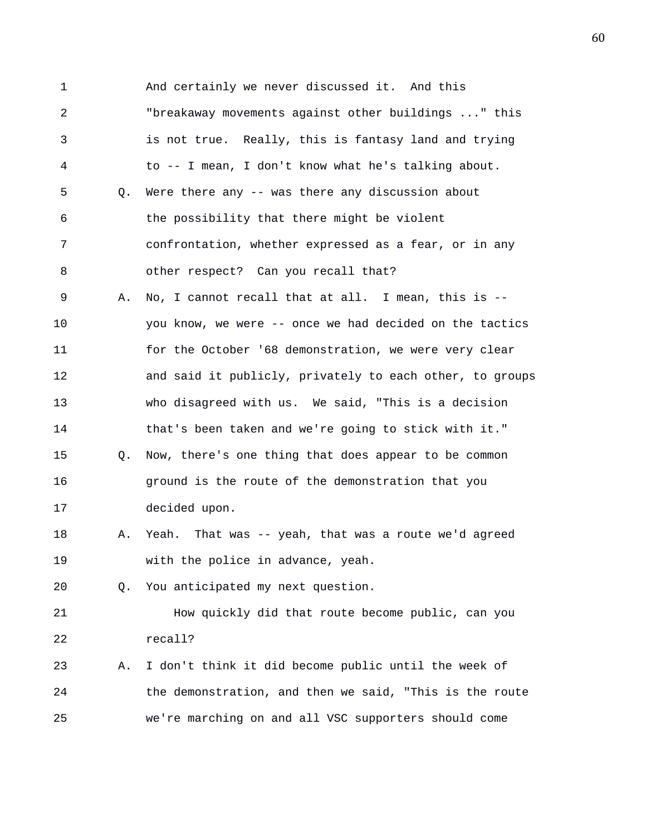1 And certainly we never discussed it. And this 2 "breakaway movements against other buildings ..." this 3 is not true. Really, this is fantasy land and trying 4 to -- I mean, I don't know what he's talking about. 5 Q. Were there any -- was there any discussion about 6 the possibility that there might be violent 7 confrontation, whether expressed as a fear, or in any 8 other respect? Can you recall that? 9 A. No, I cannot recall that at all. I mean, this is -- 10 you know, we were -- once we had decided on the tactics 11 for the October '68 demonstration, we were very clear 12 and said it publicly, privately to each other, to groups 13 who disagreed with us. We said, "This is a decision 14 that's been taken and we're going to stick with it." 15 Q. Now, there's one thing that does appear to be common 16 ground is the route of the demonstration that you 17 decided upon. 18 A. Yeah. That was -- yeah, that was a route we'd agreed 19 with the police in advance, yeah. 20 Q. You anticipated my next question. 21 How quickly did that route become public, can you 22 recall? 23 A. I don't think it did become public until the week of 24 the demonstration, and then we said, "This is the route 25 we're marching on and all VSC supporters should come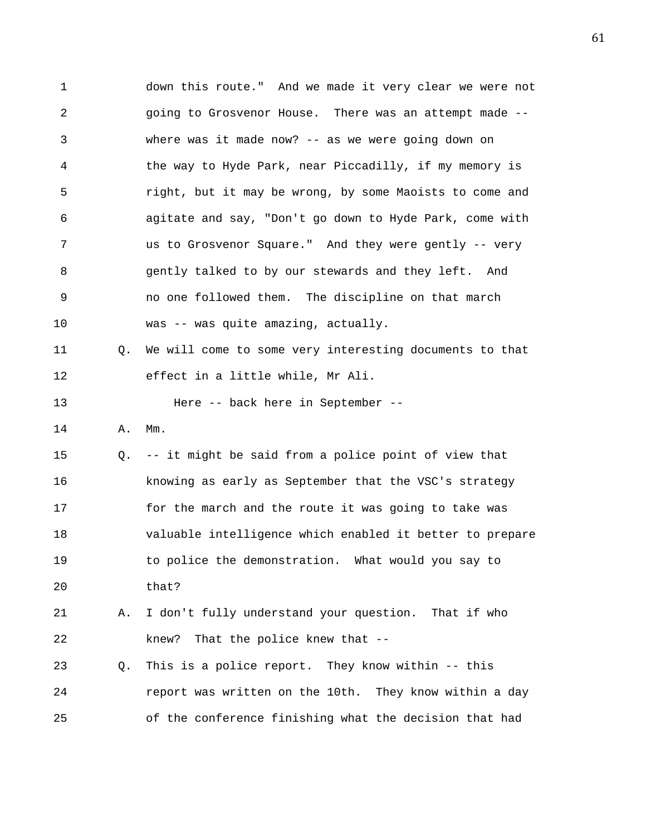1 down this route." And we made it very clear we were not 2 going to Grosvenor House. There was an attempt made -- 3 where was it made now? -- as we were going down on 4 the way to Hyde Park, near Piccadilly, if my memory is 5 right, but it may be wrong, by some Maoists to come and 6 agitate and say, "Don't go down to Hyde Park, come with 7 us to Grosvenor Square." And they were gently -- very 8 gently talked to by our stewards and they left. And 9 no one followed them. The discipline on that march 10 was -- was quite amazing, actually. 11 Q. We will come to some very interesting documents to that 12 effect in a little while, Mr Ali. 13 Here -- back here in September -- 14 A. Mm. 15 Q. -- it might be said from a police point of view that 16 knowing as early as September that the VSC's strategy 17 for the march and the route it was going to take was 18 valuable intelligence which enabled it better to prepare 19 to police the demonstration. What would you say to 20 that? 21 A. I don't fully understand your question. That if who 22 knew? That the police knew that -- 23 Q. This is a police report. They know within -- this 24 report was written on the 10th. They know within a day 25 of the conference finishing what the decision that had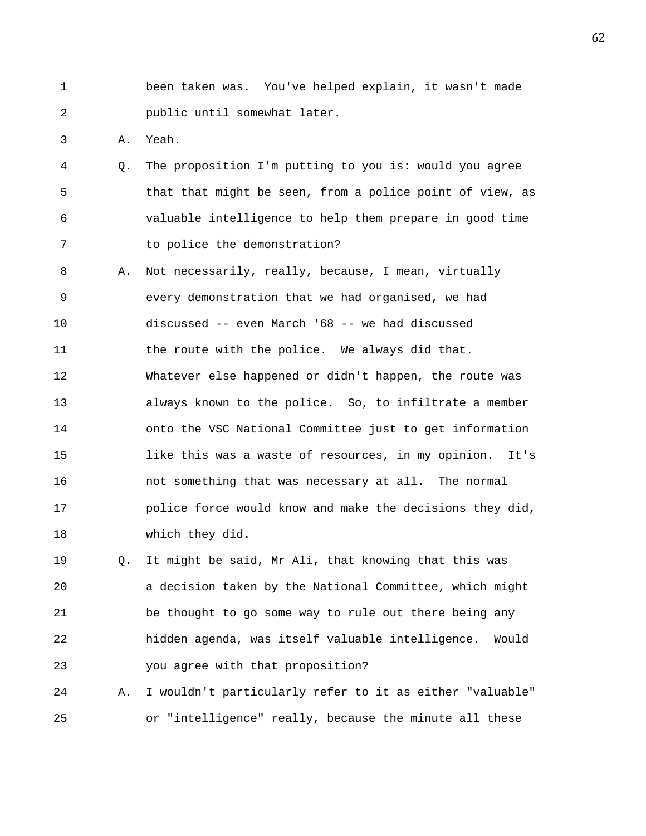1 been taken was. You've helped explain, it wasn't made 2 public until somewhat later.

3 A. Yeah.

- 4 Q. The proposition I'm putting to you is: would you agree 5 that that might be seen, from a police point of view, as 6 valuable intelligence to help them prepare in good time 7 to police the demonstration?
- 8 A. Not necessarily, really, because, I mean, virtually 9 every demonstration that we had organised, we had 10 discussed -- even March '68 -- we had discussed 11 the route with the police. We always did that. 12 Whatever else happened or didn't happen, the route was 13 always known to the police. So, to infiltrate a member 14 onto the VSC National Committee just to get information 15 like this was a waste of resources, in my opinion. It's 16 not something that was necessary at all. The normal 17 police force would know and make the decisions they did, 18 which they did.

19 Q. It might be said, Mr Ali, that knowing that this was 20 a decision taken by the National Committee, which might 21 be thought to go some way to rule out there being any 22 hidden agenda, was itself valuable intelligence. Would 23 you agree with that proposition?

24 A. I wouldn't particularly refer to it as either "valuable" 25 or "intelligence" really, because the minute all these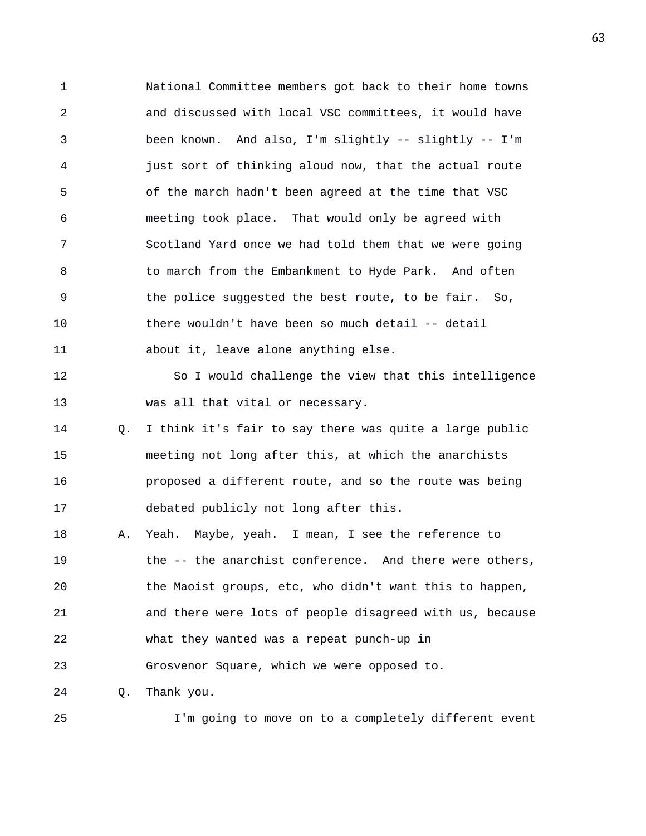1 National Committee members got back to their home towns 2 and discussed with local VSC committees, it would have 3 been known. And also, I'm slightly -- slightly -- I'm 4 just sort of thinking aloud now, that the actual route 5 of the march hadn't been agreed at the time that VSC 6 meeting took place. That would only be agreed with 7 Scotland Yard once we had told them that we were going 8 to march from the Embankment to Hyde Park. And often 9 the police suggested the best route, to be fair. So, 10 there wouldn't have been so much detail -- detail 11 about it, leave alone anything else.

12 So I would challenge the view that this intelligence 13 was all that vital or necessary.

14 Q. I think it's fair to say there was quite a large public 15 meeting not long after this, at which the anarchists 16 proposed a different route, and so the route was being 17 debated publicly not long after this.

18 A. Yeah. Maybe, yeah. I mean, I see the reference to 19 the -- the anarchist conference. And there were others, 20 the Maoist groups, etc, who didn't want this to happen, 21 and there were lots of people disagreed with us, because 22 what they wanted was a repeat punch-up in 23 Grosvenor Square, which we were opposed to.

24 Q. Thank you.

25 I'm going to move on to a completely different event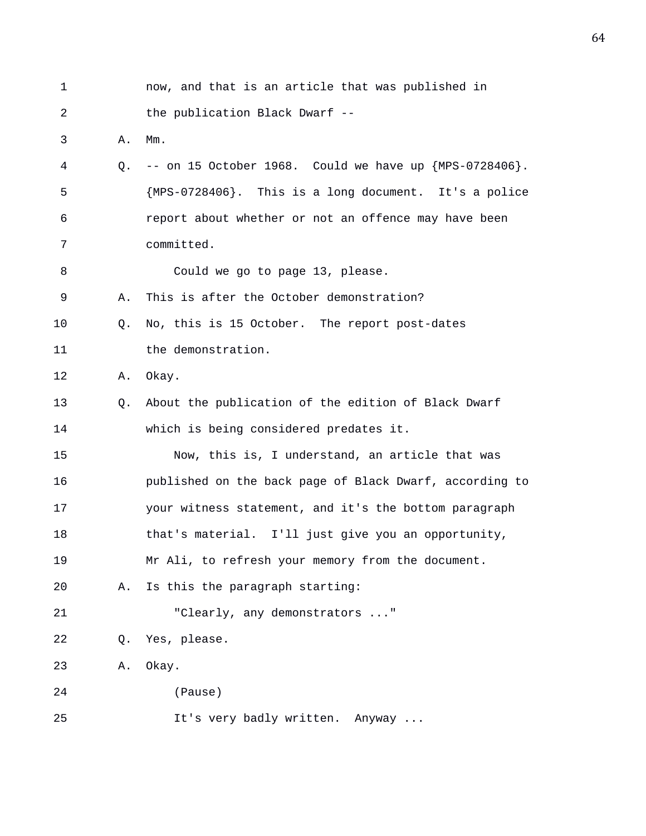| 1  |    | now, and that is an article that was published in         |
|----|----|-----------------------------------------------------------|
| 2  |    | the publication Black Dwarf --                            |
| 3  | Α. | $Mm$ .                                                    |
| 4  | О. | -- on 15 October 1968. Could we have up ${MPS-0728406}$ . |
| 5  |    | {MPS-0728406}. This is a long document. It's a police     |
| 6  |    | report about whether or not an offence may have been      |
| 7  |    | committed.                                                |
| 8  |    | Could we go to page 13, please.                           |
| 9  | Α. | This is after the October demonstration?                  |
| 10 | О. | No, this is 15 October. The report post-dates             |
| 11 |    | the demonstration.                                        |
| 12 | Α. | Okay.                                                     |
| 13 | Q. | About the publication of the edition of Black Dwarf       |
| 14 |    | which is being considered predates it.                    |
| 15 |    | Now, this is, I understand, an article that was           |
| 16 |    | published on the back page of Black Dwarf, according to   |
| 17 |    | your witness statement, and it's the bottom paragraph     |
| 18 |    | that's material. I'll just give you an opportunity,       |
| 19 |    | Mr Ali, to refresh your memory from the document.         |
| 20 | Α. | Is this the paragraph starting:                           |
| 21 |    | "Clearly, any demonstrators "                             |
| 22 | Q. | Yes, please.                                              |
| 23 | Α. | Okay.                                                     |
| 24 |    | (Pause)                                                   |
| 25 |    | It's very badly written. Anyway                           |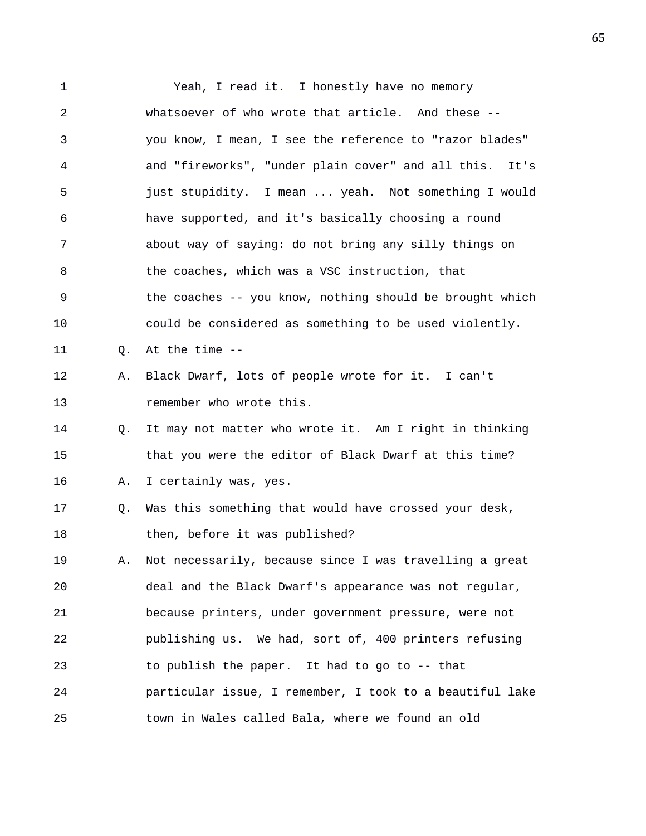1 Yeah, I read it. I honestly have no memory 2 whatsoever of who wrote that article. And these -- 3 you know, I mean, I see the reference to "razor blades" 4 and "fireworks", "under plain cover" and all this. It's 5 just stupidity. I mean ... yeah. Not something I would 6 have supported, and it's basically choosing a round 7 about way of saying: do not bring any silly things on 8 the coaches, which was a VSC instruction, that 9 the coaches -- you know, nothing should be brought which 10 could be considered as something to be used violently. 11 Q. At the time -- 12 A. Black Dwarf, lots of people wrote for it. I can't 13 **remember** who wrote this. 14 Q. It may not matter who wrote it. Am I right in thinking 15 that you were the editor of Black Dwarf at this time? 16 A. I certainly was, yes. 17 Q. Was this something that would have crossed your desk, 18 then, before it was published? 19 A. Not necessarily, because since I was travelling a great 20 deal and the Black Dwarf's appearance was not regular, 21 because printers, under government pressure, were not 22 publishing us. We had, sort of, 400 printers refusing 23 to publish the paper. It had to go to -- that 24 particular issue, I remember, I took to a beautiful lake 25 town in Wales called Bala, where we found an old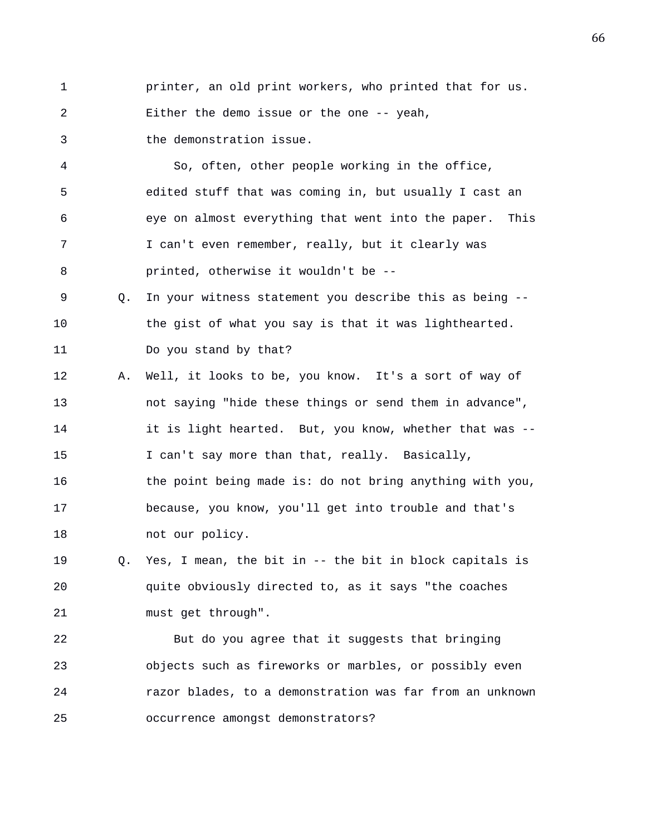1 printer, an old print workers, who printed that for us.

2 Either the demo issue or the one -- yeah,

3 the demonstration issue.

4 So, often, other people working in the office, 5 edited stuff that was coming in, but usually I cast an 6 eye on almost everything that went into the paper. This 7 I can't even remember, really, but it clearly was 8 printed, otherwise it wouldn't be --

9 Q. In your witness statement you describe this as being -- 10 the gist of what you say is that it was lighthearted. 11 Do you stand by that?

12 A. Well, it looks to be, you know. It's a sort of way of 13 not saying "hide these things or send them in advance", 14 it is light hearted. But, you know, whether that was -- 15 I can't say more than that, really. Basically, 16 the point being made is: do not bring anything with you, 17 because, you know, you'll get into trouble and that's 18 mot our policy.

19 Q. Yes, I mean, the bit in -- the bit in block capitals is 20 quite obviously directed to, as it says "the coaches 21 must get through".

22 But do you agree that it suggests that bringing 23 objects such as fireworks or marbles, or possibly even 24 razor blades, to a demonstration was far from an unknown 25 occurrence amongst demonstrators?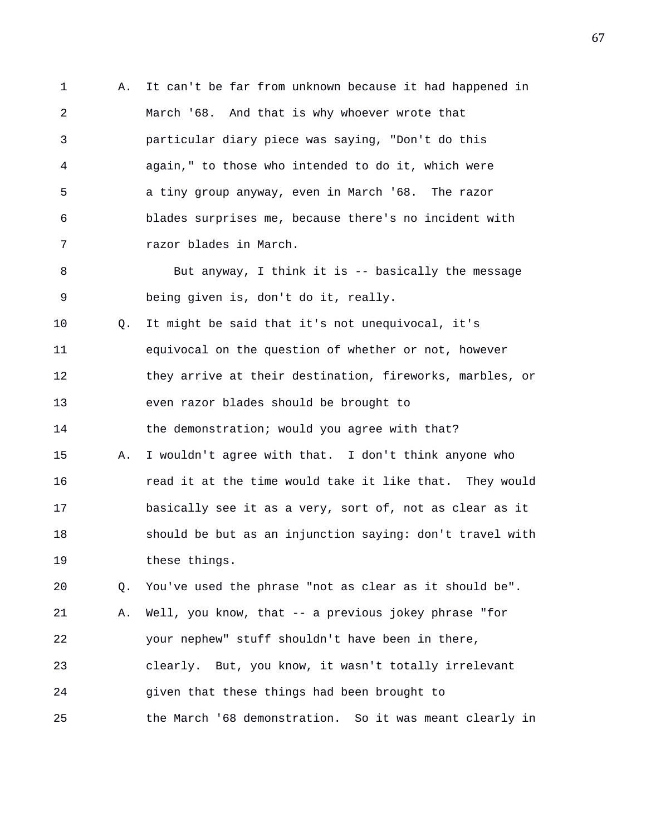1 A. It can't be far from unknown because it had happened in 2 March '68. And that is why whoever wrote that 3 particular diary piece was saying, "Don't do this 4 again," to those who intended to do it, which were 5 a tiny group anyway, even in March '68. The razor 6 blades surprises me, because there's no incident with 7 razor blades in March. 8 But anyway, I think it is -- basically the message 9 being given is, don't do it, really. 10 Q. It might be said that it's not unequivocal, it's 11 equivocal on the question of whether or not, however 12 they arrive at their destination, fireworks, marbles, or 13 even razor blades should be brought to 14 the demonstration; would you agree with that? 15 A. I wouldn't agree with that. I don't think anyone who 16 read it at the time would take it like that. They would 17 basically see it as a very, sort of, not as clear as it 18 should be but as an injunction saying: don't travel with 19 these things. 20 Q. You've used the phrase "not as clear as it should be". 21 A. Well, you know, that -- a previous jokey phrase "for 22 your nephew" stuff shouldn't have been in there, 23 clearly. But, you know, it wasn't totally irrelevant 24 given that these things had been brought to 25 the March '68 demonstration. So it was meant clearly in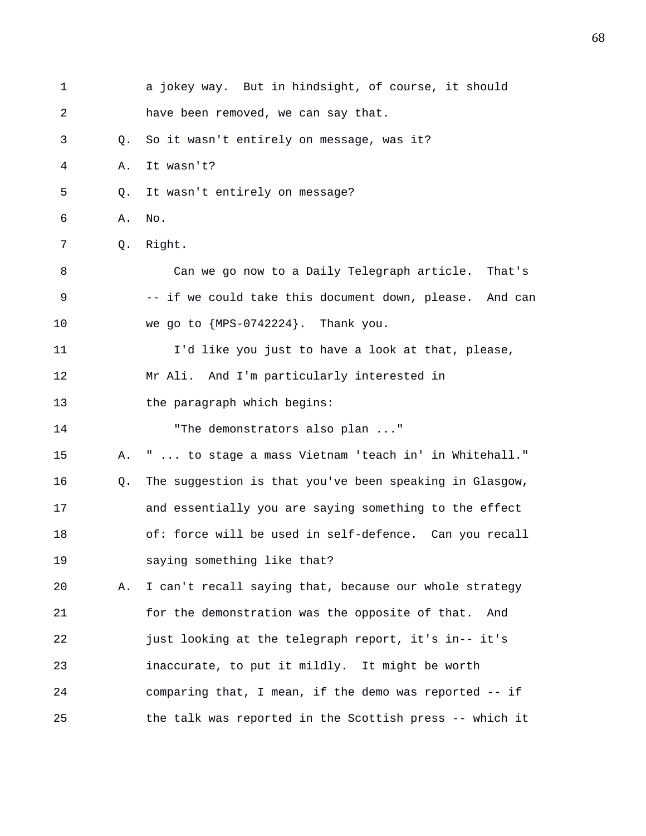| $\mathbf 1$ |    | a jokey way. But in hindsight, of course, it should     |
|-------------|----|---------------------------------------------------------|
| 2           |    | have been removed, we can say that.                     |
| 3           | Q. | So it wasn't entirely on message, was it?               |
| 4           | Α. | It wasn't?                                              |
| 5           | Q. | It wasn't entirely on message?                          |
| 6           | Α. | No.                                                     |
| 7           | Q. | Right.                                                  |
| 8           |    | Can we go now to a Daily Telegraph article. That's      |
| 9           |    | -- if we could take this document down, please. And can |
| 10          |    | we go to ${MPS-0742224}$ . Thank you.                   |
| 11          |    | I'd like you just to have a look at that, please,       |
| 12          |    | Mr Ali. And I'm particularly interested in              |
| 13          |    | the paragraph which begins:                             |
| 14          |    | "The demonstrators also plan "                          |
| 15          | Α. | "  to stage a mass Vietnam 'teach in' in Whitehall."    |
| 16          | Q. | The suggestion is that you've been speaking in Glasgow, |
| 17          |    | and essentially you are saying something to the effect  |
| 18          |    | of: force will be used in self-defence. Can you recall  |
| 19          |    | saying something like that?                             |
| 20          | Α. | I can't recall saying that, because our whole strategy  |
| 21          |    | for the demonstration was the opposite of that.<br>And  |
| 22          |    | just looking at the telegraph report, it's in-- it's    |
| 23          |    | inaccurate, to put it mildly. It might be worth         |
| 24          |    | comparing that, I mean, if the demo was reported -- if  |
| 25          |    | the talk was reported in the Scottish press -- which it |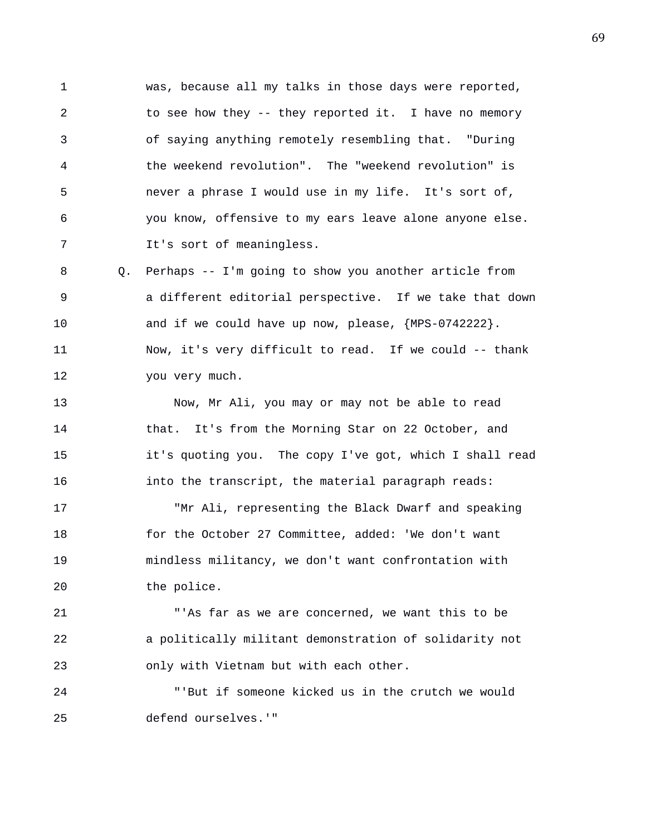1 was, because all my talks in those days were reported, 2 to see how they -- they reported it. I have no memory 3 of saying anything remotely resembling that. "During 4 the weekend revolution". The "weekend revolution" is 5 never a phrase I would use in my life. It's sort of, 6 you know, offensive to my ears leave alone anyone else. 7 It's sort of meaningless.

8 Q. Perhaps -- I'm going to show you another article from 9 a different editorial perspective. If we take that down 10 and if we could have up now, please,  ${MPS-0742222}$ . 11 Now, it's very difficult to read. If we could -- thank 12 you very much.

13 Now, Mr Ali, you may or may not be able to read 14 that. It's from the Morning Star on 22 October, and 15 it's quoting you. The copy I've got, which I shall read 16 into the transcript, the material paragraph reads:

17 "Mr Ali, representing the Black Dwarf and speaking 18 for the October 27 Committee, added: 'We don't want 19 mindless militancy, we don't want confrontation with 20 the police.

21 "'As far as we are concerned, we want this to be 22 a politically militant demonstration of solidarity not 23 only with Vietnam but with each other.

24 "'But if someone kicked us in the crutch we would 25 defend ourselves.'"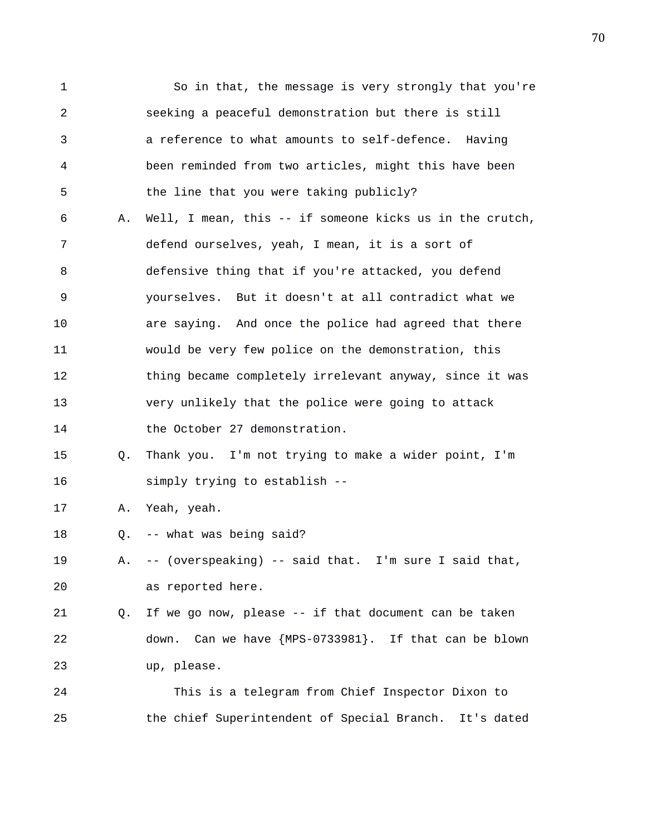1 So in that, the message is very strongly that you're 2 seeking a peaceful demonstration but there is still 3 a reference to what amounts to self-defence. Having 4 been reminded from two articles, might this have been 5 the line that you were taking publicly? 6 A. Well, I mean, this -- if someone kicks us in the crutch, 7 defend ourselves, yeah, I mean, it is a sort of 8 defensive thing that if you're attacked, you defend 9 yourselves. But it doesn't at all contradict what we 10 are saying. And once the police had agreed that there 11 would be very few police on the demonstration, this 12 thing became completely irrelevant anyway, since it was 13 very unlikely that the police were going to attack 14 the October 27 demonstration. 15 Q. Thank you. I'm not trying to make a wider point, I'm 16 simply trying to establish -- 17 A. Yeah, yeah. 18 Q. -- what was being said? 19 A. -- (overspeaking) -- said that. I'm sure I said that, 20 as reported here. 21 Q. If we go now, please -- if that document can be taken 22 down. Can we have {MPS-0733981}. If that can be blown 23 up, please. 24 This is a telegram from Chief Inspector Dixon to 25 the chief Superintendent of Special Branch. It's dated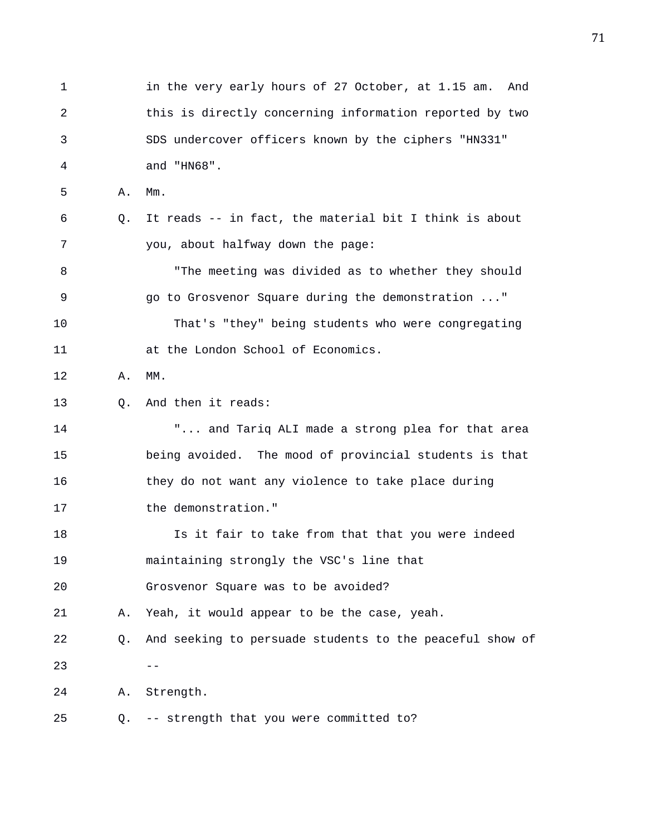1 in the very early hours of 27 October, at 1.15 am. And 2 this is directly concerning information reported by two 3 SDS undercover officers known by the ciphers "HN331" 4 and "HN68". 5 A. Mm. 6 Q. It reads -- in fact, the material bit I think is about 7 you, about halfway down the page: 8 "The meeting was divided as to whether they should 9 go to Grosvenor Square during the demonstration ..." 10 That's "they" being students who were congregating 11 at the London School of Economics. 12 A. MM. 13 0. And then it reads: 14 "... and Tariq ALI made a strong plea for that area 15 being avoided. The mood of provincial students is that 16 they do not want any violence to take place during 17 the demonstration." 18 Is it fair to take from that that you were indeed 19 maintaining strongly the VSC's line that 20 Grosvenor Square was to be avoided? 21 A. Yeah, it would appear to be the case, yeah. 22 Q. And seeking to persuade students to the peaceful show of  $23 - -$ 24 A. Strength. 25 Q. -- strength that you were committed to?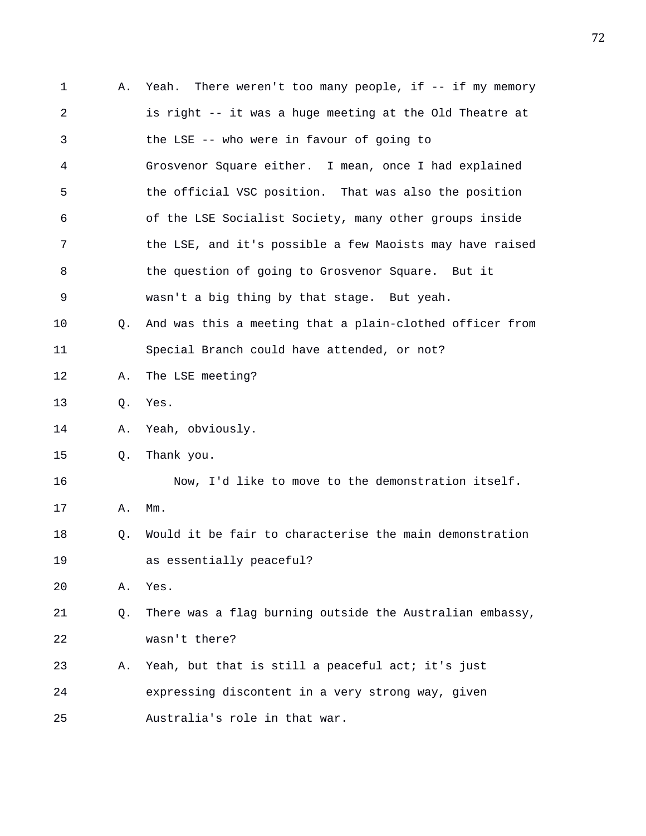| 1  | Α.        | There weren't too many people, if $--$ if my memory<br>Yeah. |
|----|-----------|--------------------------------------------------------------|
| 2  |           | is right -- it was a huge meeting at the Old Theatre at      |
| 3  |           | the LSE -- who were in favour of going to                    |
| 4  |           | Grosvenor Square either. I mean, once I had explained        |
| 5  |           | the official VSC position. That was also the position        |
| 6  |           | of the LSE Socialist Society, many other groups inside       |
| 7  |           | the LSE, and it's possible a few Maoists may have raised     |
| 8  |           | the question of going to Grosvenor Square. But it            |
| 9  |           | wasn't a big thing by that stage. But yeah.                  |
| 10 | Q.        | And was this a meeting that a plain-clothed officer from     |
| 11 |           | Special Branch could have attended, or not?                  |
| 12 | Α.        | The LSE meeting?                                             |
| 13 | $\circ$ . | Yes.                                                         |
| 14 | Α.        | Yeah, obviously.                                             |
| 15 | Q.        | Thank you.                                                   |
| 16 |           | Now, I'd like to move to the demonstration itself.           |
| 17 | Α.        | $Mm$ .                                                       |
| 18 | Q.        | Would it be fair to characterise the main demonstration      |
| 19 |           | as essentially peaceful?                                     |
| 20 | Α.        | Yes.                                                         |
| 21 | Q.        | There was a flag burning outside the Australian embassy,     |
| 22 |           | wasn't there?                                                |
| 23 | Α.        | Yeah, but that is still a peaceful act; it's just            |
| 24 |           | expressing discontent in a very strong way, given            |
| 25 |           | Australia's role in that war.                                |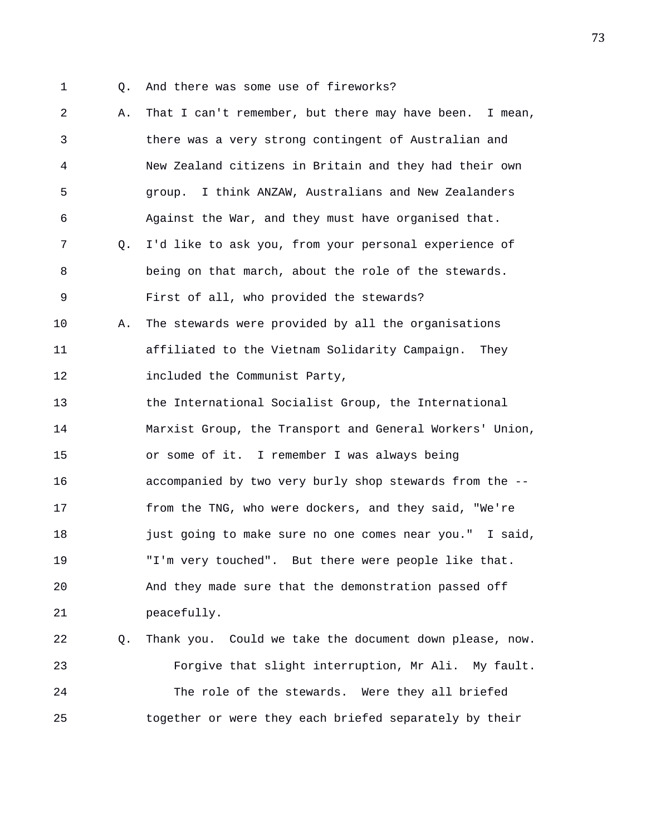- 
- 1 Q. And there was some use of fireworks?

2 A. That I can't remember, but there may have been. I mean, 3 there was a very strong contingent of Australian and 4 New Zealand citizens in Britain and they had their own 5 group. I think ANZAW, Australians and New Zealanders 6 Against the War, and they must have organised that. 7 Q. I'd like to ask you, from your personal experience of 8 being on that march, about the role of the stewards. 9 First of all, who provided the stewards? 10 A. The stewards were provided by all the organisations 11 affiliated to the Vietnam Solidarity Campaign. They 12 **included** the Communist Party, 13 the International Socialist Group, the International 14 Marxist Group, the Transport and General Workers' Union, 15 or some of it. I remember I was always being 16 accompanied by two very burly shop stewards from the -- 17 from the TNG, who were dockers, and they said, "We're 18 just going to make sure no one comes near you." I said, 19 "I'm very touched". But there were people like that. 20 And they made sure that the demonstration passed off 21 peacefully. 22 Q. Thank you. Could we take the document down please, now. 23 Forgive that slight interruption, Mr Ali. My fault. 24 The role of the stewards. Were they all briefed 25 together or were they each briefed separately by their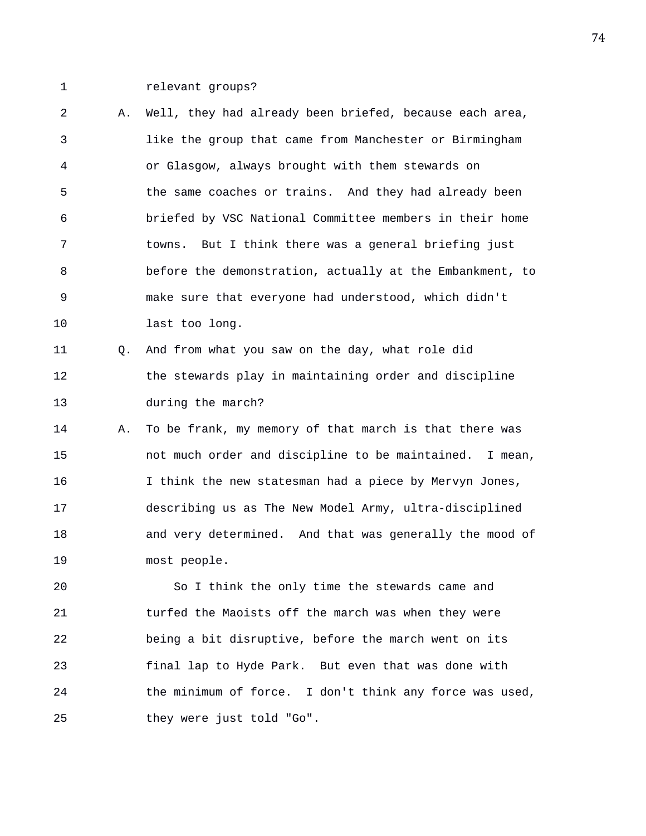1 relevant groups?

2 A. Well, they had already been briefed, because each area, 3 like the group that came from Manchester or Birmingham 4 or Glasgow, always brought with them stewards on 5 the same coaches or trains. And they had already been 6 briefed by VSC National Committee members in their home 7 towns. But I think there was a general briefing just 8 before the demonstration, actually at the Embankment, to 9 make sure that everyone had understood, which didn't 10 last too long.

11 Q. And from what you saw on the day, what role did 12 the stewards play in maintaining order and discipline 13 during the march?

14 A. To be frank, my memory of that march is that there was 15 not much order and discipline to be maintained. I mean, 16 I think the new statesman had a piece by Mervyn Jones, 17 describing us as The New Model Army, ultra-disciplined 18 and very determined. And that was generally the mood of 19 most people.

20 So I think the only time the stewards came and 21 turfed the Maoists off the march was when they were 22 being a bit disruptive, before the march went on its 23 final lap to Hyde Park. But even that was done with 24 the minimum of force. I don't think any force was used, 25 they were just told "Go".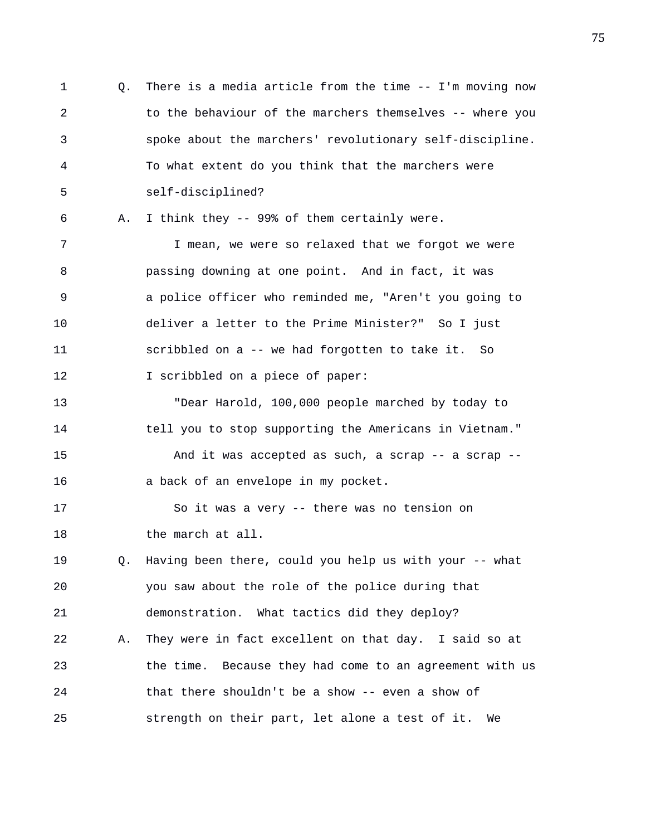1 Q. There is a media article from the time -- I'm moving now 2 to the behaviour of the marchers themselves -- where you 3 spoke about the marchers' revolutionary self-discipline. 4 To what extent do you think that the marchers were 5 self-disciplined? 6 A. I think they -- 99% of them certainly were. 7 I mean, we were so relaxed that we forgot we were 8 passing downing at one point. And in fact, it was 9 a police officer who reminded me, "Aren't you going to 10 deliver a letter to the Prime Minister?" So I just 11 scribbled on a -- we had forgotten to take it. So 12 I scribbled on a piece of paper: 13 "Dear Harold, 100,000 people marched by today to 14 tell you to stop supporting the Americans in Vietnam." 15 And it was accepted as such, a scrap -- a scrap -- 16 a back of an envelope in my pocket. 17 So it was a very -- there was no tension on 18 the march at all. 19 Q. Having been there, could you help us with your -- what 20 you saw about the role of the police during that 21 demonstration. What tactics did they deploy? 22 A. They were in fact excellent on that day. I said so at 23 the time. Because they had come to an agreement with us 24 that there shouldn't be a show -- even a show of 25 strength on their part, let alone a test of it. We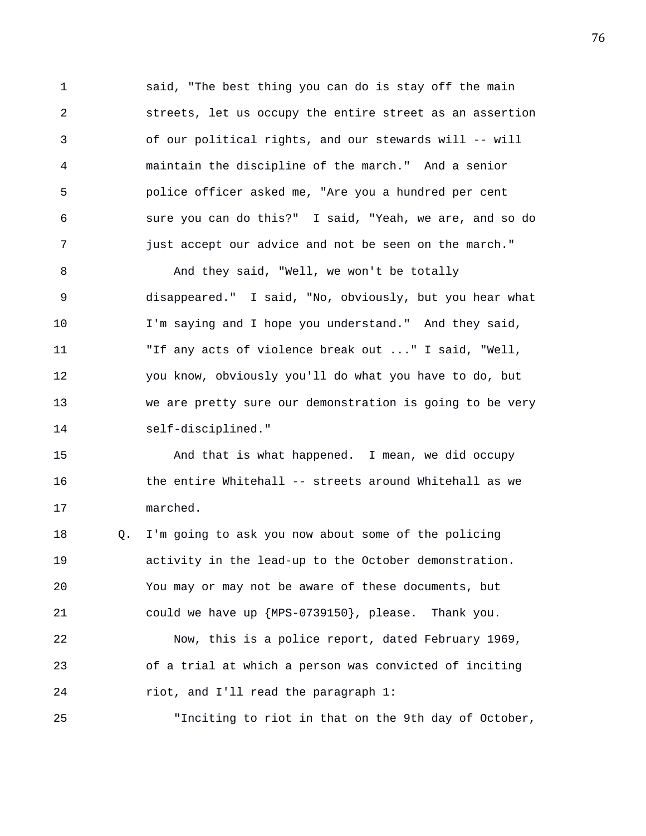1 said, "The best thing you can do is stay off the main 2 streets, let us occupy the entire street as an assertion 3 of our political rights, and our stewards will -- will 4 maintain the discipline of the march." And a senior 5 police officer asked me, "Are you a hundred per cent 6 sure you can do this?" I said, "Yeah, we are, and so do 7 just accept our advice and not be seen on the march."

8 And they said, "Well, we won't be totally 9 disappeared." I said, "No, obviously, but you hear what 10 I'm saying and I hope you understand." And they said, 11 "If any acts of violence break out ..." I said, "Well, 12 you know, obviously you'll do what you have to do, but 13 we are pretty sure our demonstration is going to be very 14 self-disciplined."

15 And that is what happened. I mean, we did occupy 16 the entire Whitehall -- streets around Whitehall as we 17 marched.

18 Q. I'm going to ask you now about some of the policing 19 activity in the lead-up to the October demonstration. 20 You may or may not be aware of these documents, but 21 could we have up {MPS-0739150}, please. Thank you. 22 Now, this is a police report, dated February 1969, 23 of a trial at which a person was convicted of inciting

24 riot, and I'll read the paragraph 1:

25 "Inciting to riot in that on the 9th day of October,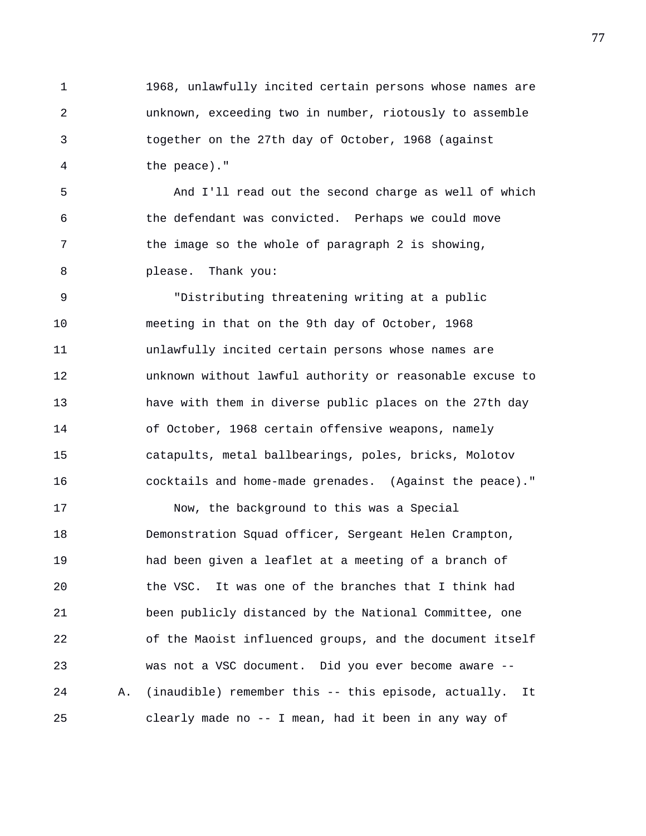1 1968, unlawfully incited certain persons whose names are 2 unknown, exceeding two in number, riotously to assemble 3 together on the 27th day of October, 1968 (against 4 the peace)."

5 And I'll read out the second charge as well of which 6 the defendant was convicted. Perhaps we could move 7 the image so the whole of paragraph 2 is showing, 8 please. Thank you:

9 "Distributing threatening writing at a public 10 meeting in that on the 9th day of October, 1968 11 unlawfully incited certain persons whose names are 12 unknown without lawful authority or reasonable excuse to 13 have with them in diverse public places on the 27th day 14 of October, 1968 certain offensive weapons, namely 15 catapults, metal ballbearings, poles, bricks, Molotov 16 cocktails and home-made grenades. (Against the peace)."

17 Now, the background to this was a Special 18 Demonstration Squad officer, Sergeant Helen Crampton, 19 had been given a leaflet at a meeting of a branch of 20 the VSC. It was one of the branches that I think had 21 been publicly distanced by the National Committee, one 22 of the Maoist influenced groups, and the document itself 23 was not a VSC document. Did you ever become aware -- 24 A. (inaudible) remember this -- this episode, actually. It 25 clearly made no -- I mean, had it been in any way of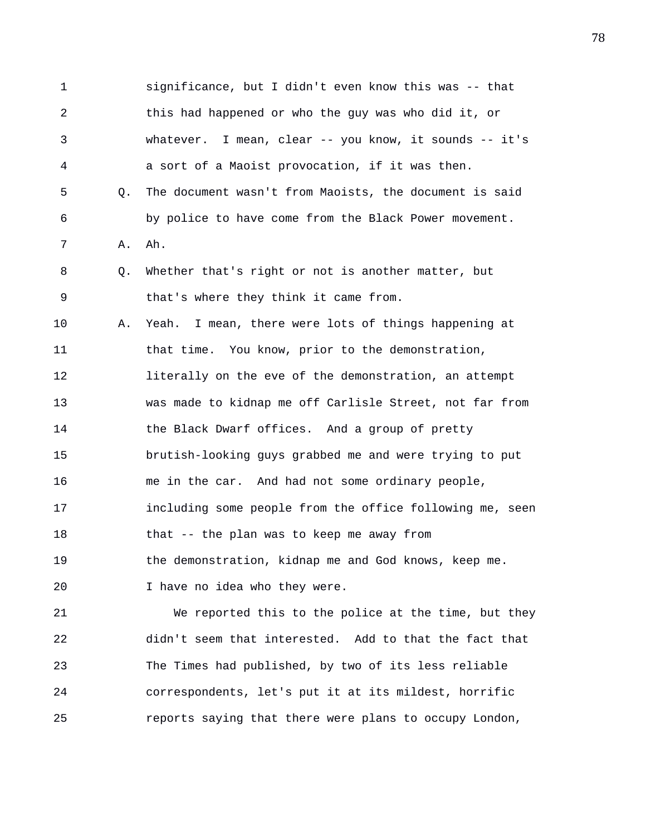1 significance, but I didn't even know this was -- that 2 this had happened or who the guy was who did it, or 3 whatever. I mean, clear -- you know, it sounds -- it's 4 a sort of a Maoist provocation, if it was then. 5 Q. The document wasn't from Maoists, the document is said 6 by police to have come from the Black Power movement. 7 A. Ah. 8 Q. Whether that's right or not is another matter, but 9 that's where they think it came from. 10 A. Yeah. I mean, there were lots of things happening at 11 that time. You know, prior to the demonstration, 12 literally on the eve of the demonstration, an attempt 13 was made to kidnap me off Carlisle Street, not far from 14 the Black Dwarf offices. And a group of pretty 15 brutish-looking guys grabbed me and were trying to put 16 me in the car. And had not some ordinary people, 17 including some people from the office following me, seen 18 that -- the plan was to keep me away from 19 the demonstration, kidnap me and God knows, keep me. 20 I have no idea who they were. 21 We reported this to the police at the time, but they

22 didn't seem that interested. Add to that the fact that 23 The Times had published, by two of its less reliable 24 correspondents, let's put it at its mildest, horrific 25 reports saying that there were plans to occupy London,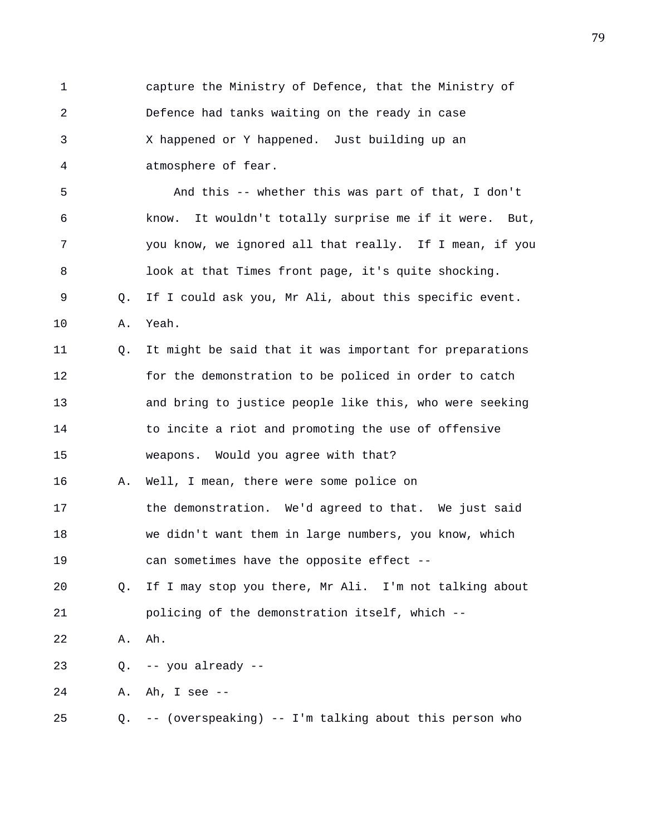1 capture the Ministry of Defence, that the Ministry of 2 Defence had tanks waiting on the ready in case 3 X happened or Y happened. Just building up an 4 atmosphere of fear. 5 And this -- whether this was part of that, I don't 6 know. It wouldn't totally surprise me if it were. But, 7 you know, we ignored all that really. If I mean, if you 8 look at that Times front page, it's quite shocking. 9 Q. If I could ask you, Mr Ali, about this specific event. 10 A. Yeah. 11 Q. It might be said that it was important for preparations 12 for the demonstration to be policed in order to catch 13 and bring to justice people like this, who were seeking 14 to incite a riot and promoting the use of offensive 15 weapons. Would you agree with that? 16 A. Well, I mean, there were some police on 17 the demonstration. We'd agreed to that. We just said 18 we didn't want them in large numbers, you know, which 19 can sometimes have the opposite effect -- 20 Q. If I may stop you there, Mr Ali. I'm not talking about 21 policing of the demonstration itself, which -- 22 A. Ah. 23 Q. -- you already -- 24 A. Ah, I see -- 25 Q. -- (overspeaking) -- I'm talking about this person who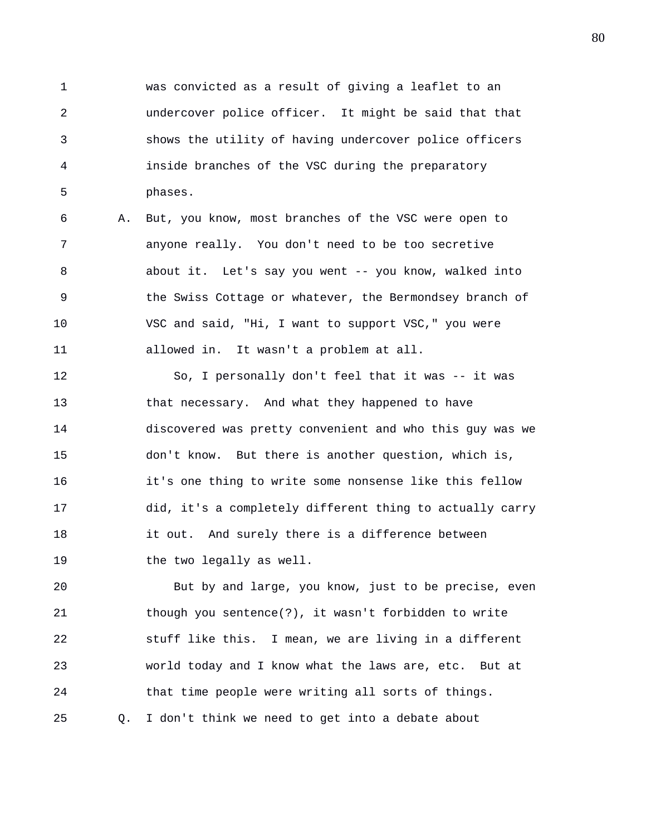1 was convicted as a result of giving a leaflet to an 2 undercover police officer. It might be said that that 3 shows the utility of having undercover police officers 4 inside branches of the VSC during the preparatory 5 phases.

6 A. But, you know, most branches of the VSC were open to 7 anyone really. You don't need to be too secretive 8 about it. Let's say you went -- you know, walked into 9 the Swiss Cottage or whatever, the Bermondsey branch of 10 VSC and said, "Hi, I want to support VSC," you were 11 allowed in. It wasn't a problem at all.

12 So, I personally don't feel that it was -- it was 13 that necessary. And what they happened to have 14 discovered was pretty convenient and who this guy was we 15 don't know. But there is another question, which is, 16 it's one thing to write some nonsense like this fellow 17 did, it's a completely different thing to actually carry 18 it out. And surely there is a difference between 19 the two legally as well.

20 But by and large, you know, just to be precise, even 21 though you sentence(?), it wasn't forbidden to write 22 stuff like this. I mean, we are living in a different 23 world today and I know what the laws are, etc. But at 24 that time people were writing all sorts of things. 25 Q. I don't think we need to get into a debate about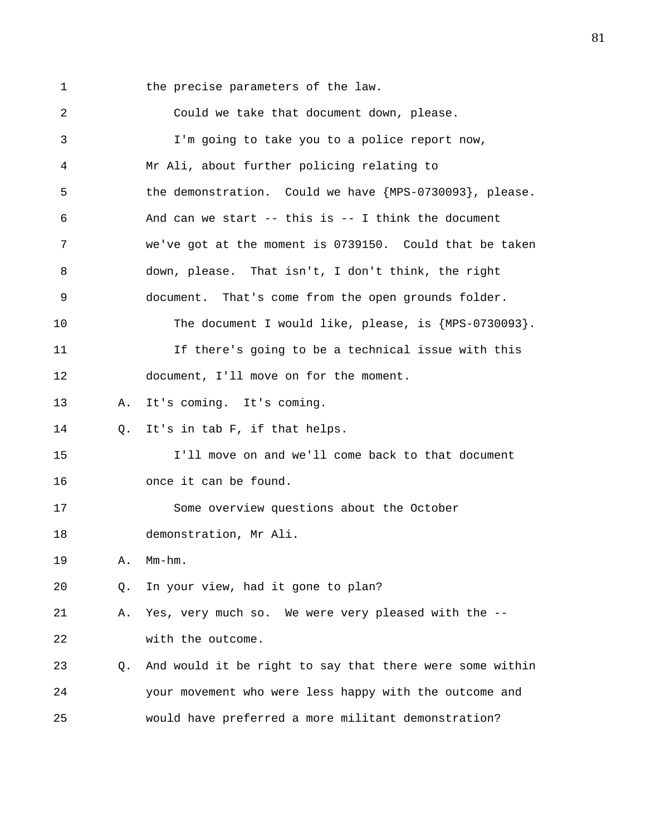1 the precise parameters of the law. 2 Could we take that document down, please. 3 I'm going to take you to a police report now, 4 Mr Ali, about further policing relating to 5 the demonstration. Could we have {MPS-0730093}, please. 6 And can we start -- this is -- I think the document 7 we've got at the moment is 0739150. Could that be taken 8 down, please. That isn't, I don't think, the right 9 document. That's come from the open grounds folder. 10 The document I would like, please, is {MPS-0730093}. 11 If there's going to be a technical issue with this 12 document, I'll move on for the moment. 13 A. It's coming. It's coming. 14 Q. It's in tab F, if that helps. 15 I'll move on and we'll come back to that document 16 once it can be found. 17 Some overview questions about the October 18 demonstration, Mr Ali. 19 A. Mm-hm. 20 Q. In your view, had it gone to plan? 21 A. Yes, very much so. We were very pleased with the -- 22 with the outcome. 23 Q. And would it be right to say that there were some within 24 your movement who were less happy with the outcome and 25 would have preferred a more militant demonstration?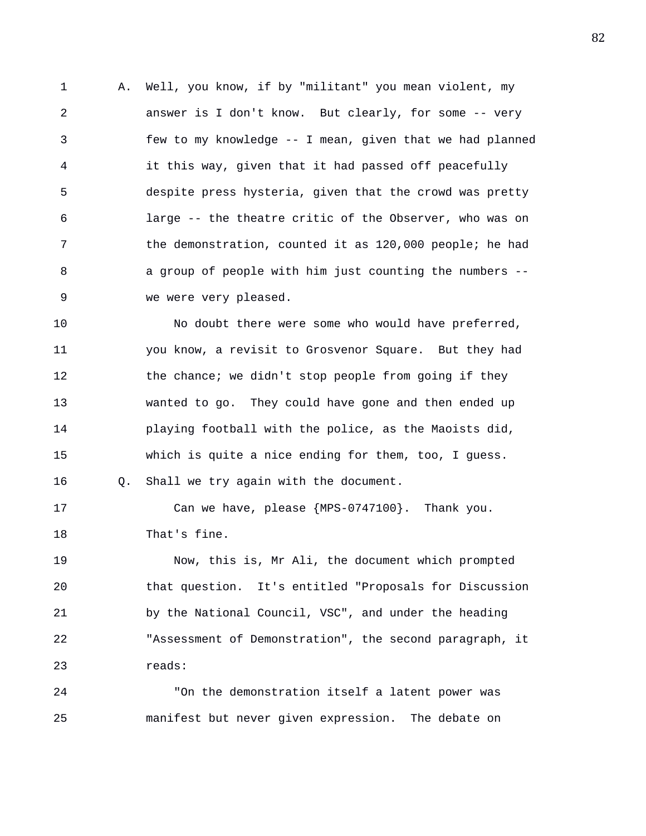1 A. Well, you know, if by "militant" you mean violent, my 2 answer is I don't know. But clearly, for some -- very 3 few to my knowledge -- I mean, given that we had planned 4 it this way, given that it had passed off peacefully 5 despite press hysteria, given that the crowd was pretty 6 large -- the theatre critic of the Observer, who was on 7 the demonstration, counted it as 120,000 people; he had 8 a group of people with him just counting the numbers -- 9 we were very pleased.

10 No doubt there were some who would have preferred, 11 you know, a revisit to Grosvenor Square. But they had 12 the chance; we didn't stop people from going if they 13 wanted to go. They could have gone and then ended up 14 playing football with the police, as the Maoists did, 15 which is quite a nice ending for them, too, I guess. 16 Q. Shall we try again with the document.

17 Can we have, please {MPS-0747100}. Thank you. 18 That's fine.

19 Now, this is, Mr Ali, the document which prompted 20 that question. It's entitled "Proposals for Discussion 21 by the National Council, VSC", and under the heading 22 "Assessment of Demonstration", the second paragraph, it 23 reads:

24 "On the demonstration itself a latent power was 25 manifest but never given expression. The debate on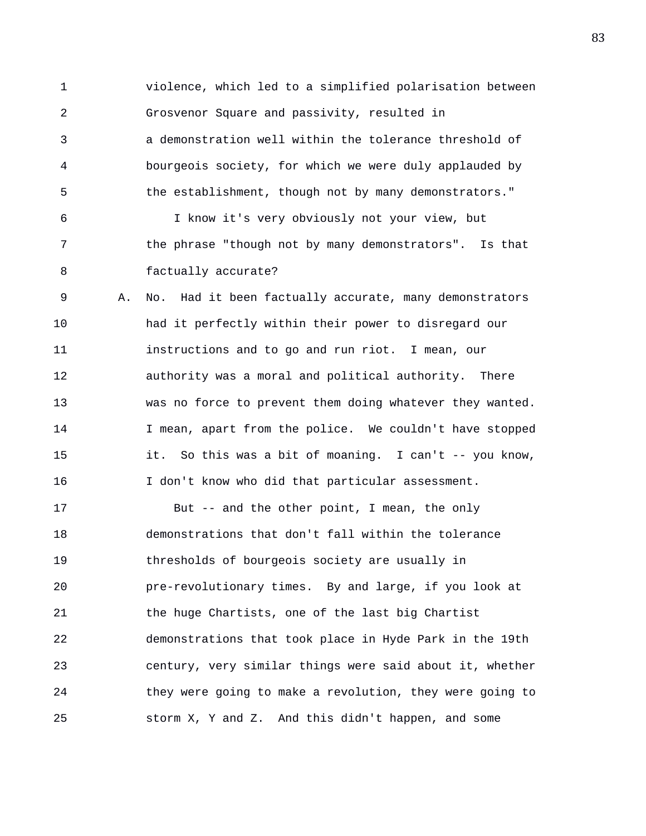1 violence, which led to a simplified polarisation between 2 Grosvenor Square and passivity, resulted in 3 a demonstration well within the tolerance threshold of 4 bourgeois society, for which we were duly applauded by 5 the establishment, though not by many demonstrators." 6 I know it's very obviously not your view, but 7 the phrase "though not by many demonstrators". Is that 8 factually accurate? 9 A. No. Had it been factually accurate, many demonstrators 10 had it perfectly within their power to disregard our 11 instructions and to go and run riot. I mean, our 12 authority was a moral and political authority. There 13 was no force to prevent them doing whatever they wanted. 14 I mean, apart from the police. We couldn't have stopped 15 it. So this was a bit of moaning. I can't -- you know, 16 I don't know who did that particular assessment. 17 But -- and the other point, I mean, the only 18 demonstrations that don't fall within the tolerance 19 thresholds of bourgeois society are usually in 20 pre-revolutionary times. By and large, if you look at 21 the huge Chartists, one of the last big Chartist 22 demonstrations that took place in Hyde Park in the 19th 23 century, very similar things were said about it, whether 24 they were going to make a revolution, they were going to 25 storm X, Y and Z. And this didn't happen, and some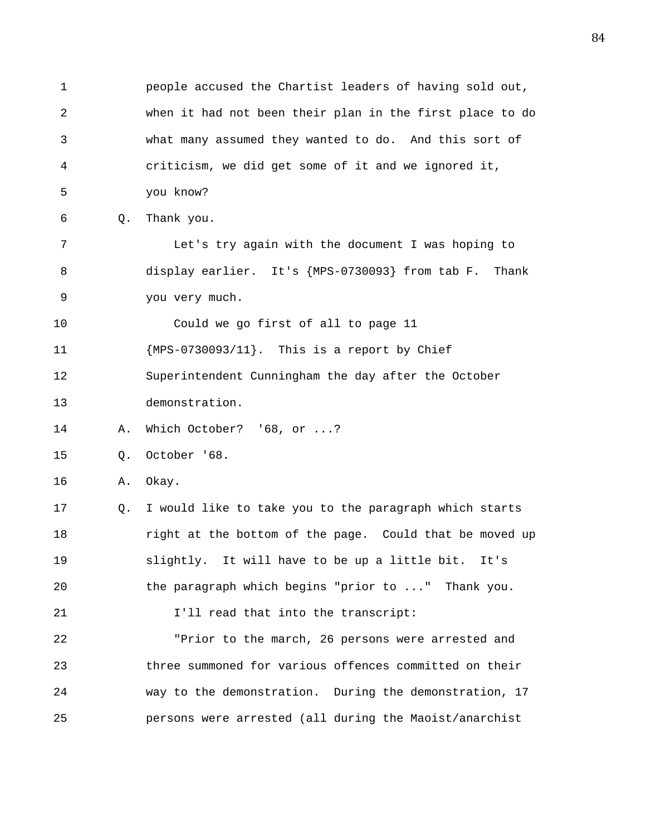1 people accused the Chartist leaders of having sold out, 2 when it had not been their plan in the first place to do 3 what many assumed they wanted to do. And this sort of 4 criticism, we did get some of it and we ignored it, 5 you know? 6 Q. Thank you. 7 Let's try again with the document I was hoping to 8 display earlier. It's {MPS-0730093} from tab F. Thank 9 you very much. 10 Could we go first of all to page 11 11 {MPS-0730093/11}. This is a report by Chief 12 Superintendent Cunningham the day after the October 13 demonstration. 14 A. Which October? '68, or ...? 15 Q. October '68. 16 A. Okay. 17 Q. I would like to take you to the paragraph which starts 18 right at the bottom of the page. Could that be moved up 19 slightly. It will have to be up a little bit. It's 20 the paragraph which begins "prior to ..." Thank you. 21 **I'll** read that into the transcript: 22 "Prior to the march, 26 persons were arrested and 23 three summoned for various offences committed on their 24 way to the demonstration. During the demonstration, 17 25 persons were arrested (all during the Maoist/anarchist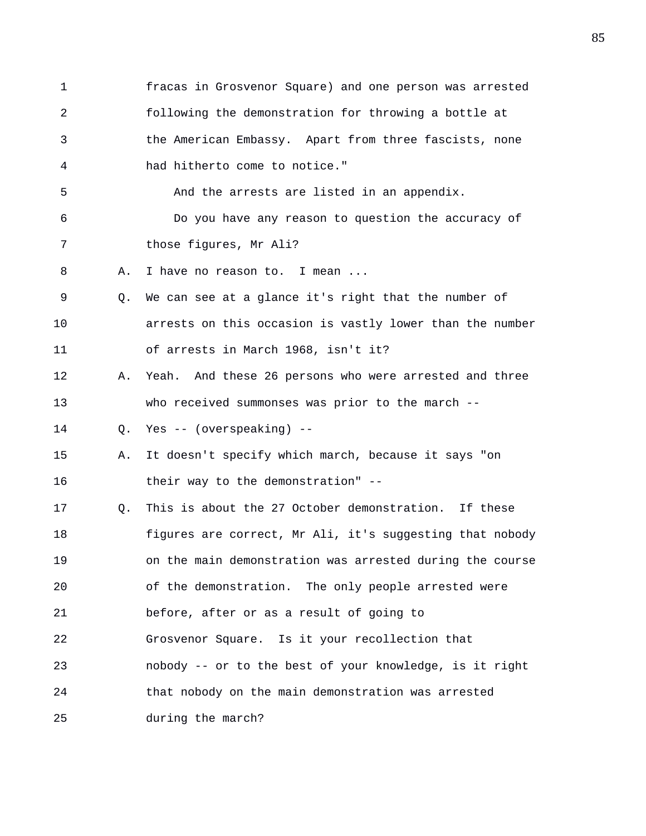1 fracas in Grosvenor Square) and one person was arrested 2 following the demonstration for throwing a bottle at 3 the American Embassy. Apart from three fascists, none 4 had hitherto come to notice." 5 And the arrests are listed in an appendix. 6 Do you have any reason to question the accuracy of 7 those figures, Mr Ali? 8 A. I have no reason to. I mean ... 9 Q. We can see at a glance it's right that the number of 10 arrests on this occasion is vastly lower than the number 11 of arrests in March 1968, isn't it? 12 A. Yeah. And these 26 persons who were arrested and three 13 who received summonses was prior to the march -- 14 Q. Yes -- (overspeaking) -- 15 A. It doesn't specify which march, because it says "on 16 their way to the demonstration" -- 17 Q. This is about the 27 October demonstration. If these 18 figures are correct, Mr Ali, it's suggesting that nobody 19 on the main demonstration was arrested during the course 20 of the demonstration. The only people arrested were 21 before, after or as a result of going to 22 Grosvenor Square. Is it your recollection that 23 nobody -- or to the best of your knowledge, is it right 24 that nobody on the main demonstration was arrested 25 during the march?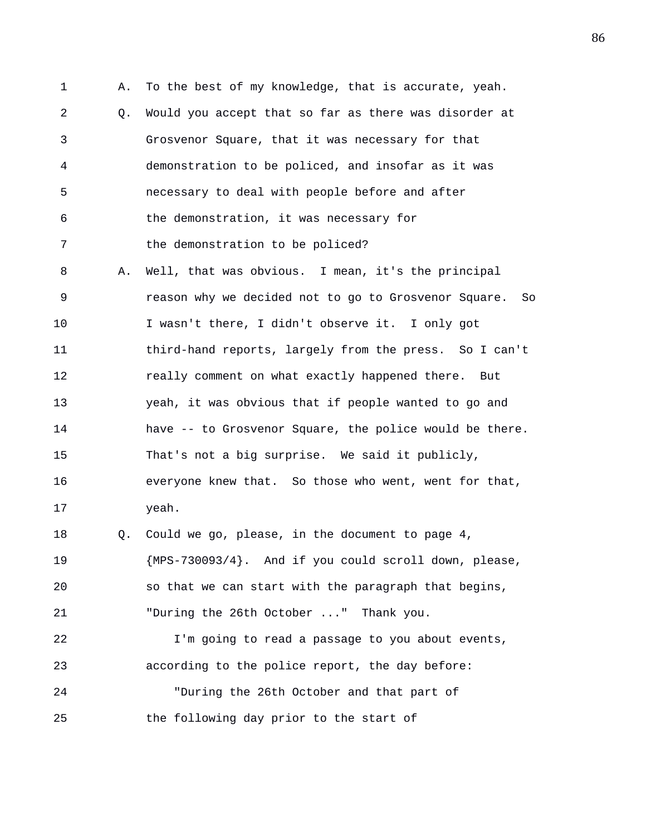1 A. To the best of my knowledge, that is accurate, yeah. 2 Q. Would you accept that so far as there was disorder at 3 Grosvenor Square, that it was necessary for that 4 demonstration to be policed, and insofar as it was 5 necessary to deal with people before and after 6 the demonstration, it was necessary for 7 the demonstration to be policed? 8 A. Well, that was obvious. I mean, it's the principal 9 reason why we decided not to go to Grosvenor Square. So 10 I wasn't there, I didn't observe it. I only got 11 third-hand reports, largely from the press. So I can't 12 really comment on what exactly happened there. But 13 yeah, it was obvious that if people wanted to go and 14 have -- to Grosvenor Square, the police would be there. 15 That's not a big surprise. We said it publicly, 16 everyone knew that. So those who went, went for that, 17 yeah. 18 Q. Could we go, please, in the document to page 4, 19 {MPS-730093/4}. And if you could scroll down, please, 20 so that we can start with the paragraph that begins, 21 "During the 26th October ..." Thank you. 22 I'm going to read a passage to you about events, 23 according to the police report, the day before: 24 "During the 26th October and that part of 25 the following day prior to the start of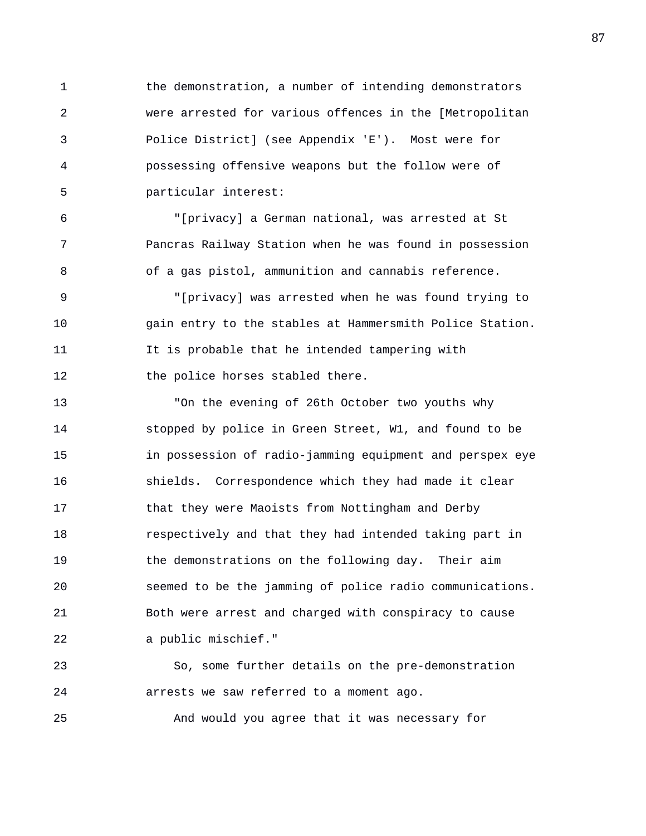1 the demonstration, a number of intending demonstrators 2 were arrested for various offences in the [Metropolitan 3 Police District] (see Appendix 'E'). Most were for 4 possessing offensive weapons but the follow were of 5 particular interest:

6 "[privacy] a German national, was arrested at St 7 Pancras Railway Station when he was found in possession 8 of a gas pistol, ammunition and cannabis reference.

9 "[privacy] was arrested when he was found trying to 10 gain entry to the stables at Hammersmith Police Station. 11 It is probable that he intended tampering with 12 the police horses stabled there.

13 "On the evening of 26th October two youths why 14 stopped by police in Green Street, W1, and found to be 15 in possession of radio-jamming equipment and perspex eye 16 shields. Correspondence which they had made it clear 17 that they were Maoists from Nottingham and Derby 18 respectively and that they had intended taking part in 19 the demonstrations on the following day. Their aim 20 seemed to be the jamming of police radio communications. 21 Both were arrest and charged with conspiracy to cause 22 a public mischief."

23 So, some further details on the pre-demonstration 24 arrests we saw referred to a moment ago.

25 And would you agree that it was necessary for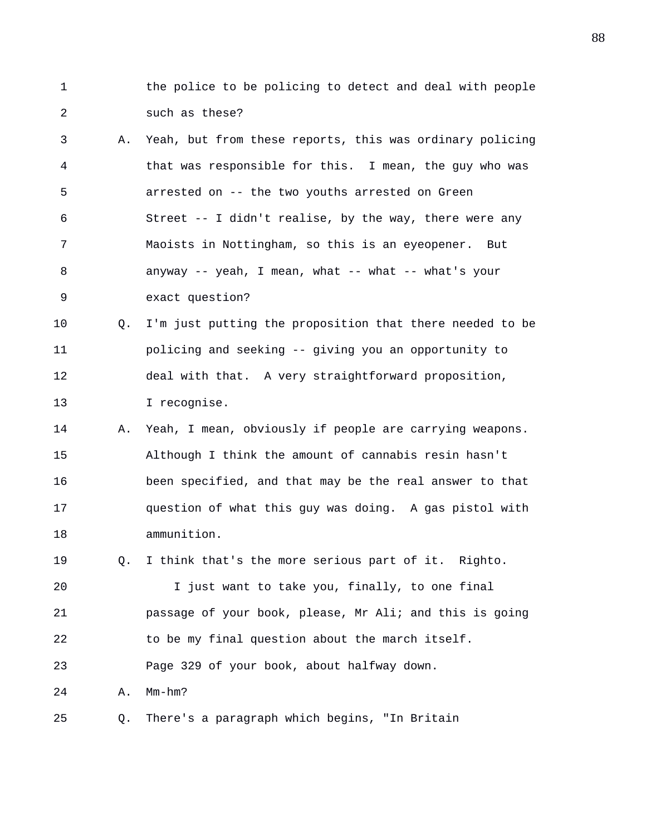1 the police to be policing to detect and deal with people 2 such as these?

- 3 A. Yeah, but from these reports, this was ordinary policing 4 that was responsible for this. I mean, the guy who was 5 arrested on -- the two youths arrested on Green 6 Street -- I didn't realise, by the way, there were any 7 Maoists in Nottingham, so this is an eyeopener. But 8 anyway -- yeah, I mean, what -- what -- what's your 9 exact question?
- 10 Q. I'm just putting the proposition that there needed to be 11 policing and seeking -- giving you an opportunity to 12 deal with that. A very straightforward proposition, 13 I recognise.
- 14 A. Yeah, I mean, obviously if people are carrying weapons. 15 Although I think the amount of cannabis resin hasn't 16 been specified, and that may be the real answer to that 17 question of what this guy was doing. A gas pistol with 18 ammunition.

19 Q. I think that's the more serious part of it. Righto.

20 I just want to take you, finally, to one final 21 passage of your book, please, Mr Ali; and this is going 22 to be my final question about the march itself. 23 Page 329 of your book, about halfway down.

24 A. Mm-hm?

25 Q. There's a paragraph which begins, "In Britain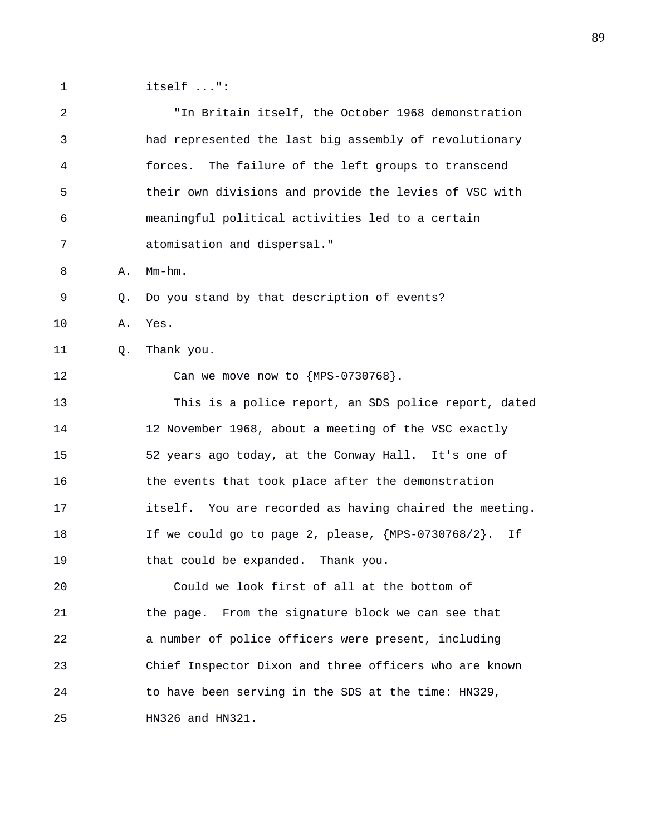1 itself ...":

2 "In Britain itself, the October 1968 demonstration 3 had represented the last big assembly of revolutionary 4 forces. The failure of the left groups to transcend 5 their own divisions and provide the levies of VSC with 6 meaningful political activities led to a certain 7 atomisation and dispersal." 8 A. Mm-hm. 9 Q. Do you stand by that description of events? 10 A. Yes. 11 Q. Thank you. 12 Can we move now to  ${MPS-0730768}$ . 13 This is a police report, an SDS police report, dated 14 12 November 1968, about a meeting of the VSC exactly 15 52 years ago today, at the Conway Hall. It's one of 16 the events that took place after the demonstration 17 itself. You are recorded as having chaired the meeting. 18 If we could go to page 2, please, {MPS-0730768/2}. If 19 that could be expanded. Thank you. 20 Could we look first of all at the bottom of 21 the page. From the signature block we can see that 22 a number of police officers were present, including 23 Chief Inspector Dixon and three officers who are known 24 to have been serving in the SDS at the time: HN329, 25 HN326 and HN321.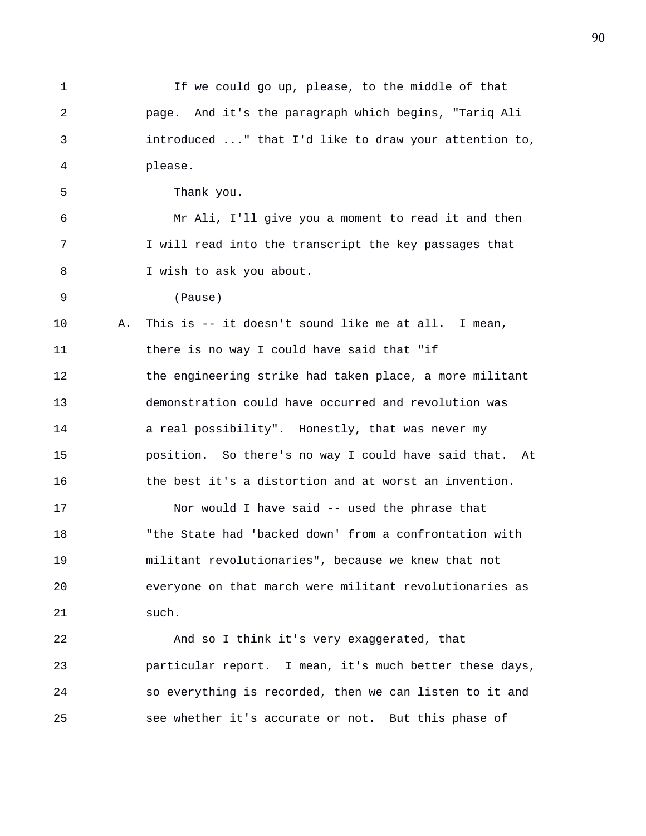1 If we could go up, please, to the middle of that 2 page. And it's the paragraph which begins, "Tariq Ali 3 introduced ..." that I'd like to draw your attention to, 4 please. 5 Thank you. 6 Mr Ali, I'll give you a moment to read it and then 7 I will read into the transcript the key passages that 8 I wish to ask you about. 9 (Pause) 10 A. This is -- it doesn't sound like me at all. I mean, 11 there is no way I could have said that "if 12 the engineering strike had taken place, a more militant 13 demonstration could have occurred and revolution was 14 **a** real possibility". Honestly, that was never my 15 position. So there's no way I could have said that. At 16 the best it's a distortion and at worst an invention. 17 Nor would I have said -- used the phrase that 18 "the State had 'backed down' from a confrontation with 19 militant revolutionaries", because we knew that not 20 everyone on that march were militant revolutionaries as 21 such. 22 And so I think it's very exaggerated, that 23 particular report. I mean, it's much better these days, 24 so everything is recorded, then we can listen to it and

25 see whether it's accurate or not. But this phase of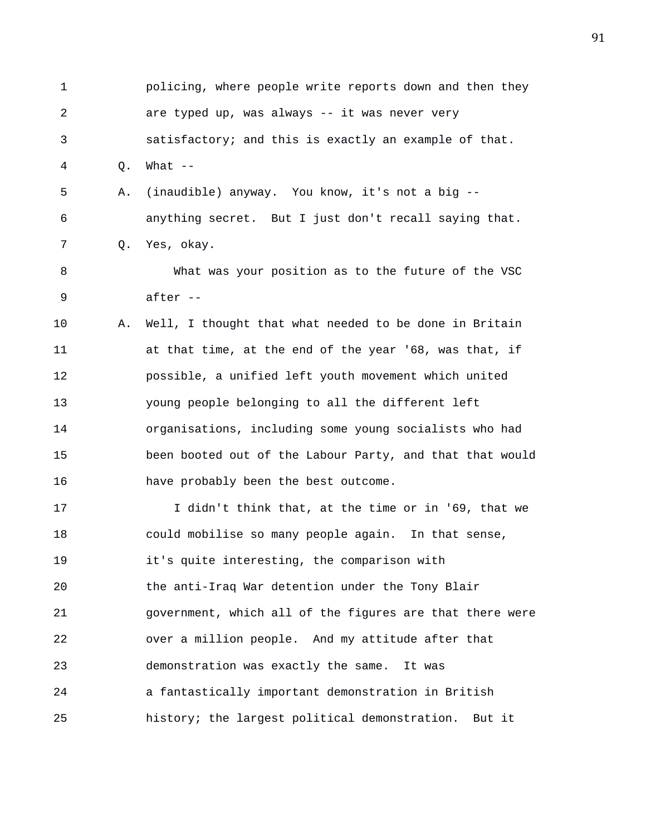| $\mathbf 1$ |    | policing, where people write reports down and then they  |
|-------------|----|----------------------------------------------------------|
| 2           |    | are typed up, was always -- it was never very            |
| 3           |    | satisfactory; and this is exactly an example of that.    |
| 4           | Q. | What $--$                                                |
| 5           | Α. | (inaudible) anyway. You know, it's not a big --          |
| 6           |    | anything secret. But I just don't recall saying that.    |
| 7           | Q. | Yes, okay.                                               |
| 8           |    | What was your position as to the future of the VSC       |
| $\mathsf 9$ |    | after --                                                 |
| 10          | Α. | Well, I thought that what needed to be done in Britain   |
| 11          |    | at that time, at the end of the year '68, was that, if   |
| 12          |    | possible, a unified left youth movement which united     |
| 13          |    | young people belonging to all the different left         |
| 14          |    | organisations, including some young socialists who had   |
| 15          |    | been booted out of the Labour Party, and that that would |
| 16          |    | have probably been the best outcome.                     |
| 17          |    | I didn't think that, at the time or in '69, that we      |
| 18          |    | could mobilise so many people again. In that sense,      |
| 19          |    | it's quite interesting, the comparison with              |
| 20          |    | the anti-Iraq War detention under the Tony Blair         |
| 21          |    | government, which all of the figures are that there were |
| 22          |    | over a million people. And my attitude after that        |
| 23          |    | demonstration was exactly the same.<br>It was            |
| 24          |    | a fantastically important demonstration in British       |
| 25          |    | history; the largest political demonstration.<br>But it  |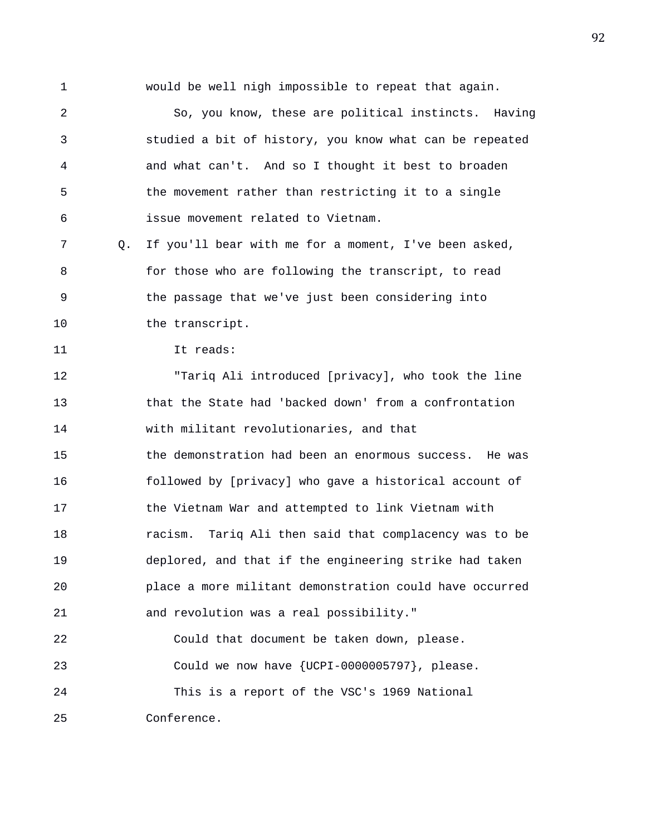1 would be well nigh impossible to repeat that again. 2 So, you know, these are political instincts. Having 3 studied a bit of history, you know what can be repeated 4 and what can't. And so I thought it best to broaden 5 the movement rather than restricting it to a single 6 issue movement related to Vietnam. 7 Q. If you'll bear with me for a moment, I've been asked, 8 for those who are following the transcript, to read 9 the passage that we've just been considering into 10 the transcript. 11 It reads: 12 "Tariq Ali introduced [privacy], who took the line 13 that the State had 'backed down' from a confrontation 14 with militant revolutionaries, and that 15 the demonstration had been an enormous success. He was 16 followed by [privacy] who gave a historical account of 17 the Vietnam War and attempted to link Vietnam with 18 racism. Tariq Ali then said that complacency was to be 19 deplored, and that if the engineering strike had taken 20 place a more militant demonstration could have occurred 21 and revolution was a real possibility." 22 Could that document be taken down, please. 23 Could we now have {UCPI-0000005797}, please.

24 This is a report of the VSC's 1969 National

25 Conference.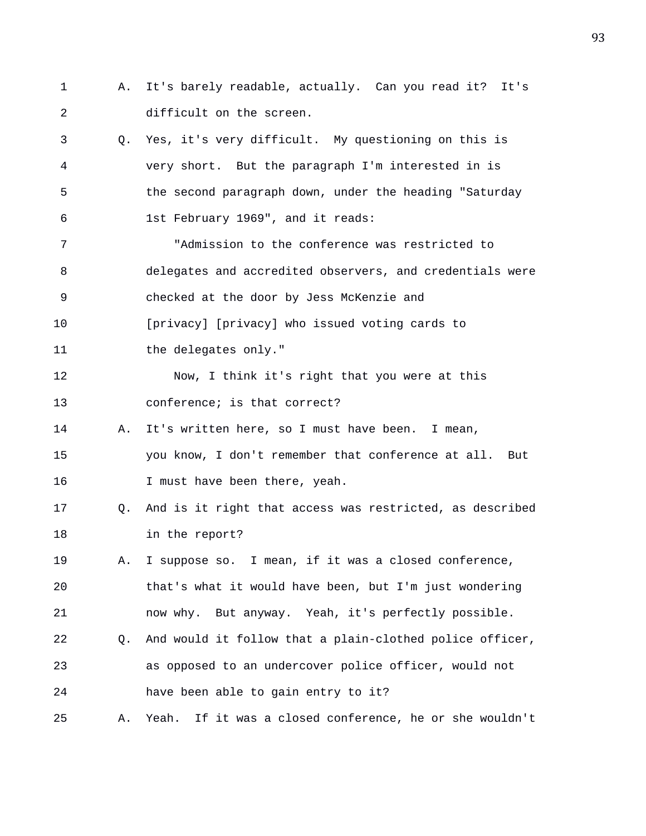- 1 A. It's barely readable, actually. Can you read it? It's 2 difficult on the screen.
- 3 Q. Yes, it's very difficult. My questioning on this is 4 very short. But the paragraph I'm interested in is 5 the second paragraph down, under the heading "Saturday 6 1st February 1969", and it reads:
- 7 "Admission to the conference was restricted to 8 delegates and accredited observers, and credentials were 9 checked at the door by Jess McKenzie and 10 [privacy] [privacy] who issued voting cards to
- 11 the delegates only."
- 12 Now, I think it's right that you were at this 13 conference; is that correct?
- 14 A. It's written here, so I must have been. I mean, 15 you know, I don't remember that conference at all. But 16 I must have been there, yeah.
- 17 Q. And is it right that access was restricted, as described 18 in the report?
- 19 A. I suppose so. I mean, if it was a closed conference, 20 that's what it would have been, but I'm just wondering 21 now why. But anyway. Yeah, it's perfectly possible.
- 22 Q. And would it follow that a plain-clothed police officer, 23 as opposed to an undercover police officer, would not 24 have been able to gain entry to it?
- 25 A. Yeah. If it was a closed conference, he or she wouldn't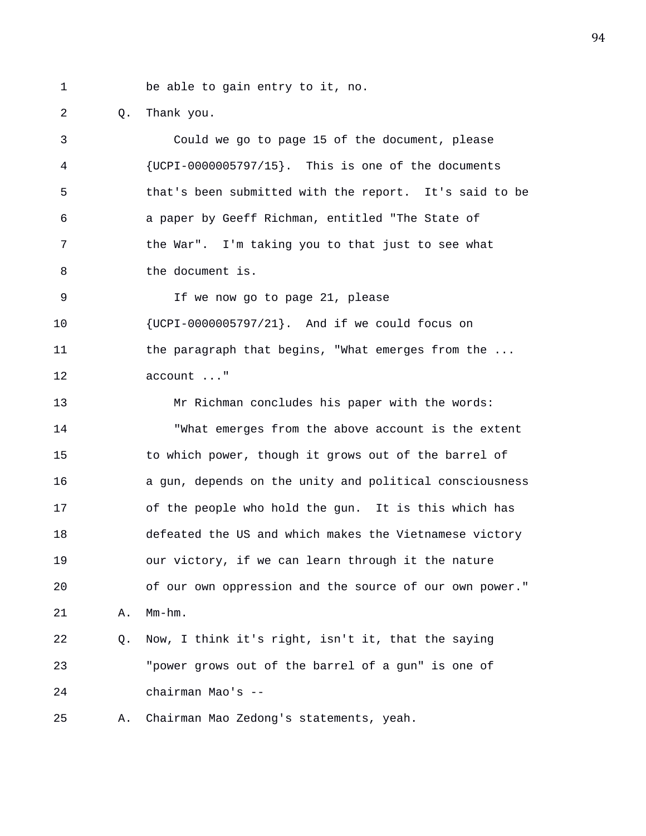1 be able to gain entry to it, no.

2 Q. Thank you.

3 Could we go to page 15 of the document, please 4 {UCPI-0000005797/15}. This is one of the documents 5 that's been submitted with the report. It's said to be 6 a paper by Geeff Richman, entitled "The State of 7 the War". I'm taking you to that just to see what 8 b the document is. 9 If we now go to page 21, please 10 {UCPI-0000005797/21}. And if we could focus on 11 the paragraph that begins, "What emerges from the ... 12 account ..." 13 Mr Richman concludes his paper with the words: 14 "What emerges from the above account is the extent 15 to which power, though it grows out of the barrel of 16 a gun, depends on the unity and political consciousness 17 of the people who hold the gun. It is this which has 18 defeated the US and which makes the Vietnamese victory 19 our victory, if we can learn through it the nature 20 of our own oppression and the source of our own power." 21 A. Mm-hm. 22 Q. Now, I think it's right, isn't it, that the saying 23 "power grows out of the barrel of a gun" is one of 24 chairman Mao's -- 25 A. Chairman Mao Zedong's statements, yeah.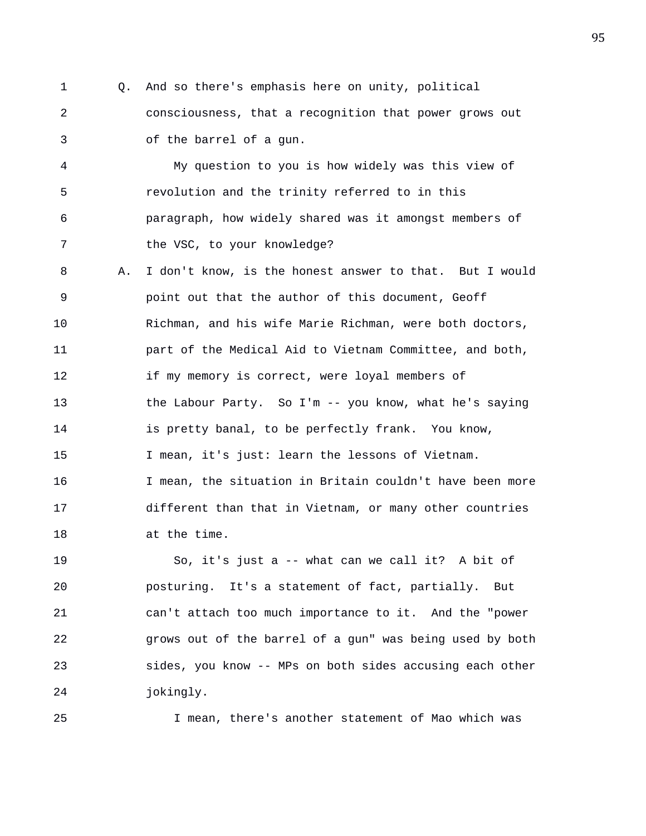1 Q. And so there's emphasis here on unity, political 2 consciousness, that a recognition that power grows out 3 of the barrel of a gun.

4 My question to you is how widely was this view of 5 revolution and the trinity referred to in this 6 paragraph, how widely shared was it amongst members of 7 the VSC, to your knowledge?

8 A. I don't know, is the honest answer to that. But I would 9 point out that the author of this document, Geoff 10 Richman, and his wife Marie Richman, were both doctors, 11 part of the Medical Aid to Vietnam Committee, and both, 12 if my memory is correct, were loyal members of 13 the Labour Party. So I'm -- you know, what he's saying 14 is pretty banal, to be perfectly frank. You know, 15 I mean, it's just: learn the lessons of Vietnam. 16 I mean, the situation in Britain couldn't have been more 17 different than that in Vietnam, or many other countries 18 at the time.

19 So, it's just a -- what can we call it? A bit of 20 posturing. It's a statement of fact, partially. But 21 can't attach too much importance to it. And the "power 22 grows out of the barrel of a gun" was being used by both 23 sides, you know -- MPs on both sides accusing each other 24 jokingly.

25 I mean, there's another statement of Mao which was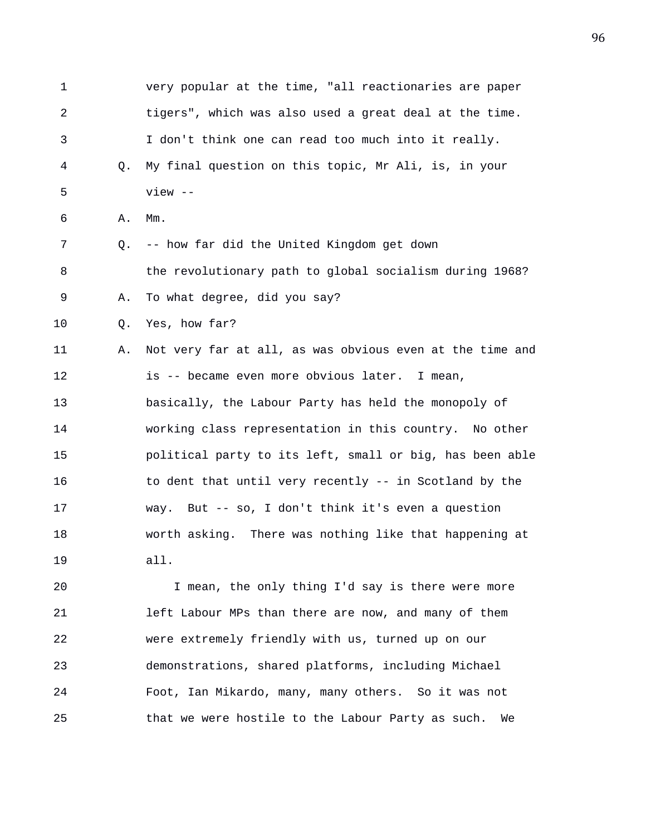| 1  |    | very popular at the time, "all reactionaries are paper   |
|----|----|----------------------------------------------------------|
| 2  |    | tigers", which was also used a great deal at the time.   |
| 3  |    | I don't think one can read too much into it really.      |
| 4  | Q. | My final question on this topic, Mr Ali, is, in your     |
| 5  |    | $view$ --                                                |
| 6  | Α. | $Mm$ .                                                   |
| 7  | Q. | -- how far did the United Kingdom get down               |
| 8  |    | the revolutionary path to global socialism during 1968?  |
| 9  | Α. | To what degree, did you say?                             |
| 10 | Q. | Yes, how far?                                            |
| 11 | Α. | Not very far at all, as was obvious even at the time and |
| 12 |    | is -- became even more obvious later. I mean,            |
| 13 |    | basically, the Labour Party has held the monopoly of     |
| 14 |    | working class representation in this country. No other   |
| 15 |    | political party to its left, small or big, has been able |
| 16 |    | to dent that until very recently -- in Scotland by the   |
| 17 |    | way. But -- so, I don't think it's even a question       |
| 18 |    | worth asking. There was nothing like that happening at   |
| 19 |    | all.                                                     |
|    |    |                                                          |

20 I mean, the only thing I'd say is there were more 21 left Labour MPs than there are now, and many of them 22 were extremely friendly with us, turned up on our 23 demonstrations, shared platforms, including Michael 24 Foot, Ian Mikardo, many, many others. So it was not 25 that we were hostile to the Labour Party as such. We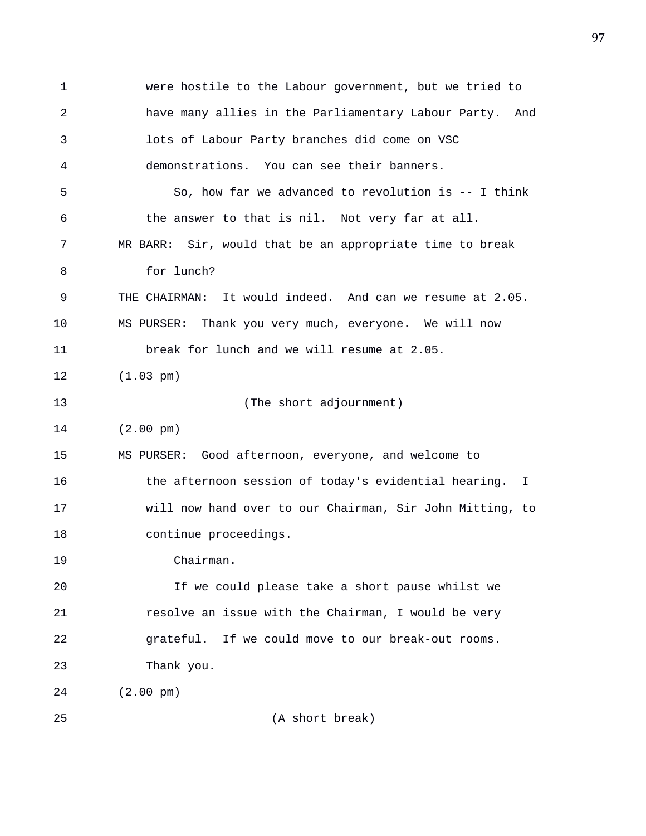1 were hostile to the Labour government, but we tried to 2 have many allies in the Parliamentary Labour Party. And 3 lots of Labour Party branches did come on VSC 4 demonstrations. You can see their banners. 5 So, how far we advanced to revolution is -- I think 6 the answer to that is nil. Not very far at all. 7 MR BARR: Sir, would that be an appropriate time to break 8 for lunch? 9 THE CHAIRMAN: It would indeed. And can we resume at 2.05. 10 MS PURSER: Thank you very much, everyone. We will now 11 break for lunch and we will resume at 2.05. 12 (1.03 pm) 13 (The short adjournment) 14 (2.00 pm) 15 MS PURSER: Good afternoon, everyone, and welcome to 16 the afternoon session of today's evidential hearing. I 17 will now hand over to our Chairman, Sir John Mitting, to 18 continue proceedings. 19 Chairman. 20 If we could please take a short pause whilst we 21 resolve an issue with the Chairman, I would be very 22 grateful. If we could move to our break-out rooms. 23 Thank you. 24 (2.00 pm) 25 (A short break)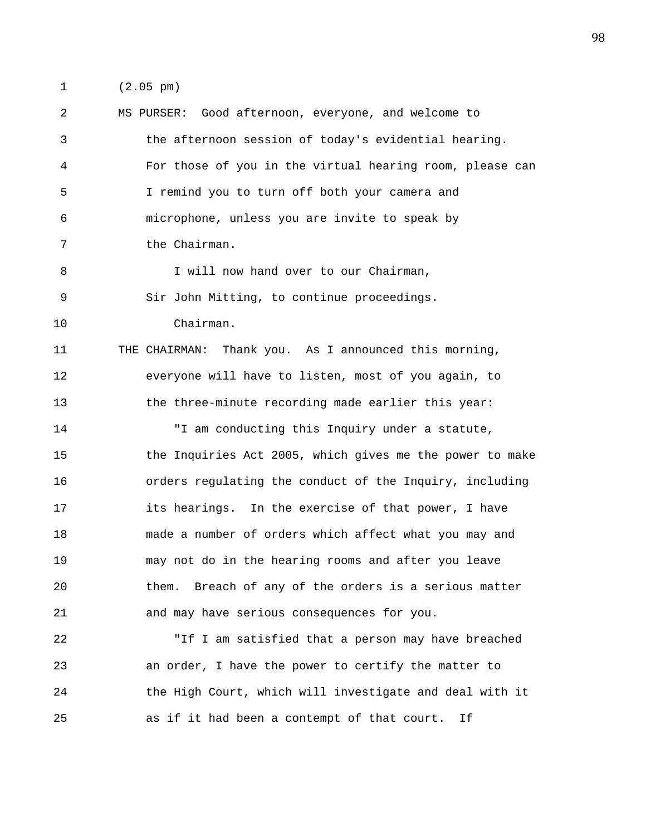1 (2.05 pm)

2 MS PURSER: Good afternoon, everyone, and welcome to 3 the afternoon session of today's evidential hearing. 4 For those of you in the virtual hearing room, please can 5 I remind you to turn off both your camera and 6 microphone, unless you are invite to speak by 7 the Chairman. 8 I will now hand over to our Chairman, 9 Sir John Mitting, to continue proceedings. 10 Chairman. 11 THE CHAIRMAN: Thank you. As I announced this morning, 12 everyone will have to listen, most of you again, to 13 the three-minute recording made earlier this year: 14 "I am conducting this Inquiry under a statute, 15 the Inquiries Act 2005, which gives me the power to make 16 orders regulating the conduct of the Inquiry, including 17 its hearings. In the exercise of that power, I have 18 made a number of orders which affect what you may and 19 may not do in the hearing rooms and after you leave 20 them. Breach of any of the orders is a serious matter 21 and may have serious consequences for you. 22 "If I am satisfied that a person may have breached 23 an order, I have the power to certify the matter to 24 the High Court, which will investigate and deal with it 25 as if it had been a contempt of that court. If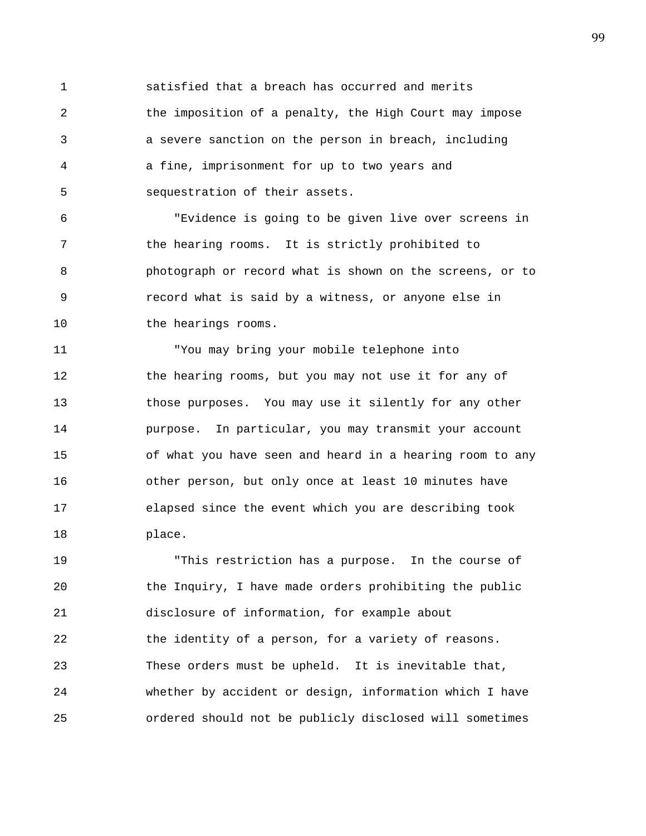1 satisfied that a breach has occurred and merits 2 the imposition of a penalty, the High Court may impose 3 a severe sanction on the person in breach, including 4 a fine, imprisonment for up to two years and 5 sequestration of their assets.

6 "Evidence is going to be given live over screens in 7 the hearing rooms. It is strictly prohibited to 8 photograph or record what is shown on the screens, or to 9 record what is said by a witness, or anyone else in 10 the hearings rooms.

11 "You may bring your mobile telephone into 12 the hearing rooms, but you may not use it for any of 13 those purposes. You may use it silently for any other 14 purpose. In particular, you may transmit your account 15 of what you have seen and heard in a hearing room to any 16 other person, but only once at least 10 minutes have 17 elapsed since the event which you are describing took 18 place.

19 "This restriction has a purpose. In the course of 20 the Inquiry, I have made orders prohibiting the public 21 disclosure of information, for example about 22 the identity of a person, for a variety of reasons. 23 These orders must be upheld. It is inevitable that, 24 whether by accident or design, information which I have 25 ordered should not be publicly disclosed will sometimes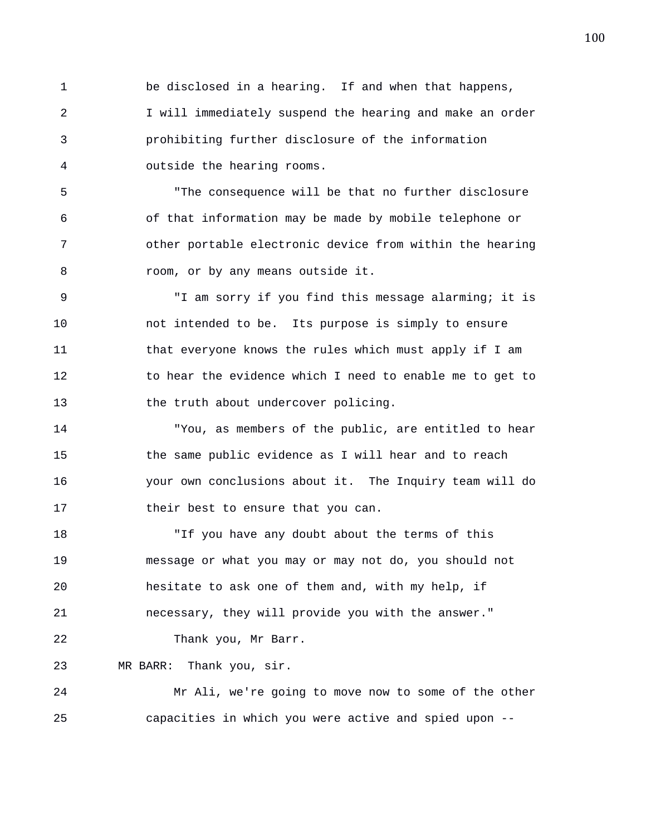1 be disclosed in a hearing. If and when that happens, 2 I will immediately suspend the hearing and make an order 3 prohibiting further disclosure of the information 4 outside the hearing rooms.

5 "The consequence will be that no further disclosure 6 of that information may be made by mobile telephone or 7 other portable electronic device from within the hearing 8 room, or by any means outside it.

9 "I am sorry if you find this message alarming; it is 10 not intended to be. Its purpose is simply to ensure 11 that everyone knows the rules which must apply if I am 12 to hear the evidence which I need to enable me to get to 13 the truth about undercover policing.

14 "You, as members of the public, are entitled to hear 15 the same public evidence as I will hear and to reach 16 your own conclusions about it. The Inquiry team will do 17 their best to ensure that you can.

18 "If you have any doubt about the terms of this 19 message or what you may or may not do, you should not 20 hesitate to ask one of them and, with my help, if 21 necessary, they will provide you with the answer." 22 Thank you, Mr Barr.

23 MR BARR: Thank you, sir.

24 Mr Ali, we're going to move now to some of the other 25 capacities in which you were active and spied upon --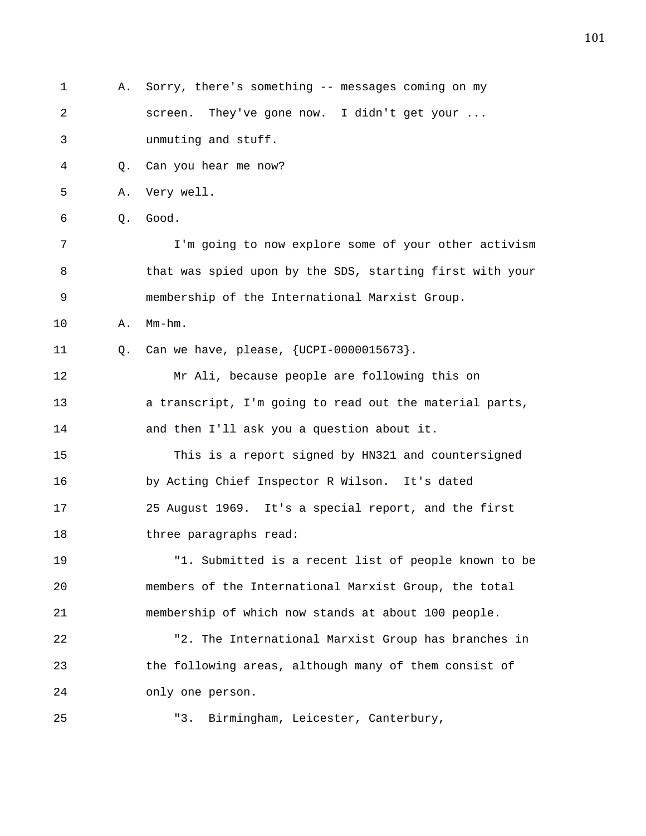1 A. Sorry, there's something -- messages coming on my 2 screen. They've gone now. I didn't get your ... 3 unmuting and stuff. 4 Q. Can you hear me now? 5 A. Very well. 6 Q. Good. 7 I'm going to now explore some of your other activism 8 that was spied upon by the SDS, starting first with your 9 membership of the International Marxist Group. 10 A. Mm-hm. 11 Q. Can we have, please, {UCPI-0000015673}. 12 Mr Ali, because people are following this on 13 a transcript, I'm going to read out the material parts, 14 and then I'll ask you a question about it. 15 This is a report signed by HN321 and countersigned 16 by Acting Chief Inspector R Wilson. It's dated 17 25 August 1969. It's a special report, and the first 18 three paragraphs read: 19 "1. Submitted is a recent list of people known to be 20 members of the International Marxist Group, the total 21 membership of which now stands at about 100 people. 22 "2. The International Marxist Group has branches in 23 the following areas, although many of them consist of 24 only one person. 25 "3. Birmingham, Leicester, Canterbury,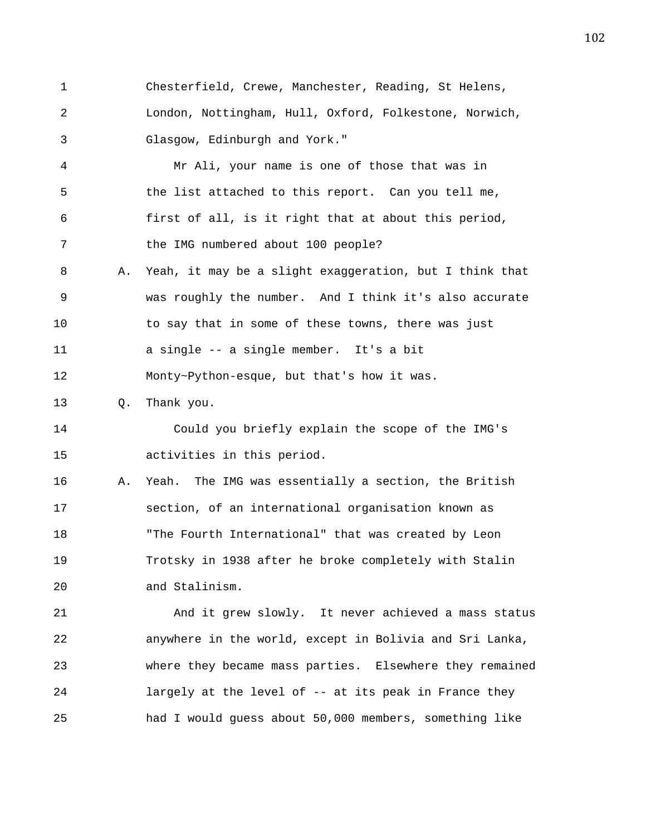1 Chesterfield, Crewe, Manchester, Reading, St Helens, 2 London, Nottingham, Hull, Oxford, Folkestone, Norwich, 3 Glasgow, Edinburgh and York."

4 Mr Ali, your name is one of those that was in 5 the list attached to this report. Can you tell me, 6 first of all, is it right that at about this period, 7 the IMG numbered about 100 people?

8 A. Yeah, it may be a slight exaggeration, but I think that 9 was roughly the number. And I think it's also accurate 10 to say that in some of these towns, there was just 11 a single -- a single member. It's a bit

12 Monty~Python-esque, but that's how it was.

13 Q. Thank you.

14 Could you briefly explain the scope of the IMG's 15 activities in this period.

16 A. Yeah. The IMG was essentially a section, the British 17 section, of an international organisation known as 18 "The Fourth International" that was created by Leon 19 Trotsky in 1938 after he broke completely with Stalin 20 and Stalinism.

21 And it grew slowly. It never achieved a mass status 22 anywhere in the world, except in Bolivia and Sri Lanka, 23 where they became mass parties. Elsewhere they remained 24 largely at the level of -- at its peak in France they 25 had I would guess about 50,000 members, something like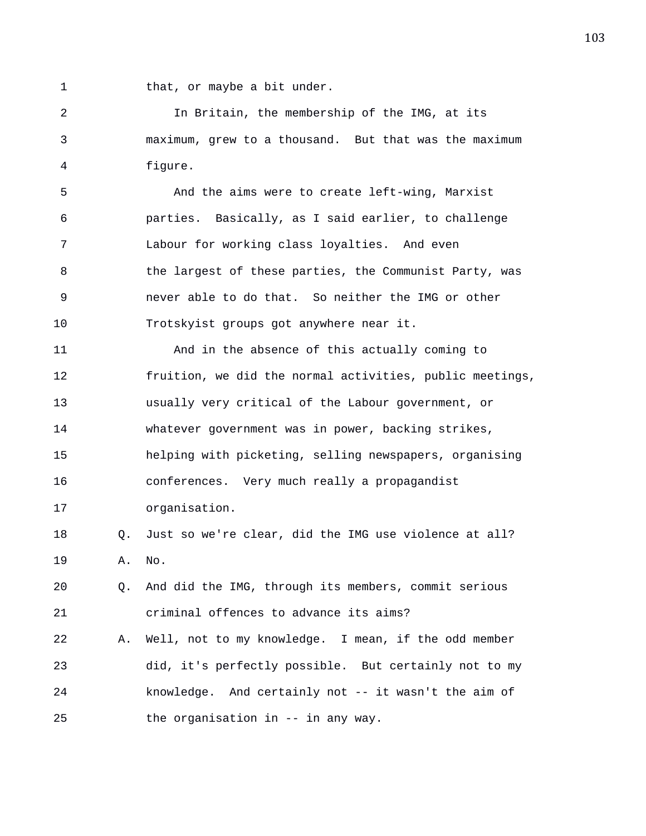1 that, or maybe a bit under.

2 In Britain, the membership of the IMG, at its 3 maximum, grew to a thousand. But that was the maximum 4 figure.

5 And the aims were to create left-wing, Marxist 6 parties. Basically, as I said earlier, to challenge 7 Labour for working class loyalties. And even 8 the largest of these parties, the Communist Party, was 9 never able to do that. So neither the IMG or other 10 Trotskyist groups got anywhere near it.

11 And in the absence of this actually coming to 12 fruition, we did the normal activities, public meetings, 13 usually very critical of the Labour government, or 14 whatever government was in power, backing strikes, 15 helping with picketing, selling newspapers, organising 16 conferences. Very much really a propagandist 17 organisation.

## 18 Q. Just so we're clear, did the IMG use violence at all? 19 A. No.

20 Q. And did the IMG, through its members, commit serious 21 criminal offences to advance its aims?

22 A. Well, not to my knowledge. I mean, if the odd member 23 did, it's perfectly possible. But certainly not to my 24 knowledge. And certainly not -- it wasn't the aim of 25 the organisation in -- in any way.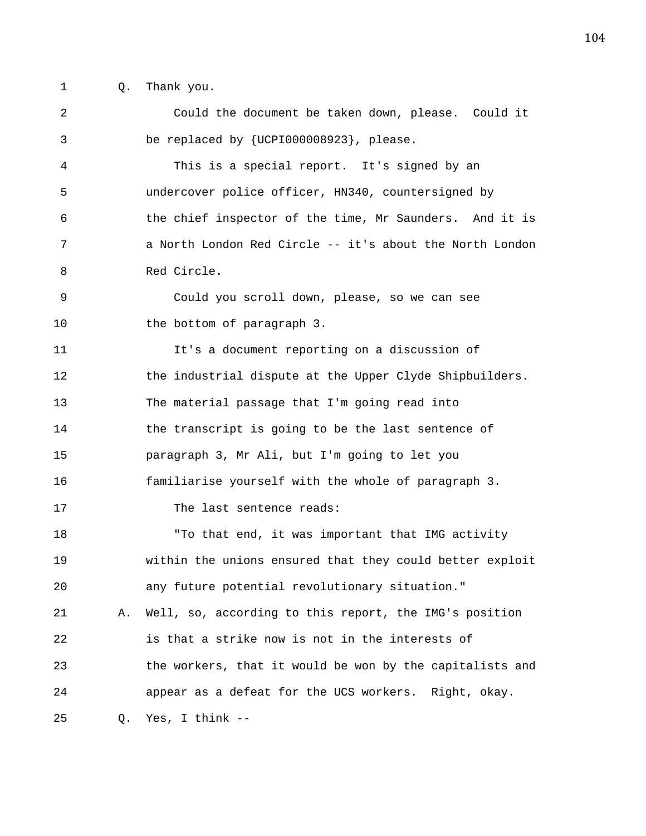- 
- 1 Q. Thank you.

2 Could the document be taken down, please. Could it 3 be replaced by {UCPI000008923}, please. 4 This is a special report. It's signed by an 5 undercover police officer, HN340, countersigned by 6 the chief inspector of the time, Mr Saunders. And it is 7 a North London Red Circle -- it's about the North London 8 Red Circle. 9 Could you scroll down, please, so we can see 10 the bottom of paragraph 3. 11 It's a document reporting on a discussion of 12 the industrial dispute at the Upper Clyde Shipbuilders. 13 The material passage that I'm going read into 14 the transcript is going to be the last sentence of 15 paragraph 3, Mr Ali, but I'm going to let you 16 familiarise yourself with the whole of paragraph 3. 17 The last sentence reads: 18 To that end, it was important that IMG activity 19 within the unions ensured that they could better exploit 20 any future potential revolutionary situation." 21 A. Well, so, according to this report, the IMG's position 22 is that a strike now is not in the interests of 23 the workers, that it would be won by the capitalists and 24 appear as a defeat for the UCS workers. Right, okay. 25 Q. Yes, I think --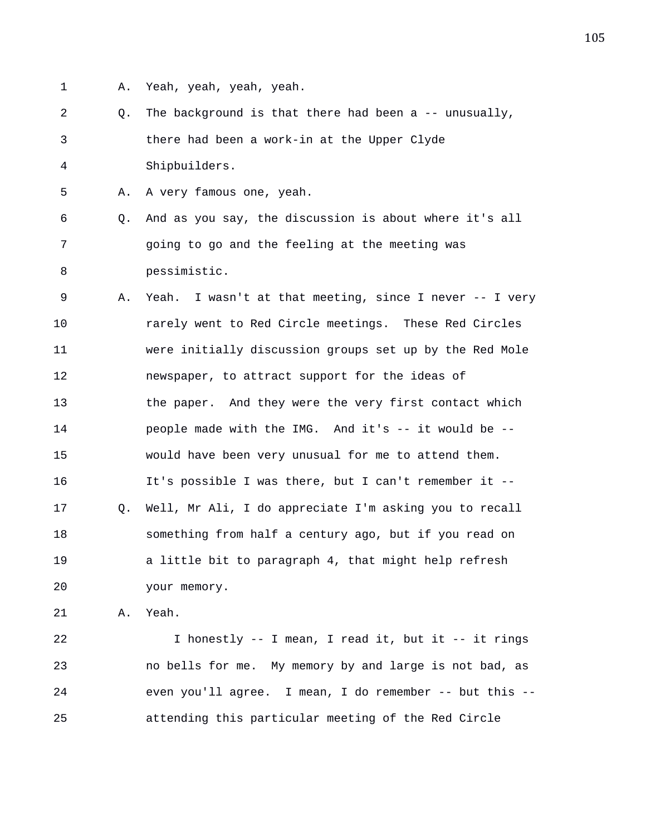- 
- 1 A. Yeah, yeah, yeah, yeah.

2 Q. The background is that there had been a -- unusually, 3 there had been a work-in at the Upper Clyde 4 Shipbuilders.

5 A. A very famous one, yeah.

6 Q. And as you say, the discussion is about where it's all 7 going to go and the feeling at the meeting was 8 pessimistic.

9 A. Yeah. I wasn't at that meeting, since I never -- I very 10 rarely went to Red Circle meetings. These Red Circles 11 were initially discussion groups set up by the Red Mole 12 newspaper, to attract support for the ideas of 13 the paper. And they were the very first contact which 14 people made with the IMG. And it's -- it would be -- 15 would have been very unusual for me to attend them. 16 It's possible I was there, but I can't remember it -- 17 Q. Well, Mr Ali, I do appreciate I'm asking you to recall 18 something from half a century ago, but if you read on 19 a little bit to paragraph 4, that might help refresh 20 your memory.

21 A. Yeah.

22 I honestly -- I mean, I read it, but it -- it rings 23 no bells for me. My memory by and large is not bad, as 24 even you'll agree. I mean, I do remember -- but this -- 25 attending this particular meeting of the Red Circle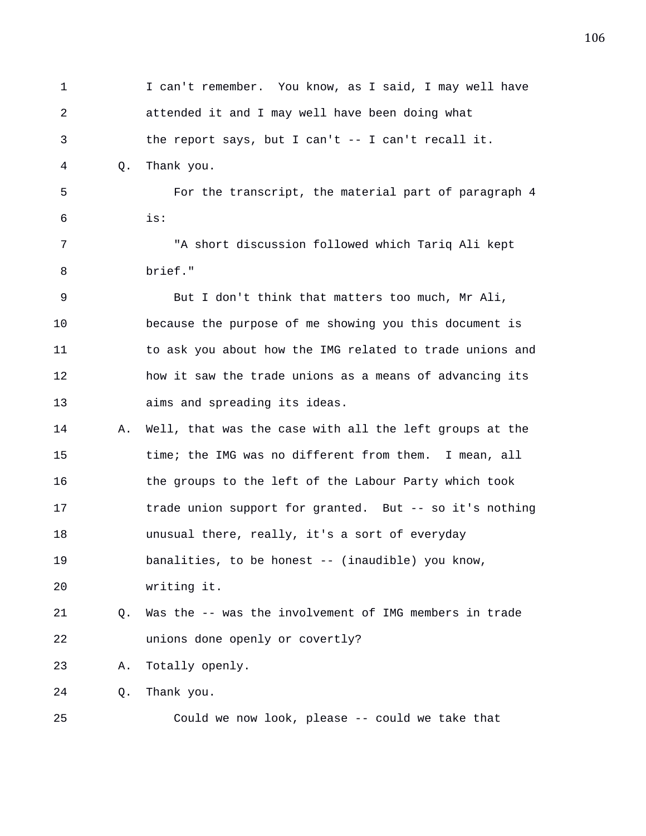1 I can't remember. You know, as I said, I may well have 2 attended it and I may well have been doing what 3 the report says, but I can't -- I can't recall it. 4 Q. Thank you. 5 For the transcript, the material part of paragraph 4 6 is: 7 "A short discussion followed which Tariq Ali kept 8 brief." 9 But I don't think that matters too much, Mr Ali, 10 because the purpose of me showing you this document is 11 to ask you about how the IMG related to trade unions and 12 how it saw the trade unions as a means of advancing its 13 aims and spreading its ideas. 14 A. Well, that was the case with all the left groups at the 15 time; the IMG was no different from them. I mean, all 16 the groups to the left of the Labour Party which took 17 trade union support for granted. But -- so it's nothing 18 unusual there, really, it's a sort of everyday 19 banalities, to be honest -- (inaudible) you know, 20 writing it. 21 Q. Was the -- was the involvement of IMG members in trade 22 unions done openly or covertly? 23 A. Totally openly. 24 Q. Thank you. 25 Could we now look, please -- could we take that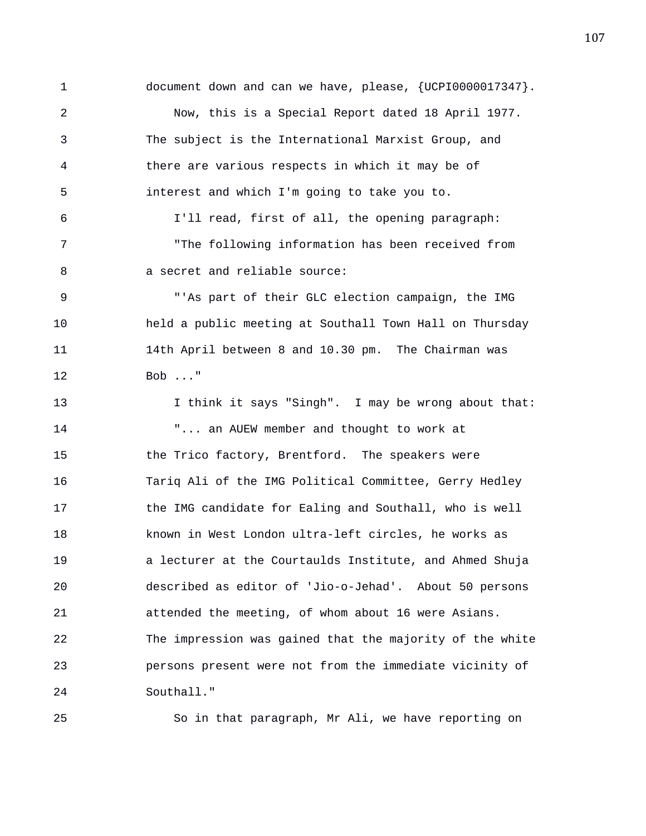1 document down and can we have, please, {UCPI0000017347}. 2 Now, this is a Special Report dated 18 April 1977. 3 The subject is the International Marxist Group, and 4 there are various respects in which it may be of 5 interest and which I'm going to take you to. 6 I'll read, first of all, the opening paragraph: 7 "The following information has been received from 8 a secret and reliable source: 9 "'As part of their GLC election campaign, the IMG 10 held a public meeting at Southall Town Hall on Thursday 11 14th April between 8 and 10.30 pm. The Chairman was 12 Bob ..." 13 I think it says "Singh". I may be wrong about that: 14 "... an AUEW member and thought to work at 15 the Trico factory, Brentford. The speakers were 16 Tariq Ali of the IMG Political Committee, Gerry Hedley 17 the IMG candidate for Ealing and Southall, who is well 18 known in West London ultra-left circles, he works as 19 a lecturer at the Courtaulds Institute, and Ahmed Shuja 20 described as editor of 'Jio-o-Jehad'. About 50 persons 21 attended the meeting, of whom about 16 were Asians. 22 The impression was gained that the majority of the white 23 persons present were not from the immediate vicinity of 24 Southall."

25 So in that paragraph, Mr Ali, we have reporting on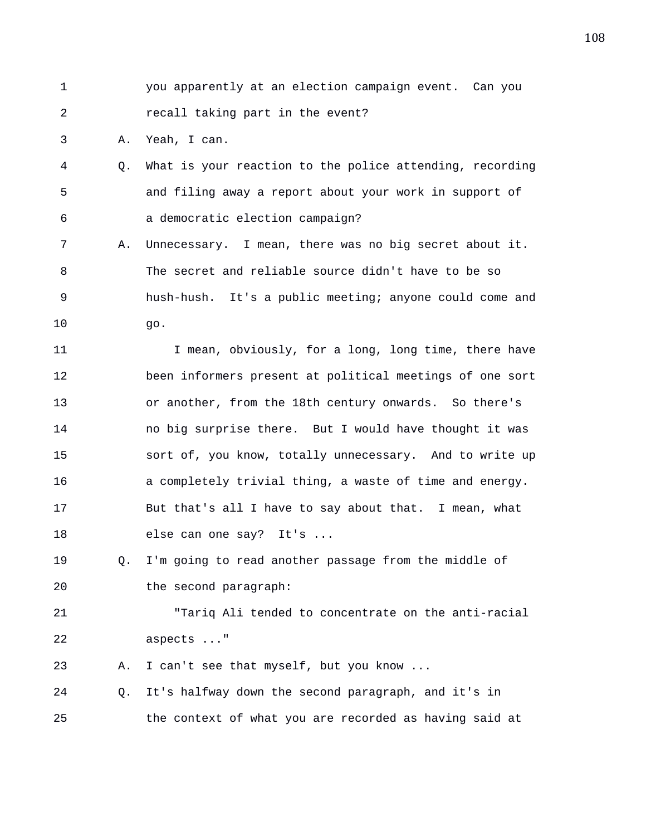1 you apparently at an election campaign event. Can you 2 recall taking part in the event?

3 A. Yeah, I can.

- 4 Q. What is your reaction to the police attending, recording 5 and filing away a report about your work in support of 6 a democratic election campaign?
- 7 A. Unnecessary. I mean, there was no big secret about it. 8 The secret and reliable source didn't have to be so 9 hush-hush. It's a public meeting; anyone could come and 10 go.

11 I mean, obviously, for a long, long time, there have 12 been informers present at political meetings of one sort 13 or another, from the 18th century onwards. So there's 14 no big surprise there. But I would have thought it was 15 sort of, you know, totally unnecessary. And to write up 16 a completely trivial thing, a waste of time and energy. 17 But that's all I have to say about that. I mean, what 18 else can one say? It's ...

19 Q. I'm going to read another passage from the middle of 20 the second paragraph:

21 "Tariq Ali tended to concentrate on the anti-racial 22 aspects ..."

23 A. I can't see that myself, but you know ...

24 Q. It's halfway down the second paragraph, and it's in 25 the context of what you are recorded as having said at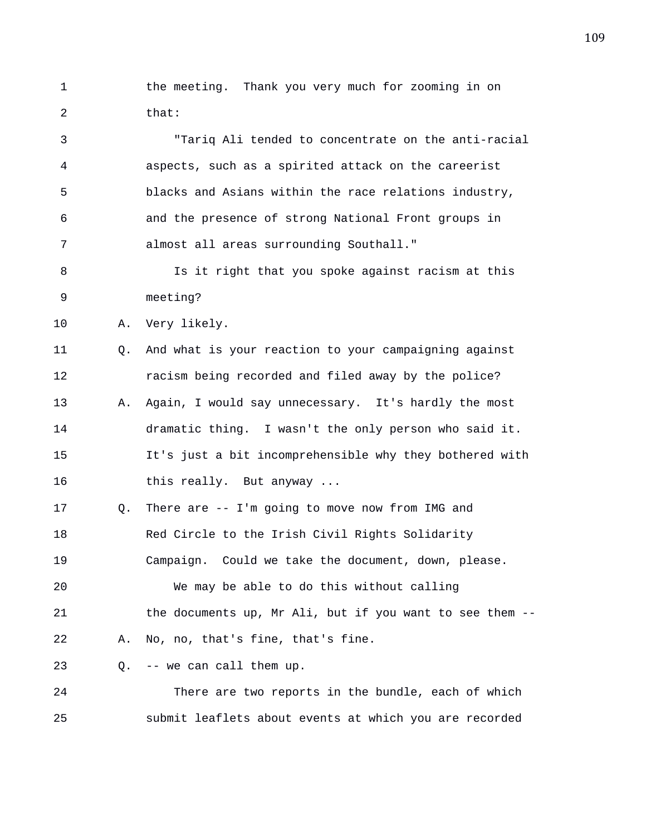1 the meeting. Thank you very much for zooming in on 2 that:

3 "Tariq Ali tended to concentrate on the anti-racial 4 aspects, such as a spirited attack on the careerist 5 blacks and Asians within the race relations industry, 6 and the presence of strong National Front groups in 7 almost all areas surrounding Southall."

8 Is it right that you spoke against racism at this 9 meeting?

10 A. Very likely.

11 Q. And what is your reaction to your campaigning against 12 racism being recorded and filed away by the police? 13 A. Again, I would say unnecessary. It's hardly the most 14 dramatic thing. I wasn't the only person who said it. 15 It's just a bit incomprehensible why they bothered with 16 this really. But anyway ...

17 Q. There are -- I'm going to move now from IMG and 18 Red Circle to the Irish Civil Rights Solidarity 19 Campaign. Could we take the document, down, please.

20 We may be able to do this without calling 21 the documents up, Mr Ali, but if you want to see them -- 22 A. No, no, that's fine, that's fine.

23 Q. -- we can call them up.

24 There are two reports in the bundle, each of which 25 submit leaflets about events at which you are recorded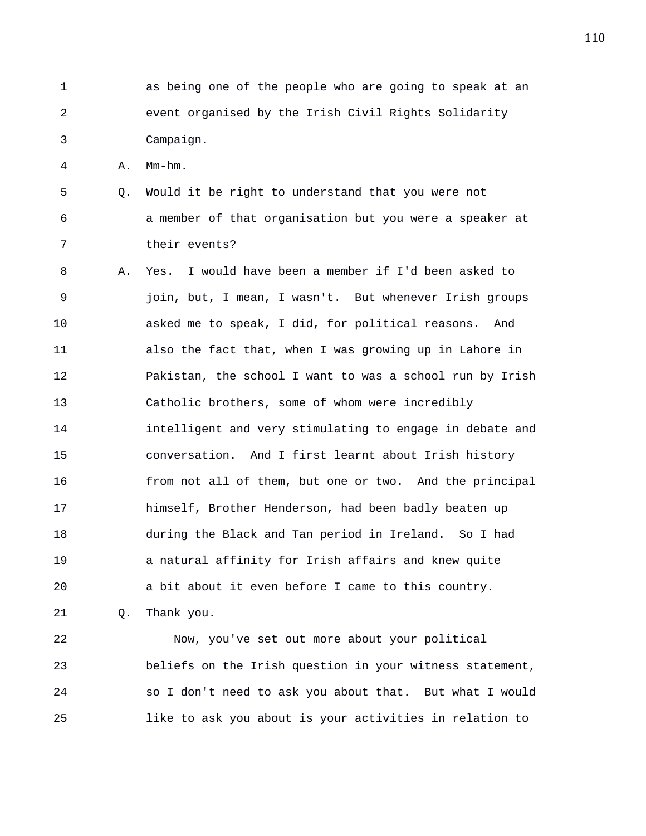1 as being one of the people who are going to speak at an 2 event organised by the Irish Civil Rights Solidarity 3 Campaign.

4 A. Mm-hm.

- 5 Q. Would it be right to understand that you were not 6 a member of that organisation but you were a speaker at 7 their events?
- 8 A. Yes. I would have been a member if I'd been asked to 9 join, but, I mean, I wasn't. But whenever Irish groups 10 asked me to speak, I did, for political reasons. And 11 also the fact that, when I was growing up in Lahore in 12 Pakistan, the school I want to was a school run by Irish 13 Catholic brothers, some of whom were incredibly 14 intelligent and very stimulating to engage in debate and 15 conversation. And I first learnt about Irish history 16 from not all of them, but one or two. And the principal 17 himself, Brother Henderson, had been badly beaten up 18 during the Black and Tan period in Ireland. So I had 19 a natural affinity for Irish affairs and knew quite 20 a bit about it even before I came to this country. 21 Q. Thank you.

22 Now, you've set out more about your political 23 beliefs on the Irish question in your witness statement, 24 so I don't need to ask you about that. But what I would 25 like to ask you about is your activities in relation to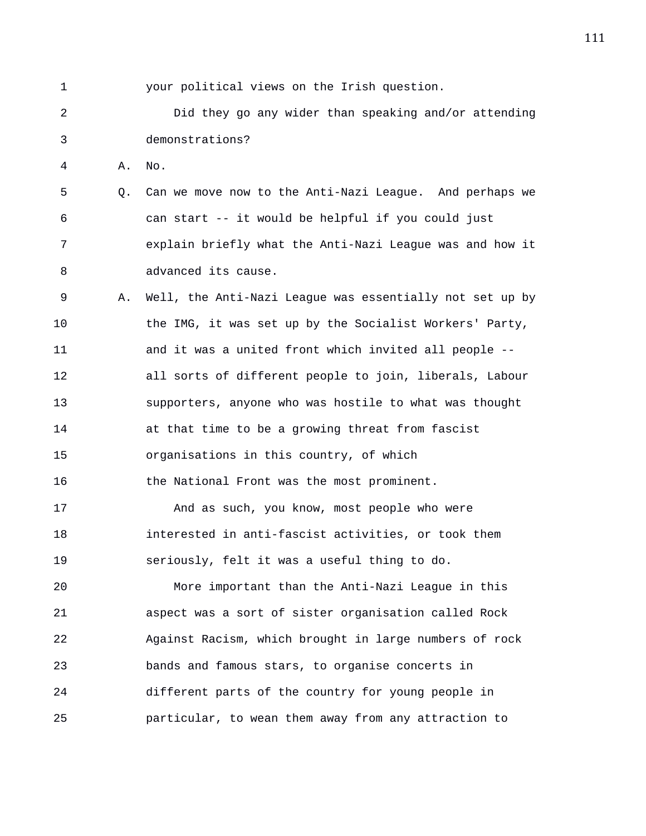1 your political views on the Irish question. 2 Did they go any wider than speaking and/or attending 3 demonstrations? 4 A. No. 5 Q. Can we move now to the Anti-Nazi League. And perhaps we 6 can start -- it would be helpful if you could just 7 explain briefly what the Anti-Nazi League was and how it 8 advanced its cause. 9 A. Well, the Anti-Nazi League was essentially not set up by 10 the IMG, it was set up by the Socialist Workers' Party, 11 and it was a united front which invited all people -- 12 all sorts of different people to join, liberals, Labour 13 supporters, anyone who was hostile to what was thought 14 at that time to be a growing threat from fascist 15 organisations in this country, of which 16 the National Front was the most prominent. 17 And as such, you know, most people who were 18 interested in anti-fascist activities, or took them 19 seriously, felt it was a useful thing to do. 20 More important than the Anti-Nazi League in this 21 aspect was a sort of sister organisation called Rock 22 Against Racism, which brought in large numbers of rock 23 bands and famous stars, to organise concerts in 24 different parts of the country for young people in 25 particular, to wean them away from any attraction to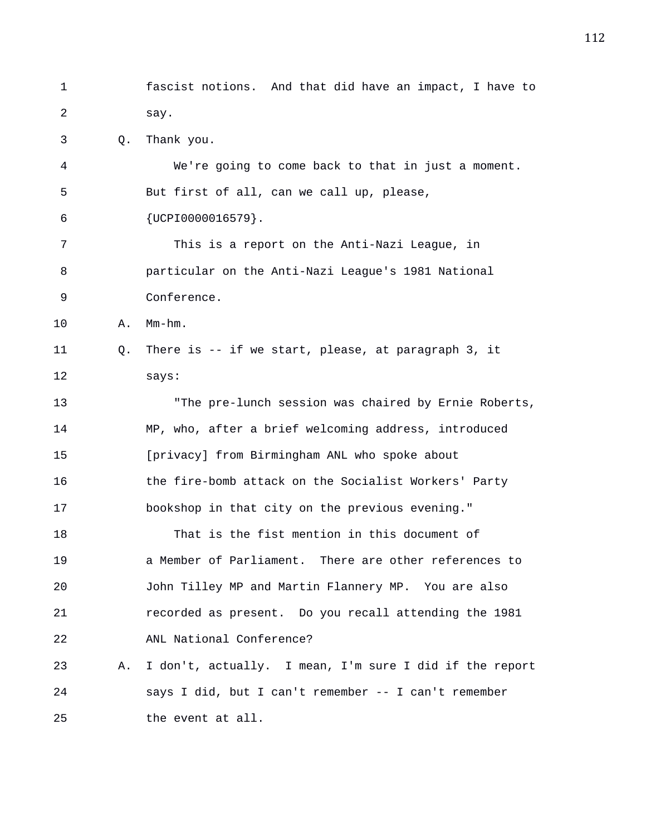1 fascist notions. And that did have an impact, I have to 2 say. 3 Q. Thank you. 4 We're going to come back to that in just a moment. 5 But first of all, can we call up, please, 6 {UCPI0000016579}. 7 This is a report on the Anti-Nazi League, in 8 particular on the Anti-Nazi League's 1981 National 9 Conference. 10 A. Mm-hm. 11 Q. There is -- if we start, please, at paragraph 3, it 12 says: 13 "The pre-lunch session was chaired by Ernie Roberts, 14 MP, who, after a brief welcoming address, introduced 15 [privacy] from Birmingham ANL who spoke about 16 the fire-bomb attack on the Socialist Workers' Party 17 bookshop in that city on the previous evening." 18 That is the fist mention in this document of 19 a Member of Parliament. There are other references to 20 John Tilley MP and Martin Flannery MP. You are also 21 recorded as present. Do you recall attending the 1981 22 ANL National Conference? 23 A. I don't, actually. I mean, I'm sure I did if the report 24 says I did, but I can't remember -- I can't remember 25 the event at all.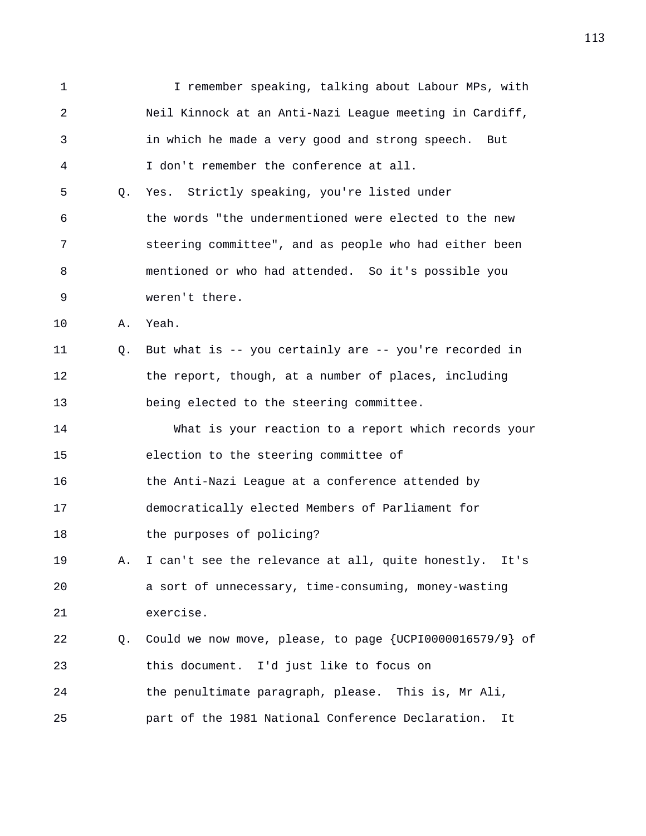1 I remember speaking, talking about Labour MPs, with 2 Neil Kinnock at an Anti-Nazi League meeting in Cardiff, 3 in which he made a very good and strong speech. But 4 I don't remember the conference at all. 5 Q. Yes. Strictly speaking, you're listed under 6 the words "the undermentioned were elected to the new 7 steering committee", and as people who had either been 8 mentioned or who had attended. So it's possible you 9 weren't there. 10 A. Yeah. 11 Q. But what is -- you certainly are -- you're recorded in 12 the report, though, at a number of places, including 13 being elected to the steering committee. 14 What is your reaction to a report which records your 15 election to the steering committee of 16 the Anti-Nazi League at a conference attended by 17 democratically elected Members of Parliament for 18 the purposes of policing? 19 A. I can't see the relevance at all, quite honestly. It's 20 a sort of unnecessary, time-consuming, money-wasting 21 exercise. 22 Q. Could we now move, please, to page {UCPI0000016579/9} of 23 this document. I'd just like to focus on 24 the penultimate paragraph, please. This is, Mr Ali, 25 part of the 1981 National Conference Declaration. It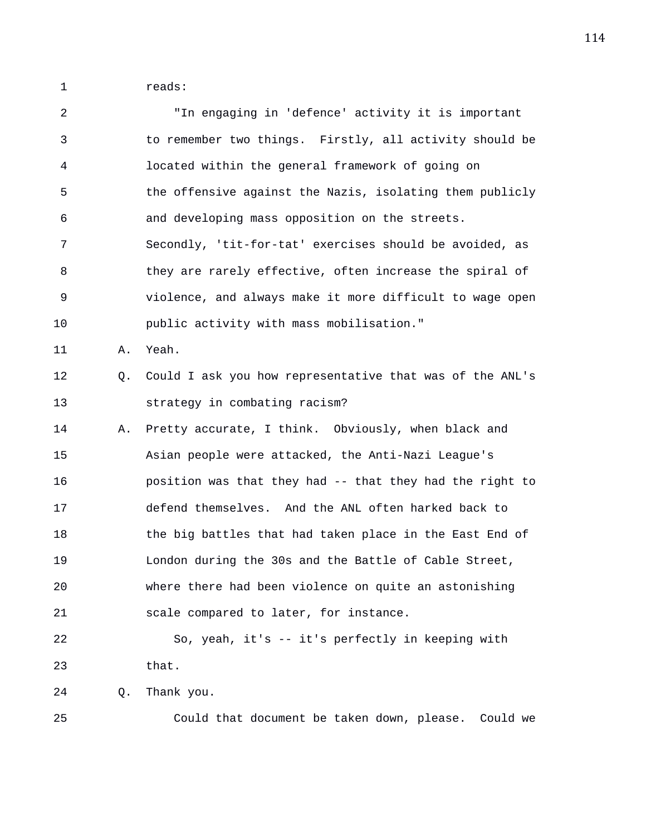1 reads:

| $\overline{a}$ |    | "In engaging in 'defence' activity it is important       |
|----------------|----|----------------------------------------------------------|
| $\mathfrak{Z}$ |    | to remember two things. Firstly, all activity should be  |
| 4              |    | located within the general framework of going on         |
| 5              |    | the offensive against the Nazis, isolating them publicly |
| 6              |    | and developing mass opposition on the streets.           |
| 7              |    | Secondly, 'tit-for-tat' exercises should be avoided, as  |
| 8              |    | they are rarely effective, often increase the spiral of  |
| 9              |    | violence, and always make it more difficult to wage open |
| 10             |    | public activity with mass mobilisation."                 |
| 11             | Α. | Yeah.                                                    |
| 12             | Q. | Could I ask you how representative that was of the ANL's |
| 13             |    | strategy in combating racism?                            |
| 14             | Α. | Pretty accurate, I think. Obviously, when black and      |
| 15             |    | Asian people were attacked, the Anti-Nazi League's       |
| 16             |    | position was that they had -- that they had the right to |
| 17             |    | defend themselves. And the ANL often harked back to      |
| 18             |    | the big battles that had taken place in the East End of  |
| 19             |    | London during the 30s and the Battle of Cable Street,    |
| 20             |    | where there had been violence on quite an astonishing    |
| 21             |    | scale compared to later, for instance.                   |
| 22             |    | So, yeah, it's -- it's perfectly in keeping with         |
| 23             |    | that.                                                    |
| 24             | Q. | Thank you.                                               |
| 25             |    | Could that document be taken down, please. Could we      |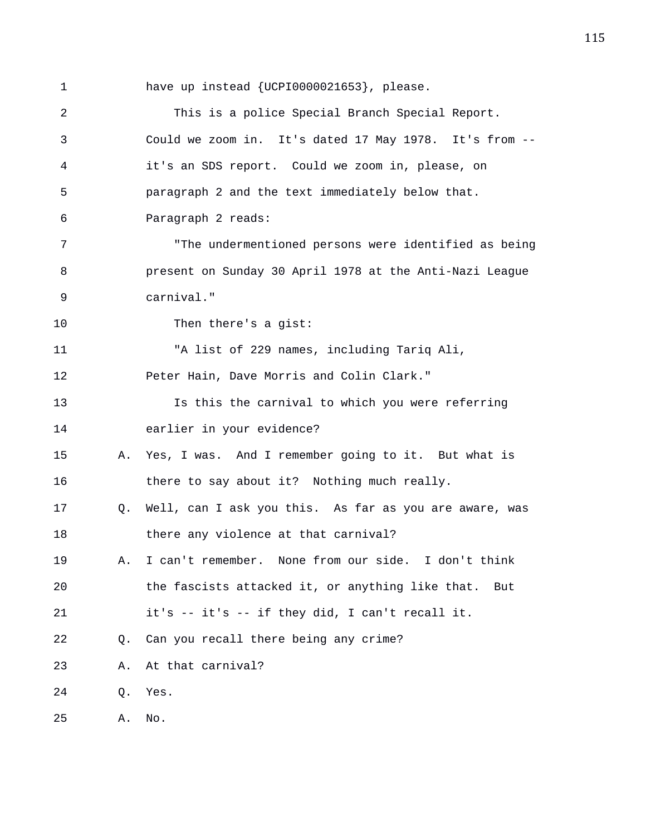1 have up instead {UCPI0000021653}, please.

2 This is a police Special Branch Special Report. 3 Could we zoom in. It's dated 17 May 1978. It's from -- 4 it's an SDS report. Could we zoom in, please, on 5 paragraph 2 and the text immediately below that. 6 Paragraph 2 reads: 7 "The undermentioned persons were identified as being 8 present on Sunday 30 April 1978 at the Anti-Nazi League 9 carnival." 10 Then there's a gist: 11 "A list of 229 names, including Tariq Ali, 12 Peter Hain, Dave Morris and Colin Clark." 13 Is this the carnival to which you were referring 14 earlier in your evidence? 15 A. Yes, I was. And I remember going to it. But what is 16 there to say about it? Nothing much really. 17 Q. Well, can I ask you this. As far as you are aware, was 18 there any violence at that carnival? 19 A. I can't remember. None from our side. I don't think 20 the fascists attacked it, or anything like that. But 21 it's -- it's -- if they did, I can't recall it. 22 Q. Can you recall there being any crime? 23 A. At that carnival? 24 Q. Yes. 25 A. No.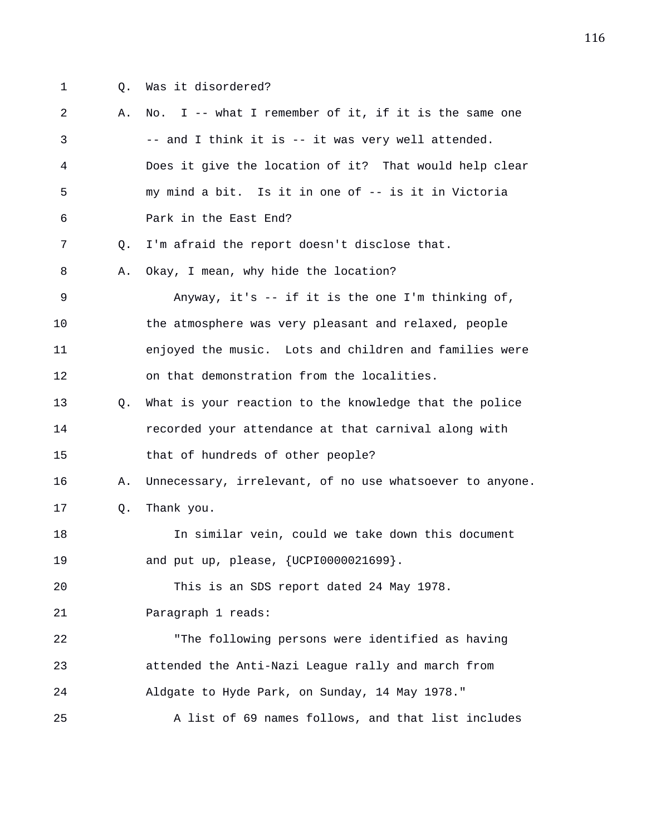- 
- 1 Q. Was it disordered?

2 A. No. I -- what I remember of it, if it is the same one 3 -- and I think it is -- it was very well attended. 4 Does it give the location of it? That would help clear 5 my mind a bit. Is it in one of -- is it in Victoria 6 Park in the East End? 7 Q. I'm afraid the report doesn't disclose that. 8 A. Okay, I mean, why hide the location? 9 Anyway, it's -- if it is the one I'm thinking of, 10 the atmosphere was very pleasant and relaxed, people 11 enjoyed the music. Lots and children and families were 12 on that demonstration from the localities. 13 Q. What is your reaction to the knowledge that the police 14 recorded your attendance at that carnival along with 15 that of hundreds of other people? 16 A. Unnecessary, irrelevant, of no use whatsoever to anyone. 17 Q. Thank you. 18 In similar vein, could we take down this document 19 and put up, please, {UCPI0000021699}. 20 This is an SDS report dated 24 May 1978. 21 Paragraph 1 reads: 22 "The following persons were identified as having 23 attended the Anti-Nazi League rally and march from 24 Aldgate to Hyde Park, on Sunday, 14 May 1978." 25 A list of 69 names follows, and that list includes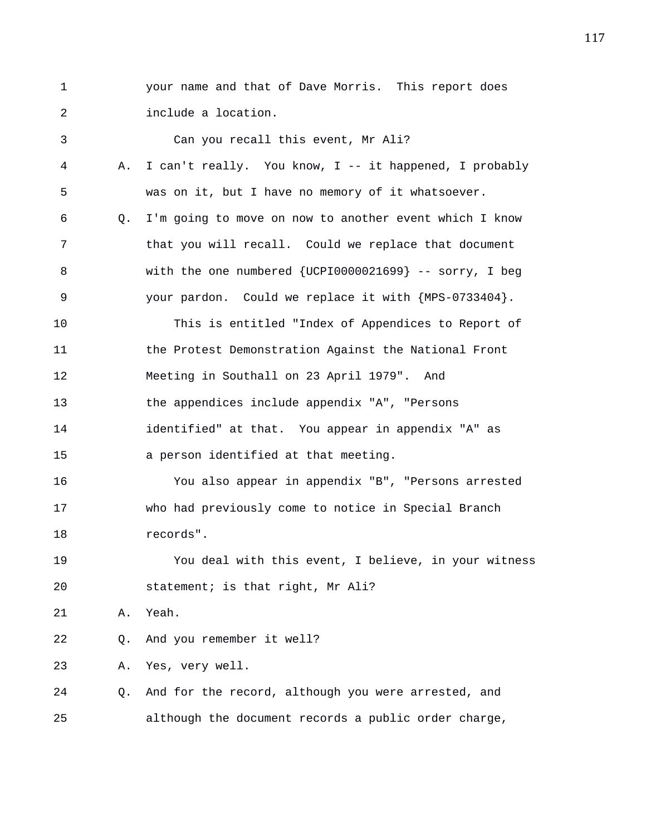1 your name and that of Dave Morris. This report does 2 include a location.

3 Can you recall this event, Mr Ali? 4 A. I can't really. You know, I -- it happened, I probably 5 was on it, but I have no memory of it whatsoever. 6 Q. I'm going to move on now to another event which I know 7 that you will recall. Could we replace that document 8 with the one numbered {UCPI0000021699} -- sorry, I beg 9 your pardon. Could we replace it with {MPS-0733404}. 10 This is entitled "Index of Appendices to Report of 11 the Protest Demonstration Against the National Front 12 Meeting in Southall on 23 April 1979". And 13 the appendices include appendix "A", "Persons 14 identified" at that. You appear in appendix "A" as 15 a person identified at that meeting. 16 You also appear in appendix "B", "Persons arrested 17 who had previously come to notice in Special Branch 18 records". 19 You deal with this event, I believe, in your witness 20 statement; is that right, Mr Ali? 21 A. Yeah. 22 Q. And you remember it well? 23 A. Yes, very well. 24 Q. And for the record, although you were arrested, and 25 although the document records a public order charge,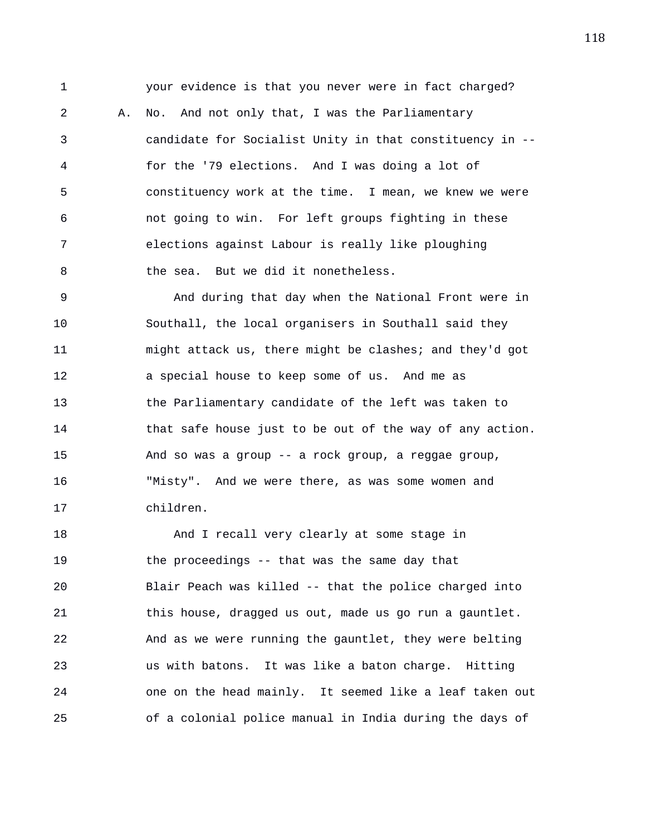1 your evidence is that you never were in fact charged?

2 A. No. And not only that, I was the Parliamentary 3 candidate for Socialist Unity in that constituency in -- 4 for the '79 elections. And I was doing a lot of 5 constituency work at the time. I mean, we knew we were 6 not going to win. For left groups fighting in these 7 elections against Labour is really like ploughing 8 the sea. But we did it nonetheless.

9 And during that day when the National Front were in 10 Southall, the local organisers in Southall said they 11 might attack us, there might be clashes; and they'd got 12 a special house to keep some of us. And me as 13 the Parliamentary candidate of the left was taken to 14 that safe house just to be out of the way of any action. 15 And so was a group -- a rock group, a reggae group, 16 "Misty". And we were there, as was some women and 17 children.

18 And I recall very clearly at some stage in 19 the proceedings -- that was the same day that 20 Blair Peach was killed -- that the police charged into 21 this house, dragged us out, made us go run a gauntlet. 22 And as we were running the gauntlet, they were belting 23 us with batons. It was like a baton charge. Hitting 24 one on the head mainly. It seemed like a leaf taken out 25 of a colonial police manual in India during the days of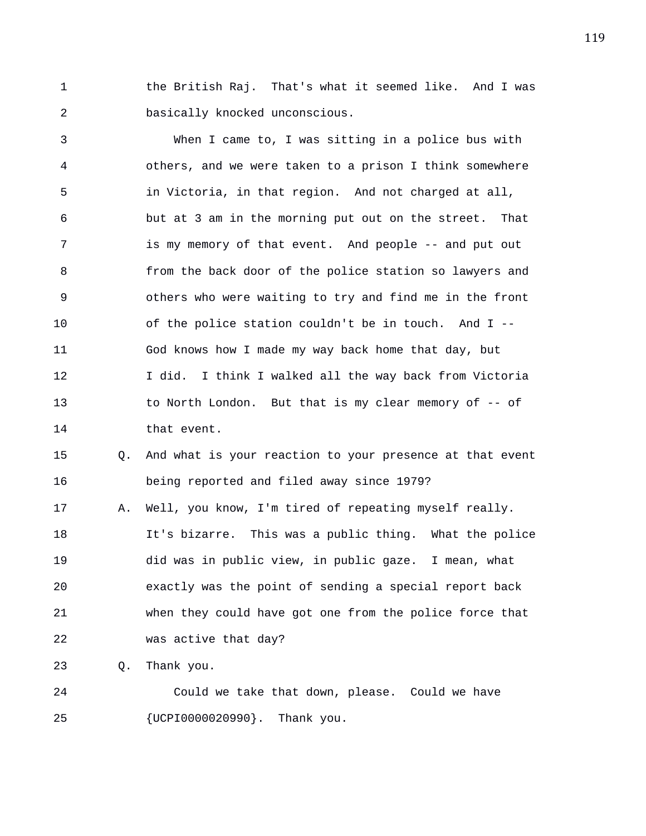1 the British Raj. That's what it seemed like. And I was 2 basically knocked unconscious.

3 When I came to, I was sitting in a police bus with 4 others, and we were taken to a prison I think somewhere 5 in Victoria, in that region. And not charged at all, 6 but at 3 am in the morning put out on the street. That 7 is my memory of that event. And people -- and put out 8 from the back door of the police station so lawyers and 9 others who were waiting to try and find me in the front 10 of the police station couldn't be in touch. And I -- 11 God knows how I made my way back home that day, but 12 I did. I think I walked all the way back from Victoria 13 to North London. But that is my clear memory of -- of 14 that event.

15 Q. And what is your reaction to your presence at that event 16 being reported and filed away since 1979?

17 A. Well, you know, I'm tired of repeating myself really. 18 It's bizarre. This was a public thing. What the police 19 did was in public view, in public gaze. I mean, what 20 exactly was the point of sending a special report back 21 when they could have got one from the police force that 22 was active that day?

23 Q. Thank you.

24 Could we take that down, please. Could we have 25 {UCPI0000020990}. Thank you.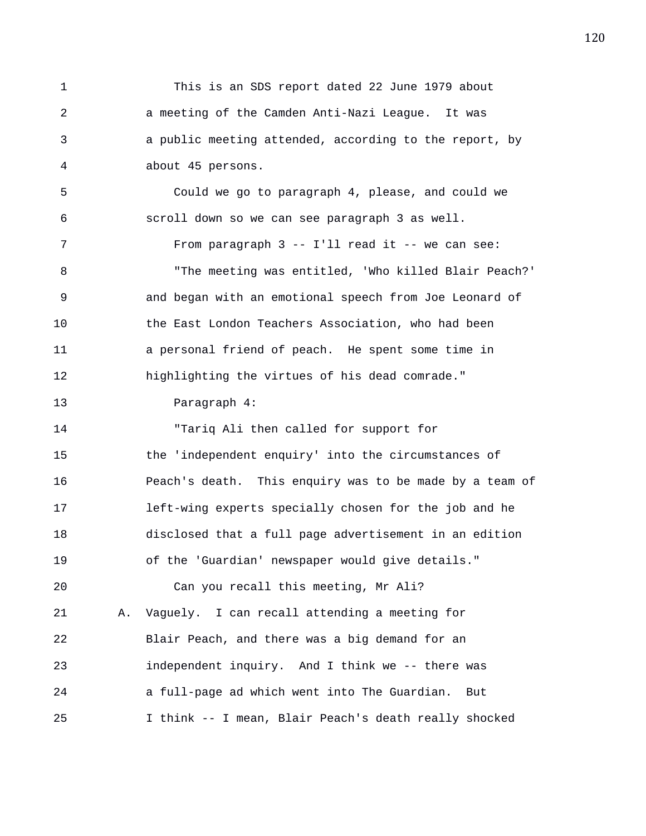1 This is an SDS report dated 22 June 1979 about 2 a meeting of the Camden Anti-Nazi League. It was 3 a public meeting attended, according to the report, by 4 about 45 persons. 5 Could we go to paragraph 4, please, and could we 6 scroll down so we can see paragraph 3 as well. 7 From paragraph 3 -- I'll read it -- we can see: 8 "The meeting was entitled, 'Who killed Blair Peach?' 9 and began with an emotional speech from Joe Leonard of 10 the East London Teachers Association, who had been 11 a personal friend of peach. He spent some time in 12 highlighting the virtues of his dead comrade." 13 Paragraph 4: 14 "Tariq Ali then called for support for 15 the 'independent enquiry' into the circumstances of 16 Peach's death. This enquiry was to be made by a team of 17 left-wing experts specially chosen for the job and he 18 disclosed that a full page advertisement in an edition 19 of the 'Guardian' newspaper would give details." 20 Can you recall this meeting, Mr Ali? 21 A. Vaguely. I can recall attending a meeting for 22 Blair Peach, and there was a big demand for an 23 independent inquiry. And I think we -- there was 24 a full-page ad which went into The Guardian. But 25 I think -- I mean, Blair Peach's death really shocked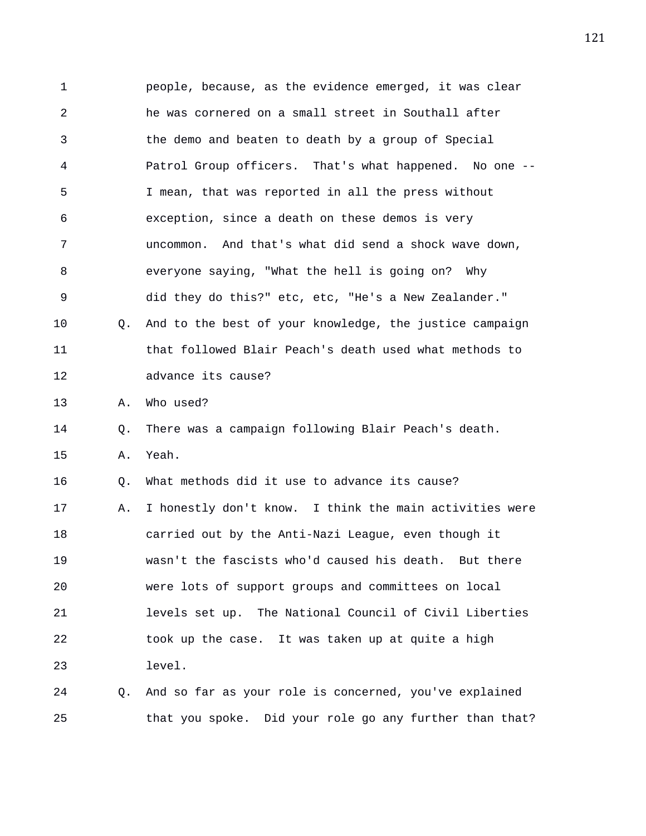1 people, because, as the evidence emerged, it was clear 2 he was cornered on a small street in Southall after 3 the demo and beaten to death by a group of Special 4 Patrol Group officers. That's what happened. No one -- 5 I mean, that was reported in all the press without 6 exception, since a death on these demos is very 7 uncommon. And that's what did send a shock wave down, 8 everyone saying, "What the hell is going on? Why 9 did they do this?" etc, etc, "He's a New Zealander." 10 Q. And to the best of your knowledge, the justice campaign 11 that followed Blair Peach's death used what methods to 12 advance its cause? 13 A. Who used? 14 Q. There was a campaign following Blair Peach's death. 15 A. Yeah. 16 Q. What methods did it use to advance its cause? 17 A. I honestly don't know. I think the main activities were 18 carried out by the Anti-Nazi League, even though it 19 wasn't the fascists who'd caused his death. But there 20 were lots of support groups and committees on local 21 levels set up. The National Council of Civil Liberties 22 took up the case. It was taken up at quite a high 23 level. 24 Q. And so far as your role is concerned, you've explained

25 that you spoke. Did your role go any further than that?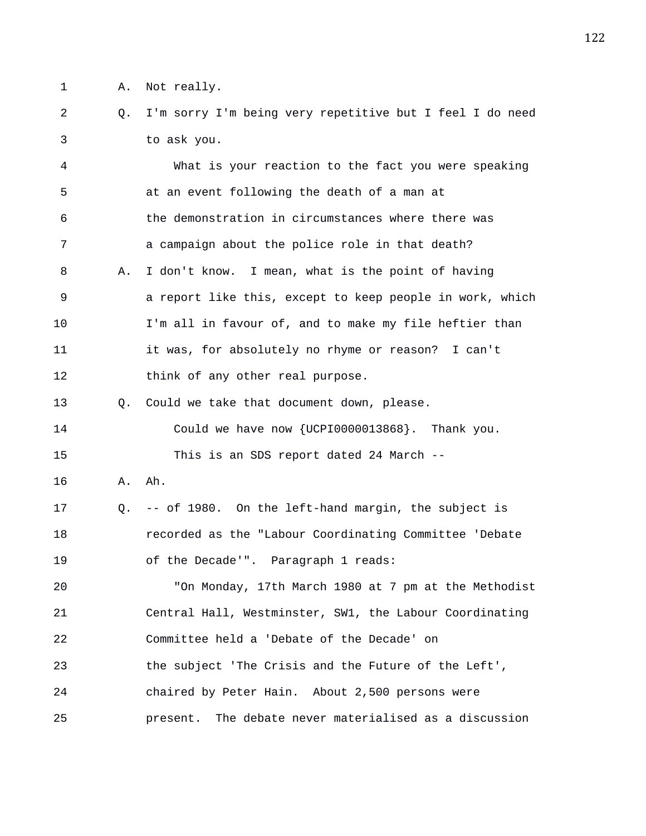1 A. Not really.

2 Q. I'm sorry I'm being very repetitive but I feel I do need 3 to ask you.

4 What is your reaction to the fact you were speaking 5 at an event following the death of a man at 6 the demonstration in circumstances where there was 7 a campaign about the police role in that death? 8 A. I don't know. I mean, what is the point of having 9 a report like this, except to keep people in work, which 10 I'm all in favour of, and to make my file heftier than 11 it was, for absolutely no rhyme or reason? I can't 12 think of any other real purpose. 13 Q. Could we take that document down, please. 14 Could we have now {UCPI0000013868}. Thank you. 15 This is an SDS report dated 24 March -- 16 A. Ah. 17 Q. -- of 1980. On the left-hand margin, the subject is 18 recorded as the "Labour Coordinating Committee 'Debate 19 of the Decade'". Paragraph 1 reads: 20 "On Monday, 17th March 1980 at 7 pm at the Methodist 21 Central Hall, Westminster, SW1, the Labour Coordinating 22 Committee held a 'Debate of the Decade' on 23 the subject 'The Crisis and the Future of the Left', 24 chaired by Peter Hain. About 2,500 persons were 25 present. The debate never materialised as a discussion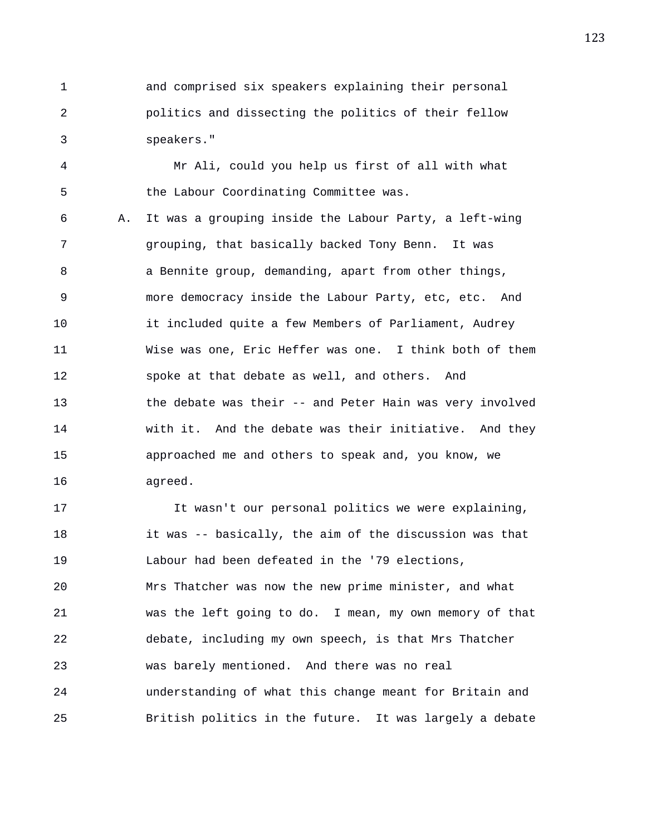1 and comprised six speakers explaining their personal 2 politics and dissecting the politics of their fellow 3 speakers."

4 Mr Ali, could you help us first of all with what 5 the Labour Coordinating Committee was.

6 A. It was a grouping inside the Labour Party, a left-wing 7 grouping, that basically backed Tony Benn. It was 8 a Bennite group, demanding, apart from other things, 9 more democracy inside the Labour Party, etc, etc. And 10 it included quite a few Members of Parliament, Audrey 11 Wise was one, Eric Heffer was one. I think both of them 12 spoke at that debate as well, and others. And 13 the debate was their -- and Peter Hain was very involved 14 with it. And the debate was their initiative. And they 15 approached me and others to speak and, you know, we 16 agreed.

17 It wasn't our personal politics we were explaining, 18 it was -- basically, the aim of the discussion was that 19 Labour had been defeated in the '79 elections, 20 Mrs Thatcher was now the new prime minister, and what 21 was the left going to do. I mean, my own memory of that 22 debate, including my own speech, is that Mrs Thatcher 23 was barely mentioned. And there was no real 24 understanding of what this change meant for Britain and 25 British politics in the future. It was largely a debate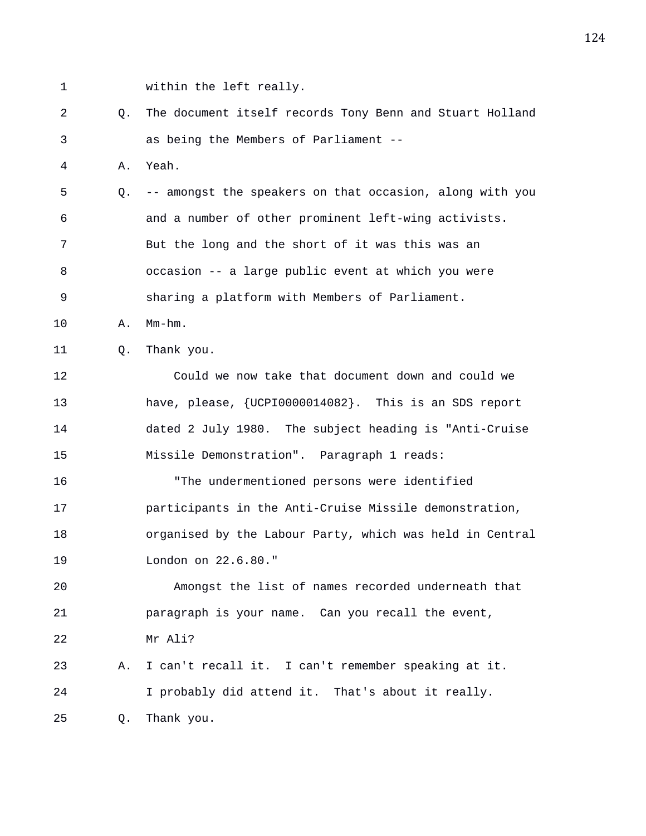1 within the left really.

2 Q. The document itself records Tony Benn and Stuart Holland 3 as being the Members of Parliament --

4 A. Yeah.

5 Q. -- amongst the speakers on that occasion, along with you 6 and a number of other prominent left-wing activists. 7 But the long and the short of it was this was an 8 occasion -- a large public event at which you were 9 sharing a platform with Members of Parliament.

10 A. Mm-hm.

11 Q. Thank you.

12 Could we now take that document down and could we 13 have, please, {UCPI0000014082}. This is an SDS report 14 dated 2 July 1980. The subject heading is "Anti-Cruise 15 Missile Demonstration". Paragraph 1 reads: 16 "The undermentioned persons were identified 17 participants in the Anti-Cruise Missile demonstration, 18 organised by the Labour Party, which was held in Central

19 London on 22.6.80."

20 Amongst the list of names recorded underneath that 21 paragraph is your name. Can you recall the event, 22 Mr Ali?

23 A. I can't recall it. I can't remember speaking at it. 24 I probably did attend it. That's about it really. 25 Q. Thank you.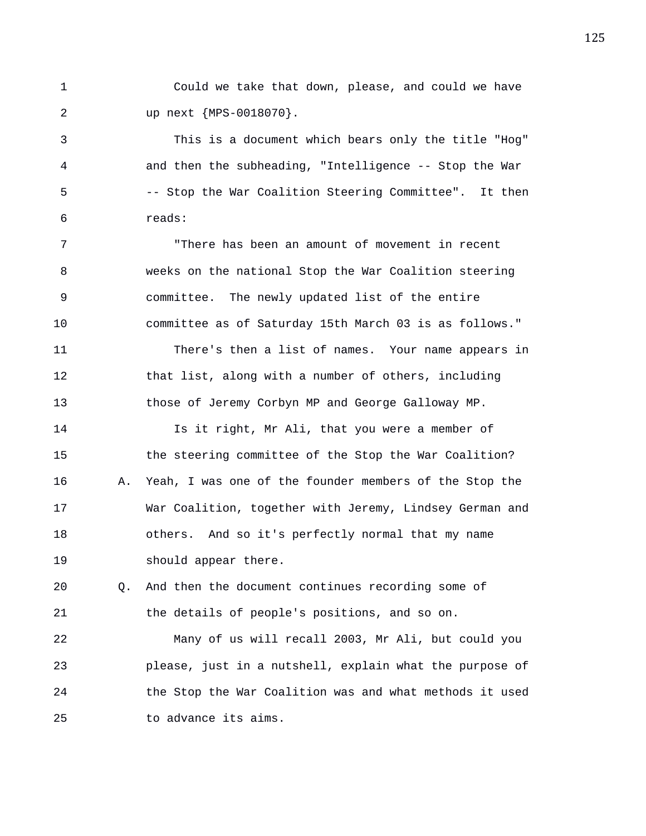1 Could we take that down, please, and could we have 2 up next {MPS-0018070}.

3 This is a document which bears only the title "Hog" 4 and then the subheading, "Intelligence -- Stop the War 5 -- Stop the War Coalition Steering Committee". It then 6 reads:

7 "There has been an amount of movement in recent 8 weeks on the national Stop the War Coalition steering 9 committee. The newly updated list of the entire 10 committee as of Saturday 15th March 03 is as follows."

11 There's then a list of names. Your name appears in 12 that list, along with a number of others, including 13 those of Jeremy Corbyn MP and George Galloway MP.

14 Is it right, Mr Ali, that you were a member of 15 the steering committee of the Stop the War Coalition? 16 A. Yeah, I was one of the founder members of the Stop the 17 War Coalition, together with Jeremy, Lindsey German and 18 others. And so it's perfectly normal that my name 19 should appear there.

20 Q. And then the document continues recording some of 21 the details of people's positions, and so on.

22 Many of us will recall 2003, Mr Ali, but could you 23 please, just in a nutshell, explain what the purpose of 24 the Stop the War Coalition was and what methods it used 25 to advance its aims.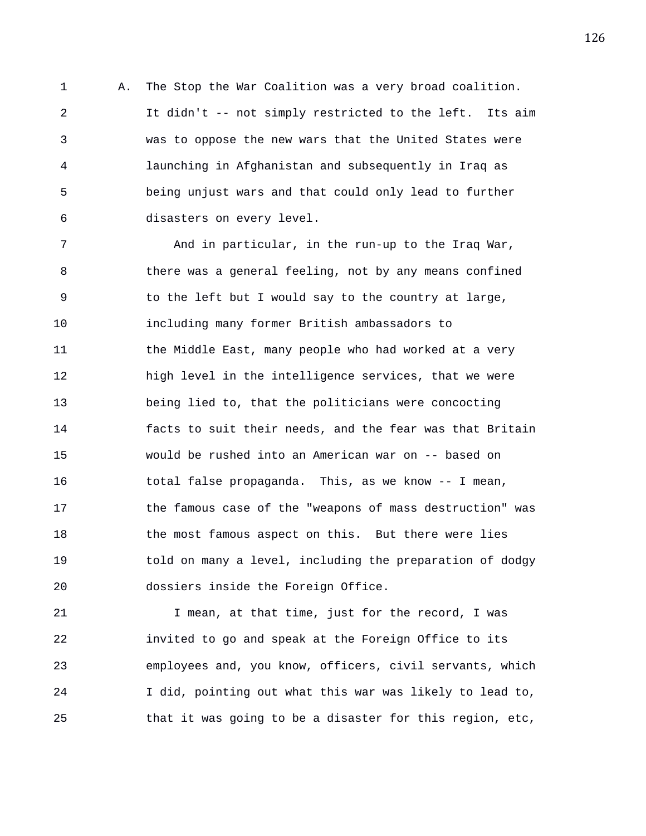1 A. The Stop the War Coalition was a very broad coalition. 2 It didn't -- not simply restricted to the left. Its aim 3 was to oppose the new wars that the United States were 4 launching in Afghanistan and subsequently in Iraq as 5 being unjust wars and that could only lead to further 6 disasters on every level.

7 and in particular, in the run-up to the Iraq War, 8 there was a general feeling, not by any means confined 9 to the left but I would say to the country at large, 10 including many former British ambassadors to 11 the Middle East, many people who had worked at a very 12 high level in the intelligence services, that we were 13 being lied to, that the politicians were concocting 14 facts to suit their needs, and the fear was that Britain 15 would be rushed into an American war on -- based on 16 total false propaganda. This, as we know -- I mean, 17 the famous case of the "weapons of mass destruction" was 18 the most famous aspect on this. But there were lies 19 told on many a level, including the preparation of dodgy 20 dossiers inside the Foreign Office.

21 1 I mean, at that time, just for the record, I was 22 invited to go and speak at the Foreign Office to its 23 employees and, you know, officers, civil servants, which 24 I did, pointing out what this war was likely to lead to, 25 that it was going to be a disaster for this region, etc,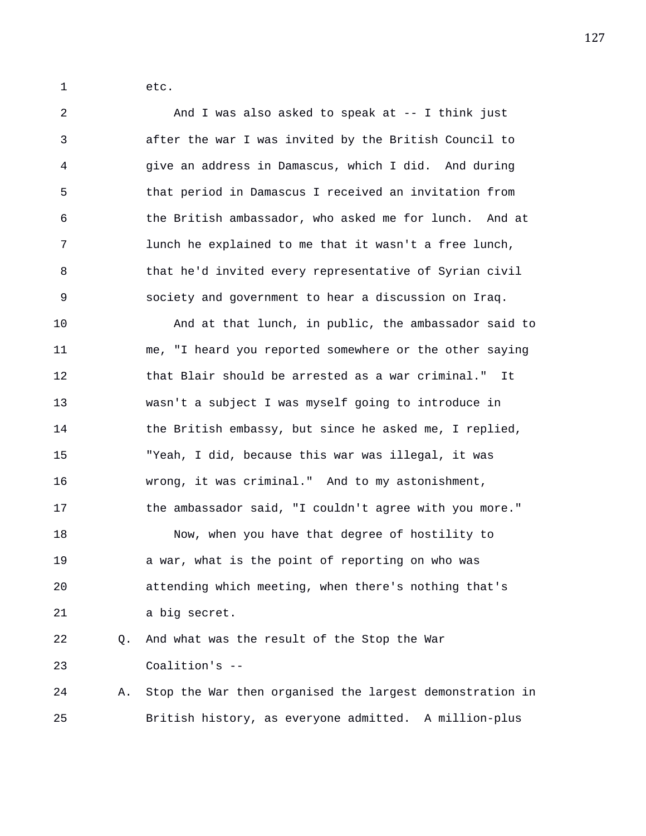1 etc.

2 And I was also asked to speak at -- I think just 3 after the war I was invited by the British Council to 4 give an address in Damascus, which I did. And during 5 that period in Damascus I received an invitation from 6 the British ambassador, who asked me for lunch. And at 7 lunch he explained to me that it wasn't a free lunch, 8 that he'd invited every representative of Syrian civil 9 society and government to hear a discussion on Iraq. 10 And at that lunch, in public, the ambassador said to 11 me, "I heard you reported somewhere or the other saying 12 that Blair should be arrested as a war criminal." It 13 wasn't a subject I was myself going to introduce in 14 the British embassy, but since he asked me, I replied, 15 "Yeah, I did, because this war was illegal, it was 16 wrong, it was criminal." And to my astonishment, 17 the ambassador said, "I couldn't agree with you more." 18 Now, when you have that degree of hostility to 19 a war, what is the point of reporting on who was 20 attending which meeting, when there's nothing that's 21 a big secret. 22 Q. And what was the result of the Stop the War 23 Coalition's -- 24 A. Stop the War then organised the largest demonstration in 25 British history, as everyone admitted. A million-plus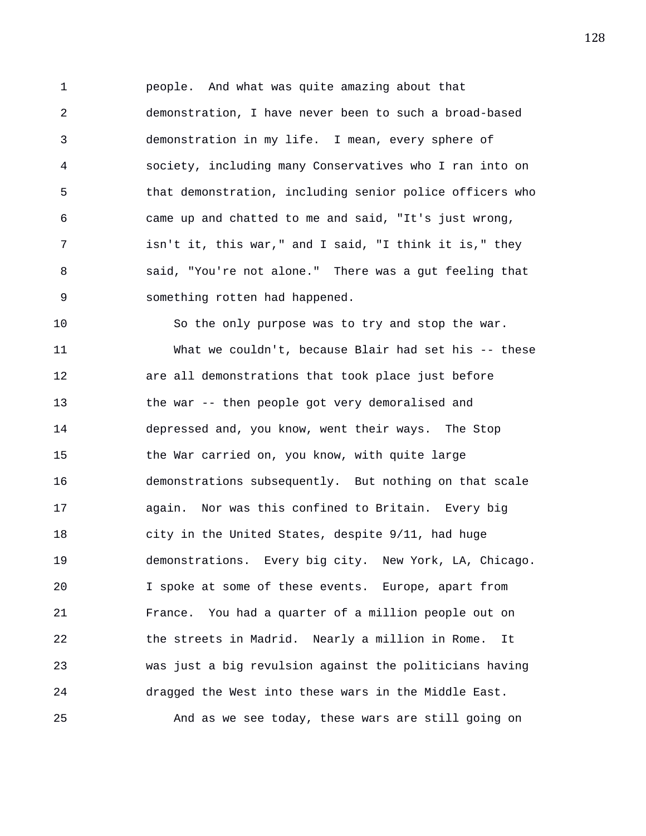1 people. And what was quite amazing about that 2 demonstration, I have never been to such a broad-based 3 demonstration in my life. I mean, every sphere of 4 society, including many Conservatives who I ran into on 5 that demonstration, including senior police officers who 6 came up and chatted to me and said, "It's just wrong, 7 isn't it, this war," and I said, "I think it is," they 8 said, "You're not alone." There was a gut feeling that 9 something rotten had happened.

10 So the only purpose was to try and stop the war. 11 What we couldn't, because Blair had set his -- these 12 are all demonstrations that took place just before 13 the war -- then people got very demoralised and 14 depressed and, you know, went their ways. The Stop 15 the War carried on, you know, with quite large 16 demonstrations subsequently. But nothing on that scale 17 again. Nor was this confined to Britain. Every big 18 city in the United States, despite 9/11, had huge 19 demonstrations. Every big city. New York, LA, Chicago. 20 I spoke at some of these events. Europe, apart from 21 France. You had a quarter of a million people out on 22 the streets in Madrid. Nearly a million in Rome. It 23 was just a big revulsion against the politicians having 24 dragged the West into these wars in the Middle East. 25 And as we see today, these wars are still going on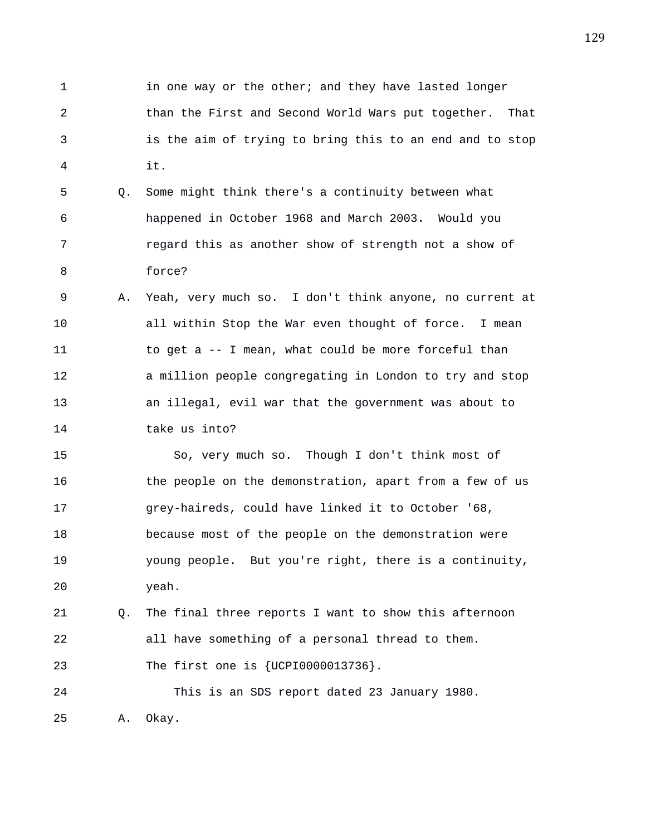1 in one way or the other; and they have lasted longer 2 than the First and Second World Wars put together. That 3 is the aim of trying to bring this to an end and to stop 4 it.

5 Q. Some might think there's a continuity between what 6 happened in October 1968 and March 2003. Would you 7 regard this as another show of strength not a show of 8 force?

9 A. Yeah, very much so. I don't think anyone, no current at 10 all within Stop the War even thought of force. I mean 11 to get a -- I mean, what could be more forceful than 12 a million people congregating in London to try and stop 13 an illegal, evil war that the government was about to 14 take us into?

15 So, very much so. Though I don't think most of 16 the people on the demonstration, apart from a few of us 17 grey-haireds, could have linked it to October '68, 18 because most of the people on the demonstration were 19 young people. But you're right, there is a continuity, 20 yeah.

21 Q. The final three reports I want to show this afternoon 22 all have something of a personal thread to them. 23 The first one is {UCPI0000013736}.

24 This is an SDS report dated 23 January 1980. 25 A. Okay.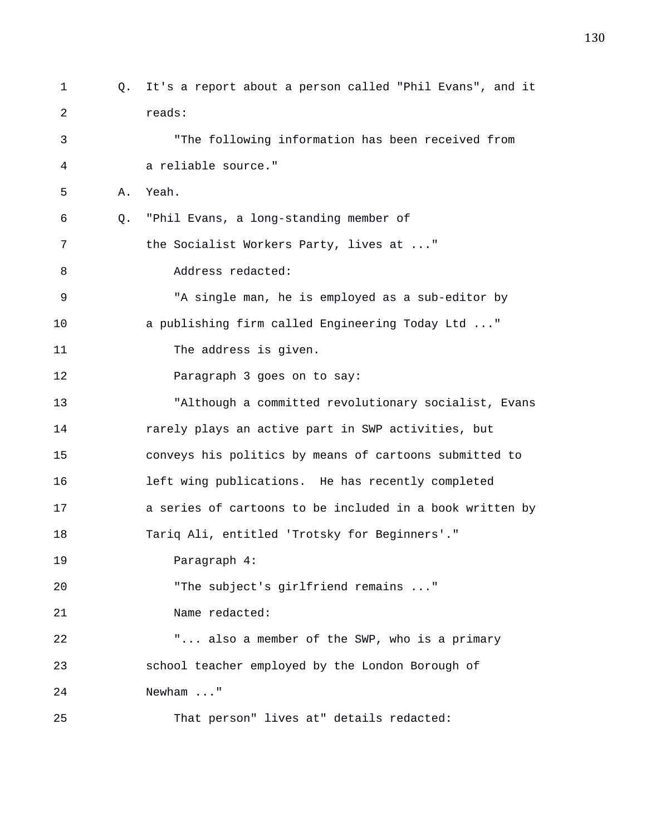1 Q. It's a report about a person called "Phil Evans", and it 2 reads: 3 "The following information has been received from 4 a reliable source." 5 A. Yeah. 6 Q. "Phil Evans, a long-standing member of 7 the Socialist Workers Party, lives at ..." 8 Address redacted: 9 "A single man, he is employed as a sub-editor by 10 a publishing firm called Engineering Today Ltd ..." 11 The address is given. 12 Paragraph 3 goes on to say: 13 "Although a committed revolutionary socialist, Evans 14 rarely plays an active part in SWP activities, but 15 conveys his politics by means of cartoons submitted to 16 left wing publications. He has recently completed 17 a series of cartoons to be included in a book written by 18 Tariq Ali, entitled 'Trotsky for Beginners'." 19 Paragraph 4: 20 The subject's girlfriend remains ..." 21 Name redacted: 22 "... also a member of the SWP, who is a primary 23 school teacher employed by the London Borough of 24 Newham ..." 25 That person" lives at" details redacted: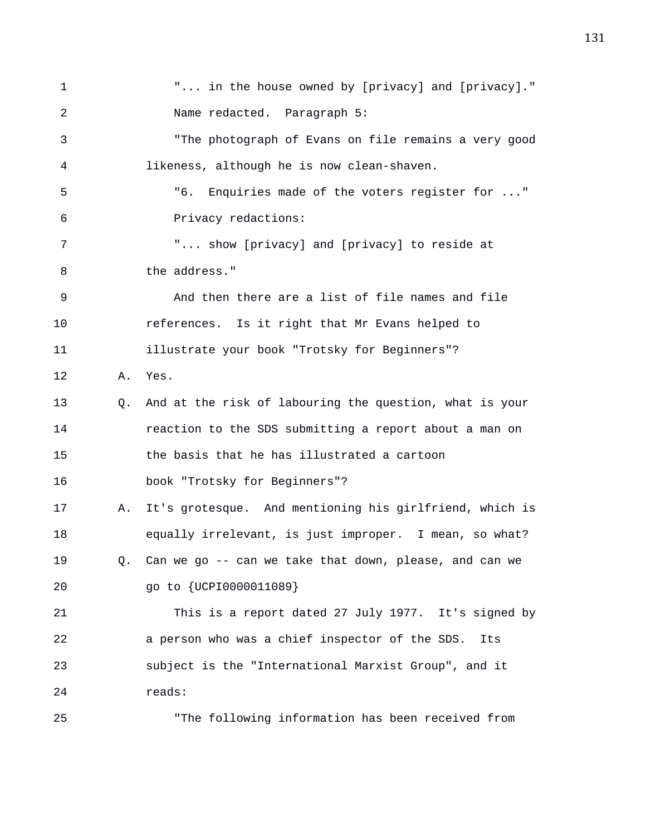1 "... in the house owned by [privacy] and [privacy]." 2 Name redacted. Paragraph 5: 3 "The photograph of Evans on file remains a very good 4 likeness, although he is now clean-shaven. 5 "6. Enquiries made of the voters register for ..." 6 Privacy redactions: 7 "... show [privacy] and [privacy] to reside at 8 the address." 9 And then there are a list of file names and file 10 references. Is it right that Mr Evans helped to 11 illustrate your book "Trotsky for Beginners"? 12 A. Yes. 13 Q. And at the risk of labouring the question, what is your 14 reaction to the SDS submitting a report about a man on 15 the basis that he has illustrated a cartoon 16 book "Trotsky for Beginners"? 17 A. It's grotesque. And mentioning his girlfriend, which is 18 equally irrelevant, is just improper. I mean, so what? 19 Q. Can we go -- can we take that down, please, and can we 20 go to {UCPI0000011089} 21 This is a report dated 27 July 1977. It's signed by 22 a person who was a chief inspector of the SDS. Its 23 subject is the "International Marxist Group", and it 24 reads: 25 "The following information has been received from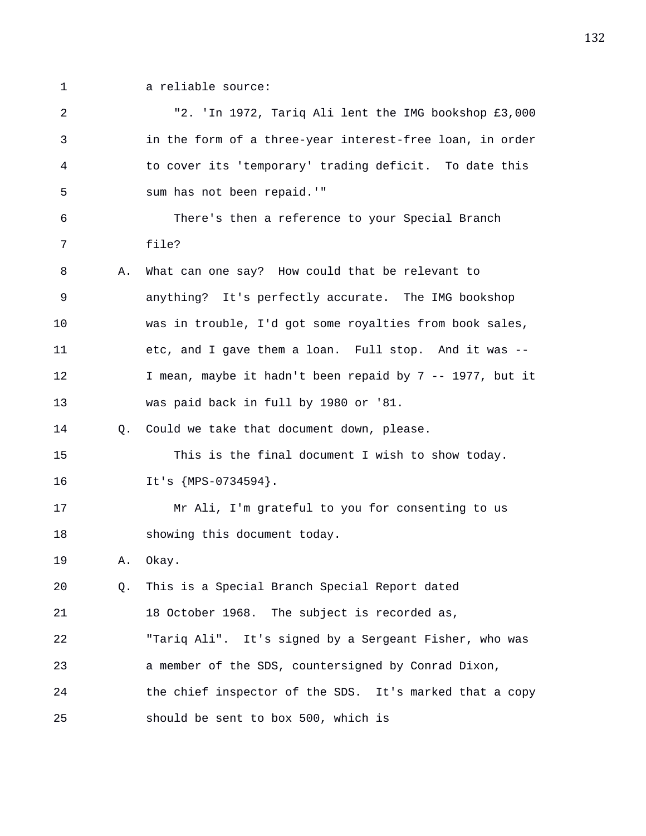- 
- 1 a reliable source:

2 "2. 'In 1972, Tariq Ali lent the IMG bookshop £3,000 3 in the form of a three-year interest-free loan, in order 4 to cover its 'temporary' trading deficit. To date this 5 sum has not been repaid.'" 6 There's then a reference to your Special Branch 7 file? 8 A. What can one say? How could that be relevant to 9 anything? It's perfectly accurate. The IMG bookshop 10 was in trouble, I'd got some royalties from book sales, 11 etc, and I gave them a loan. Full stop. And it was -- 12 I mean, maybe it hadn't been repaid by 7 -- 1977, but it 13 was paid back in full by 1980 or '81. 14 Q. Could we take that document down, please. 15 This is the final document I wish to show today. 16 It's  ${MPS-0734594}$ . 17 Mr Ali, I'm grateful to you for consenting to us 18 showing this document today. 19 A. Okay. 20 Q. This is a Special Branch Special Report dated 21 18 October 1968. The subject is recorded as, 22 "Tariq Ali". It's signed by a Sergeant Fisher, who was 23 a member of the SDS, countersigned by Conrad Dixon, 24 the chief inspector of the SDS. It's marked that a copy 25 should be sent to box 500, which is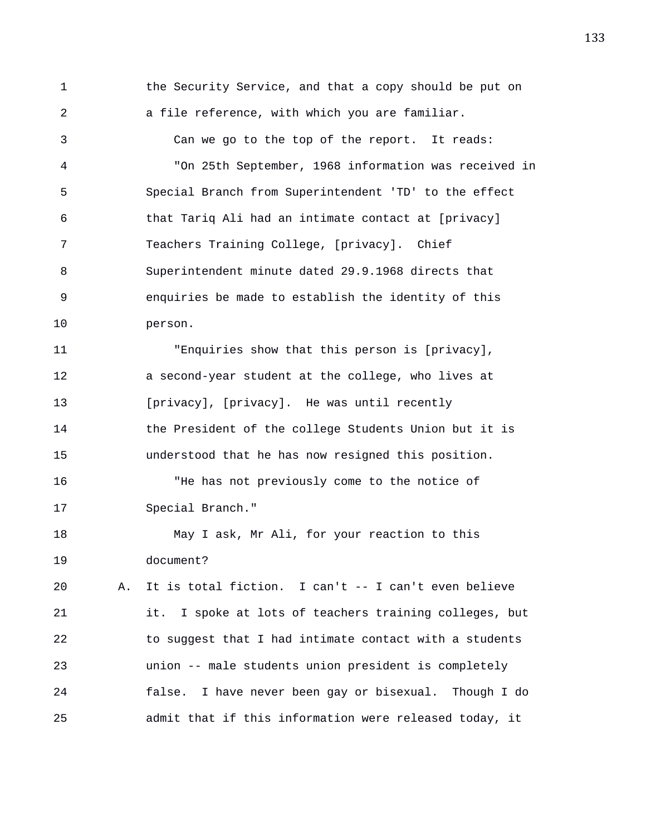1 the Security Service, and that a copy should be put on 2 a file reference, with which you are familiar.

3 Can we go to the top of the report. It reads: 4 "On 25th September, 1968 information was received in 5 Special Branch from Superintendent 'TD' to the effect 6 that Tariq Ali had an intimate contact at [privacy] 7 Teachers Training College, [privacy]. Chief 8 Superintendent minute dated 29.9.1968 directs that 9 enquiries be made to establish the identity of this 10 person.

11 "Enquiries show that this person is [privacy], 12 a second-year student at the college, who lives at 13 [privacy], [privacy]. He was until recently 14 the President of the college Students Union but it is 15 understood that he has now resigned this position. 16 "He has not previously come to the notice of

17 Special Branch."

18 May I ask, Mr Ali, for your reaction to this 19 document?

20 A. It is total fiction. I can't -- I can't even believe 21 it. I spoke at lots of teachers training colleges, but 22 to suggest that I had intimate contact with a students 23 union -- male students union president is completely 24 false. I have never been gay or bisexual. Though I do 25 admit that if this information were released today, it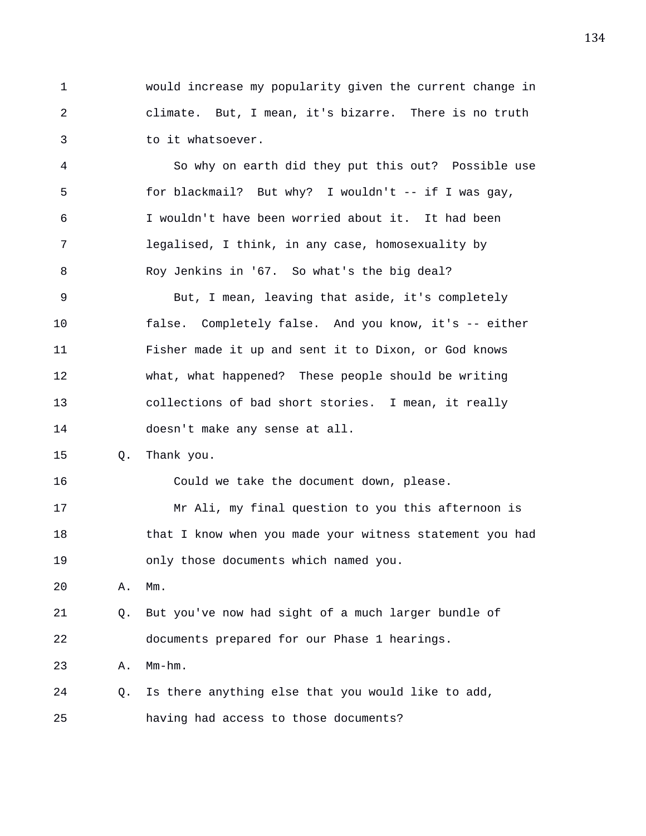1 would increase my popularity given the current change in 2 climate. But, I mean, it's bizarre. There is no truth 3 to it whatsoever.

4 So why on earth did they put this out? Possible use 5 for blackmail? But why? I wouldn't -- if I was gay, 6 I wouldn't have been worried about it. It had been 7 legalised, I think, in any case, homosexuality by 8 Roy Jenkins in '67. So what's the big deal? 9 But, I mean, leaving that aside, it's completely 10 false. Completely false. And you know, it's -- either 11 Fisher made it up and sent it to Dixon, or God knows 12 what, what happened? These people should be writing 13 collections of bad short stories. I mean, it really 14 doesn't make any sense at all. 15 Q. Thank you. 16 Could we take the document down, please. 17 Mr Ali, my final question to you this afternoon is 18 that I know when you made your witness statement you had 19 only those documents which named you. 20 A. Mm. 21 Q. But you've now had sight of a much larger bundle of 22 documents prepared for our Phase 1 hearings.

23 A. Mm-hm.

24 Q. Is there anything else that you would like to add, 25 having had access to those documents?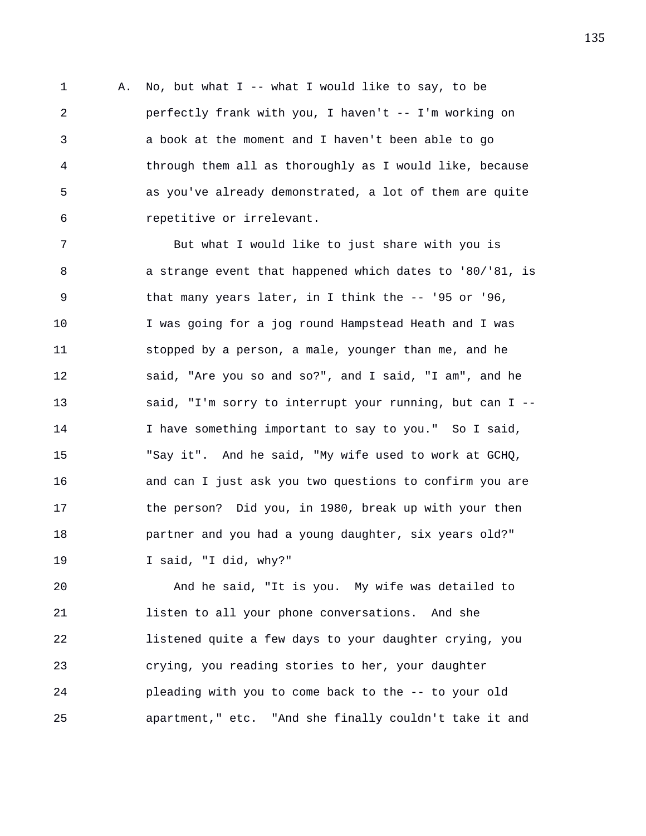1 A. No, but what I -- what I would like to say, to be 2 perfectly frank with you, I haven't -- I'm working on 3 a book at the moment and I haven't been able to go 4 through them all as thoroughly as I would like, because 5 as you've already demonstrated, a lot of them are quite 6 repetitive or irrelevant.

7 But what I would like to just share with you is 8 a strange event that happened which dates to '80/'81, is 9 that many years later, in I think the -- '95 or '96, 10 I was going for a jog round Hampstead Heath and I was 11 stopped by a person, a male, younger than me, and he 12 said, "Are you so and so?", and I said, "I am", and he 13 said, "I'm sorry to interrupt your running, but can I -- 14 I have something important to say to you." So I said, 15 "Say it". And he said, "My wife used to work at GCHQ, 16 and can I just ask you two questions to confirm you are 17 the person? Did you, in 1980, break up with your then 18 partner and you had a young daughter, six years old?" 19 I said, "I did, why?"

20 And he said, "It is you. My wife was detailed to 21 listen to all your phone conversations. And she 22 listened quite a few days to your daughter crying, you 23 crying, you reading stories to her, your daughter 24 pleading with you to come back to the -- to your old 25 apartment," etc. "And she finally couldn't take it and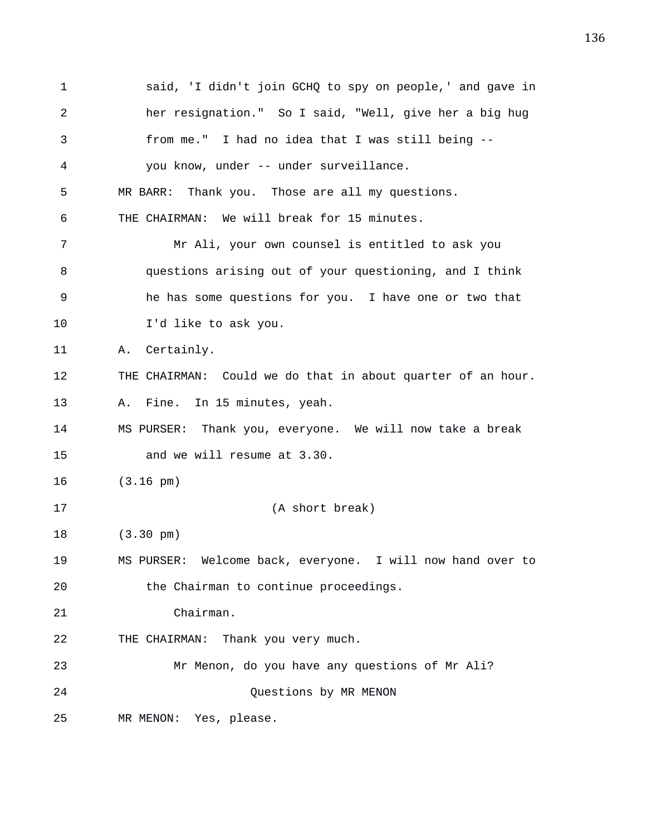1 said, 'I didn't join GCHQ to spy on people,' and gave in 2 her resignation." So I said, "Well, give her a big hug 3 from me." I had no idea that I was still being -- 4 you know, under -- under surveillance. 5 MR BARR: Thank you. Those are all my questions. 6 THE CHAIRMAN: We will break for 15 minutes. 7 Mr Ali, your own counsel is entitled to ask you 8 questions arising out of your questioning, and I think 9 he has some questions for you. I have one or two that 10 I'd like to ask you. 11 A. Certainly. 12 THE CHAIRMAN: Could we do that in about quarter of an hour. 13 A. Fine. In 15 minutes, yeah. 14 MS PURSER: Thank you, everyone. We will now take a break 15 and we will resume at 3.30. 16 (3.16 pm) 17 (A short break) 18 (3.30 pm) 19 MS PURSER: Welcome back, everyone. I will now hand over to 20 the Chairman to continue proceedings. 21 Chairman. 22 THE CHAIRMAN: Thank you very much. 23 Mr Menon, do you have any questions of Mr Ali? 24 Questions by MR MENON 25 MR MENON: Yes, please.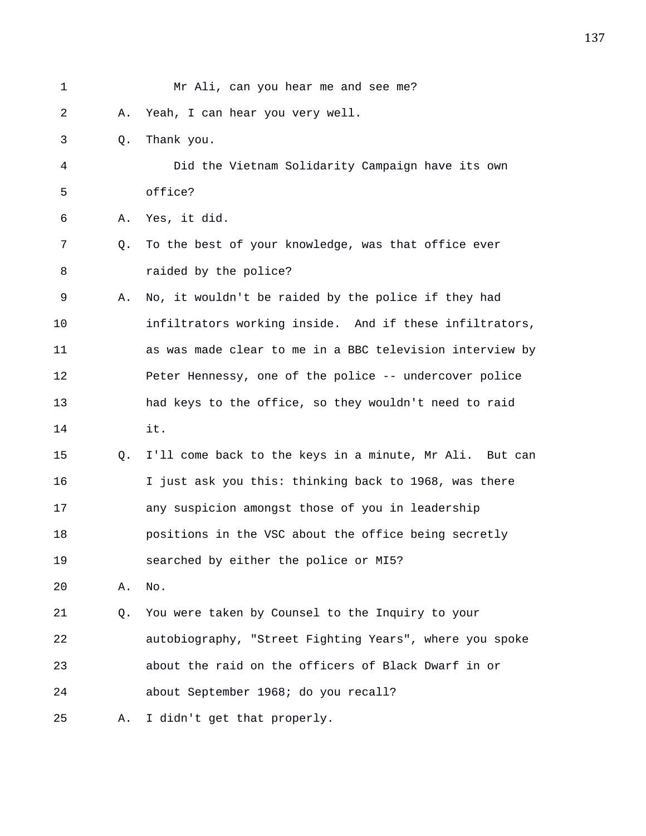| 1  |    | Mr Ali, can you hear me and see me?                      |
|----|----|----------------------------------------------------------|
| 2  | Α. | Yeah, I can hear you very well.                          |
| 3  | Q. | Thank you.                                               |
| 4  |    | Did the Vietnam Solidarity Campaign have its own         |
| 5  |    | office?                                                  |
| 6  | Α. | Yes, it did.                                             |
| 7  | Q. | To the best of your knowledge, was that office ever      |
| 8  |    | raided by the police?                                    |
| 9  | Α. | No, it wouldn't be raided by the police if they had      |
| 10 |    | infiltrators working inside. And if these infiltrators,  |
| 11 |    | as was made clear to me in a BBC television interview by |
| 12 |    | Peter Hennessy, one of the police -- undercover police   |
| 13 |    | had keys to the office, so they wouldn't need to raid    |
| 14 |    | it.                                                      |
| 15 | Q. | I'll come back to the keys in a minute, Mr Ali. But can  |
| 16 |    | I just ask you this: thinking back to 1968, was there    |
| 17 |    | any suspicion amongst those of you in leadership         |
| 18 |    | positions in the VSC about the office being secretly     |
| 19 |    | searched by either the police or MI5?                    |
| 20 | Α. | No.                                                      |
| 21 | Q. | You were taken by Counsel to the Inquiry to your         |
| 22 |    | autobiography, "Street Fighting Years", where you spoke  |
| 23 |    | about the raid on the officers of Black Dwarf in or      |
| 24 |    | about September 1968; do you recall?                     |
| 25 | Α. | I didn't get that properly.                              |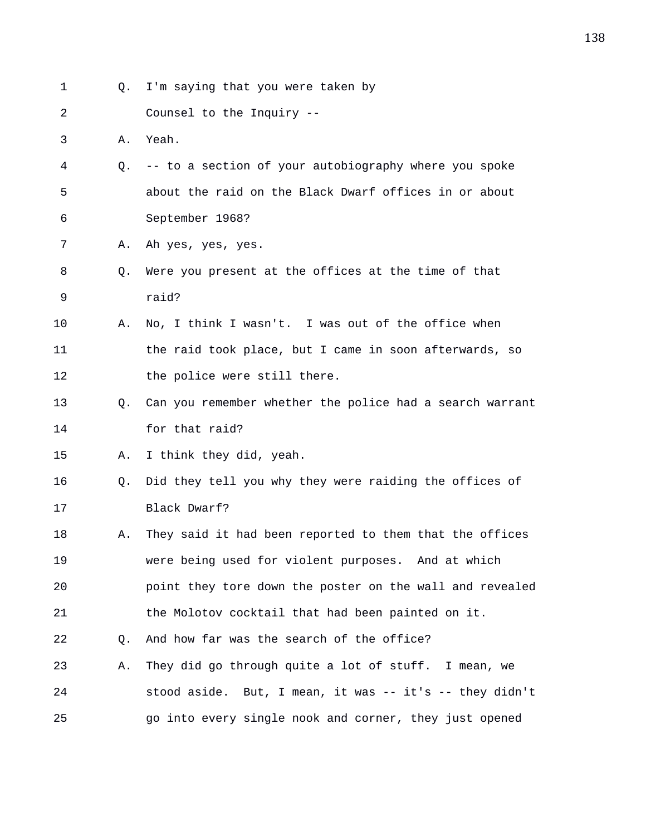| 1  | О. | I'm saying that you were taken by                        |
|----|----|----------------------------------------------------------|
| 2  |    | Counsel to the Inquiry --                                |
| 3  | Α. | Yeah.                                                    |
| 4  | Q. | -- to a section of your autobiography where you spoke    |
| 5  |    | about the raid on the Black Dwarf offices in or about    |
| 6  |    | September 1968?                                          |
| 7  | Α. | Ah yes, yes, yes.                                        |
| 8  | Q. | Were you present at the offices at the time of that      |
| 9  |    | raid?                                                    |
| 10 | Α. | No, I think I wasn't. I was out of the office when       |
| 11 |    | the raid took place, but I came in soon afterwards, so   |
| 12 |    | the police were still there.                             |
| 13 | 0. | Can you remember whether the police had a search warrant |
| 14 |    | for that raid?                                           |
| 15 | Α. | I think they did, yeah.                                  |
| 16 | Q. | Did they tell you why they were raiding the offices of   |
| 17 |    | Black Dwarf?                                             |
| 18 | Α. | They said it had been reported to them that the offices  |
| 19 |    | were being used for violent purposes. And at which       |
| 20 |    | point they tore down the poster on the wall and revealed |
| 21 |    | the Molotov cocktail that had been painted on it.        |
| 22 | Q. | And how far was the search of the office?                |
| 23 | Α. | They did go through quite a lot of stuff. I mean, we     |
| 24 |    | stood aside. But, I mean, it was -- it's -- they didn't  |
| 25 |    | go into every single nook and corner, they just opened   |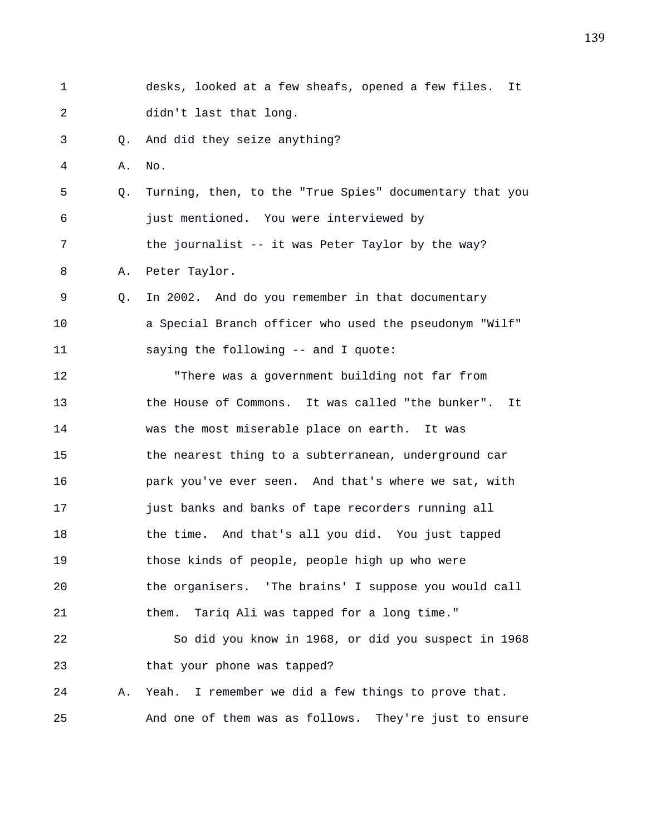| 1  |    | desks, looked at a few sheafs, opened a few files.<br>It |
|----|----|----------------------------------------------------------|
| 2  |    | didn't last that long.                                   |
| 3  | Q. | And did they seize anything?                             |
| 4  | Α. | No.                                                      |
| 5  | Q. | Turning, then, to the "True Spies" documentary that you  |
| 6  |    | just mentioned. You were interviewed by                  |
| 7  |    | the journalist -- it was Peter Taylor by the way?        |
| 8  | Α. | Peter Taylor.                                            |
| 9  | O. | In 2002. And do you remember in that documentary         |
| 10 |    | a Special Branch officer who used the pseudonym "Wilf"   |
| 11 |    | saying the following -- and I quote:                     |
| 12 |    | "There was a government building not far from            |
| 13 |    | the House of Commons. It was called "the bunker". It     |
| 14 |    | was the most miserable place on earth. It was            |
| 15 |    | the nearest thing to a subterranean, underground car     |
| 16 |    | park you've ever seen. And that's where we sat, with     |
| 17 |    | just banks and banks of tape recorders running all       |
| 18 |    | the time. And that's all you did. You just tapped        |
| 19 |    | those kinds of people, people high up who were           |
| 20 |    | the organisers. 'The brains' I suppose you would call    |
| 21 |    | Tariq Ali was tapped for a long time."<br>them.          |
| 22 |    | So did you know in 1968, or did you suspect in 1968      |
| 23 |    | that your phone was tapped?                              |
| 24 | Α. | Yeah. I remember we did a few things to prove that.      |
| 25 |    | And one of them was as follows. They're just to ensure   |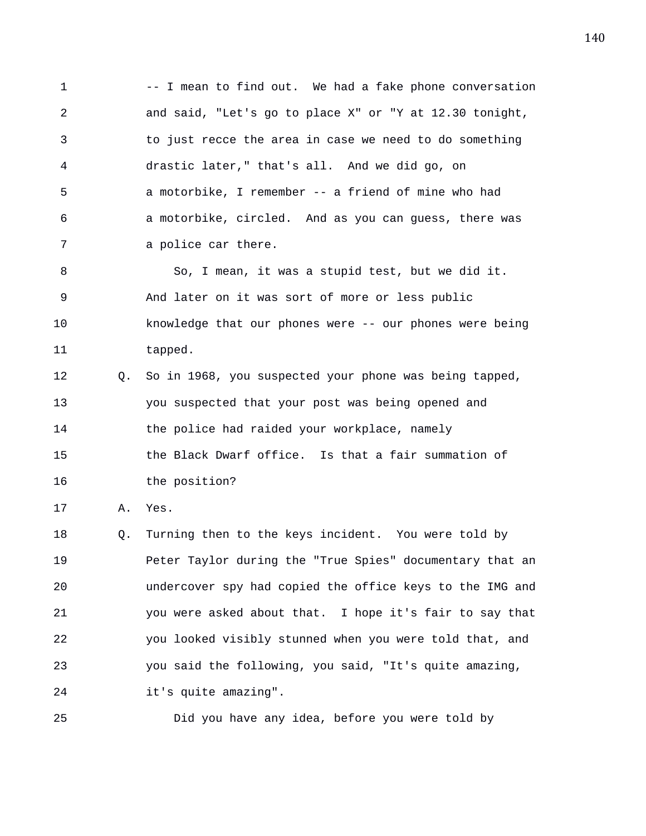1 -- I mean to find out. We had a fake phone conversation 2 and said, "Let's go to place X" or "Y at 12.30 tonight, 3 to just recce the area in case we need to do something 4 drastic later," that's all. And we did go, on 5 a motorbike, I remember -- a friend of mine who had 6 a motorbike, circled. And as you can guess, there was 7 a police car there. 8 So, I mean, it was a stupid test, but we did it.

9 And later on it was sort of more or less public 10 knowledge that our phones were -- our phones were being 11 tapped.

12 Q. So in 1968, you suspected your phone was being tapped, 13 you suspected that your post was being opened and 14 the police had raided your workplace, namely 15 the Black Dwarf office. Is that a fair summation of 16 the position?

17 A. Yes.

18 Q. Turning then to the keys incident. You were told by 19 Peter Taylor during the "True Spies" documentary that an 20 undercover spy had copied the office keys to the IMG and 21 you were asked about that. I hope it's fair to say that 22 you looked visibly stunned when you were told that, and 23 you said the following, you said, "It's quite amazing, 24 it's quite amazing".

25 Did you have any idea, before you were told by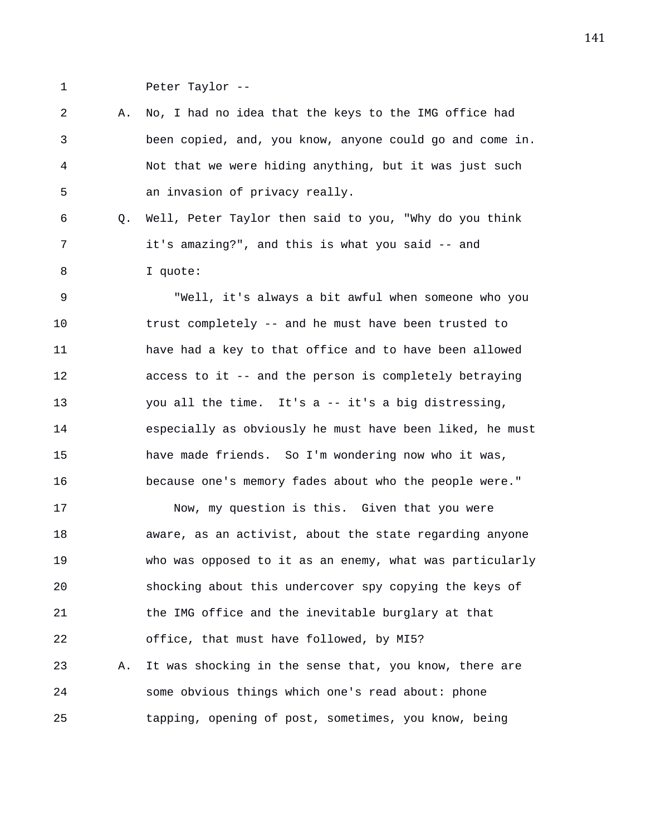1 Peter Taylor --

2 A. No, I had no idea that the keys to the IMG office had 3 been copied, and, you know, anyone could go and come in. 4 Not that we were hiding anything, but it was just such 5 an invasion of privacy really.

6 Q. Well, Peter Taylor then said to you, "Why do you think 7 it's amazing?", and this is what you said -- and 8 I quote:

9 "Well, it's always a bit awful when someone who you 10 trust completely -- and he must have been trusted to 11 have had a key to that office and to have been allowed 12 access to it -- and the person is completely betraying 13 you all the time. It's a -- it's a big distressing, 14 especially as obviously he must have been liked, he must 15 have made friends. So I'm wondering now who it was, 16 because one's memory fades about who the people were."

17 Now, my question is this. Given that you were 18 aware, as an activist, about the state regarding anyone 19 who was opposed to it as an enemy, what was particularly 20 shocking about this undercover spy copying the keys of 21 the IMG office and the inevitable burglary at that 22 office, that must have followed, by MI5? 23 A. It was shocking in the sense that, you know, there are 24 some obvious things which one's read about: phone 25 tapping, opening of post, sometimes, you know, being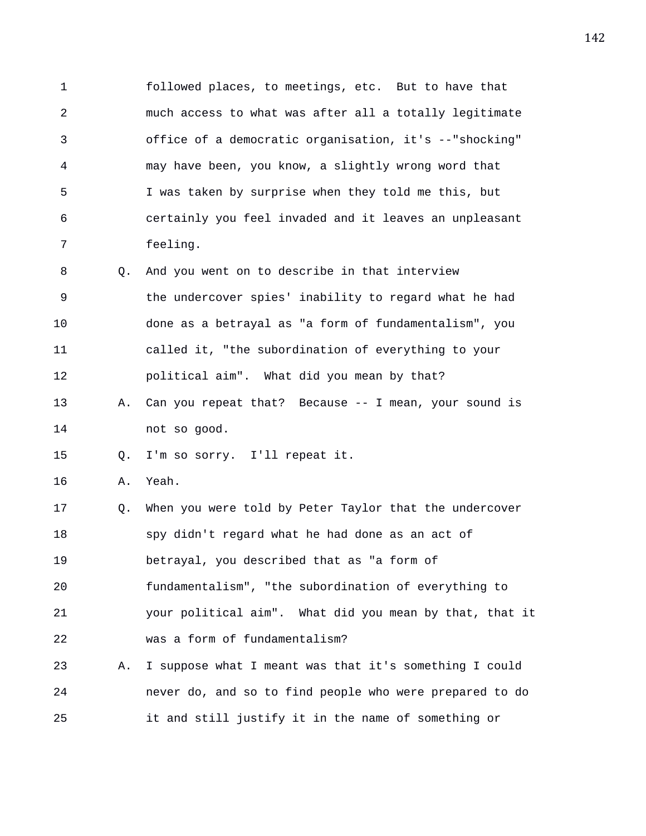1 followed places, to meetings, etc. But to have that 2 much access to what was after all a totally legitimate 3 office of a democratic organisation, it's --"shocking" 4 may have been, you know, a slightly wrong word that 5 I was taken by surprise when they told me this, but 6 certainly you feel invaded and it leaves an unpleasant 7 feeling. 8 Q. And you went on to describe in that interview 9 the undercover spies' inability to regard what he had 10 done as a betrayal as "a form of fundamentalism", you 11 called it, "the subordination of everything to your 12 political aim". What did you mean by that? 13 A. Can you repeat that? Because -- I mean, your sound is 14 not so good. 15 Q. I'm so sorry. I'll repeat it. 16 A. Yeah. 17 Q. When you were told by Peter Taylor that the undercover 18 spy didn't regard what he had done as an act of 19 betrayal, you described that as "a form of 20 fundamentalism", "the subordination of everything to 21 your political aim". What did you mean by that, that it 22 was a form of fundamentalism? 23 A. I suppose what I meant was that it's something I could 24 never do, and so to find people who were prepared to do 25 it and still justify it in the name of something or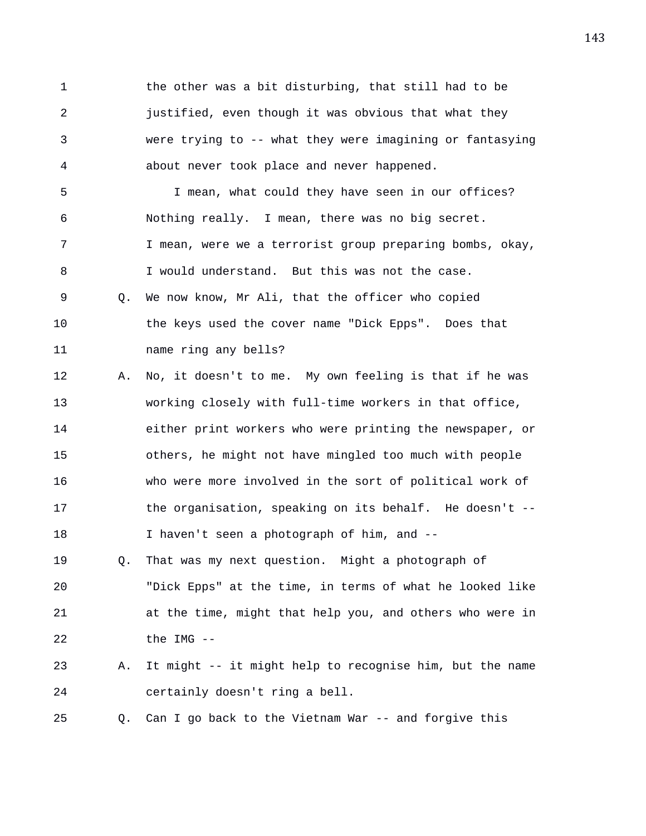1 the other was a bit disturbing, that still had to be 2 justified, even though it was obvious that what they 3 were trying to -- what they were imagining or fantasying 4 about never took place and never happened.

5 I mean, what could they have seen in our offices? 6 Nothing really. I mean, there was no big secret. 7 I mean, were we a terrorist group preparing bombs, okay, 8 I would understand. But this was not the case. 9 Q. We now know, Mr Ali, that the officer who copied 10 the keys used the cover name "Dick Epps". Does that 11 name ring any bells?

12 A. No, it doesn't to me. My own feeling is that if he was 13 working closely with full-time workers in that office, 14 either print workers who were printing the newspaper, or 15 others, he might not have mingled too much with people 16 who were more involved in the sort of political work of 17 the organisation, speaking on its behalf. He doesn't -- 18 I haven't seen a photograph of him, and --

19 Q. That was my next question. Might a photograph of 20 "Dick Epps" at the time, in terms of what he looked like 21 at the time, might that help you, and others who were in 22 the IMG --

23 A. It might -- it might help to recognise him, but the name 24 certainly doesn't ring a bell.

25 Q. Can I go back to the Vietnam War -- and forgive this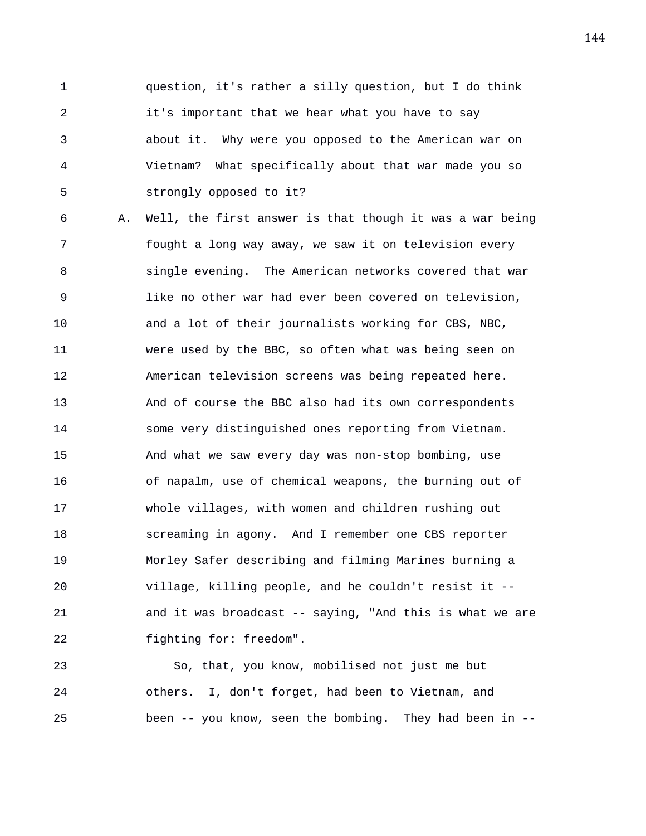1 question, it's rather a silly question, but I do think 2 it's important that we hear what you have to say 3 about it. Why were you opposed to the American war on 4 Vietnam? What specifically about that war made you so 5 strongly opposed to it?

6 A. Well, the first answer is that though it was a war being 7 fought a long way away, we saw it on television every 8 single evening. The American networks covered that war 9 like no other war had ever been covered on television, 10 and a lot of their journalists working for CBS, NBC, 11 were used by the BBC, so often what was being seen on 12 American television screens was being repeated here. 13 And of course the BBC also had its own correspondents 14 some very distinguished ones reporting from Vietnam. 15 And what we saw every day was non-stop bombing, use 16 of napalm, use of chemical weapons, the burning out of 17 whole villages, with women and children rushing out 18 screaming in agony. And I remember one CBS reporter 19 Morley Safer describing and filming Marines burning a 20 village, killing people, and he couldn't resist it -- 21 and it was broadcast -- saying, "And this is what we are 22 fighting for: freedom".

23 So, that, you know, mobilised not just me but 24 others. I, don't forget, had been to Vietnam, and 25 been -- you know, seen the bombing. They had been in --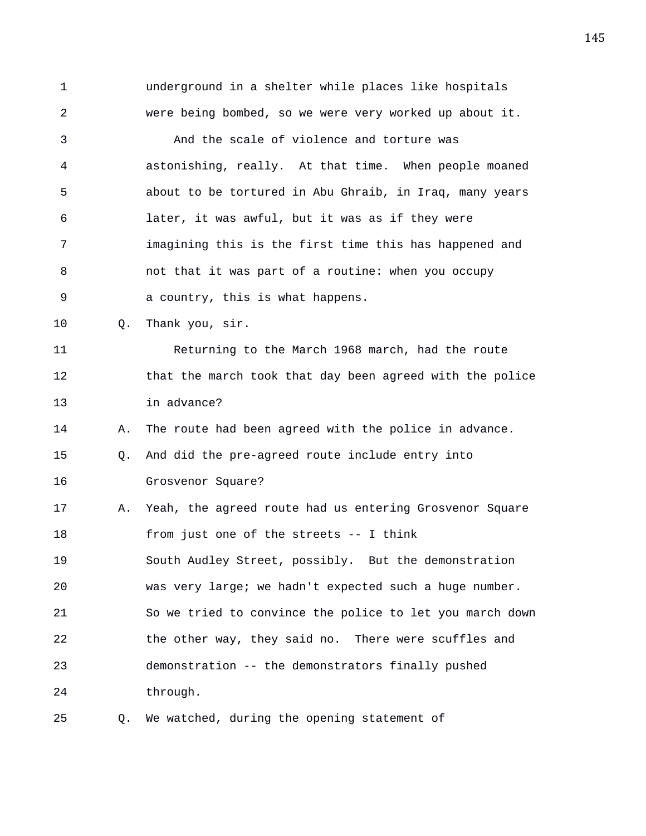1 underground in a shelter while places like hospitals 2 were being bombed, so we were very worked up about it. 3 And the scale of violence and torture was 4 astonishing, really. At that time. When people moaned 5 about to be tortured in Abu Ghraib, in Iraq, many years 6 later, it was awful, but it was as if they were 7 imagining this is the first time this has happened and 8 not that it was part of a routine: when you occupy 9 a country, this is what happens. 10 Q. Thank you, sir. 11 Returning to the March 1968 march, had the route 12 that the march took that day been agreed with the police 13 in advance? 14 A. The route had been agreed with the police in advance. 15 Q. And did the pre-agreed route include entry into 16 Grosvenor Square? 17 A. Yeah, the agreed route had us entering Grosvenor Square 18 from just one of the streets -- I think 19 South Audley Street, possibly. But the demonstration 20 was very large; we hadn't expected such a huge number. 21 So we tried to convince the police to let you march down 22 the other way, they said no. There were scuffles and 23 demonstration -- the demonstrators finally pushed 24 through. 25 Q. We watched, during the opening statement of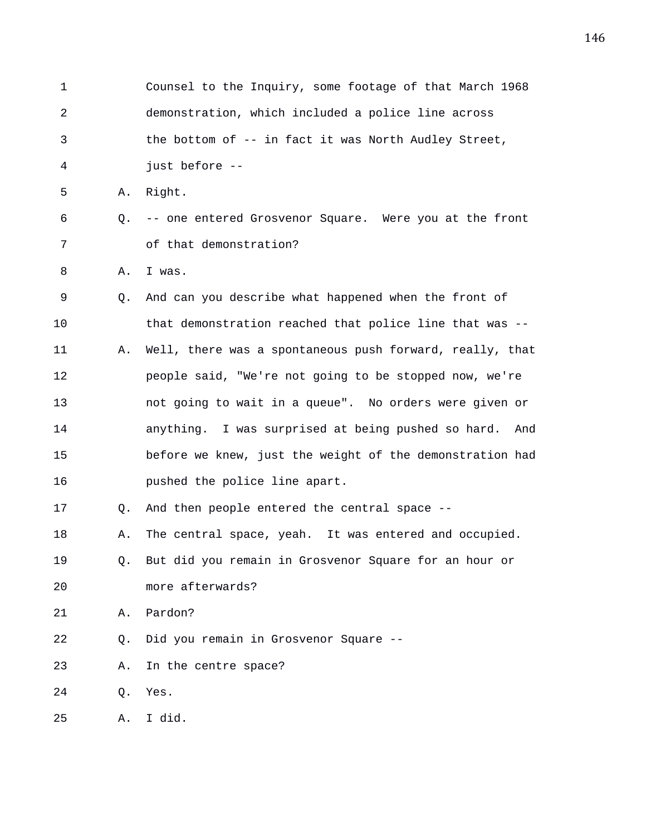1 Counsel to the Inquiry, some footage of that March 1968 2 demonstration, which included a police line across 3 the bottom of -- in fact it was North Audley Street, 4 just before -- 5 A. Right. 6 Q. -- one entered Grosvenor Square. Were you at the front 7 of that demonstration? 8 A. I was. 9 Q. And can you describe what happened when the front of 10 that demonstration reached that police line that was -- 11 A. Well, there was a spontaneous push forward, really, that 12 people said, "We're not going to be stopped now, we're 13 not going to wait in a queue". No orders were given or 14 anything. I was surprised at being pushed so hard. And 15 before we knew, just the weight of the demonstration had 16 pushed the police line apart. 17 Q. And then people entered the central space -- 18 A. The central space, yeah. It was entered and occupied. 19 Q. But did you remain in Grosvenor Square for an hour or 20 more afterwards? 21 A. Pardon? 22 Q. Did you remain in Grosvenor Square -- 23 A. In the centre space? 24 Q. Yes. 25 A. I did.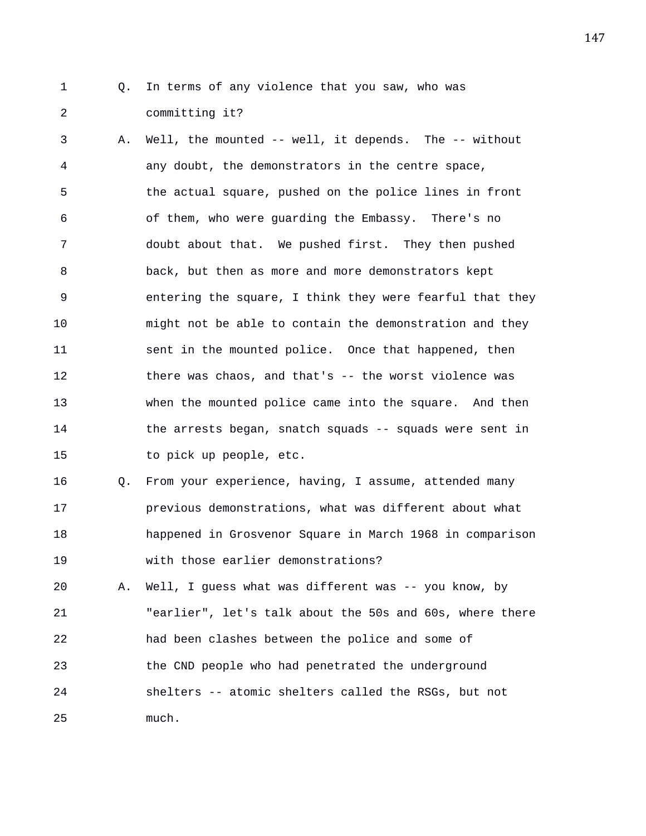- 
- 1 Q. In terms of any violence that you saw, who was 2 committing it?

3 A. Well, the mounted -- well, it depends. The -- without 4 any doubt, the demonstrators in the centre space, 5 the actual square, pushed on the police lines in front 6 of them, who were guarding the Embassy. There's no 7 doubt about that. We pushed first. They then pushed 8 back, but then as more and more demonstrators kept 9 entering the square, I think they were fearful that they 10 might not be able to contain the demonstration and they 11 sent in the mounted police. Once that happened, then 12 there was chaos, and that's -- the worst violence was 13 when the mounted police came into the square. And then 14 the arrests began, snatch squads -- squads were sent in 15 to pick up people, etc.

16 Q. From your experience, having, I assume, attended many 17 previous demonstrations, what was different about what 18 happened in Grosvenor Square in March 1968 in comparison 19 with those earlier demonstrations?

20 A. Well, I guess what was different was -- you know, by 21 "earlier", let's talk about the 50s and 60s, where there 22 had been clashes between the police and some of 23 the CND people who had penetrated the underground 24 shelters -- atomic shelters called the RSGs, but not 25 much.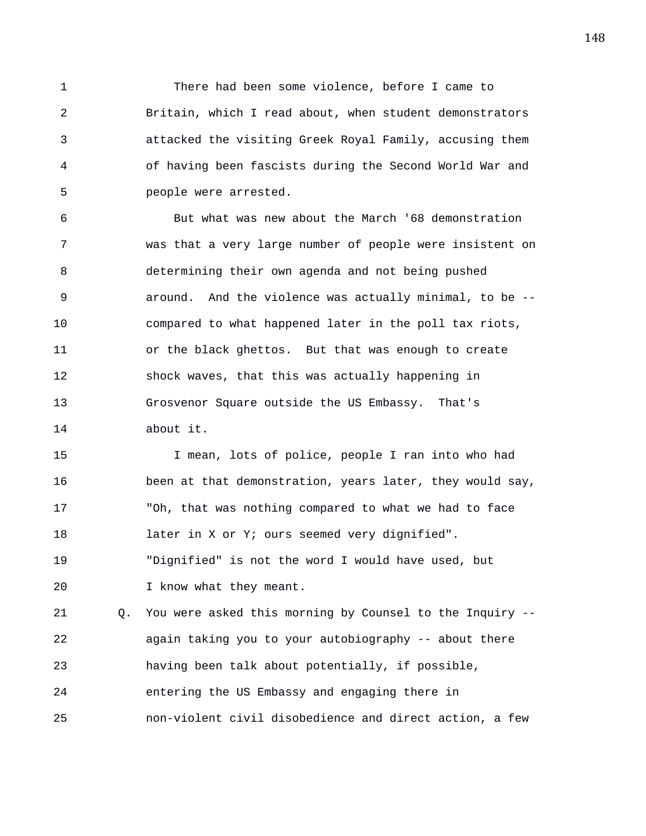1 There had been some violence, before I came to 2 Britain, which I read about, when student demonstrators 3 attacked the visiting Greek Royal Family, accusing them 4 of having been fascists during the Second World War and 5 people were arrested.

6 But what was new about the March '68 demonstration 7 was that a very large number of people were insistent on 8 determining their own agenda and not being pushed 9 around. And the violence was actually minimal, to be -- 10 compared to what happened later in the poll tax riots, 11 or the black ghettos. But that was enough to create 12 shock waves, that this was actually happening in 13 Grosvenor Square outside the US Embassy. That's 14 about it.

15 I mean, lots of police, people I ran into who had 16 been at that demonstration, years later, they would say, 17 "Oh, that was nothing compared to what we had to face 18 later in X or Y; ours seemed very dignified". 19 "Dignified" is not the word I would have used, but 20 I know what they meant.

21 Q. You were asked this morning by Counsel to the Inquiry -- 22 again taking you to your autobiography -- about there 23 having been talk about potentially, if possible, 24 entering the US Embassy and engaging there in 25 non-violent civil disobedience and direct action, a few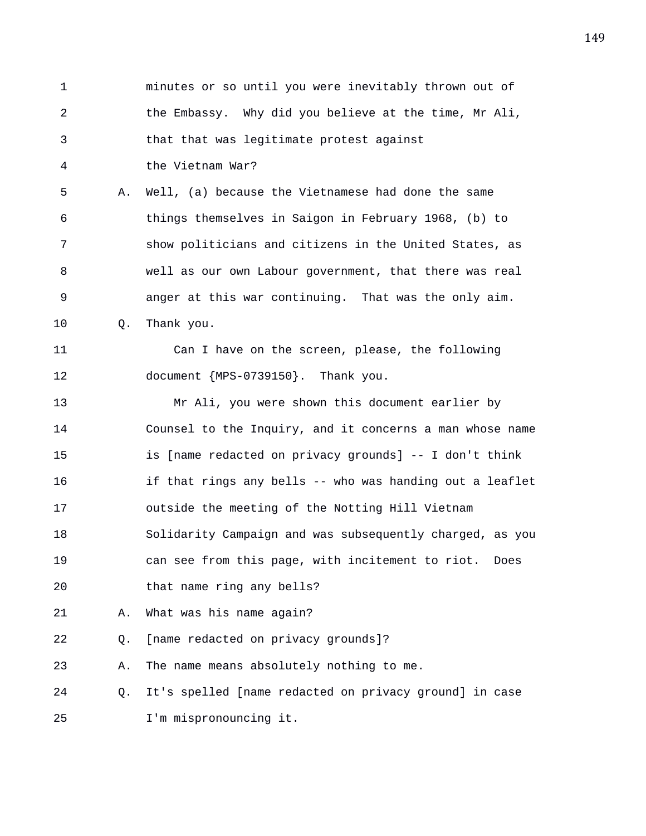1 minutes or so until you were inevitably thrown out of 2 the Embassy. Why did you believe at the time, Mr Ali, 3 that that was legitimate protest against 4 the Vietnam War? 5 A. Well, (a) because the Vietnamese had done the same 6 things themselves in Saigon in February 1968, (b) to 7 show politicians and citizens in the United States, as 8 well as our own Labour government, that there was real 9 anger at this war continuing. That was the only aim. 10 Q. Thank you. 11 Can I have on the screen, please, the following 12 document {MPS-0739150}. Thank you. 13 Mr Ali, you were shown this document earlier by 14 Counsel to the Inquiry, and it concerns a man whose name 15 is [name redacted on privacy grounds] -- I don't think 16 if that rings any bells -- who was handing out a leaflet 17 outside the meeting of the Notting Hill Vietnam 18 Solidarity Campaign and was subsequently charged, as you 19 can see from this page, with incitement to riot. Does 20 that name ring any bells? 21 A. What was his name again? 22 Q. [name redacted on privacy grounds]? 23 A. The name means absolutely nothing to me. 24 Q. It's spelled [name redacted on privacy ground] in case 25 I'm mispronouncing it.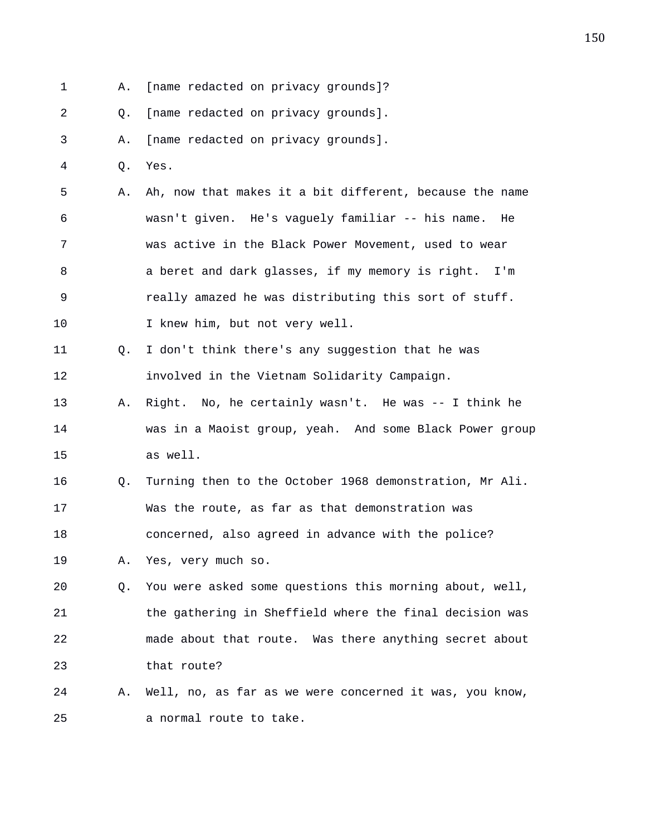1 A. [name redacted on privacy grounds]? 2 Q. [name redacted on privacy grounds]. 3 A. [name redacted on privacy grounds]. 4 Q. Yes. 5 A. Ah, now that makes it a bit different, because the name 6 wasn't given. He's vaguely familiar -- his name. He 7 was active in the Black Power Movement, used to wear 8 a beret and dark glasses, if my memory is right. I'm 9 really amazed he was distributing this sort of stuff. 10 I knew him, but not very well. 11 Q. I don't think there's any suggestion that he was 12 involved in the Vietnam Solidarity Campaign. 13 A. Right. No, he certainly wasn't. He was -- I think he 14 was in a Maoist group, yeah. And some Black Power group 15 as well. 16 Q. Turning then to the October 1968 demonstration, Mr Ali. 17 Was the route, as far as that demonstration was 18 concerned, also agreed in advance with the police? 19 A. Yes, very much so. 20 Q. You were asked some questions this morning about, well, 21 the gathering in Sheffield where the final decision was 22 made about that route. Was there anything secret about 23 that route? 24 A. Well, no, as far as we were concerned it was, you know, 25 a normal route to take.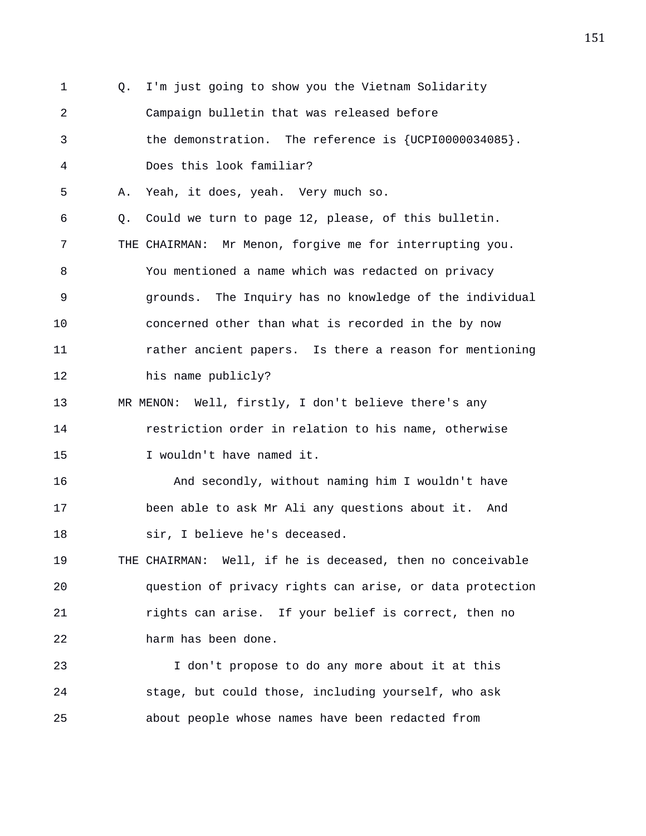1 Q. I'm just going to show you the Vietnam Solidarity 2 Campaign bulletin that was released before 3 the demonstration. The reference is {UCPI0000034085}. 4 Does this look familiar? 5 A. Yeah, it does, yeah. Very much so. 6 Q. Could we turn to page 12, please, of this bulletin. 7 THE CHAIRMAN: Mr Menon, forgive me for interrupting you. 8 You mentioned a name which was redacted on privacy 9 grounds. The Inquiry has no knowledge of the individual 10 concerned other than what is recorded in the by now 11 rather ancient papers. Is there a reason for mentioning 12 his name publicly? 13 MR MENON: Well, firstly, I don't believe there's any 14 restriction order in relation to his name, otherwise 15 I wouldn't have named it. 16 And secondly, without naming him I wouldn't have 17 been able to ask Mr Ali any questions about it. And 18 sir, I believe he's deceased. 19 THE CHAIRMAN: Well, if he is deceased, then no conceivable 20 question of privacy rights can arise, or data protection 21 rights can arise. If your belief is correct, then no 22 harm has been done. 23 I don't propose to do any more about it at this 24 stage, but could those, including yourself, who ask 25 about people whose names have been redacted from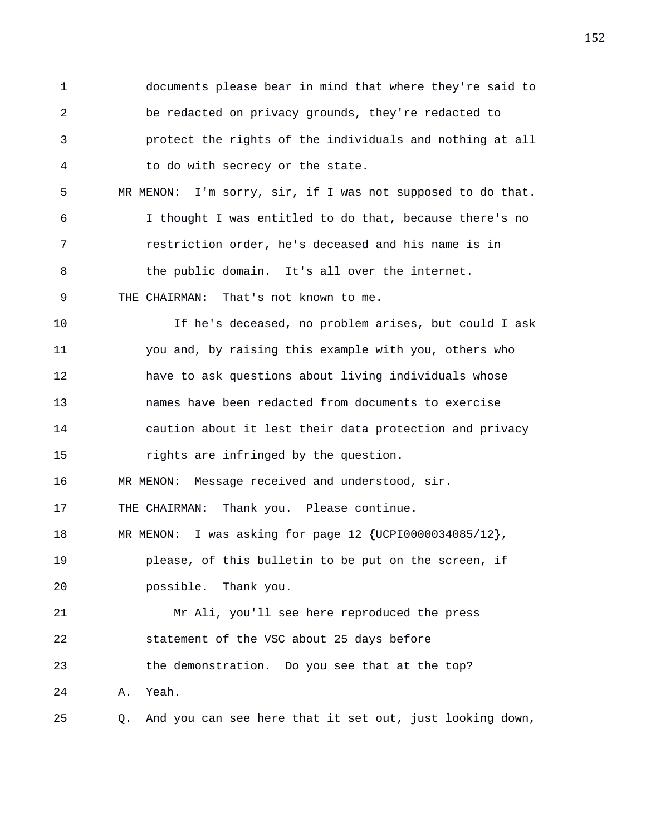1 documents please bear in mind that where they're said to 2 be redacted on privacy grounds, they're redacted to 3 protect the rights of the individuals and nothing at all 4 to do with secrecy or the state. 5 MR MENON: I'm sorry, sir, if I was not supposed to do that. 6 I thought I was entitled to do that, because there's no 7 restriction order, he's deceased and his name is in 8 the public domain. It's all over the internet. 9 THE CHAIRMAN: That's not known to me. 10 If he's deceased, no problem arises, but could I ask 11 you and, by raising this example with you, others who 12 have to ask questions about living individuals whose 13 names have been redacted from documents to exercise 14 caution about it lest their data protection and privacy 15 rights are infringed by the question. 16 MR MENON: Message received and understood, sir. 17 THE CHAIRMAN: Thank you. Please continue. 18 MR MENON: I was asking for page 12 {UCPI0000034085/12}, 19 please, of this bulletin to be put on the screen, if 20 possible. Thank you. 21 Mr Ali, you'll see here reproduced the press 22 statement of the VSC about 25 days before 23 the demonstration. Do you see that at the top? 24 A. Yeah. 25 Q. And you can see here that it set out, just looking down,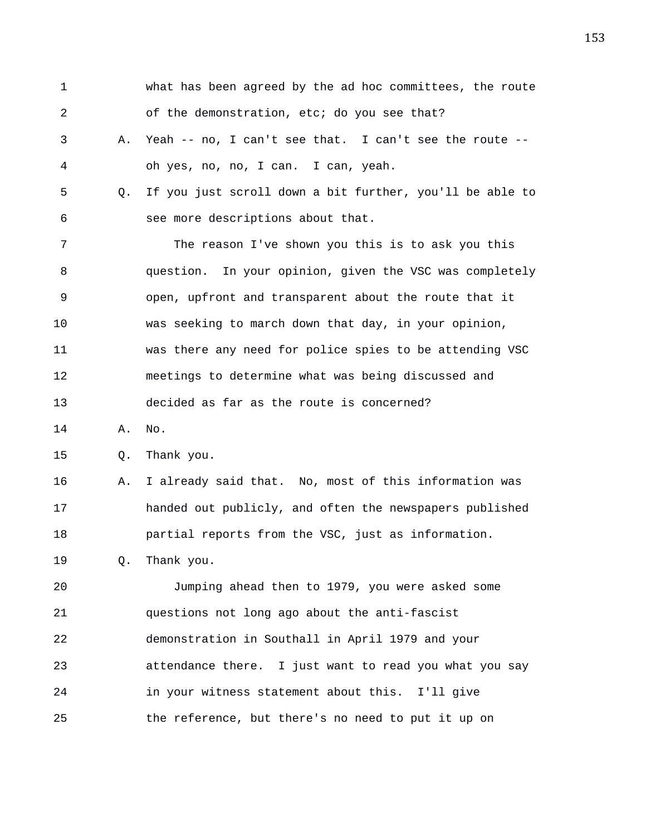| 1  |    | what has been agreed by the ad hoc committees, the route |
|----|----|----------------------------------------------------------|
| 2  |    | of the demonstration, etc; do you see that?              |
| 3  | Α. | Yeah -- no, I can't see that. I can't see the route --   |
| 4  |    | oh yes, no, no, I can. I can, yeah.                      |
| 5  | Q. | If you just scroll down a bit further, you'll be able to |
| 6  |    | see more descriptions about that.                        |
| 7  |    | The reason I've shown you this is to ask you this        |
| 8  |    | question. In your opinion, given the VSC was completely  |
| 9  |    | open, upfront and transparent about the route that it    |
| 10 |    | was seeking to march down that day, in your opinion,     |
| 11 |    | was there any need for police spies to be attending VSC  |
| 12 |    | meetings to determine what was being discussed and       |
| 13 |    | decided as far as the route is concerned?                |
| 14 | Α. | No.                                                      |
| 15 | Q. | Thank you.                                               |
| 16 | Α. | I already said that. No, most of this information was    |
| 17 |    | handed out publicly, and often the newspapers published  |
| 18 |    | partial reports from the VSC, just as information.       |
| 19 | Q. | Thank you.                                               |
| 20 |    | Jumping ahead then to 1979, you were asked some          |
| 21 |    | questions not long ago about the anti-fascist            |
| 22 |    | demonstration in Southall in April 1979 and your         |
| 23 |    | attendance there. I just want to read you what you say   |
| 24 |    | in your witness statement about this. I'll give          |
| 25 |    | the reference, but there's no need to put it up on       |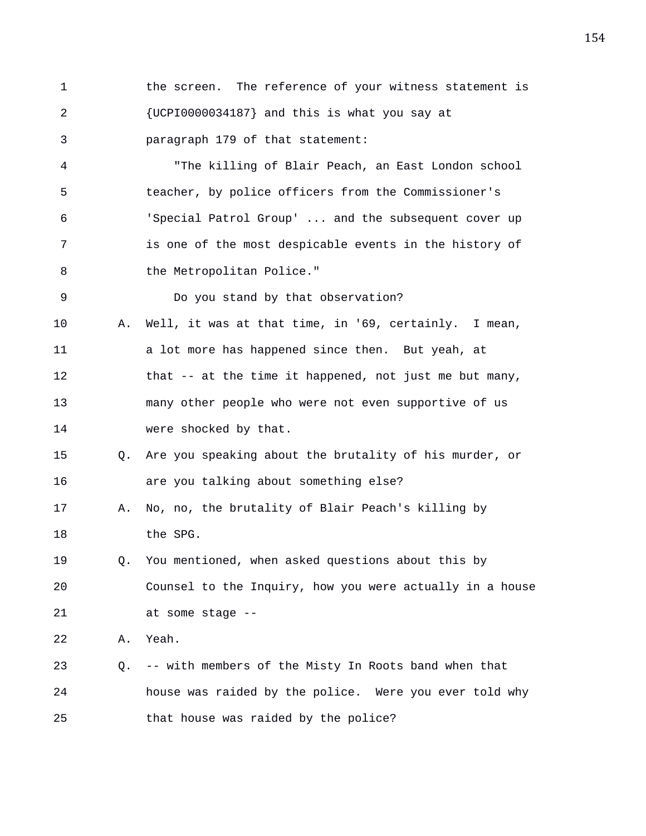1 the screen. The reference of your witness statement is 2 {UCPI0000034187} and this is what you say at 3 paragraph 179 of that statement:

4 "The killing of Blair Peach, an East London school 5 teacher, by police officers from the Commissioner's 6 'Special Patrol Group' ... and the subsequent cover up 7 is one of the most despicable events in the history of 8 the Metropolitan Police."

9 Do you stand by that observation?

- 10 A. Well, it was at that time, in '69, certainly. I mean, 11 a lot more has happened since then. But yeah, at 12 that -- at the time it happened, not just me but many, 13 many other people who were not even supportive of us 14 were shocked by that.
- 15 Q. Are you speaking about the brutality of his murder, or 16 are you talking about something else?
- 17 A. No, no, the brutality of Blair Peach's killing by 18 the SPG.
- 19 Q. You mentioned, when asked questions about this by 20 Counsel to the Inquiry, how you were actually in a house 21 at some stage --

22 A. Yeah.

23 Q. -- with members of the Misty In Roots band when that 24 house was raided by the police. Were you ever told why 25 that house was raided by the police?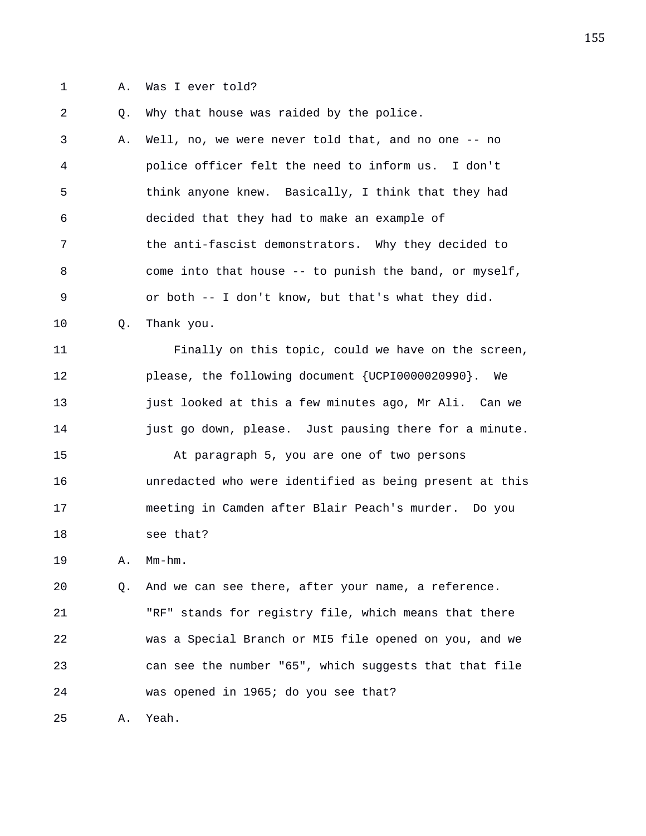1 A. Was I ever told?

2 Q. Why that house was raided by the police.

3 A. Well, no, we were never told that, and no one -- no 4 police officer felt the need to inform us. I don't 5 think anyone knew. Basically, I think that they had 6 decided that they had to make an example of 7 the anti-fascist demonstrators. Why they decided to 8 come into that house -- to punish the band, or myself, 9 or both -- I don't know, but that's what they did.

10 Q. Thank you.

11 Finally on this topic, could we have on the screen, 12 please, the following document {UCPI0000020990}. We 13 just looked at this a few minutes ago, Mr Ali. Can we 14 **just go down, please.** Just pausing there for a minute.

15 At paragraph 5, you are one of two persons 16 unredacted who were identified as being present at this 17 meeting in Camden after Blair Peach's murder. Do you 18 see that?

19 A. Mm-hm.

20 Q. And we can see there, after your name, a reference. 21 "RF" stands for registry file, which means that there 22 was a Special Branch or MI5 file opened on you, and we 23 can see the number "65", which suggests that that file 24 was opened in 1965; do you see that?

25 A. Yeah.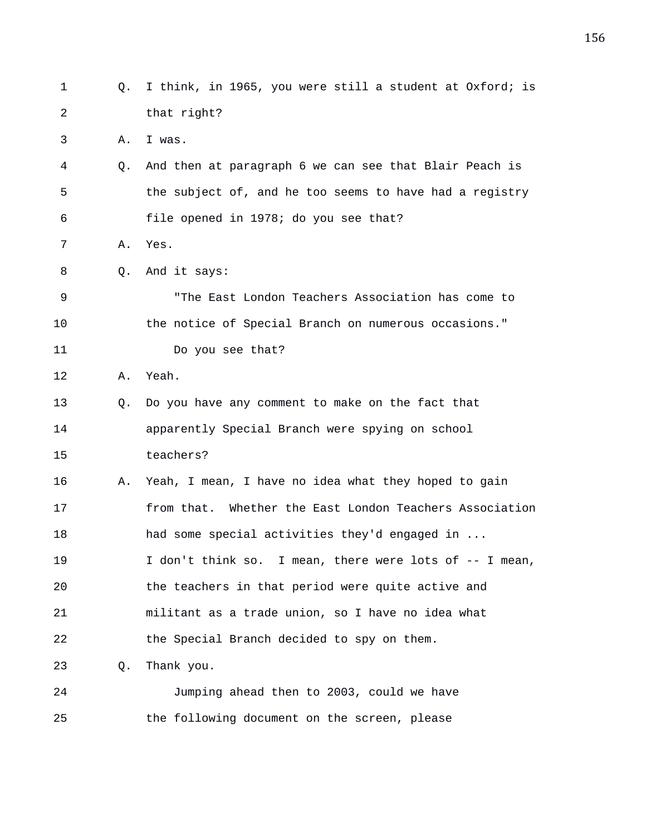| 1  | Q. | I think, in 1965, you were still a student at Oxford; is |
|----|----|----------------------------------------------------------|
| 2  |    | that right?                                              |
| 3  | Α. | I was.                                                   |
| 4  | Q. | And then at paragraph 6 we can see that Blair Peach is   |
| 5  |    | the subject of, and he too seems to have had a registry  |
| 6  |    | file opened in 1978; do you see that?                    |
| 7  | Α. | Yes.                                                     |
| 8  | 0. | And it says:                                             |
| 9  |    | "The East London Teachers Association has come to        |
| 10 |    | the notice of Special Branch on numerous occasions."     |
| 11 |    | Do you see that?                                         |
| 12 | Α. | Yeah.                                                    |
| 13 | Q. | Do you have any comment to make on the fact that         |
| 14 |    | apparently Special Branch were spying on school          |
| 15 |    | teachers?                                                |
| 16 | Α. | Yeah, I mean, I have no idea what they hoped to gain     |
| 17 |    | from that. Whether the East London Teachers Association  |
| 18 |    | had some special activities they'd engaged in            |
| 19 |    | I don't think so. I mean, there were lots of -- I mean,  |
| 20 |    | the teachers in that period were quite active and        |
| 21 |    | militant as a trade union, so I have no idea what        |
| 22 |    | the Special Branch decided to spy on them.               |
| 23 | Q. | Thank you.                                               |
| 24 |    | Jumping ahead then to 2003, could we have                |
| 25 |    | the following document on the screen, please             |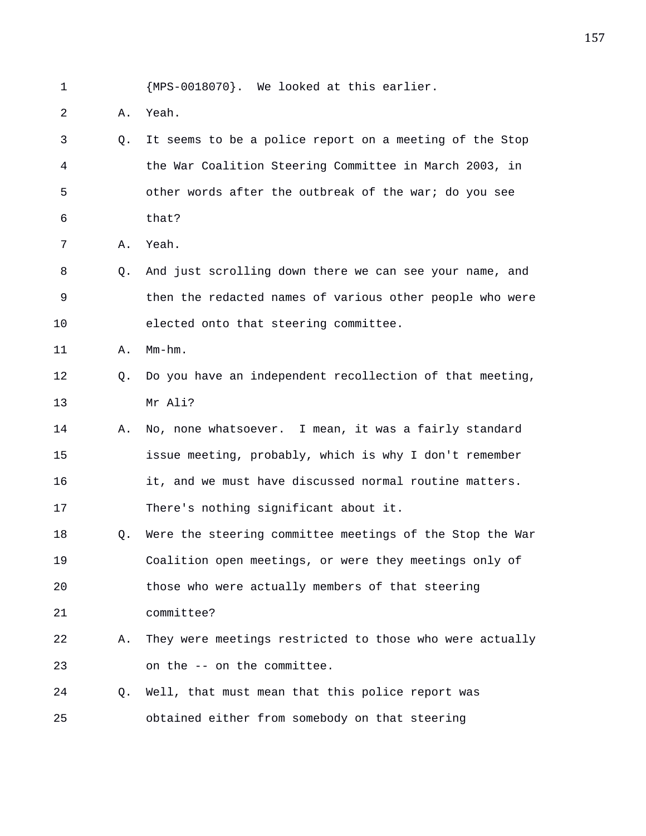1 {MPS-0018070}. We looked at this earlier.

- 2 A. Yeah.
- 3 Q. It seems to be a police report on a meeting of the Stop 4 the War Coalition Steering Committee in March 2003, in 5 other words after the outbreak of the war; do you see 6 that?
- 7 A. Yeah.
- 8 Q. And just scrolling down there we can see your name, and 9 then the redacted names of various other people who were 10 elected onto that steering committee.

11 A. Mm-hm.

- 12 Q. Do you have an independent recollection of that meeting, 13 Mr Ali?
- 14 A. No, none whatsoever. I mean, it was a fairly standard 15 issue meeting, probably, which is why I don't remember 16 it, and we must have discussed normal routine matters. 17 There's nothing significant about it.
- 18 Q. Were the steering committee meetings of the Stop the War 19 Coalition open meetings, or were they meetings only of 20 those who were actually members of that steering 21 committee?
- 22 A. They were meetings restricted to those who were actually 23 on the -- on the committee.
- 24 Q. Well, that must mean that this police report was 25 obtained either from somebody on that steering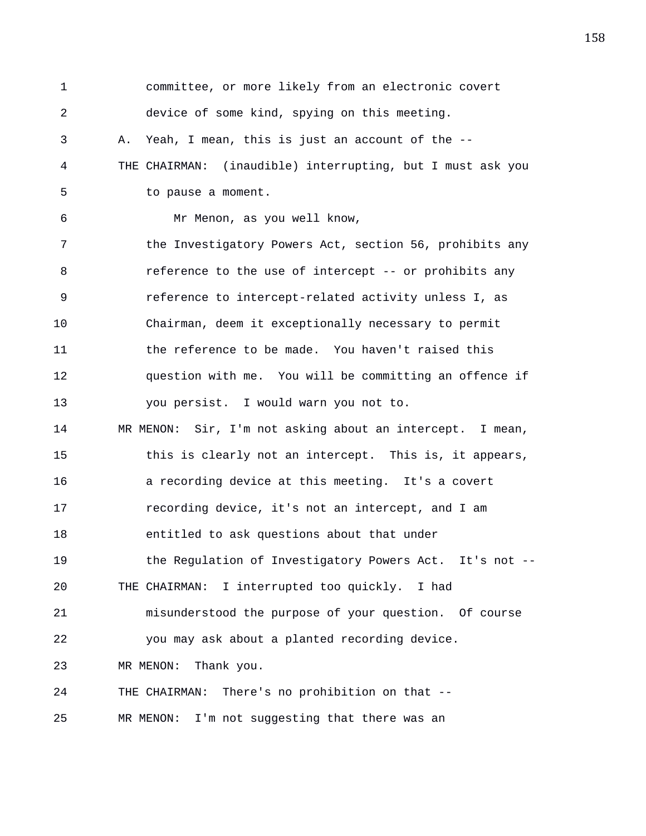1 committee, or more likely from an electronic covert 2 device of some kind, spying on this meeting. 3 A. Yeah, I mean, this is just an account of the -- 4 THE CHAIRMAN: (inaudible) interrupting, but I must ask you 5 to pause a moment. 6 Mr Menon, as you well know, 7 the Investigatory Powers Act, section 56, prohibits any 8 **8** reference to the use of intercept -- or prohibits any 9 reference to intercept-related activity unless I, as 10 Chairman, deem it exceptionally necessary to permit 11 the reference to be made. You haven't raised this 12 question with me. You will be committing an offence if 13 you persist. I would warn you not to. 14 MR MENON: Sir, I'm not asking about an intercept. I mean, 15 this is clearly not an intercept. This is, it appears, 16 a recording device at this meeting. It's a covert 17 recording device, it's not an intercept, and I am 18 entitled to ask questions about that under 19 the Regulation of Investigatory Powers Act. It's not -- 20 THE CHAIRMAN: I interrupted too quickly. I had 21 misunderstood the purpose of your question. Of course 22 you may ask about a planted recording device. 23 MR MENON: Thank you. 24 THE CHAIRMAN: There's no prohibition on that -- 25 MR MENON: I'm not suggesting that there was an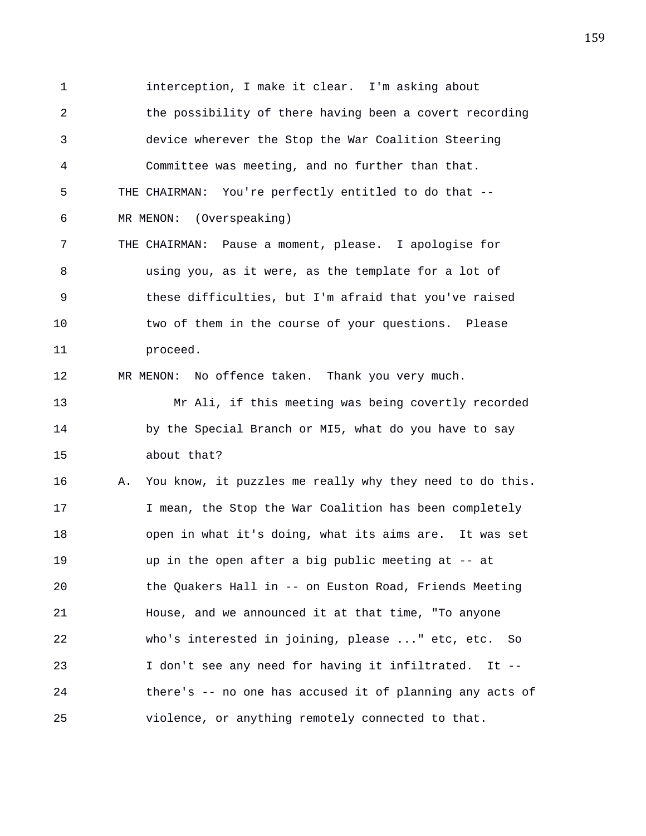1 interception, I make it clear. I'm asking about 2 the possibility of there having been a covert recording 3 device wherever the Stop the War Coalition Steering 4 Committee was meeting, and no further than that. 5 THE CHAIRMAN: You're perfectly entitled to do that -- 6 MR MENON: (Overspeaking) 7 THE CHAIRMAN: Pause a moment, please. I apologise for 8 using you, as it were, as the template for a lot of 9 these difficulties, but I'm afraid that you've raised 10 two of them in the course of your questions. Please 11 proceed. 12 MR MENON: No offence taken. Thank you very much. 13 Mr Ali, if this meeting was being covertly recorded 14 by the Special Branch or MI5, what do you have to say 15 about that? 16 A. You know, it puzzles me really why they need to do this. 17 17 I mean, the Stop the War Coalition has been completely 18 open in what it's doing, what its aims are. It was set 19 up in the open after a big public meeting at -- at 20 the Quakers Hall in -- on Euston Road, Friends Meeting 21 House, and we announced it at that time, "To anyone 22 who's interested in joining, please ..." etc, etc. So 23 I don't see any need for having it infiltrated. It -- 24 there's -- no one has accused it of planning any acts of 25 violence, or anything remotely connected to that.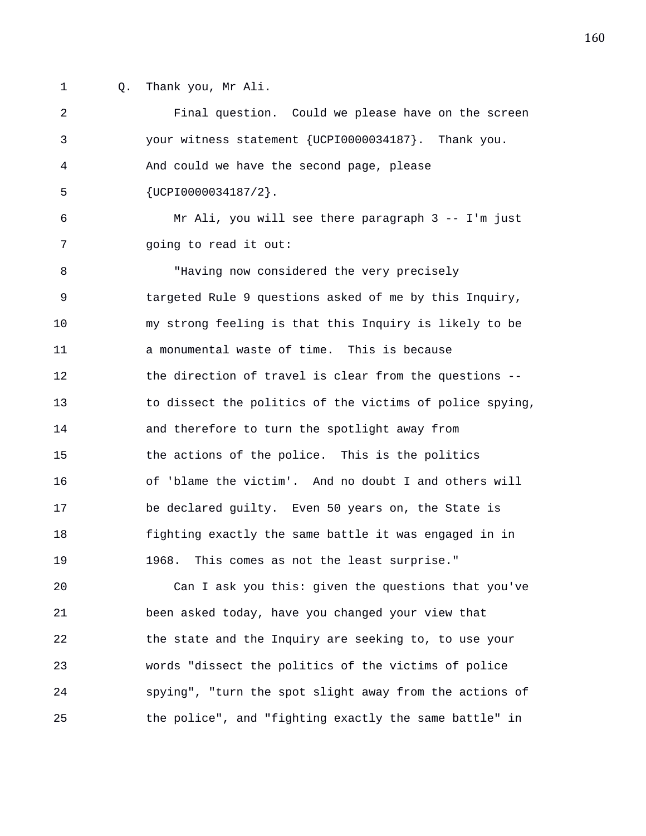- 
- 1 Q. Thank you, Mr Ali.

2 Final question. Could we please have on the screen 3 your witness statement {UCPI0000034187}. Thank you. 4 And could we have the second page, please 5 {UCPI0000034187/2}. 6 Mr Ali, you will see there paragraph 3 -- I'm just 7 going to read it out: 8 "Having now considered the very precisely 9 targeted Rule 9 questions asked of me by this Inquiry, 10 my strong feeling is that this Inquiry is likely to be 11 a monumental waste of time. This is because 12 the direction of travel is clear from the questions -- 13 to dissect the politics of the victims of police spying, 14 and therefore to turn the spotlight away from 15 the actions of the police. This is the politics 16 of 'blame the victim'. And no doubt I and others will 17 be declared guilty. Even 50 years on, the State is 18 fighting exactly the same battle it was engaged in in 19 1968. This comes as not the least surprise." 20 Can I ask you this: given the questions that you've 21 been asked today, have you changed your view that 22 the state and the Inquiry are seeking to, to use your 23 words "dissect the politics of the victims of police 24 spying", "turn the spot slight away from the actions of 25 the police", and "fighting exactly the same battle" in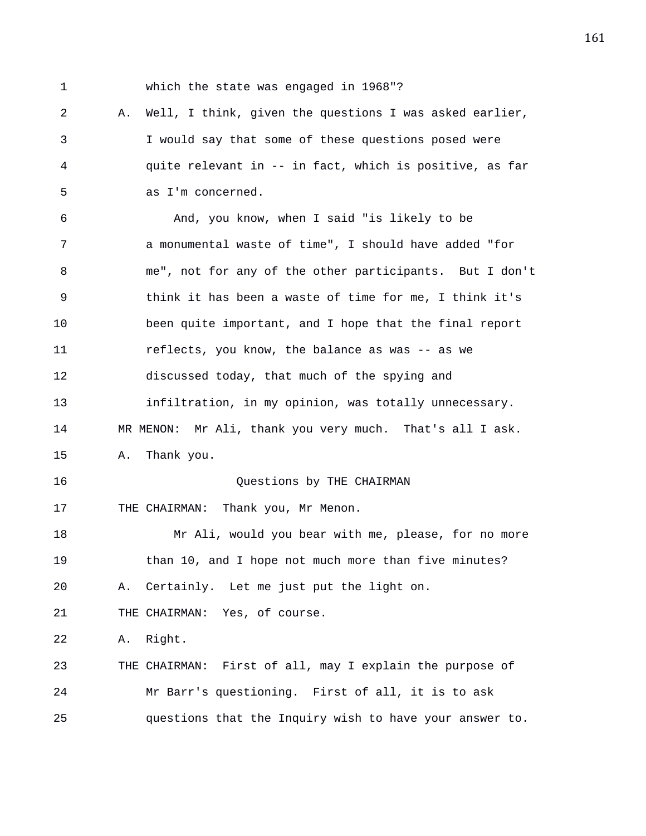1 which the state was engaged in 1968"?

2 A. Well, I think, given the questions I was asked earlier, 3 I would say that some of these questions posed were 4 quite relevant in -- in fact, which is positive, as far 5 as I'm concerned.

6 And, you know, when I said "is likely to be 7 a monumental waste of time", I should have added "for 8 me", not for any of the other participants. But I don't 9 think it has been a waste of time for me, I think it's 10 been quite important, and I hope that the final report 11 reflects, you know, the balance as was -- as we 12 discussed today, that much of the spying and 13 infiltration, in my opinion, was totally unnecessary. 14 MR MENON: Mr Ali, thank you very much. That's all I ask. 15 A. Thank you. 16 Questions by THE CHAIRMAN 17 THE CHAIRMAN: Thank you, Mr Menon. 18 Mr Ali, would you bear with me, please, for no more 19 than 10, and I hope not much more than five minutes? 20 A. Certainly. Let me just put the light on. 21 THE CHAIRMAN: Yes, of course. 22 A. Right. 23 THE CHAIRMAN: First of all, may I explain the purpose of 24 Mr Barr's questioning. First of all, it is to ask 25 questions that the Inquiry wish to have your answer to.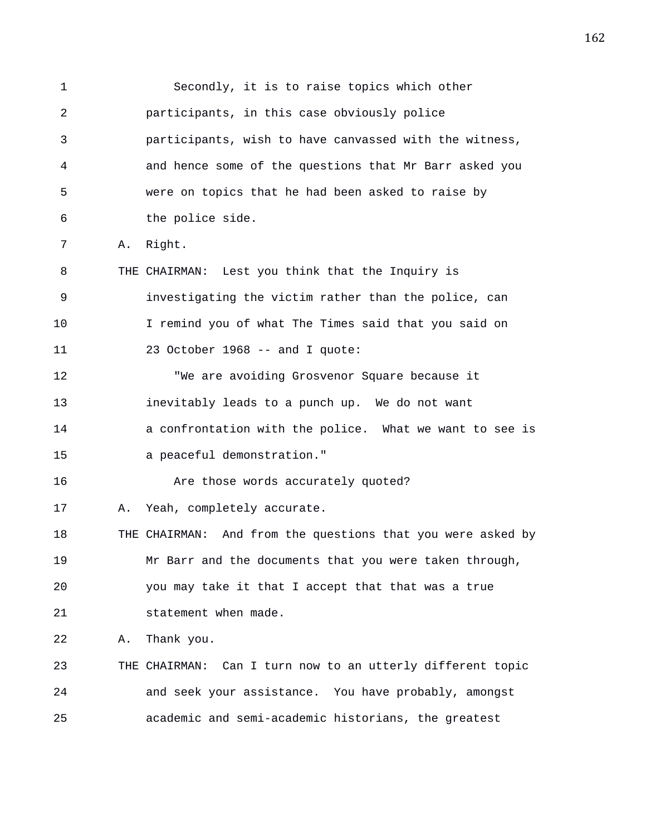1 Secondly, it is to raise topics which other 2 participants, in this case obviously police 3 participants, wish to have canvassed with the witness, 4 and hence some of the questions that Mr Barr asked you 5 were on topics that he had been asked to raise by 6 the police side. 7 A. Right. 8 THE CHAIRMAN: Lest you think that the Inquiry is 9 investigating the victim rather than the police, can 10 I remind you of what The Times said that you said on 11 23 October 1968 -- and I quote: 12 "We are avoiding Grosvenor Square because it 13 inevitably leads to a punch up. We do not want 14 a confrontation with the police. What we want to see is 15 a peaceful demonstration." 16 **Are those words accurately quoted?** 17 A. Yeah, completely accurate. 18 THE CHAIRMAN: And from the questions that you were asked by 19 Mr Barr and the documents that you were taken through, 20 you may take it that I accept that that was a true 21 statement when made. 22 A. Thank you. 23 THE CHAIRMAN: Can I turn now to an utterly different topic 24 and seek your assistance. You have probably, amongst 25 academic and semi-academic historians, the greatest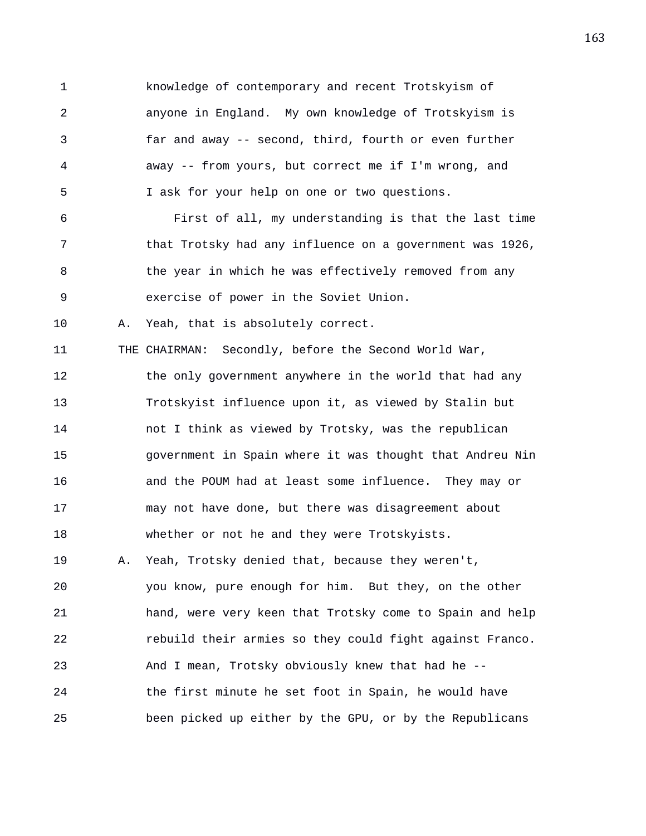1 knowledge of contemporary and recent Trotskyism of 2 anyone in England. My own knowledge of Trotskyism is 3 far and away -- second, third, fourth or even further 4 away -- from yours, but correct me if I'm wrong, and 5 I ask for your help on one or two questions. 6 First of all, my understanding is that the last time 7 that Trotsky had any influence on a government was 1926,

8 the year in which he was effectively removed from any 9 exercise of power in the Soviet Union.

11 THE CHAIRMAN: Secondly, before the Second World War,

10 A. Yeah, that is absolutely correct.

12 the only government anywhere in the world that had any 13 Trotskyist influence upon it, as viewed by Stalin but 14 not I think as viewed by Trotsky, was the republican 15 government in Spain where it was thought that Andreu Nin 16 and the POUM had at least some influence. They may or 17 may not have done, but there was disagreement about 18 whether or not he and they were Trotskyists.

19 A. Yeah, Trotsky denied that, because they weren't, 20 you know, pure enough for him. But they, on the other 21 hand, were very keen that Trotsky come to Spain and help 22 rebuild their armies so they could fight against Franco. 23 And I mean, Trotsky obviously knew that had he -- 24 the first minute he set foot in Spain, he would have 25 been picked up either by the GPU, or by the Republicans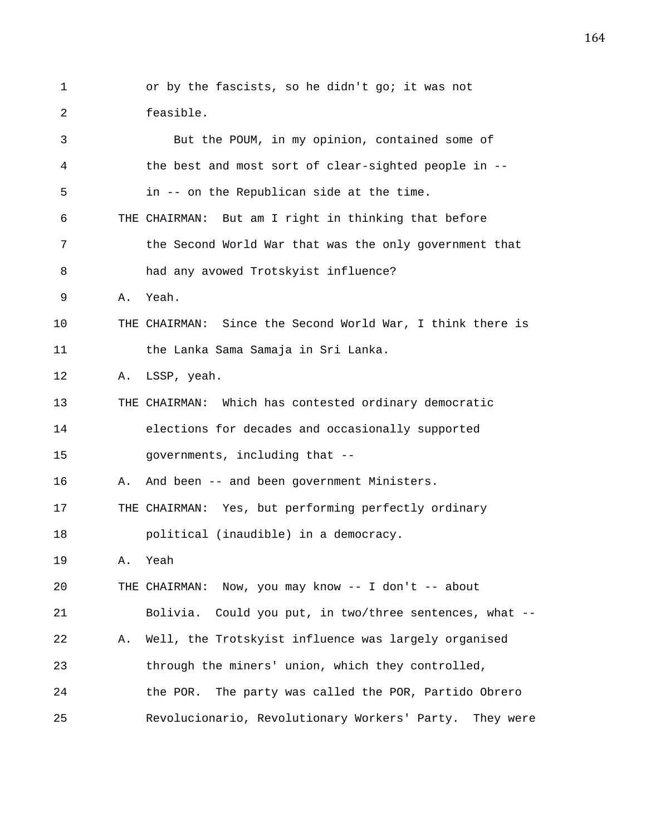1 or by the fascists, so he didn't go; it was not 2 feasible. 3 But the POUM, in my opinion, contained some of 4 the best and most sort of clear-sighted people in -- 5 in -- on the Republican side at the time. 6 THE CHAIRMAN: But am I right in thinking that before 7 the Second World War that was the only government that 8 had any avowed Trotskyist influence? 9 A. Yeah. 10 THE CHAIRMAN: Since the Second World War, I think there is 11 the Lanka Sama Samaja in Sri Lanka. 12 A. LSSP, yeah. 13 THE CHAIRMAN: Which has contested ordinary democratic 14 elections for decades and occasionally supported 15 governments, including that -- 16 A. And been -- and been government Ministers. 17 THE CHAIRMAN: Yes, but performing perfectly ordinary 18 political (inaudible) in a democracy. 19 A. Yeah 20 THE CHAIRMAN: Now, you may know -- I don't -- about 21 Bolivia. Could you put, in two/three sentences, what -- 22 A. Well, the Trotskyist influence was largely organised 23 through the miners' union, which they controlled, 24 the POR. The party was called the POR, Partido Obrero 25 Revolucionario, Revolutionary Workers' Party. They were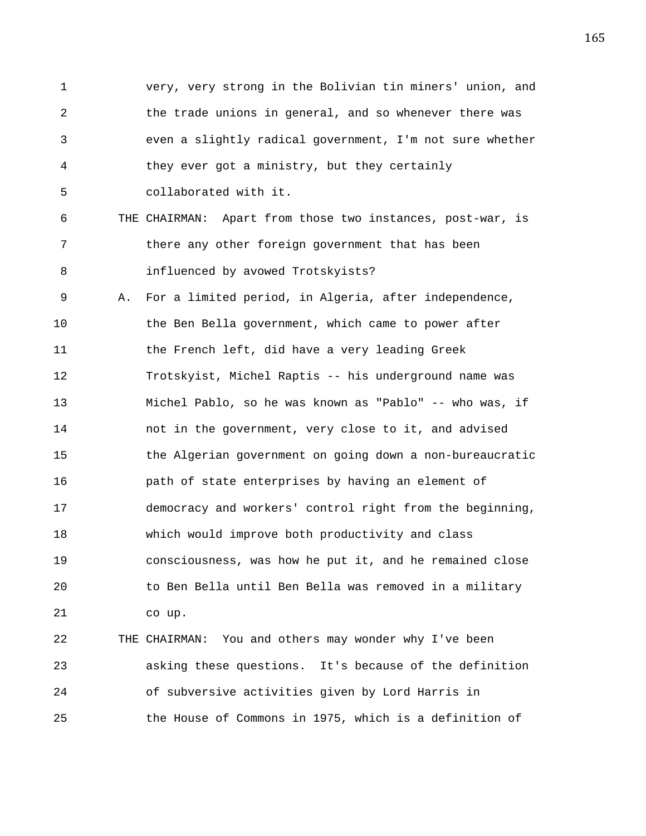1 very, very strong in the Bolivian tin miners' union, and 2 the trade unions in general, and so whenever there was 3 even a slightly radical government, I'm not sure whether 4 they ever got a ministry, but they certainly 5 collaborated with it. 6 THE CHAIRMAN: Apart from those two instances, post-war, is 7 there any other foreign government that has been 8 influenced by avowed Trotskyists? 9 A. For a limited period, in Algeria, after independence, 10 the Ben Bella government, which came to power after 11 the French left, did have a very leading Greek 12 Trotskyist, Michel Raptis -- his underground name was 13 Michel Pablo, so he was known as "Pablo" -- who was, if 14 not in the government, very close to it, and advised 15 the Algerian government on going down a non-bureaucratic 16 path of state enterprises by having an element of 17 democracy and workers' control right from the beginning, 18 which would improve both productivity and class 19 consciousness, was how he put it, and he remained close 20 to Ben Bella until Ben Bella was removed in a military 21 co up.

22 THE CHAIRMAN: You and others may wonder why I've been 23 asking these questions. It's because of the definition 24 of subversive activities given by Lord Harris in 25 the House of Commons in 1975, which is a definition of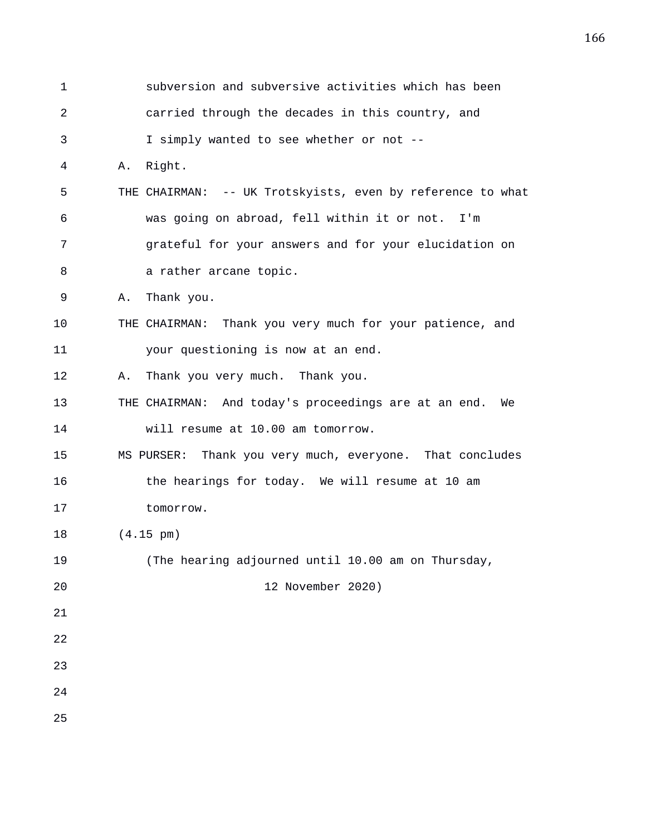| $\mathbf 1$ | subversion and subversive activities which has been        |
|-------------|------------------------------------------------------------|
| 2           | carried through the decades in this country, and           |
| 3           | I simply wanted to see whether or not --                   |
| 4           | Right.<br>Α.                                               |
| 5           | THE CHAIRMAN: -- UK Trotskyists, even by reference to what |
| 6           | was going on abroad, fell within it or not. I'm            |
| 7           | grateful for your answers and for your elucidation on      |
| 8           | a rather arcane topic.                                     |
| 9           | Thank you.<br>Α.                                           |
| 10          | THE CHAIRMAN: Thank you very much for your patience, and   |
| 11          | your questioning is now at an end.                         |
| 12          | Thank you very much. Thank you.<br>Α.                      |
| 13          | THE CHAIRMAN: And today's proceedings are at an end. We    |
| 14          | will resume at 10.00 am tomorrow.                          |
| 15          | MS PURSER: Thank you very much, everyone. That concludes   |
| 16          | the hearings for today. We will resume at 10 am            |
| 17          | tomorrow.                                                  |
| 18          | $(4.15 \text{ pm})$                                        |
| 19          | (The hearing adjourned until 10.00 am on Thursday,         |
| 20          | 12 November 2020)                                          |
| 21          |                                                            |
| 22          |                                                            |
| 23          |                                                            |
| 24          |                                                            |
| 25          |                                                            |